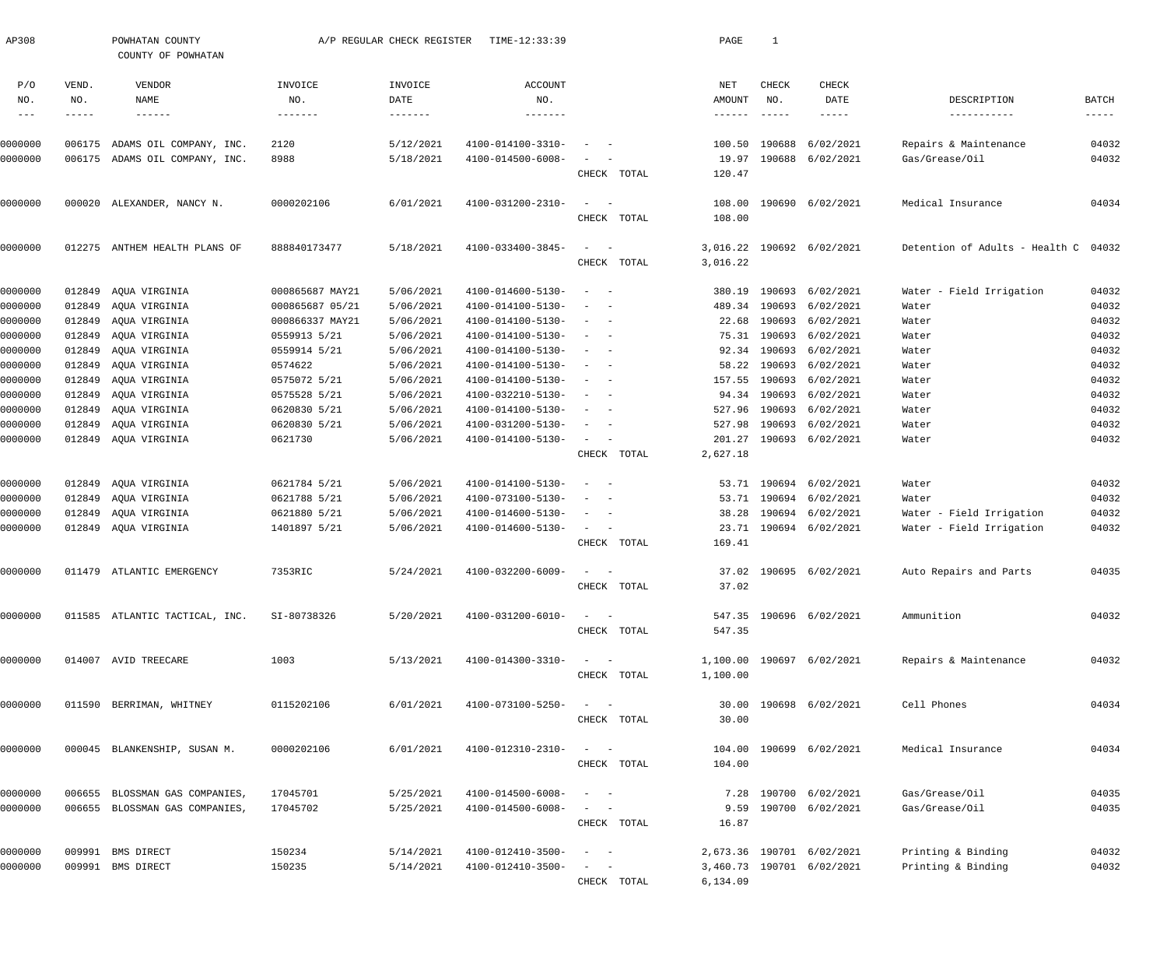| AP308              |              | POWHATAN COUNTY<br>COUNTY OF POWHATAN |                                    | A/P REGULAR CHECK REGISTER | TIME-12:33:39                          |                                                                                                              |             | PAGE                      | $\mathbf{1}$         |                           |                                      |                               |
|--------------------|--------------|---------------------------------------|------------------------------------|----------------------------|----------------------------------------|--------------------------------------------------------------------------------------------------------------|-------------|---------------------------|----------------------|---------------------------|--------------------------------------|-------------------------------|
| P/O                | VEND.        | VENDOR                                | INVOICE                            | INVOICE                    | <b>ACCOUNT</b>                         |                                                                                                              |             | NET                       | CHECK                | CHECK                     |                                      |                               |
| NO.<br>$- - -$     | NO.<br>----- | NAME<br>$- - - - - -$                 | NO.<br>--------                    | DATE<br>--------           | NO.<br>--------                        |                                                                                                              |             | AMOUNT<br>$- - - - - - -$ | NO.<br>$\frac{1}{2}$ | DATE<br>$- - - - - -$     | DESCRIPTION<br>-----------           | BATCH<br>$\cdots\cdots\cdots$ |
|                    |              |                                       |                                    |                            |                                        |                                                                                                              |             |                           |                      |                           |                                      |                               |
| 0000000            |              | 006175 ADAMS OIL COMPANY, INC.        | 2120                               | 5/12/2021                  | 4100-014100-3310-                      | $\sim$                                                                                                       |             | 100.50                    | 190688               | 6/02/2021                 | Repairs & Maintenance                | 04032                         |
| 0000000            |              | 006175 ADAMS OIL COMPANY, INC.        | 8988                               | 5/18/2021                  | 4100-014500-6008-                      | $\overline{\phantom{a}}$                                                                                     |             | 19.97                     | 190688               | 6/02/2021                 | Gas/Grease/Oil                       | 04032                         |
|                    |              |                                       |                                    |                            |                                        |                                                                                                              | CHECK TOTAL | 120.47                    |                      |                           |                                      |                               |
| 0000000            |              | 000020 ALEXANDER, NANCY N.            | 0000202106                         | 6/01/2021                  | 4100-031200-2310-                      | $\sim$<br>$\sim$ $-$                                                                                         |             | 108.00                    |                      | 190690 6/02/2021          | Medical Insurance                    | 04034                         |
|                    |              |                                       |                                    |                            |                                        |                                                                                                              | CHECK TOTAL | 108.00                    |                      |                           |                                      |                               |
| 0000000            |              | 012275 ANTHEM HEALTH PLANS OF         | 888840173477                       | 5/18/2021                  | 4100-033400-3845-                      | $\sim$<br>$\sim$ $-$                                                                                         |             | 3,016.22                  |                      | 190692 6/02/2021          | Detention of Adults - Health C 04032 |                               |
|                    |              |                                       |                                    |                            |                                        |                                                                                                              | CHECK TOTAL | 3,016.22                  |                      |                           |                                      |                               |
|                    |              |                                       |                                    |                            |                                        |                                                                                                              |             |                           |                      |                           |                                      |                               |
| 0000000<br>0000000 | 012849       | AQUA VIRGINIA<br>012849 AQUA VIRGINIA | 000865687 MAY21<br>000865687 05/21 | 5/06/2021<br>5/06/2021     | 4100-014600-5130-<br>4100-014100-5130- | $\sim$ $-$<br>$\overline{\phantom{a}}$<br>$\overline{\phantom{a}}$<br>$\sim$                                 |             | 380.19<br>489.34          | 190693<br>190693     | 6/02/2021<br>6/02/2021    | Water - Field Irrigation<br>Water    | 04032<br>04032                |
| 0000000            | 012849       | AQUA VIRGINIA                         | 000866337 MAY21                    | 5/06/2021                  | 4100-014100-5130-                      | $\hspace{0.1mm}-\hspace{0.1mm}$<br>$\sim$                                                                    |             | 22.68                     | 190693               | 6/02/2021                 | Water                                | 04032                         |
| 0000000            | 012849       | AQUA VIRGINIA                         | 0559913 5/21                       | 5/06/2021                  | 4100-014100-5130-                      | $\sim$<br>$\overline{\phantom{a}}$                                                                           |             |                           | 75.31 190693         | 6/02/2021                 | Water                                | 04032                         |
| 0000000            | 012849       | AQUA VIRGINIA                         | 0559914 5/21                       | 5/06/2021                  | 4100-014100-5130-                      | $\hspace{0.1mm}-\hspace{0.1mm}$<br>$\sim$                                                                    |             | 92.34                     | 190693               | 6/02/2021                 | Water                                | 04032                         |
| 0000000            | 012849       | AQUA VIRGINIA                         | 0574622                            | 5/06/2021                  | 4100-014100-5130-                      | $\overline{\phantom{a}}$<br>$\sim$                                                                           |             |                           | 58.22 190693         | 6/02/2021                 | Water                                | 04032                         |
| 0000000            | 012849       | AQUA VIRGINIA                         | 0575072 5/21                       | 5/06/2021                  | 4100-014100-5130-                      | $\sim$<br>$\overline{\phantom{a}}$                                                                           |             | 157.55                    | 190693               | 6/02/2021                 | Water                                | 04032                         |
| 0000000            | 012849       | AQUA VIRGINIA                         | 0575528 5/21                       | 5/06/2021                  | 4100-032210-5130-                      | $\hspace{0.1mm}-\hspace{0.1mm}$<br>$\sim$                                                                    |             | 94.34                     | 190693               | 6/02/2021                 | Water                                | 04032                         |
| 0000000            | 012849       | AQUA VIRGINIA                         | 0620830 5/21                       | 5/06/2021                  | 4100-014100-5130-                      | $\overline{\phantom{a}}$<br>$\sim$                                                                           |             | 527.96                    | 190693               | 6/02/2021                 | Water                                | 04032                         |
| 0000000            | 012849       | AQUA VIRGINIA                         | 0620830 5/21                       | 5/06/2021                  | 4100-031200-5130-                      | $\overline{\phantom{a}}$<br>$\sim$                                                                           |             | 527.98                    | 190693               | 6/02/2021                 | Water                                | 04032                         |
| 0000000            |              | 012849 AQUA VIRGINIA                  | 0621730                            | 5/06/2021                  | 4100-014100-5130-                      | $\sim$<br>$\sim$                                                                                             |             | 201.27                    | 190693               | 6/02/2021                 | Water                                | 04032                         |
|                    |              |                                       |                                    |                            |                                        |                                                                                                              | CHECK TOTAL | 2,627.18                  |                      |                           |                                      |                               |
| 0000000            | 012849       | AQUA VIRGINIA                         | 0621784 5/21                       | 5/06/2021                  | 4100-014100-5130-                      | $\overline{\phantom{a}}$<br>$\sim$ $-$                                                                       |             |                           | 53.71 190694         | 6/02/2021                 | Water                                | 04032                         |
| 0000000            |              | 012849 AQUA VIRGINIA                  | 0621788 5/21                       | 5/06/2021                  | 4100-073100-5130-                      | $\overline{\phantom{a}}$<br>$\sim$                                                                           |             |                           | 53.71 190694         | 6/02/2021                 | Water                                | 04032                         |
| 0000000            | 012849       | AQUA VIRGINIA                         | 0621880 5/21                       | 5/06/2021                  | 4100-014600-5130-                      | $\overline{\phantom{m}}$<br>$\overline{\phantom{a}}$                                                         |             | 38.28                     | 190694               | 6/02/2021                 | Water - Field Irrigation             | 04032                         |
| 0000000            |              | 012849 AQUA VIRGINIA                  | 1401897 5/21                       | 5/06/2021                  | 4100-014600-5130-                      | $\sim$ $  -$                                                                                                 |             |                           |                      | 23.71 190694 6/02/2021    | Water - Field Irrigation             | 04032                         |
|                    |              |                                       |                                    |                            |                                        |                                                                                                              | CHECK TOTAL | 169.41                    |                      |                           |                                      |                               |
| 0000000            |              | 011479 ATLANTIC EMERGENCY             | 7353RIC                            | 5/24/2021                  | 4100-032200-6009-                      | $\overline{\phantom{a}}$                                                                                     |             |                           |                      | 37.02 190695 6/02/2021    | Auto Repairs and Parts               | 04035                         |
|                    |              |                                       |                                    |                            |                                        |                                                                                                              | CHECK TOTAL | 37.02                     |                      |                           |                                      |                               |
|                    |              |                                       |                                    |                            |                                        |                                                                                                              |             |                           |                      |                           |                                      |                               |
| 0000000            |              | 011585 ATLANTIC TACTICAL, INC.        | SI-80738326                        | 5/20/2021                  | 4100-031200-6010-                      | $\sim$ $  -$                                                                                                 |             |                           |                      | 547.35 190696 6/02/2021   | Ammunition                           | 04032                         |
|                    |              |                                       |                                    |                            |                                        |                                                                                                              | CHECK TOTAL | 547.35                    |                      |                           |                                      |                               |
| 0000000            |              | 014007 AVID TREECARE                  | 1003                               | 5/13/2021                  | 4100-014300-3310-                      | $\sim$ $  -$                                                                                                 |             |                           |                      | 1,100.00 190697 6/02/2021 | Repairs & Maintenance                | 04032                         |
|                    |              |                                       |                                    |                            |                                        |                                                                                                              | CHECK TOTAL | 1,100.00                  |                      |                           |                                      |                               |
| 0000000            |              | 011590 BERRIMAN, WHITNEY              | 0115202106                         | 6/01/2021                  | 4100-073100-5250-                      | $\sim$ $  -$                                                                                                 |             |                           |                      | 30.00 190698 6/02/2021    | Cell Phones                          | 04034                         |
|                    |              |                                       |                                    |                            |                                        |                                                                                                              | CHECK TOTAL | 30.00                     |                      |                           |                                      |                               |
| 0000000            |              | 000045 BLANKENSHIP, SUSAN M.          | 0000202106                         | 6/01/2021                  | 4100-012310-2310-                      | $\sim$ $  -$                                                                                                 |             |                           |                      | 104.00 190699 6/02/2021   | Medical Insurance                    | 04034                         |
|                    |              |                                       |                                    |                            |                                        |                                                                                                              | CHECK TOTAL | 104.00                    |                      |                           |                                      |                               |
| 0000000            |              | 006655 BLOSSMAN GAS COMPANIES,        | 17045701                           | 5/25/2021                  | 4100-014500-6008-                      | $\frac{1}{2} \left( \frac{1}{2} \right) \left( \frac{1}{2} \right) = \frac{1}{2} \left( \frac{1}{2} \right)$ |             |                           |                      | 7.28 190700 6/02/2021     | Gas/Grease/Oil                       | 04035                         |
| 0000000            |              | 006655 BLOSSMAN GAS COMPANIES,        | 17045702                           | 5/25/2021                  | 4100-014500-6008-                      |                                                                                                              |             | 9.59                      |                      | 190700 6/02/2021          | Gas/Grease/Oil                       | 04035                         |
|                    |              |                                       |                                    |                            |                                        |                                                                                                              | CHECK TOTAL | 16.87                     |                      |                           |                                      |                               |
| 0000000            |              | 009991 BMS DIRECT                     | 150234                             | 5/14/2021                  | 4100-012410-3500-                      | $\sim$ 100 $\sim$ 100 $\sim$                                                                                 |             |                           |                      | 2,673.36 190701 6/02/2021 | Printing & Binding                   | 04032                         |
| 0000000            |              | 009991 BMS DIRECT                     | 150235                             | 5/14/2021                  | 4100-012410-3500-                      |                                                                                                              |             |                           |                      | 3,460.73 190701 6/02/2021 | Printing & Binding                   | 04032                         |
|                    |              |                                       |                                    |                            |                                        |                                                                                                              | CHECK TOTAL | 6,134.09                  |                      |                           |                                      |                               |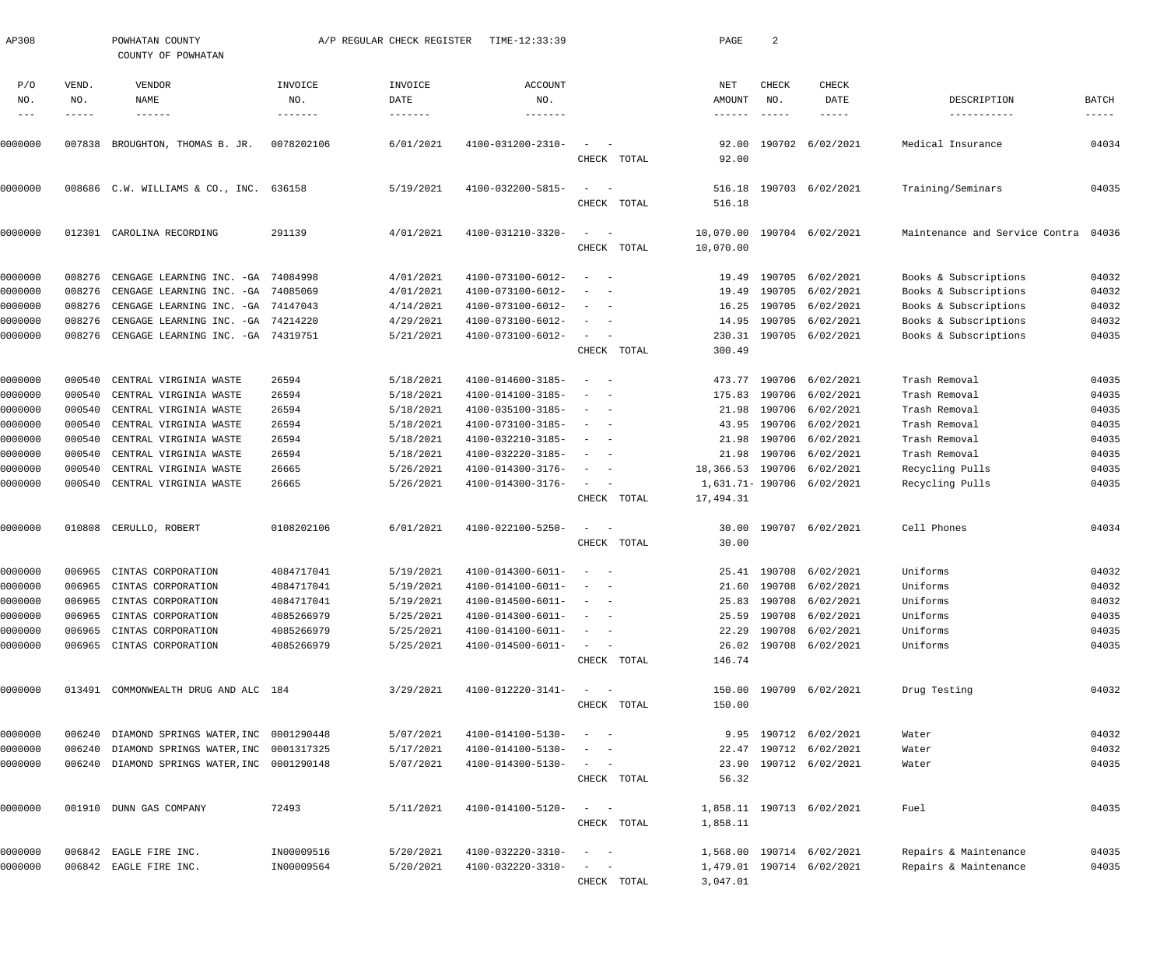| AP308                    |              | POWHATAN COUNTY<br>COUNTY OF POWHATAN              |                       | A/P REGULAR CHECK REGISTER   | TIME-12:33:39                |                                                      |             | PAGE                            | 2             |                                   |                                  |                               |
|--------------------------|--------------|----------------------------------------------------|-----------------------|------------------------------|------------------------------|------------------------------------------------------|-------------|---------------------------------|---------------|-----------------------------------|----------------------------------|-------------------------------|
| P/O<br>NO.               | VEND.<br>NO. | VENDOR<br>NAME                                     | INVOICE<br>NO.        | INVOICE<br>DATE              | <b>ACCOUNT</b><br>NO.        |                                                      |             | NET<br>AMOUNT                   | CHECK<br>NO.  | CHECK<br>DATE                     | DESCRIPTION                      | <b>BATCH</b>                  |
| $\frac{1}{2}$<br>0000000 | -----        | $- - - - - - -$<br>007838 BROUGHTON, THOMAS B. JR. | -------<br>0078202106 | $- - - - - - -$<br>6/01/2021 | -------<br>4100-031200-2310- | $\sim$                                               |             | $- - - - - -$<br>92.00<br>92.00 | $- - - - - -$ | $- - - - - -$<br>190702 6/02/2021 | -----------<br>Medical Insurance | $\cdots\cdots\cdots$<br>04034 |
|                          |              |                                                    |                       | 5/19/2021                    |                              |                                                      | CHECK TOTAL |                                 |               |                                   |                                  |                               |
| 0000000                  |              | 008686 C.W. WILLIAMS & CO., INC.                   | 636158                |                              | 4100-032200-5815-            | $\sim$<br>$\sim$                                     | CHECK TOTAL | 516.18<br>516.18                |               | 190703 6/02/2021                  | Training/Seminars                | 04035                         |
| 0000000                  | 012301       | CAROLINA RECORDING                                 | 291139                | 4/01/2021                    | 4100-031210-3320-            | $\sim$<br>$\hspace{0.1mm}$                           | CHECK TOTAL | 10,070.00<br>10,070.00          |               | 190704 6/02/2021                  | Maintenance and Service Contra   | 04036                         |
| 0000000                  | 008276       | CENGAGE LEARNING INC. - GA                         | 74084998              | 4/01/2021                    | 4100-073100-6012-            | $\sim$ $-$<br>$\overline{\phantom{m}}$               |             |                                 |               | 19.49 190705 6/02/2021            | Books & Subscriptions            | 04032                         |
| 0000000                  | 008276       | CENGAGE LEARNING INC. - GA                         | 74085069              | 4/01/2021                    | 4100-073100-6012-            | $\sim$                                               |             |                                 |               | 19.49 190705 6/02/2021            | Books & Subscriptions            | 04032                         |
| 0000000                  | 008276       | CENGAGE LEARNING INC. - GA 74147043                |                       | 4/14/2021                    | 4100-073100-6012-            | $\overline{\phantom{a}}$<br>$\overline{\phantom{a}}$ |             |                                 |               | 16.25 190705 6/02/2021            | Books & Subscriptions            | 04032                         |
| 0000000                  | 008276       | CENGAGE LEARNING INC. - GA 74214220                |                       | 4/29/2021                    | 4100-073100-6012-            | $\overline{\phantom{a}}$<br>$\sim$                   |             |                                 |               | 14.95 190705 6/02/2021            | Books & Subscriptions            | 04032                         |
| 0000000                  |              | 008276 CENGAGE LEARNING INC. - GA 74319751         |                       | 5/21/2021                    | 4100-073100-6012-            | $\sim$<br>$\overline{\phantom{a}}$                   |             |                                 |               | 230.31 190705 6/02/2021           | Books & Subscriptions            | 04035                         |
|                          |              |                                                    |                       |                              |                              |                                                      | CHECK TOTAL | 300.49                          |               |                                   |                                  |                               |
| 0000000                  | 000540       | CENTRAL VIRGINIA WASTE                             | 26594                 | 5/18/2021                    | 4100-014600-3185-            | $\sim$ $-$                                           |             |                                 |               | 473.77 190706 6/02/2021           | Trash Removal                    | 04035                         |
| 0000000                  | 000540       | CENTRAL VIRGINIA WASTE                             | 26594                 | 5/18/2021                    | 4100-014100-3185-            | $\overline{\phantom{a}}$                             |             |                                 |               | 175.83 190706 6/02/2021           | Trash Removal                    | 04035                         |
| 0000000                  | 000540       | CENTRAL VIRGINIA WASTE                             | 26594                 | 5/18/2021                    | 4100-035100-3185-            | $\overline{\phantom{0}}$<br>$\overline{\phantom{a}}$ |             | 21.98                           |               | 190706 6/02/2021                  | Trash Removal                    | 04035                         |
| 0000000                  | 000540       | CENTRAL VIRGINIA WASTE                             | 26594                 | 5/18/2021                    | 4100-073100-3185-            | $\overline{\phantom{a}}$<br>$\overline{\phantom{a}}$ |             |                                 |               | 43.95 190706 6/02/2021            | Trash Removal                    | 04035                         |
| 0000000                  | 000540       | CENTRAL VIRGINIA WASTE                             | 26594                 | 5/18/2021                    | 4100-032210-3185-            | $\overline{\phantom{a}}$<br>$\overline{\phantom{a}}$ |             | 21.98                           |               | 190706 6/02/2021                  | Trash Removal                    | 04035                         |
| 0000000                  | 000540       | CENTRAL VIRGINIA WASTE                             | 26594                 | 5/18/2021                    | 4100-032220-3185-            | $\overline{\phantom{0}}$<br>$\overline{\phantom{a}}$ |             | 21.98                           |               | 190706 6/02/2021                  | Trash Removal                    | 04035                         |
| 0000000                  | 000540       | CENTRAL VIRGINIA WASTE                             | 26665                 | 5/26/2021                    | 4100-014300-3176-            | $\sim$<br>$\overline{\phantom{a}}$                   |             |                                 |               | 18,366.53 190706 6/02/2021        | Recycling Pulls                  | 04035                         |
| 0000000                  |              | 000540 CENTRAL VIRGINIA WASTE                      | 26665                 | 5/26/2021                    | 4100-014300-3176-            | $\frac{1}{2}$ and $\frac{1}{2}$ and $\frac{1}{2}$    | CHECK TOTAL | 17,494.31                       |               | 1,631.71- 190706 6/02/2021        | Recycling Pulls                  | 04035                         |
|                          |              |                                                    |                       |                              |                              |                                                      |             |                                 |               |                                   |                                  |                               |
| 0000000                  |              | 010808 CERULLO, ROBERT                             | 0108202106            | 6/01/2021                    | 4100-022100-5250-            | $\frac{1}{2}$ and $\frac{1}{2}$ and $\frac{1}{2}$    | CHECK TOTAL | 30.00                           |               | 30.00 190707 6/02/2021            | Cell Phones                      | 04034                         |
| 0000000                  |              | 006965 CINTAS CORPORATION                          | 4084717041            | 5/19/2021                    | 4100-014300-6011-            | $\overline{\phantom{a}}$<br>$\sim$                   |             |                                 |               | 25.41 190708 6/02/2021            | Uniforms                         | 04032                         |
| 0000000                  |              | 006965 CINTAS CORPORATION                          | 4084717041            | 5/19/2021                    | $4100 - 014100 - 6011 - - -$ |                                                      |             |                                 |               | 21.60 190708 6/02/2021            | Uniforms                         | 04032                         |
| 0000000                  |              | 006965 CINTAS CORPORATION                          | 4084717041            | 5/19/2021                    | $4100 - 014500 - 6011 - - -$ |                                                      |             |                                 |               | 25.83 190708 6/02/2021            | Uniforms                         | 04032                         |
| 0000000                  |              | 006965 CINTAS CORPORATION                          | 4085266979            | 5/25/2021                    | 4100-014300-6011-            | $\sim$ $ -$                                          |             |                                 |               | 25.59 190708 6/02/2021            | Uniforms                         | 04035                         |
| 0000000                  |              | 006965 CINTAS CORPORATION                          | 4085266979            | 5/25/2021                    | 4100-014100-6011-            | $\alpha = 0.00000$                                   |             |                                 |               | 22.29 190708 6/02/2021            | Uniforms                         | 04035                         |
| 0000000                  |              | 006965 CINTAS CORPORATION                          | 4085266979            | 5/25/2021                    | $4100 - 014500 - 6011 -$     | $\alpha = 1, \ldots, n-1$                            |             |                                 |               | 26.02 190708 6/02/2021            | Uniforms                         | 04035                         |
|                          |              |                                                    |                       |                              |                              |                                                      | CHECK TOTAL | 146.74                          |               |                                   |                                  |                               |
| 0000000                  |              | 013491 COMMONWEALTH DRUG AND ALC 184               |                       | 3/29/2021                    | 4100-012220-3141-            | $\sigma_{\rm{max}}=0.5$                              |             |                                 |               | 150.00 190709 6/02/2021           | Drug Testing                     | 04032                         |
|                          |              |                                                    |                       |                              |                              |                                                      | CHECK TOTAL | 150.00                          |               |                                   |                                  |                               |
| 0000000                  |              | 006240 DIAMOND SPRINGS WATER, INC 0001290448       |                       | 5/07/2021                    | 4100-014100-5130-            | $\sim$ $  -$                                         |             |                                 |               | 9.95 190712 6/02/2021             | Water                            | 04032                         |
| 0000000                  |              | 006240 DIAMOND SPRINGS WATER, INC 0001317325       |                       | 5/17/2021                    | 4100-014100-5130-            | $\sim$ $  -$                                         |             |                                 |               | 22.47 190712 6/02/2021            | Water                            | 04032                         |
| 0000000                  |              | 006240 DIAMOND SPRINGS WATER, INC 0001290148       |                       | 5/07/2021                    | 4100-014300-5130-            | $\sigma_{\rm{max}}=0.5$                              |             |                                 |               | 23.90 190712 6/02/2021            | Water                            | 04035                         |
|                          |              |                                                    |                       |                              |                              |                                                      | CHECK TOTAL | 56.32                           |               |                                   |                                  |                               |
| 0000000                  |              | 001910 DUNN GAS COMPANY                            | 72493                 | 5/11/2021                    | 4100-014100-5120-            | $\frac{1}{2}$ and $\frac{1}{2}$ and $\frac{1}{2}$    |             |                                 |               | 1,858.11 190713 6/02/2021         | Fuel                             | 04035                         |
|                          |              |                                                    |                       |                              |                              |                                                      | CHECK TOTAL | 1,858.11                        |               |                                   |                                  |                               |
| 0000000                  |              | 006842 EAGLE FIRE INC.                             | IN00009516            | 5/20/2021                    | 4100-032220-3310-            | $\frac{1}{2}$ and $\frac{1}{2}$ and $\frac{1}{2}$    |             |                                 |               | 1,568.00 190714 6/02/2021         | Repairs & Maintenance            | 04035                         |
| 0000000                  |              | 006842 EAGLE FIRE INC.                             | IN00009564            | 5/20/2021                    | 4100-032220-3310-            | $\sigma_{\rm{max}}=0.5$                              |             |                                 |               | 1,479.01 190714 6/02/2021         | Repairs & Maintenance            | 04035                         |
|                          |              |                                                    |                       |                              |                              |                                                      | CHECK TOTAL | 3,047.01                        |               |                                   |                                  |                               |
|                          |              |                                                    |                       |                              |                              |                                                      |             |                                 |               |                                   |                                  |                               |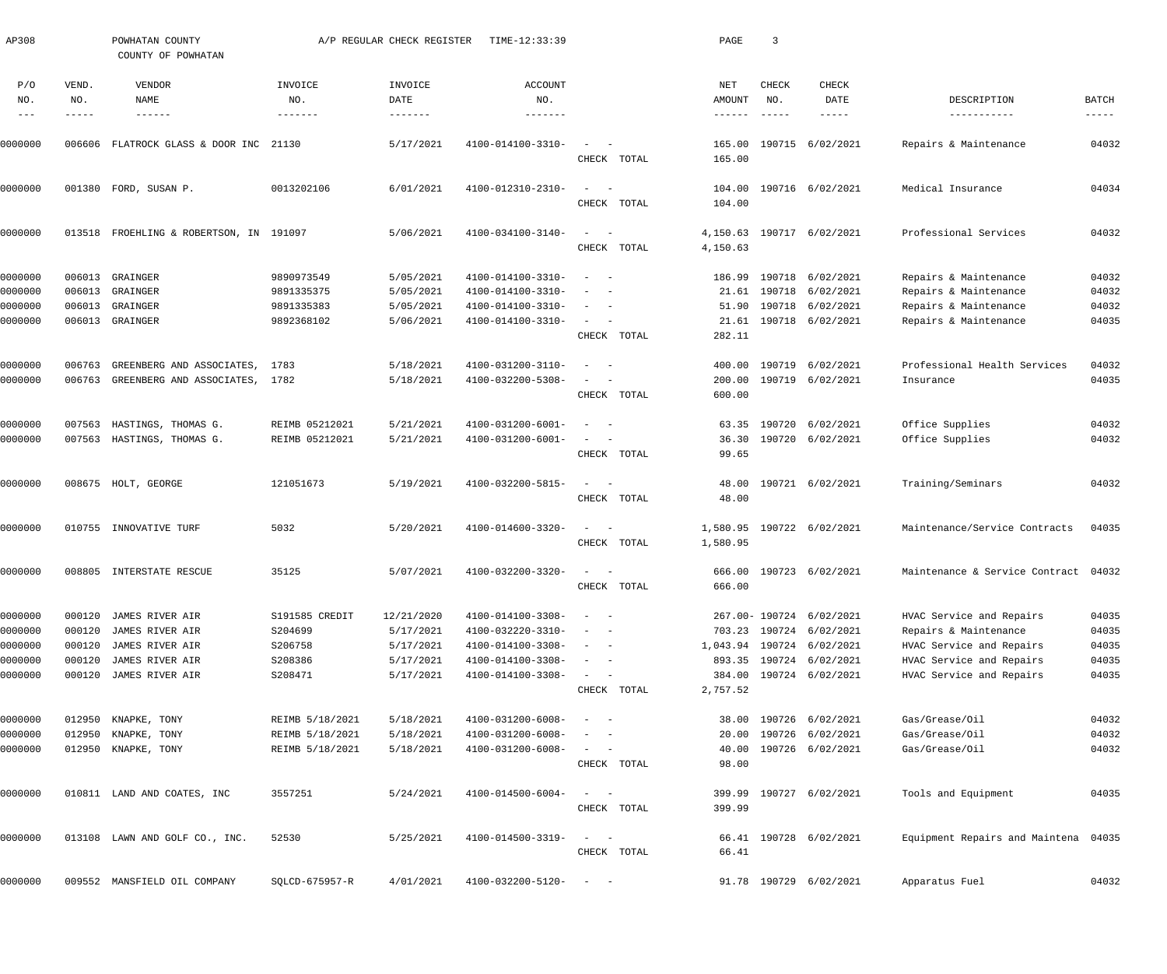| AP308         |        | POWHATAN COUNTY<br>COUNTY OF POWHATAN |                 | A/P REGULAR CHECK REGISTER | TIME-12:33:39     |                                                                                                                           |             | PAGE            | $\overline{\mathbf{3}}$ |                            |                                      |                      |
|---------------|--------|---------------------------------------|-----------------|----------------------------|-------------------|---------------------------------------------------------------------------------------------------------------------------|-------------|-----------------|-------------------------|----------------------------|--------------------------------------|----------------------|
| P/O           | VEND.  | VENDOR                                | INVOICE         | INVOICE                    | <b>ACCOUNT</b>    |                                                                                                                           |             | NET             | CHECK                   | CHECK                      |                                      |                      |
| NO.           | NO.    | NAME                                  | NO.             | DATE                       | NO.               |                                                                                                                           |             | AMOUNT          | NO.                     | DATE                       | DESCRIPTION                          | BATCH                |
| $\frac{1}{2}$ | -----  | $- - - - - - -$                       |                 |                            |                   |                                                                                                                           |             | $- - - - - - -$ | $- - - - - -$           | -----                      | -----------                          | $\cdots\cdots\cdots$ |
| 0000000       | 006606 | FLATROCK GLASS & DOOR INC 21130       |                 | 5/17/2021                  | 4100-014100-3310- | $\sim$                                                                                                                    |             |                 |                         | 165.00 190715 6/02/2021    | Repairs & Maintenance                | 04032                |
|               |        |                                       |                 |                            |                   | CHECK TOTAL                                                                                                               |             | 165.00          |                         |                            |                                      |                      |
| 0000000       |        | 001380 FORD, SUSAN P.                 | 0013202106      | 6/01/2021                  | 4100-012310-2310- | $\equiv$                                                                                                                  |             |                 |                         | 104.00 190716 6/02/2021    | Medical Insurance                    | 04034                |
|               |        |                                       |                 |                            |                   | CHECK TOTAL                                                                                                               |             | 104.00          |                         |                            |                                      |                      |
| 0000000       | 013518 | FROEHLING & ROBERTSON, IN 191097      |                 | 5/06/2021                  | 4100-034100-3140- |                                                                                                                           |             |                 |                         | 4, 150.63 190717 6/02/2021 | Professional Services                | 04032                |
|               |        |                                       |                 |                            |                   | CHECK TOTAL                                                                                                               |             | 4,150.63        |                         |                            |                                      |                      |
| 0000000       | 006013 | GRAINGER                              | 9890973549      | 5/05/2021                  | 4100-014100-3310- | $\overline{\phantom{a}}$<br>$\sim$ $-$                                                                                    |             | 186.99          |                         | 190718 6/02/2021           | Repairs & Maintenance                | 04032                |
| 0000000       | 006013 | GRAINGER                              | 9891335375      | 5/05/2021                  | 4100-014100-3310- |                                                                                                                           |             |                 |                         | 21.61 190718 6/02/2021     | Repairs & Maintenance                | 04032                |
| 0000000       | 006013 | GRAINGER                              | 9891335383      | 5/05/2021                  | 4100-014100-3310- | $\sim$<br>$\sim$ $-$                                                                                                      |             |                 |                         | 51.90 190718 6/02/2021     | Repairs & Maintenance                | 04032                |
| 0000000       |        | 006013 GRAINGER                       | 9892368102      | 5/06/2021                  | 4100-014100-3310- | $\sim$                                                                                                                    |             |                 |                         | 21.61 190718 6/02/2021     | Repairs & Maintenance                | 04035                |
|               |        |                                       |                 |                            |                   | CHECK TOTAL                                                                                                               |             | 282.11          |                         |                            |                                      |                      |
| 0000000       | 006763 | GREENBERG AND ASSOCIATES,             | 1783            | 5/18/2021                  | 4100-031200-3110- | $\sim$ $-$                                                                                                                |             |                 |                         | 400.00 190719 6/02/2021    | Professional Health Services         | 04032                |
| 0000000       | 006763 | GREENBERG AND ASSOCIATES, 1782        |                 | 5/18/2021                  | 4100-032200-5308- |                                                                                                                           |             |                 |                         | 200.00 190719 6/02/2021    | Insurance                            | 04035                |
|               |        |                                       |                 |                            |                   | CHECK TOTAL                                                                                                               |             | 600.00          |                         |                            |                                      |                      |
| 0000000       | 007563 | HASTINGS, THOMAS G.                   | REIMB 05212021  | 5/21/2021                  | 4100-031200-6001- | $\overline{\phantom{a}}$                                                                                                  |             |                 | 63.35 190720            | 6/02/2021                  | Office Supplies                      | 04032                |
| 0000000       |        | 007563 HASTINGS, THOMAS G.            | REIMB 05212021  | 5/21/2021                  | 4100-031200-6001- | $\overline{\phantom{a}}$                                                                                                  |             |                 |                         | 36.30 190720 6/02/2021     | Office Supplies                      | 04032                |
|               |        |                                       |                 |                            |                   | CHECK TOTAL                                                                                                               |             | 99.65           |                         |                            |                                      |                      |
| 0000000       |        | 008675 HOLT, GEORGE                   | 121051673       | 5/19/2021                  | 4100-032200-5815- | $\sim$                                                                                                                    |             |                 |                         | 48.00 190721 6/02/2021     | Training/Seminars                    | 04032                |
|               |        |                                       |                 |                            |                   | CHECK TOTAL                                                                                                               |             | 48.00           |                         |                            |                                      |                      |
| 0000000       |        | 010755 INNOVATIVE TURF                | 5032            | 5/20/2021                  | 4100-014600-3320- | $\sim$                                                                                                                    |             |                 |                         | 1,580.95 190722 6/02/2021  | Maintenance/Service Contracts        | 04035                |
|               |        |                                       |                 |                            |                   | CHECK TOTAL                                                                                                               |             | 1,580.95        |                         |                            |                                      |                      |
| 0000000       | 008805 | INTERSTATE RESCUE                     | 35125           | 5/07/2021                  | 4100-032200-3320- |                                                                                                                           |             |                 |                         | 666.00 190723 6/02/2021    | Maintenance & Service Contract 04032 |                      |
|               |        |                                       |                 |                            |                   |                                                                                                                           | CHECK TOTAL | 666.00          |                         |                            |                                      |                      |
| 0000000       | 000120 | JAMES RIVER AIR                       | S191585 CREDIT  | 12/21/2020                 | 4100-014100-3308- |                                                                                                                           |             |                 |                         | 267.00-190724 6/02/2021    | HVAC Service and Repairs             | 04035                |
| 0000000       | 000120 | JAMES RIVER AIR                       | S204699         | 5/17/2021                  | 4100-032220-3310- |                                                                                                                           |             |                 |                         | 703.23 190724 6/02/2021    | Repairs & Maintenance                | 04035                |
| 0000000       | 000120 | JAMES RIVER AIR                       | S206758         | 5/17/2021                  | 4100-014100-3308- | $\sim$<br>$\sim$ $-$                                                                                                      |             |                 |                         | 1,043.94 190724 6/02/2021  | HVAC Service and Repairs             | 04035                |
| 0000000       | 000120 | JAMES RIVER AIR                       | S208386         | 5/17/2021                  | 4100-014100-3308- | $\overline{\phantom{a}}$<br>$\sim$ $-$                                                                                    |             |                 |                         | 893.35 190724 6/02/2021    | HVAC Service and Repairs             | 04035                |
| 0000000       | 000120 | JAMES RIVER AIR                       | S208471         | 5/17/2021                  | 4100-014100-3308- | $\sim$                                                                                                                    |             |                 |                         | 384.00 190724 6/02/2021    | HVAC Service and Repairs             | 04035                |
|               |        |                                       |                 |                            |                   | CHECK TOTAL                                                                                                               |             | 2,757.52        |                         |                            |                                      |                      |
| 0000000       | 012950 | KNAPKE, TONY                          | REIMB 5/18/2021 | 5/18/2021                  | 4100-031200-6008- | $\frac{1}{2} \left( \frac{1}{2} \right) \left( \frac{1}{2} \right) \left( \frac{1}{2} \right) \left( \frac{1}{2} \right)$ |             |                 |                         | 38.00 190726 6/02/2021     | Gas/Grease/Oil                       | 04032                |
| 0000000       | 012950 | KNAPKE, TONY                          | REIMB 5/18/2021 | 5/18/2021                  | 4100-031200-6008- |                                                                                                                           |             | 20.00           |                         | 190726 6/02/2021           | Gas/Grease/Oil                       | 04032                |
| 0000000       |        | 012950 KNAPKE, TONY                   | REIMB 5/18/2021 | 5/18/2021                  | 4100-031200-6008- | $\sim$ 100 $\mu$<br>$\overline{\phantom{a}}$                                                                              |             |                 |                         | 40.00 190726 6/02/2021     | Gas/Grease/Oil                       | 04032                |
|               |        |                                       |                 |                            |                   | CHECK TOTAL                                                                                                               |             | 98.00           |                         |                            |                                      |                      |
| 0000000       |        | 010811 LAND AND COATES, INC           | 3557251         | 5/24/2021                  | 4100-014500-6004- | $\frac{1}{2} \left( \frac{1}{2} \right) \left( \frac{1}{2} \right) \left( \frac{1}{2} \right) \left( \frac{1}{2} \right)$ |             |                 |                         | 399.99 190727 6/02/2021    | Tools and Equipment                  | 04035                |
|               |        |                                       |                 |                            |                   | CHECK TOTAL                                                                                                               |             | 399.99          |                         |                            |                                      |                      |
| 0000000       |        | 013108 LAWN AND GOLF CO., INC.        | 52530           | 5/25/2021                  | 4100-014500-3319- | $\sim$ 100 $\mu$                                                                                                          |             |                 |                         | 66.41 190728 6/02/2021     | Equipment Repairs and Maintena 04035 |                      |
|               |        |                                       |                 |                            |                   | CHECK TOTAL                                                                                                               |             | 66.41           |                         |                            |                                      |                      |
| 0000000       |        | 009552 MANSFIELD OIL COMPANY          | SQLCD-675957-R  | 4/01/2021                  | 4100-032200-5120- | $\alpha = 1, \ldots, n-1$                                                                                                 |             |                 |                         | 91.78 190729 6/02/2021     | Apparatus Fuel                       | 04032                |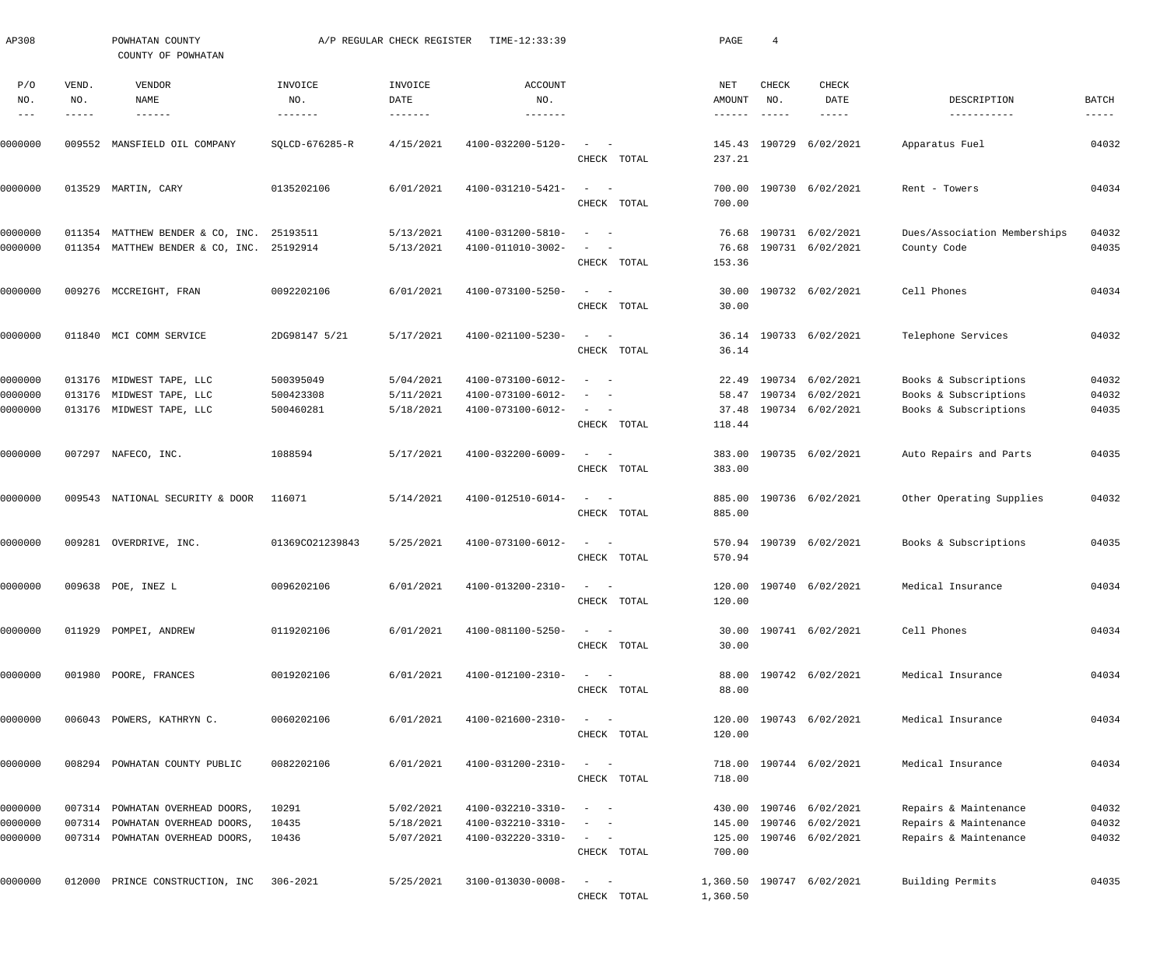| AP308                         |              | POWHATAN COUNTY<br>COUNTY OF POWHATAN                                                  |                                     | A/P REGULAR CHECK REGISTER          | TIME-12:33:39                                               |                                                                                                              | PAGE                       | $\overline{4}$ |                                                                |                                                                         |                         |
|-------------------------------|--------------|----------------------------------------------------------------------------------------|-------------------------------------|-------------------------------------|-------------------------------------------------------------|--------------------------------------------------------------------------------------------------------------|----------------------------|----------------|----------------------------------------------------------------|-------------------------------------------------------------------------|-------------------------|
| P/O<br>NO.                    | VEND.<br>NO. | VENDOR<br><b>NAME</b>                                                                  | INVOICE<br>NO.                      | INVOICE<br>DATE                     | <b>ACCOUNT</b><br>NO.                                       |                                                                                                              | NET<br>AMOUNT              | CHECK<br>NO.   | <b>CHECK</b><br>DATE                                           | DESCRIPTION                                                             | BATCH                   |
|                               | -----        | $- - - - - - -$                                                                        | -------                             | $- - - - - - -$                     | -------                                                     |                                                                                                              | $- - - - - - -$            | $- - - - - -$  | $- - - - - -$                                                  | -----------                                                             | $------$                |
| 0000000                       |              | 009552 MANSFIELD OIL COMPANY                                                           | SQLCD-676285-R                      | 4/15/2021                           | 4100-032200-5120-                                           | CHECK TOTAL                                                                                                  | 237.21                     | 145.43 190729  | 6/02/2021                                                      | Apparatus Fuel                                                          | 04032                   |
| 0000000                       |              | 013529 MARTIN, CARY                                                                    | 0135202106                          | 6/01/2021                           | 4100-031210-5421-                                           | CHECK TOTAL                                                                                                  | 700.00<br>700.00           |                | 190730 6/02/2021                                               | Rent - Towers                                                           | 04034                   |
| 0000000<br>0000000            |              | 011354 MATTHEW BENDER & CO, INC. 25193511<br>011354 MATTHEW BENDER & CO, INC. 25192914 |                                     | 5/13/2021<br>5/13/2021              | 4100-031200-5810-<br>4100-011010-3002-                      | CHECK TOTAL                                                                                                  | 76.68<br>76.68<br>153.36   |                | 190731 6/02/2021<br>190731 6/02/2021                           | Dues/Association Memberships<br>County Code                             | 04032<br>04035          |
| 0000000                       |              | 009276 MCCREIGHT, FRAN                                                                 | 0092202106                          | 6/01/2021                           | 4100-073100-5250-                                           | $\sim$ $-$<br>CHECK TOTAL                                                                                    | 30.00<br>30.00             |                | 190732 6/02/2021                                               | Cell Phones                                                             | 04034                   |
| 0000000                       |              | 011840 MCI COMM SERVICE                                                                | 2DG98147 5/21                       | 5/17/2021                           | 4100-021100-5230-                                           | $\sim$ $-$<br>CHECK TOTAL                                                                                    | 36.14                      |                | 36.14 190733 6/02/2021                                         | Telephone Services                                                      | 04032                   |
| 0000000<br>0000000<br>0000000 |              | 013176 MIDWEST TAPE, LLC<br>013176 MIDWEST TAPE, LLC<br>013176 MIDWEST TAPE, LLC       | 500395049<br>500423308<br>500460281 | 5/04/2021<br>5/11/2021<br>5/18/2021 | 4100-073100-6012-<br>4100-073100-6012-<br>4100-073100-6012- | $\sim$ $-$<br>$\sim$<br>$\sim$<br>$\sim$ $-$                                                                 | 58.47<br>37.48             |                | 22.49 190734 6/02/2021<br>190734 6/02/2021<br>190734 6/02/2021 | Books & Subscriptions<br>Books & Subscriptions<br>Books & Subscriptions | 04032<br>04032<br>04035 |
| 0000000                       |              | 007297 NAFECO, INC.                                                                    | 1088594                             | 5/17/2021                           | 4100-032200-6009-                                           | CHECK TOTAL<br>$\sim$ $-$<br>$\overline{\phantom{a}}$<br>CHECK TOTAL                                         | 118.44<br>383.00<br>383.00 |                | 190735 6/02/2021                                               | Auto Repairs and Parts                                                  | 04035                   |
| 0000000                       |              | 009543 NATIONAL SECURITY & DOOR                                                        | 116071                              | 5/14/2021                           | 4100-012510-6014-                                           | $\sim$<br>$\sim$ $-$<br>CHECK TOTAL                                                                          | 885.00<br>885.00           |                | 190736 6/02/2021                                               | Other Operating Supplies                                                | 04032                   |
| 0000000                       |              | 009281 OVERDRIVE, INC.                                                                 | 01369CO21239843                     | 5/25/2021                           | 4100-073100-6012-                                           | $\sim$ $-$<br>CHECK TOTAL                                                                                    | 570.94                     |                | 570.94 190739 6/02/2021                                        | Books & Subscriptions                                                   | 04035                   |
| 0000000                       |              | 009638 POE, INEZ L                                                                     | 0096202106                          |                                     | $6/01/2021$ $4100-013200-2310-$                             | CHECK TOTAL                                                                                                  | 120.00                     |                | 120.00 190740 6/02/2021                                        | Medical Insurance                                                       | 04034                   |
| 0000000                       |              | 011929 POMPEI, ANDREW                                                                  | 0119202106                          | 6/01/2021                           | 4100-081100-5250-                                           | $\begin{array}{cccccccccc} - & & & & & & & - \end{array}$<br>CHECK TOTAL                                     | 30.00                      |                | 30.00 190741 6/02/2021                                         | Cell Phones                                                             | 04034                   |
| 0000000                       |              | 001980 POORE, FRANCES                                                                  | 0019202106                          | 6/01/2021                           | 4100-012100-2310-                                           | $\begin{array}{cccccccccc} - & & & & & & & - \end{array}$<br>CHECK TOTAL                                     | 88.00<br>88.00             |                | 190742 6/02/2021                                               | Medical Insurance                                                       | 04034                   |
| 0000000                       |              | 006043 POWERS, KATHRYN C.                                                              | 0060202106                          | 6/01/2021                           | 4100-021600-2310-                                           | $\begin{array}{cccccccccc} - & & & & & & & - \end{array}$<br>CHECK TOTAL                                     | 120.00                     |                | 120.00 190743 6/02/2021                                        | Medical Insurance                                                       | 04034                   |
| 0000000                       |              | 008294 POWHATAN COUNTY PUBLIC                                                          | 0082202106                          | 6/01/2021                           | 4100-031200-2310-                                           | $\begin{array}{cccccccccc} - & & & & & & & - \end{array}$<br>CHECK TOTAL                                     | 718.00                     |                | 718.00 190744 6/02/2021                                        | Medical Insurance                                                       | 04034                   |
| 0000000                       |              | 007314 POWHATAN OVERHEAD DOORS,                                                        | 10291                               | 5/02/2021                           | 4100-032210-3310-                                           | $\sim$ $-$<br>$\overline{\phantom{a}}$                                                                       |                            |                | 430.00 190746 6/02/2021                                        | Repairs & Maintenance                                                   | 04032                   |
| 0000000                       |              | 007314 POWHATAN OVERHEAD DOORS,                                                        | 10435                               | 5/18/2021                           | 4100-032210-3310-                                           | $\frac{1}{2} \left( \frac{1}{2} \right) \left( \frac{1}{2} \right) = \frac{1}{2} \left( \frac{1}{2} \right)$ | 145.00                     |                | 190746 6/02/2021                                               | Repairs & Maintenance                                                   | 04032                   |
| 0000000                       |              | 007314 POWHATAN OVERHEAD DOORS,                                                        | 10436                               | 5/07/2021                           | 4100-032220-3310-                                           | $\qquad \qquad -$<br>CHECK TOTAL                                                                             | 125.00<br>700.00           |                | 190746 6/02/2021                                               | Repairs & Maintenance                                                   | 04032                   |
| 0000000                       |              | 012000 PRINCE CONSTRUCTION, INC                                                        | 306-2021                            | 5/25/2021                           | 3100-013030-0008-                                           | $\sim$ $-$<br>CHECK TOTAL                                                                                    | 1,360.50                   |                | 1,360.50 190747 6/02/2021                                      | Building Permits                                                        | 04035                   |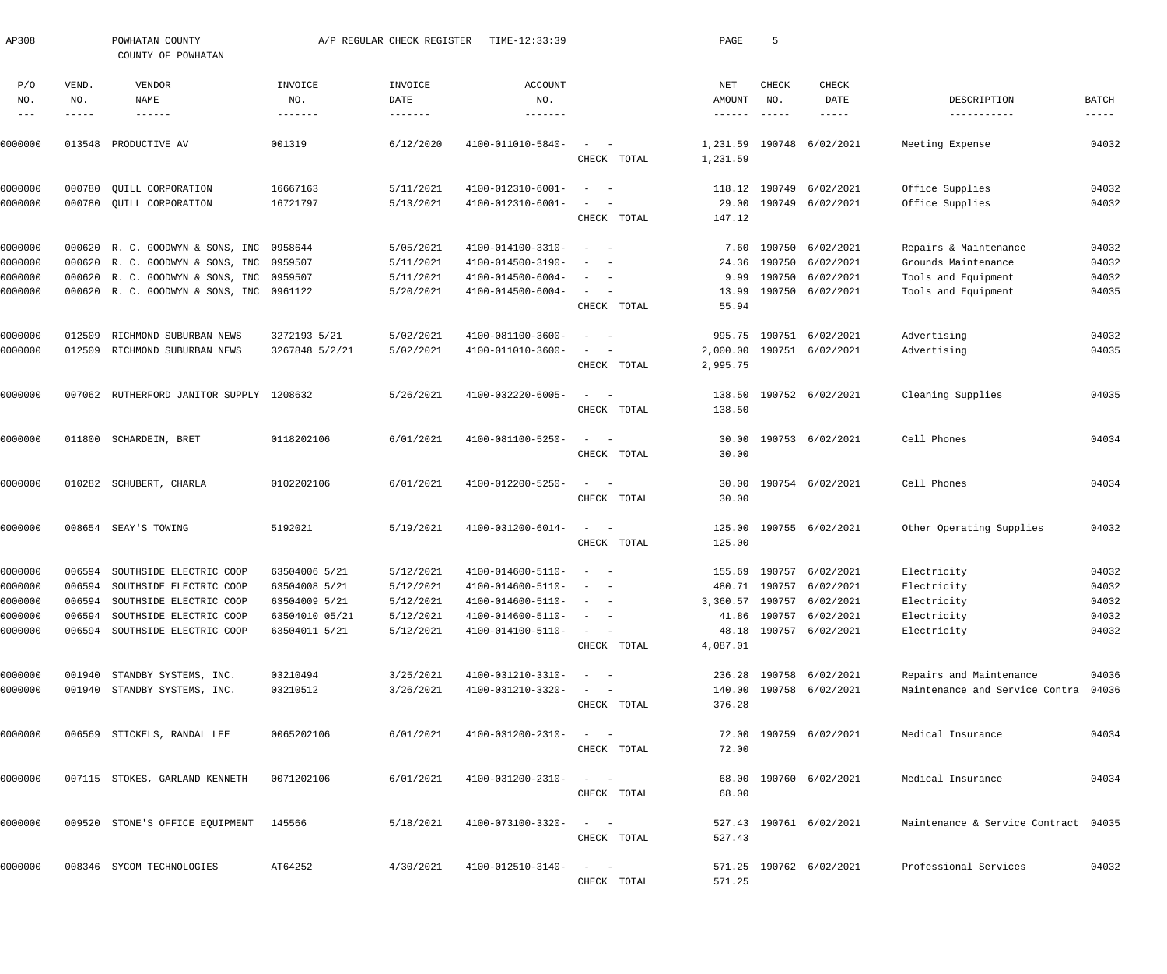| AP308               |              | POWHATAN COUNTY<br>COUNTY OF POWHATAN    |                | A/P REGULAR CHECK REGISTER | TIME-12:33:39                |                                                                                                   | PAGE             | 5             |                           |                                      |                      |
|---------------------|--------------|------------------------------------------|----------------|----------------------------|------------------------------|---------------------------------------------------------------------------------------------------|------------------|---------------|---------------------------|--------------------------------------|----------------------|
| P/O<br>NO.          | VEND.<br>NO. | VENDOR<br>NAME                           | INVOICE<br>NO. | INVOICE<br>DATE            | <b>ACCOUNT</b><br>NO.        |                                                                                                   | NET<br>AMOUNT    | CHECK<br>NO.  | CHECK<br>DATE             | DESCRIPTION                          | BATCH                |
| $\qquad \qquad - -$ | -----        | $- - - - - - -$                          | -------        | $- - - - - - -$            | $- - - - - - - -$            |                                                                                                   | $- - - - - - -$  | $- - - - - -$ | -----                     | -----------                          | $\cdots\cdots\cdots$ |
| 0000000             | 013548       | PRODUCTIVE AV                            | 001319         | 6/12/2020                  | 4100-011010-5840-            |                                                                                                   | 1,231.59         | 190748        | 6/02/2021                 | Meeting Expense                      | 04032                |
|                     |              |                                          |                |                            |                              | CHECK TOTAL                                                                                       | 1,231.59         |               |                           |                                      |                      |
| 0000000             | 000780       | QUILL CORPORATION                        | 16667163       | 5/11/2021                  | 4100-012310-6001-            | $\sim$ $-$                                                                                        | 118.12           | 190749        | 6/02/2021                 | Office Supplies                      | 04032                |
| 0000000             |              | 000780 QUILL CORPORATION                 | 16721797       | 5/13/2021                  | 4100-012310-6001-            | $\overline{\phantom{a}}$                                                                          | 29.00            |               | 190749 6/02/2021          | Office Supplies                      | 04032                |
|                     |              |                                          |                |                            |                              | CHECK TOTAL                                                                                       | 147.12           |               |                           |                                      |                      |
| 0000000             |              | 000620 R. C. GOODWYN & SONS, INC         | 0958644        | 5/05/2021                  | 4100-014100-3310-            | $\sim$<br>$\sim$ $-$                                                                              | 7.60             | 190750        | 6/02/2021                 | Repairs & Maintenance                | 04032                |
| 0000000             |              | 000620 R. C. GOODWYN & SONS, INC         | 0959507        | 5/11/2021                  | 4100-014500-3190-            | $\overline{\phantom{a}}$<br>$\overline{\phantom{a}}$                                              | 24.36            |               | 190750 6/02/2021          | Grounds Maintenance                  | 04032                |
| 0000000             |              | 000620 R. C. GOODWYN & SONS, INC         | 0959507        | 5/11/2021                  | 4100-014500-6004-            | $\overline{\phantom{m}}$<br>$\overline{\phantom{0}}$                                              | 9.99             |               | 190750 6/02/2021          | Tools and Equipment                  | 04032                |
| 0000000             |              | 000620 R. C. GOODWYN & SONS, INC         | 0961122        | 5/20/2021                  | $4100 - 014500 - 6004 -$     | $\sim$<br>$\sim$                                                                                  | 13.99            |               | 190750 6/02/2021          | Tools and Equipment                  | 04035                |
|                     |              |                                          |                |                            |                              | CHECK TOTAL                                                                                       | 55.94            |               |                           |                                      |                      |
| 0000000             | 012509       | RICHMOND SUBURBAN NEWS                   | 3272193 5/21   | 5/02/2021                  | 4100-081100-3600-            | $\sim$                                                                                            | 995.75           | 190751        | 6/02/2021                 | Advertising                          | 04032                |
| 0000000             | 012509       | RICHMOND SUBURBAN NEWS                   | 3267848 5/2/21 | 5/02/2021                  | 4100-011010-3600-            | $\overline{\phantom{a}}$<br>$\overline{\phantom{0}}$                                              | 2,000.00         |               | 190751 6/02/2021          | Advertising                          | 04035                |
|                     |              |                                          |                |                            |                              | CHECK TOTAL                                                                                       | 2,995.75         |               |                           |                                      |                      |
| 0000000             |              | 007062 RUTHERFORD JANITOR SUPPLY 1208632 |                | 5/26/2021                  | 4100-032220-6005-            | $\sim$<br>$\sim$ $-$                                                                              | 138.50           |               | 190752 6/02/2021          | Cleaning Supplies                    | 04035                |
|                     |              |                                          |                |                            |                              | CHECK TOTAL                                                                                       | 138.50           |               |                           |                                      |                      |
| 0000000             |              | 011800 SCHARDEIN, BRET                   | 0118202106     | 6/01/2021                  | 4100-081100-5250-            | $\sim$<br>$\sim$ $-$                                                                              | 30.00            |               | 190753 6/02/2021          | Cell Phones                          | 04034                |
|                     |              |                                          |                |                            |                              | CHECK TOTAL                                                                                       | 30.00            |               |                           |                                      |                      |
| 0000000             |              | 010282 SCHUBERT, CHARLA                  | 0102202106     | 6/01/2021                  | 4100-012200-5250-            | $\sim$<br>$\sim$ $-$                                                                              | 30.00            |               | 190754 6/02/2021          | Cell Phones                          | 04034                |
|                     |              |                                          |                |                            |                              | CHECK TOTAL                                                                                       | 30.00            |               |                           |                                      |                      |
|                     |              |                                          |                | 5/19/2021                  |                              | $\sim$<br>$\sim$ $-$                                                                              |                  |               |                           |                                      | 04032                |
| 0000000             |              | 008654 SEAY'S TOWING                     | 5192021        |                            | 4100-031200-6014-            | CHECK TOTAL                                                                                       | 125.00<br>125.00 |               | 190755 6/02/2021          | Other Operating Supplies             |                      |
|                     |              |                                          |                |                            |                              |                                                                                                   |                  |               |                           |                                      |                      |
| 0000000             |              | 006594 SOUTHSIDE ELECTRIC COOP           | 63504006 5/21  | 5/12/2021                  | 4100-014600-5110-            | $\sim$<br>$\sim$ $-$                                                                              |                  |               | 155.69 190757 6/02/2021   | Electricity                          | 04032                |
| 0000000             |              | 006594 SOUTHSIDE ELECTRIC COOP           | 63504008 5/21  | 5/12/2021                  | $4100 - 014600 - 5110 - - -$ |                                                                                                   |                  |               | 480.71 190757 6/02/2021   | Electricity                          | 04032                |
| 0000000             |              | 006594 SOUTHSIDE ELECTRIC COOP           | 63504009 5/21  | 5/12/2021                  | 4100-014600-5110-            | $\alpha$ , and $\alpha$ , and $\alpha$                                                            |                  |               | 3,360.57 190757 6/02/2021 | Electricity                          | 04032                |
| 0000000             |              | 006594 SOUTHSIDE ELECTRIC COOP           | 63504010 05/21 | 5/12/2021                  | 4100-014600-5110-            | $\alpha = 1, \ldots, \alpha$                                                                      |                  |               | 41.86 190757 6/02/2021    | Electricity                          | 04032                |
| 0000000             |              | 006594 SOUTHSIDE ELECTRIC COOP           | 63504011 5/21  | 5/12/2021                  | 4100-014100-5110-            | $\alpha \rightarrow \alpha \beta \gamma \gamma \gamma \gamma \gamma \gamma \gamma$<br>CHECK TOTAL | 4,087.01         |               | 48.18 190757 6/02/2021    | Electricity                          | 04032                |
|                     |              |                                          |                |                            |                              |                                                                                                   |                  |               |                           |                                      |                      |
| 0000000             |              | 001940 STANDBY SYSTEMS, INC.             | 03210494       | 3/25/2021                  | 4100-031210-3310-            | $\alpha = 1, \ldots, n-1$                                                                         |                  |               | 236.28 190758 6/02/2021   | Repairs and Maintenance              | 04036                |
| 0000000             |              | 001940 STANDBY SYSTEMS, INC.             | 03210512       | 3/26/2021                  | 4100-031210-3320-            | $\alpha = 1, \ldots, \alpha$ .                                                                    |                  |               | 140.00 190758 6/02/2021   | Maintenance and Service Contra       | 04036                |
|                     |              |                                          |                |                            |                              | CHECK TOTAL                                                                                       | 376.28           |               |                           |                                      |                      |
| 0000000             |              | 006569 STICKELS, RANDAL LEE              | 0065202106     | 6/01/2021                  | 4100-031200-2310-            | $\alpha = 1, \ldots, \alpha$ .                                                                    |                  |               | 72.00 190759 6/02/2021    | Medical Insurance                    | 04034                |
|                     |              |                                          |                |                            |                              | CHECK TOTAL                                                                                       | 72.00            |               |                           |                                      |                      |
| 0000000             |              | 007115 STOKES, GARLAND KENNETH           | 0071202106     | 6/01/2021                  | 4100-031200-2310-            | $\alpha = 1, \ldots, \alpha$                                                                      |                  |               | 68.00 190760 6/02/2021    | Medical Insurance                    | 04034                |
|                     |              |                                          |                |                            |                              | CHECK TOTAL                                                                                       | 68.00            |               |                           |                                      |                      |
| 0000000             |              | 009520 STONE'S OFFICE EQUIPMENT          | 145566         | 5/18/2021                  | 4100-073100-3320-            | $\mathcal{L}_{\text{max}}$ and $\mathcal{L}_{\text{max}}$                                         |                  |               | 527.43 190761 6/02/2021   | Maintenance & Service Contract 04035 |                      |
|                     |              |                                          |                |                            |                              | CHECK TOTAL                                                                                       | 527.43           |               |                           |                                      |                      |
|                     |              |                                          |                |                            |                              |                                                                                                   |                  |               |                           |                                      |                      |
| 0000000             |              | 008346 SYCOM TECHNOLOGIES                | AT64252        | 4/30/2021                  | 4100-012510-3140-            | $\mathcal{L}_{\text{max}}$ and $\mathcal{L}_{\text{max}}$                                         |                  |               | 571.25 190762 6/02/2021   | Professional Services                | 04032                |
|                     |              |                                          |                |                            |                              | CHECK TOTAL                                                                                       | 571.25           |               |                           |                                      |                      |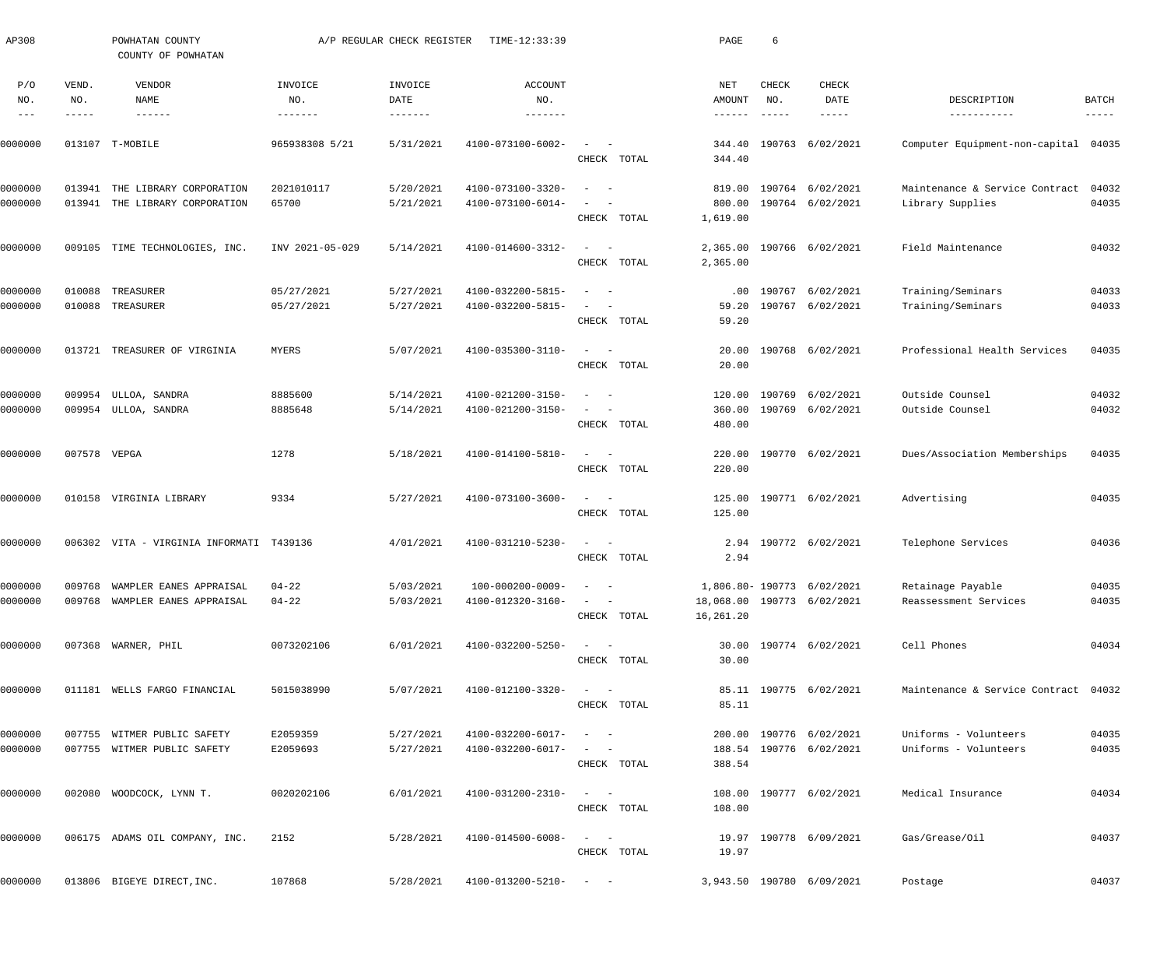| AP308                 |                       | POWHATAN COUNTY<br>COUNTY OF POWHATAN                                  |                           | A/P REGULAR CHECK REGISTER         | TIME-12:33:39                                          |                                                   | PAGE                                        | 6                             |                                                          |                                            |                               |
|-----------------------|-----------------------|------------------------------------------------------------------------|---------------------------|------------------------------------|--------------------------------------------------------|---------------------------------------------------|---------------------------------------------|-------------------------------|----------------------------------------------------------|--------------------------------------------|-------------------------------|
| P/O<br>NO.<br>$- - -$ | VEND.<br>NO.<br>----- | VENDOR<br>NAME<br>$- - - - - - -$                                      | INVOICE<br>NO.<br>------- | INVOICE<br>DATE<br>$- - - - - - -$ | <b>ACCOUNT</b><br>NO.<br>-------                       |                                                   | NET<br>AMOUNT<br>$\cdots\cdots\cdots\cdots$ | CHECK<br>NO.<br>$- - - - - -$ | <b>CHECK</b><br>DATE<br>-----                            | DESCRIPTION<br>-----------                 | <b>BATCH</b><br>$- - - - - -$ |
| 0000000               |                       | 013107 T-MOBILE                                                        | 965938308 5/21            | 5/31/2021                          | 4100-073100-6002-                                      | $\overline{\phantom{a}}$                          | 344.40                                      | 190763                        | 6/02/2021                                                | Computer Equipment-non-capital             | 04035                         |
|                       |                       |                                                                        |                           |                                    |                                                        | CHECK TOTAL                                       | 344.40                                      |                               |                                                          |                                            |                               |
| 0000000               | 013941                | THE LIBRARY CORPORATION                                                | 2021010117                | 5/20/2021                          | 4100-073100-3320-                                      | $\sim$                                            | 819.00                                      |                               | 190764 6/02/2021                                         | Maintenance & Service Contract             | 04032                         |
| 0000000               | 013941                | THE LIBRARY CORPORATION                                                | 65700                     | 5/21/2021                          | 4100-073100-6014-                                      | CHECK TOTAL                                       | 800.00<br>1,619.00                          |                               | 190764 6/02/2021                                         | Library Supplies                           | 04035                         |
| 0000000               |                       | 009105 TIME TECHNOLOGIES, INC.                                         | INV 2021-05-029           | 5/14/2021                          | 4100-014600-3312-                                      | $\sim$<br>$\overline{\phantom{0}}$                | 2,365.00                                    |                               | 190766 6/02/2021                                         | Field Maintenance                          | 04032                         |
|                       |                       |                                                                        |                           |                                    |                                                        | CHECK TOTAL                                       | 2,365.00                                    |                               |                                                          |                                            |                               |
| 0000000               | 010088                | TREASURER                                                              | 05/27/2021                | 5/27/2021                          | 4100-032200-5815-                                      | $\sim$                                            | .00                                         | 190767                        | 6/02/2021                                                | Training/Seminars                          | 04033                         |
| 0000000               | 010088                | TREASURER                                                              | 05/27/2021                | 5/27/2021                          | 4100-032200-5815-                                      |                                                   | 59.20                                       |                               | 190767 6/02/2021                                         | Training/Seminars                          | 04033                         |
|                       |                       |                                                                        |                           |                                    |                                                        | CHECK TOTAL                                       | 59.20                                       |                               |                                                          |                                            |                               |
| 0000000               | 013721                | TREASURER OF VIRGINIA                                                  | MYERS                     | 5/07/2021                          | 4100-035300-3110-                                      | $\sim$<br>$\sim$ $-$                              | 20.00                                       |                               | 190768 6/02/2021                                         | Professional Health Services               | 04035                         |
|                       |                       |                                                                        |                           |                                    |                                                        | CHECK TOTAL                                       | 20.00                                       |                               |                                                          |                                            |                               |
| 0000000               | 009954                | ULLOA, SANDRA                                                          | 8885600                   | 5/14/2021                          | 4100-021200-3150-                                      | - -                                               | 120.00                                      | 190769                        | 6/02/2021                                                | Outside Counsel                            | 04032                         |
| 0000000               |                       | 009954 ULLOA, SANDRA                                                   | 8885648                   | 5/14/2021                          | 4100-021200-3150-                                      | $\overline{\phantom{a}}$<br>$\sim$                | 360.00                                      |                               | 190769 6/02/2021                                         | Outside Counsel                            | 04032                         |
|                       |                       |                                                                        |                           |                                    |                                                        | CHECK TOTAL                                       | 480.00                                      |                               |                                                          |                                            |                               |
| 0000000               | 007578 VEPGA          |                                                                        | 1278                      | 5/18/2021                          | 4100-014100-5810-                                      | $\frac{1}{2}$ and $\frac{1}{2}$ and $\frac{1}{2}$ | 220.00                                      |                               | 190770 6/02/2021                                         | Dues/Association Memberships               | 04035                         |
|                       |                       |                                                                        |                           |                                    |                                                        | CHECK TOTAL                                       | 220.00                                      |                               |                                                          |                                            |                               |
| 0000000               |                       | 010158 VIRGINIA LIBRARY                                                | 9334                      | 5/27/2021                          | 4100-073100-3600-                                      | $\sim$<br>$\sim$                                  | 125.00                                      |                               | 190771 6/02/2021                                         | Advertising                                | 04035                         |
|                       |                       |                                                                        |                           |                                    |                                                        | CHECK TOTAL                                       | 125.00                                      |                               |                                                          |                                            |                               |
| 0000000               |                       | 006302 VITA - VIRGINIA INFORMATI T439136                               |                           | 4/01/2021                          | 4100-031210-5230-                                      | $\overline{\phantom{a}}$                          | 2.94                                        |                               | 190772 6/02/2021                                         | Telephone Services                         | 04036                         |
|                       |                       |                                                                        |                           |                                    |                                                        | CHECK TOTAL                                       | 2.94                                        |                               |                                                          |                                            |                               |
|                       |                       |                                                                        |                           |                                    |                                                        |                                                   |                                             |                               |                                                          |                                            |                               |
| 0000000<br>0000000    |                       | 009768 WAMPLER EANES APPRAISAL<br>009768 WAMPLER EANES APPRAISAL 04-22 | 04-22                     | 5/03/2021<br>5/03/2021             | $100-000200-0009-$ - -<br>$4100 - 012320 - 3160 - - -$ |                                                   |                                             |                               | 1,806.80- 190773 6/02/2021<br>18,068.00 190773 6/02/2021 | Retainage Payable<br>Reassessment Services | 04035<br>04035                |
|                       |                       |                                                                        |                           |                                    |                                                        | CHECK TOTAL                                       | 16,261.20                                   |                               |                                                          |                                            |                               |
|                       |                       |                                                                        |                           |                                    |                                                        |                                                   |                                             |                               |                                                          |                                            |                               |
| 0000000               |                       | 007368 WARNER, PHIL                                                    | 0073202106                | 6/01/2021                          | $4100 - 032200 - 5250 - - -$                           | CHECK TOTAL                                       | 30.00                                       |                               | 30.00 190774 6/02/2021                                   | Cell Phones                                | 04034                         |
|                       |                       |                                                                        |                           |                                    |                                                        |                                                   |                                             |                               |                                                          |                                            |                               |
| 0000000               |                       | 011181 WELLS FARGO FINANCIAL                                           | 5015038990                | 5/07/2021                          | $4100 - 012100 - 3320 - - -$                           |                                                   |                                             |                               | 85.11 190775 6/02/2021                                   | Maintenance & Service Contract 04032       |                               |
|                       |                       |                                                                        |                           |                                    |                                                        | CHECK TOTAL                                       | 85.11                                       |                               |                                                          |                                            |                               |
| 0000000               |                       | 007755 WITMER PUBLIC SAFETY                                            | E2059359                  | 5/27/2021                          | $4100 - 032200 - 6017 - - -$                           |                                                   |                                             |                               | 200.00 190776 6/02/2021                                  | Uniforms - Volunteers                      | 04035                         |
| 0000000               |                       | 007755 WITMER PUBLIC SAFETY                                            | E2059693                  | 5/27/2021                          | $4100 - 032200 - 6017 - - -$                           |                                                   |                                             |                               | 188.54 190776 6/02/2021                                  | Uniforms - Volunteers                      | 04035                         |
|                       |                       |                                                                        |                           |                                    |                                                        | CHECK TOTAL                                       | 388.54                                      |                               |                                                          |                                            |                               |
| 0000000               |                       | 002080 WOODCOCK, LYNN T.                                               | 0020202106                | 6/01/2021                          | $4100 - 031200 - 2310 - - -$                           |                                                   |                                             |                               | 108.00 190777 6/02/2021                                  | Medical Insurance                          | 04034                         |
|                       |                       |                                                                        |                           |                                    |                                                        | CHECK TOTAL                                       | 108.00                                      |                               |                                                          |                                            |                               |
| 0000000               |                       | 006175 ADAMS OIL COMPANY, INC.                                         | 2152                      | 5/28/2021                          | $4100 - 014500 - 6008 - - -$                           |                                                   |                                             |                               | 19.97 190778 6/09/2021                                   | Gas/Grease/Oil                             | 04037                         |
|                       |                       |                                                                        |                           |                                    |                                                        | CHECK TOTAL                                       | 19.97                                       |                               |                                                          |                                            |                               |
|                       |                       |                                                                        |                           |                                    |                                                        |                                                   |                                             |                               |                                                          |                                            |                               |
| 0000000               |                       | 013806 BIGEYE DIRECT, INC.                                             | 107868                    | 5/28/2021                          | $4100 - 013200 - 5210 - - -$                           |                                                   |                                             |                               | 3,943.50 190780 6/09/2021                                | Postage                                    | 04037                         |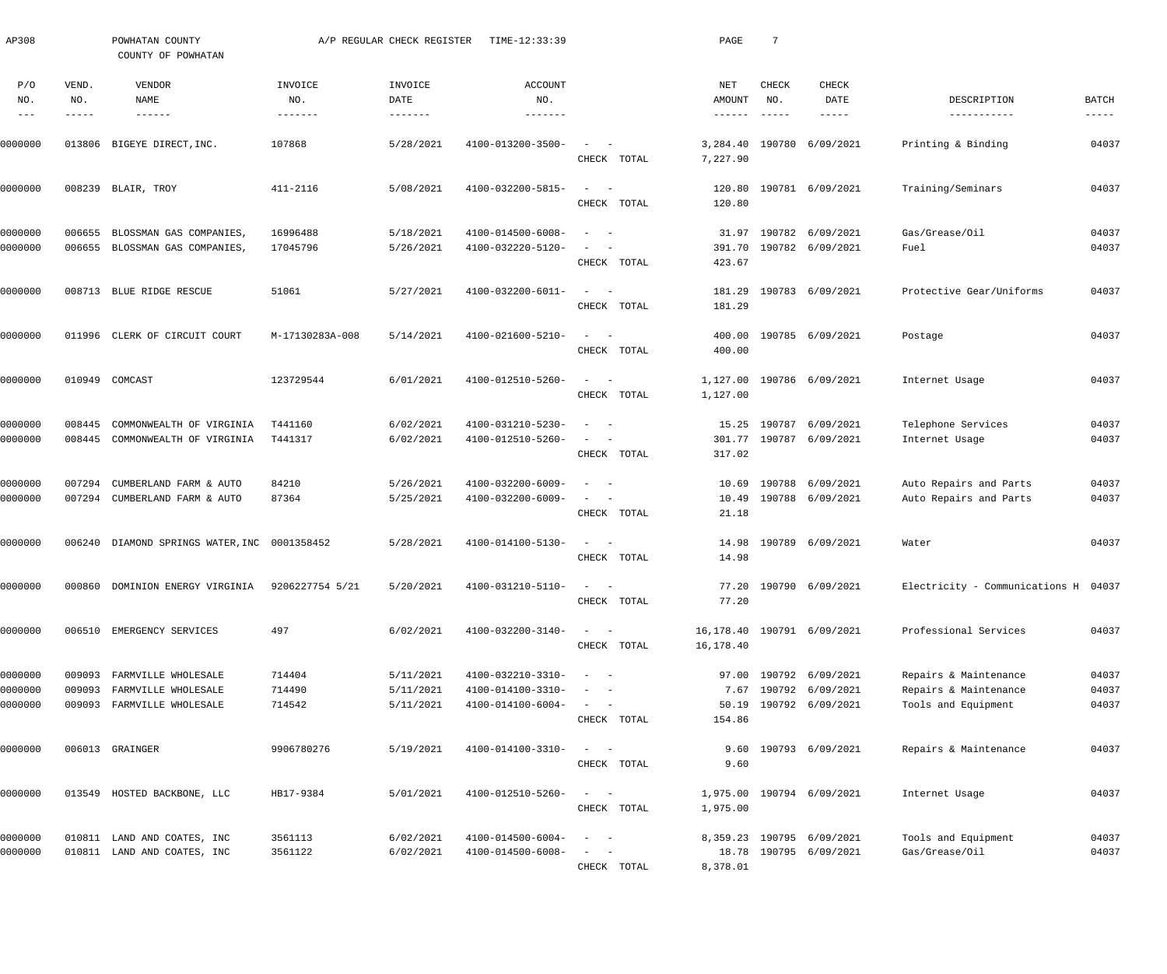| AP308                         |                       | POWHATAN COUNTY<br>COUNTY OF POWHATAN                                    |                            | A/P REGULAR CHECK REGISTER          | TIME-12:33:39                                               |                                                                                                                                                                                                    | PAGE                      | 7                                    |                                                                           |                                                                       |                               |
|-------------------------------|-----------------------|--------------------------------------------------------------------------|----------------------------|-------------------------------------|-------------------------------------------------------------|----------------------------------------------------------------------------------------------------------------------------------------------------------------------------------------------------|---------------------------|--------------------------------------|---------------------------------------------------------------------------|-----------------------------------------------------------------------|-------------------------------|
| P/O<br>NO.<br>$\frac{1}{2}$   | VEND.<br>NO.<br>----- | VENDOR<br>NAME<br>$- - - - - - -$                                        | INVOICE<br>NO.<br>-------- | INVOICE<br>DATE                     | <b>ACCOUNT</b><br>NO.<br>$- - - - - - -$                    |                                                                                                                                                                                                    | NET<br>AMOUNT<br>-------  | <b>CHECK</b><br>NO.<br>$- - - - - -$ | CHECK<br>DATE<br>$- - - - - -$                                            | DESCRIPTION<br>-----------                                            | BATCH<br>$\cdots\cdots\cdots$ |
| 0000000                       |                       | 013806 BIGEYE DIRECT, INC.                                               | 107868                     | 5/28/2021                           | 4100-013200-3500-                                           | $\sim$<br>$\sim$ $-$<br>CHECK TOTAL                                                                                                                                                                | 3,284.40<br>7,227.90      |                                      | 190780 6/09/2021                                                          | Printing & Binding                                                    | 04037                         |
| 0000000                       |                       | 008239 BLAIR, TROY                                                       | 411-2116                   | 5/08/2021                           | 4100-032200-5815-                                           | $\sim$<br>$\sim$ $-$<br>CHECK TOTAL                                                                                                                                                                | 120.80<br>120.80          |                                      | 190781 6/09/2021                                                          | Training/Seminars                                                     | 04037                         |
| 0000000<br>0000000            | 006655                | BLOSSMAN GAS COMPANIES,<br>006655 BLOSSMAN GAS COMPANIES,                | 16996488<br>17045796       | 5/18/2021<br>5/26/2021              | 4100-014500-6008-<br>4100-032220-5120-                      | $\sim$ $-$<br>$\overline{\phantom{a}}$<br>$\overline{\phantom{a}}$<br>$\sim$<br>CHECK TOTAL                                                                                                        | 31.97<br>391.70<br>423.67 |                                      | 190782 6/09/2021<br>190782 6/09/2021                                      | Gas/Grease/Oil<br>Fuel                                                | 04037<br>04037                |
| 0000000                       |                       | 008713 BLUE RIDGE RESCUE                                                 | 51061                      | 5/27/2021                           | 4100-032200-6011-                                           | $\sim$ $-$<br>$\sim$ $-$<br>CHECK TOTAL                                                                                                                                                            | 181.29<br>181.29          |                                      | 190783 6/09/2021                                                          | Protective Gear/Uniforms                                              | 04037                         |
| 0000000                       |                       | 011996 CLERK OF CIRCUIT COURT                                            | M-17130283A-008            | 5/14/2021                           | 4100-021600-5210-                                           | $\frac{1}{2}$ and $\frac{1}{2}$ and $\frac{1}{2}$<br>CHECK TOTAL                                                                                                                                   | 400.00<br>400.00          |                                      | 190785 6/09/2021                                                          | Postage                                                               | 04037                         |
| 0000000                       |                       | 010949 COMCAST                                                           | 123729544                  | 6/01/2021                           | 4100-012510-5260-                                           | $\sim$<br>$\sim$ $-$<br>CHECK TOTAL                                                                                                                                                                | 1,127.00<br>1,127.00      |                                      | 190786 6/09/2021                                                          | Internet Usage                                                        | 04037                         |
| 0000000<br>0000000            | 008445                | COMMONWEALTH OF VIRGINIA<br>008445 COMMONWEALTH OF VIRGINIA              | T441160<br>T441317         | 6/02/2021<br>6/02/2021              | 4100-031210-5230-<br>4100-012510-5260-                      | $\sim$ $-$<br>$\overline{\phantom{a}}$<br>$\overline{\phantom{m}}$<br>$\sim$<br>CHECK TOTAL                                                                                                        | 15.25<br>317.02           | 190787                               | 6/09/2021<br>301.77 190787 6/09/2021                                      | Telephone Services<br>Internet Usage                                  | 04037<br>04037                |
| 0000000<br>0000000            | 007294                | CUMBERLAND FARM & AUTO<br>007294 CUMBERLAND FARM & AUTO                  | 84210<br>87364             | 5/26/2021<br>5/25/2021              | 4100-032200-6009-<br>4100-032200-6009-                      | $\sim$ $-$<br>$\overline{\phantom{a}}$<br>$\qquad \qquad -$<br>CHECK TOTAL                                                                                                                         | 10.69<br>10.49<br>21.18   | 190788                               | 6/09/2021<br>190788 6/09/2021                                             | Auto Repairs and Parts<br>Auto Repairs and Parts                      | 04037<br>04037                |
| 0000000                       |                       | 006240 DIAMOND SPRINGS WATER, INC 0001358452                             |                            | 5/28/2021                           | 4100-014100-5130-                                           | $\frac{1}{2}$ and $\frac{1}{2}$ and $\frac{1}{2}$<br>CHECK TOTAL                                                                                                                                   | 14.98<br>14.98            |                                      | 190789 6/09/2021                                                          | Water                                                                 | 04037                         |
| 0000000                       |                       | 000860 DOMINION ENERGY VIRGINIA                                          | 9206227754 5/21            | 5/20/2021                           | $4100 - 031210 - 5110 - - -$                                | CHECK TOTAL                                                                                                                                                                                        | 77.20                     |                                      | 77.20 190790 6/09/2021                                                    | Electricity - Communications H 04037                                  |                               |
| 0000000                       |                       | 006510 EMERGENCY SERVICES                                                | 497                        | 6/02/2021                           | 4100-032200-3140-                                           | $\qquad \qquad -$<br>CHECK TOTAL                                                                                                                                                                   | 16,178.40                 |                                      | 16, 178.40 190791 6/09/2021                                               | Professional Services                                                 | 04037                         |
| 0000000<br>0000000<br>0000000 | 009093<br>009093      | FARMVILLE WHOLESALE<br>FARMVILLE WHOLESALE<br>009093 FARMVILLE WHOLESALE | 714404<br>714490<br>714542 | 5/11/2021<br>5/11/2021<br>5/11/2021 | 4100-032210-3310-<br>4100-014100-3310-<br>4100-014100-6004- | $\frac{1}{2}$ and $\frac{1}{2}$ and $\frac{1}{2}$<br>$\frac{1}{2} \left( \frac{1}{2} \right) \left( \frac{1}{2} \right) = \frac{1}{2} \left( \frac{1}{2} \right)$<br>$\sim$ $ \sim$<br>CHECK TOTAL | 154.86                    |                                      | 97.00 190792 6/09/2021<br>7.67 190792 6/09/2021<br>50.19 190792 6/09/2021 | Repairs & Maintenance<br>Repairs & Maintenance<br>Tools and Equipment | 04037<br>04037<br>04037       |
| 0000000                       |                       | 006013 GRAINGER                                                          | 9906780276                 | 5/19/2021                           | 4100-014100-3310-                                           | $\qquad \qquad -$<br>CHECK TOTAL                                                                                                                                                                   | 9.60                      |                                      | 9.60 190793 6/09/2021                                                     | Repairs & Maintenance                                                 | 04037                         |
| 0000000                       |                       | 013549 HOSTED BACKBONE, LLC                                              | HB17-9384                  | 5/01/2021                           | 4100-012510-5260-                                           | $\frac{1}{2}$ and $\frac{1}{2}$ and $\frac{1}{2}$<br>CHECK TOTAL                                                                                                                                   | 1,975.00                  |                                      | 1,975.00 190794 6/09/2021                                                 | Internet Usage                                                        | 04037                         |
| 0000000<br>0000000            |                       | 010811 LAND AND COATES, INC<br>010811 LAND AND COATES, INC               | 3561113<br>3561122         | 6/02/2021<br>6/02/2021              | 4100-014500-6004-<br>4100-014500-6008-                      | $\frac{1}{2} \left( \frac{1}{2} \right) \left( \frac{1}{2} \right) = \frac{1}{2} \left( \frac{1}{2} \right)$<br>$\frac{1}{2}$ and $\frac{1}{2}$ and $\frac{1}{2}$<br>CHECK TOTAL                   | 8,378.01                  |                                      | 8,359.23 190795 6/09/2021<br>18.78 190795 6/09/2021                       | Tools and Equipment<br>Gas/Grease/Oil                                 | 04037<br>04037                |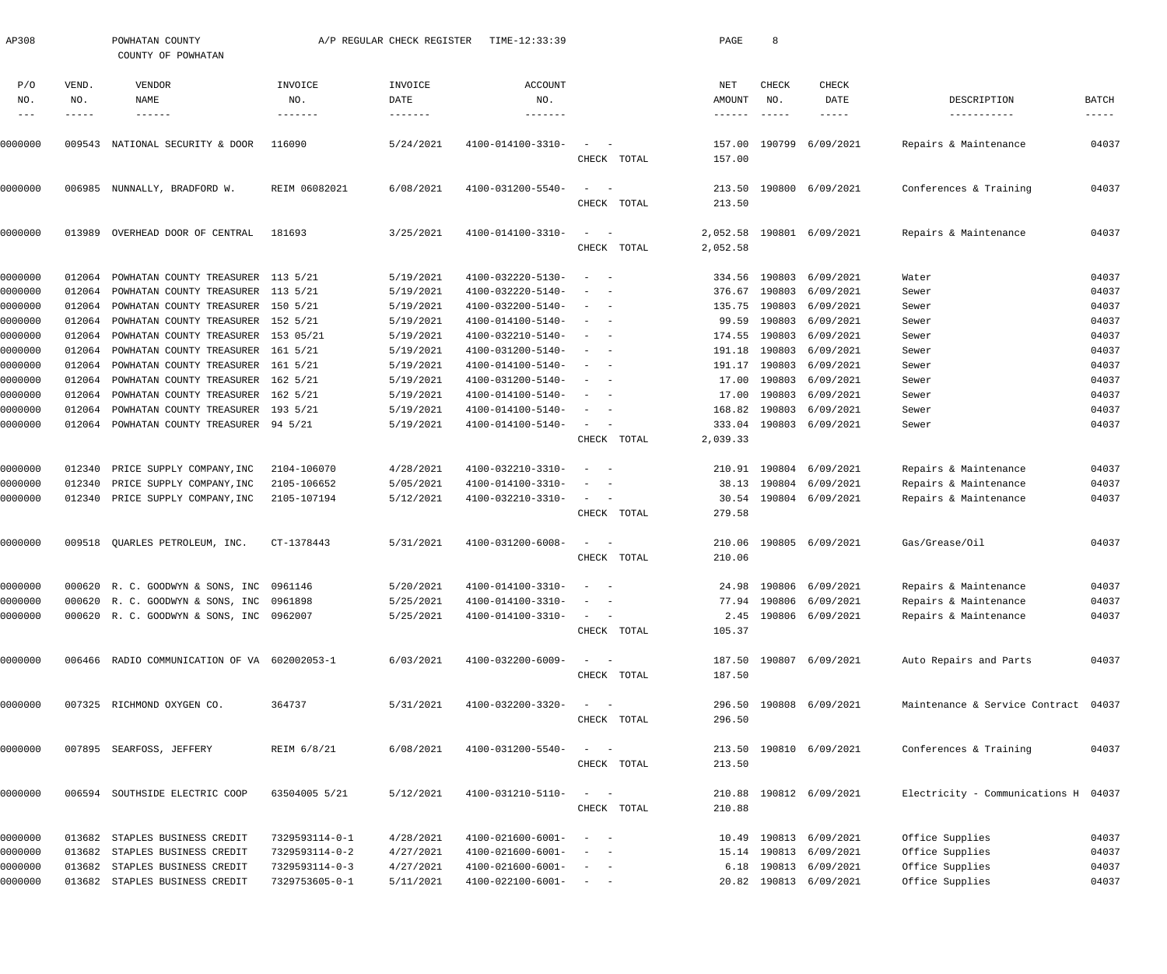| AP308         |              | POWHATAN COUNTY<br>COUNTY OF POWHATAN        |                | A/P REGULAR CHECK REGISTER | TIME-12:33:39                |                                                                       |             | PAGE          | 8            |                         |                                      |              |
|---------------|--------------|----------------------------------------------|----------------|----------------------------|------------------------------|-----------------------------------------------------------------------|-------------|---------------|--------------|-------------------------|--------------------------------------|--------------|
| P/O<br>NO.    | VEND.<br>NO. | VENDOR<br>NAME                               | INVOICE<br>NO. | INVOICE<br>DATE            | <b>ACCOUNT</b><br>NO.        |                                                                       |             | NET<br>AMOUNT | CHECK<br>NO. | CHECK<br>DATE           | DESCRIPTION                          | <b>BATCH</b> |
| $\frac{1}{2}$ | -----        | $- - - - - - -$                              | -------        | $- - - - - - - - -$        | -------                      |                                                                       |             | ------        | ------       | -----                   | -----------                          | $- - - - -$  |
|               |              |                                              |                |                            |                              |                                                                       |             |               |              |                         |                                      |              |
| 0000000       |              | 009543 NATIONAL SECURITY & DOOR              | 116090         | 5/24/2021                  | 4100-014100-3310-            | $\sim$ .                                                              | CHECK TOTAL | 157.00        |              | 157.00 190799 6/09/2021 | Repairs & Maintenance                | 04037        |
|               |              |                                              |                |                            |                              |                                                                       |             |               |              |                         |                                      |              |
| 0000000       |              | 006985 NUNNALLY, BRADFORD W.                 | REIM 06082021  | 6/08/2021                  | 4100-031200-5540-            | $\sim$ .<br>$\overline{\phantom{a}}$                                  |             |               |              | 213.50 190800 6/09/2021 | Conferences & Training               | 04037        |
|               |              |                                              |                |                            |                              |                                                                       | CHECK TOTAL | 213.50        |              |                         |                                      |              |
| 0000000       | 013989       | OVERHEAD DOOR OF CENTRAL                     | 181693         | 3/25/2021                  | 4100-014100-3310-            | $\sim$ .<br>$\overline{\phantom{a}}$                                  |             | 2,052.58      |              | 190801 6/09/2021        | Repairs & Maintenance                | 04037        |
|               |              |                                              |                |                            |                              |                                                                       | CHECK TOTAL | 2,052.58      |              |                         |                                      |              |
| 0000000       | 012064       | POWHATAN COUNTY TREASURER 113 5/21           |                | 5/19/2021                  | 4100-032220-5130-            | $\sim$                                                                |             |               |              | 334.56 190803 6/09/2021 | Water                                | 04037        |
| 0000000       | 012064       | POWHATAN COUNTY TREASURER 113 5/21           |                | 5/19/2021                  | 4100-032220-5140-            |                                                                       |             |               |              | 376.67 190803 6/09/2021 | Sewer                                | 04037        |
| 0000000       | 012064       | POWHATAN COUNTY TREASURER 150 5/21           |                | 5/19/2021                  | 4100-032200-5140-            | $\sim$                                                                |             |               |              | 135.75 190803 6/09/2021 | Sewer                                | 04037        |
| 0000000       | 012064       | POWHATAN COUNTY TREASURER 152 5/21           |                | 5/19/2021                  | 4100-014100-5140-            | $\sim$                                                                |             |               |              | 99.59 190803 6/09/2021  | Sewer                                | 04037        |
| 0000000       | 012064       | POWHATAN COUNTY TREASURER 153 05/21          |                | 5/19/2021                  | 4100-032210-5140-            | $-$<br>$\sim$                                                         |             |               |              | 174.55 190803 6/09/2021 | Sewer                                | 04037        |
| 0000000       | 012064       | POWHATAN COUNTY TREASURER 161 5/21           |                | 5/19/2021                  | 4100-031200-5140-            |                                                                       |             |               |              | 191.18 190803 6/09/2021 | Sewer                                | 04037        |
| 0000000       | 012064       | POWHATAN COUNTY TREASURER 161 5/21           |                | 5/19/2021                  | 4100-014100-5140-            | $\sim$                                                                |             |               |              | 191.17 190803 6/09/2021 | Sewer                                | 04037        |
| 0000000       | 012064       | POWHATAN COUNTY TREASURER 162 5/21           |                | 5/19/2021                  | 4100-031200-5140-            | $\sim$                                                                |             |               |              | 17.00 190803 6/09/2021  | Sewer                                | 04037        |
| 0000000       | 012064       | POWHATAN COUNTY TREASURER 162 5/21           |                | 5/19/2021                  | 4100-014100-5140-            |                                                                       |             |               |              | 17.00 190803 6/09/2021  | Sewer                                | 04037        |
| 0000000       | 012064       | POWHATAN COUNTY TREASURER 193 5/21           |                | 5/19/2021                  | 4100-014100-5140-            | $\overline{\phantom{a}}$                                              |             |               |              | 168.82 190803 6/09/2021 | Sewer                                | 04037        |
| 0000000       |              | 012064 POWHATAN COUNTY TREASURER 94 5/21     |                | 5/19/2021                  | 4100-014100-5140-            | $\sim$ 100 $\mu$<br>$\overline{\phantom{a}}$                          |             |               |              | 333.04 190803 6/09/2021 | Sewer                                | 04037        |
|               |              |                                              |                |                            |                              |                                                                       | CHECK TOTAL | 2,039.33      |              |                         |                                      |              |
| 0000000       | 012340       | PRICE SUPPLY COMPANY, INC                    | 2104-106070    | 4/28/2021                  | 4100-032210-3310-            | $\sim$                                                                |             |               |              | 210.91 190804 6/09/2021 | Repairs & Maintenance                | 04037        |
| 0000000       | 012340       | PRICE SUPPLY COMPANY, INC                    | 2105-106652    | 5/05/2021                  | 4100-014100-3310-            | $\overline{\phantom{a}}$                                              |             |               |              | 38.13 190804 6/09/2021  | Repairs & Maintenance                | 04037        |
| 0000000       |              | 012340 PRICE SUPPLY COMPANY, INC             | 2105-107194    | 5/12/2021                  | 4100-032210-3310-            | $\frac{1}{2}$ and $\frac{1}{2}$<br>$\overline{\phantom{a}}$           |             |               |              | 30.54 190804 6/09/2021  | Repairs & Maintenance                | 04037        |
|               |              |                                              |                |                            |                              |                                                                       | CHECK TOTAL | 279.58        |              |                         |                                      |              |
| 0000000       |              | 009518 QUARLES PETROLEUM, INC.               | CT-1378443     | 5/31/2021                  | 4100-031200-6008-            | $\sim$                                                                |             |               |              | 210.06 190805 6/09/2021 | Gas/Grease/Oil                       | 04037        |
|               |              |                                              |                |                            |                              |                                                                       | CHECK TOTAL | 210.06        |              |                         |                                      |              |
| 0000000       |              | 000620 R. C. GOODWYN & SONS, INC 0961146     |                | 5/20/2021                  | $4100 - 014100 - 3310 - - -$ |                                                                       |             |               |              | 24.98 190806 6/09/2021  | Repairs & Maintenance                | 04037        |
| 0000000       |              | 000620 R. C. GOODWYN & SONS, INC 0961898     |                | 5/25/2021                  | 4100-014100-3310-            | $\sim$ $  -$                                                          |             |               |              | 77.94 190806 6/09/2021  | Repairs & Maintenance                | 04037        |
| 0000000       |              | 000620 R. C. GOODWYN & SONS, INC 0962007     |                | 5/25/2021                  | 4100-014100-3310-            |                                                                       |             |               |              | 2.45 190806 6/09/2021   | Repairs & Maintenance                | 04037        |
|               |              |                                              |                |                            |                              |                                                                       | CHECK TOTAL | 105.37        |              |                         |                                      |              |
|               |              |                                              |                |                            |                              | $\sim$ $  -$                                                          |             |               |              |                         | Auto Repairs and Parts               | 04037        |
| 0000000       |              | 006466 RADIO COMMUNICATION OF VA 602002053-1 |                | 6/03/2021                  | 4100-032200-6009-            |                                                                       | CHECK TOTAL | 187.50        |              | 187.50 190807 6/09/2021 |                                      |              |
|               |              |                                              |                |                            |                              |                                                                       |             |               |              |                         |                                      |              |
| 0000000       |              | 007325 RICHMOND OXYGEN CO.                   | 364737         | 5/31/2021                  | 4100-032200-3320-            | $\sim$ $  -$                                                          |             |               |              | 296.50 190808 6/09/2021 | Maintenance & Service Contract 04037 |              |
|               |              |                                              |                |                            |                              |                                                                       | CHECK TOTAL | 296.50        |              |                         |                                      |              |
| 0000000       |              | 007895 SEARFOSS, JEFFERY                     | REIM 6/8/21    | 6/08/2021                  | 4100-031200-5540-            | $\sim$ $  -$                                                          |             |               |              | 213.50 190810 6/09/2021 | Conferences & Training               | 04037        |
|               |              |                                              |                |                            |                              |                                                                       | CHECK TOTAL | 213.50        |              |                         |                                      |              |
| 0000000       |              | 006594 SOUTHSIDE ELECTRIC COOP               | 63504005 5/21  | 5/12/2021                  | 4100-031210-5110-            | $\sim$ $  -$                                                          |             |               |              | 210.88 190812 6/09/2021 | Electricity - Communications H 04037 |              |
|               |              |                                              |                |                            |                              |                                                                       | CHECK TOTAL | 210.88        |              |                         |                                      |              |
| 0000000       |              | 013682 STAPLES BUSINESS CREDIT               | 7329593114-0-1 | 4/28/2021                  | 4100-021600-6001-            | $\sim$ $  -$                                                          |             |               |              | 10.49 190813 6/09/2021  | Office Supplies                      | 04037        |
| 0000000       |              | 013682 STAPLES BUSINESS CREDIT               | 7329593114-0-2 | 4/27/2021                  | 4100-021600-6001-            | $\qquad \qquad -$                                                     |             |               |              | 15.14 190813 6/09/2021  | Office Supplies                      | 04037        |
| 0000000       |              | 013682 STAPLES BUSINESS CREDIT               | 7329593114-0-3 | 4/27/2021                  | 4100-021600-6001-            | $\sim$ $  -$                                                          |             |               |              | 6.18 190813 6/09/2021   | Office Supplies                      | 04037        |
| 0000000       |              | 013682 STAPLES BUSINESS CREDIT               | 7329753605-0-1 | 5/11/2021                  | 4100-022100-6001-            | $\alpha\rightarrow\alpha\gamma$ , and $\alpha\rightarrow\alpha\gamma$ |             |               |              | 20.82 190813 6/09/2021  | Office Supplies                      | 04037        |
|               |              |                                              |                |                            |                              |                                                                       |             |               |              |                         |                                      |              |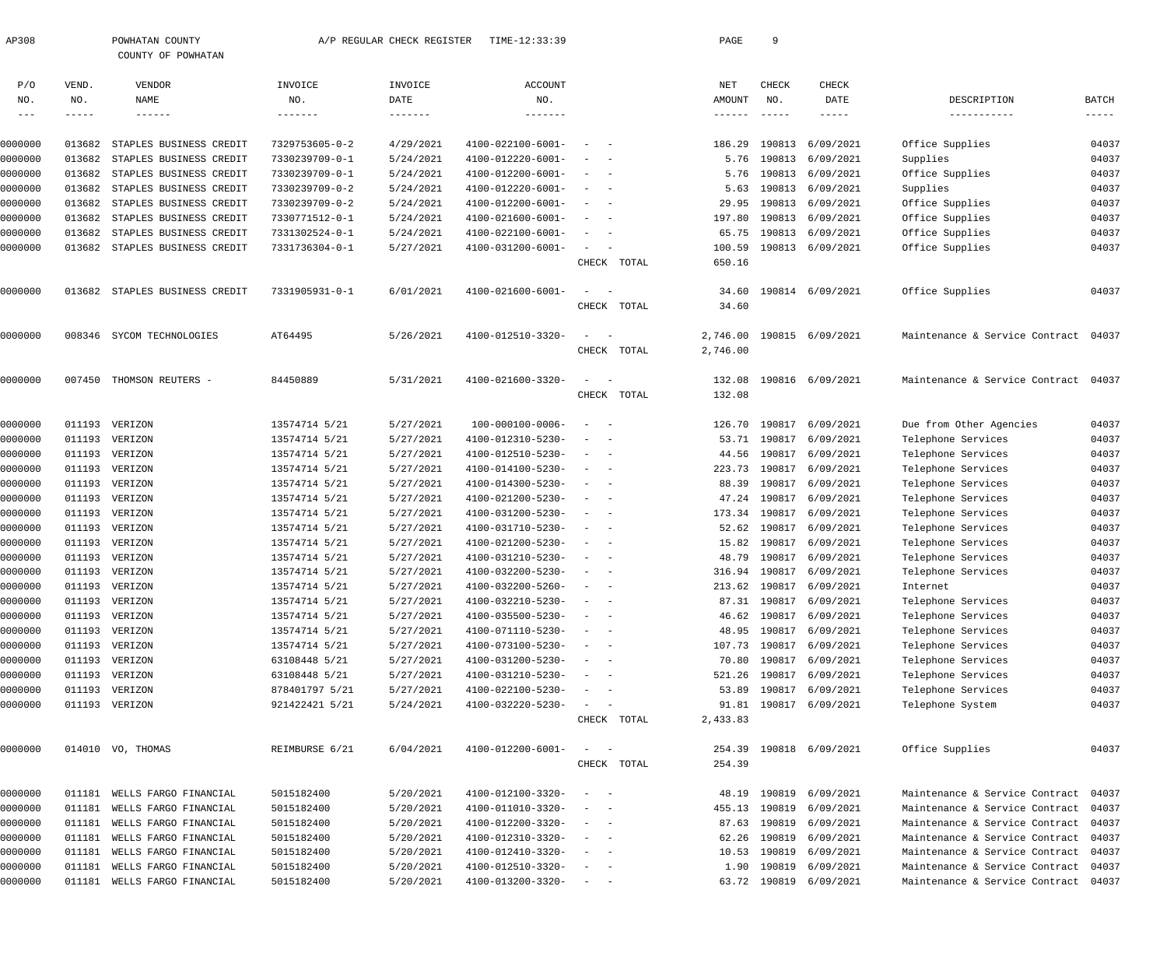| AP308   |        | POWHATAN COUNTY<br>COUNTY OF POWHATAN |                | A/P REGULAR CHECK REGISTER | TIME-12:33:39     |                                                                                                                           |             | PAGE     | 9                           |                         |                                      |             |
|---------|--------|---------------------------------------|----------------|----------------------------|-------------------|---------------------------------------------------------------------------------------------------------------------------|-------------|----------|-----------------------------|-------------------------|--------------------------------------|-------------|
|         |        |                                       |                |                            |                   |                                                                                                                           |             |          |                             |                         |                                      |             |
| P/O     | VEND.  | VENDOR                                | INVOICE        | INVOICE                    | <b>ACCOUNT</b>    |                                                                                                                           |             | NET      | CHECK                       | CHECK                   |                                      |             |
| NO.     | NO.    | NAME                                  | NO.            | DATE                       | NO.               |                                                                                                                           |             | AMOUNT   | NO.                         | DATE                    | DESCRIPTION                          | BATCH       |
| $---$   | -----  | $- - - - - - -$                       | -------        | $- - - - - - - -$          | $- - - - - - -$   |                                                                                                                           |             | ------   | $\qquad \qquad - - - - - -$ | $- - - - -$             | -----------                          | $--- - - -$ |
| 0000000 | 013682 | STAPLES BUSINESS CREDIT               | 7329753605-0-2 | 4/29/2021                  | 4100-022100-6001- | $\sim$ $-$                                                                                                                |             | 186.29   | 190813                      | 6/09/2021               | Office Supplies                      | 04037       |
| 0000000 | 013682 | STAPLES BUSINESS CREDIT               | 7330239709-0-1 | 5/24/2021                  | 4100-012220-6001- | $\frac{1}{2} \left( \frac{1}{2} \right) \left( \frac{1}{2} \right) \left( \frac{1}{2} \right) \left( \frac{1}{2} \right)$ |             | 5.76     |                             | 190813 6/09/2021        | Supplies                             | 04037       |
| 0000000 | 013682 | STAPLES BUSINESS CREDIT               | 7330239709-0-1 | 5/24/2021                  | 4100-012200-6001- | $\frac{1}{2}$ and $\frac{1}{2}$ and $\frac{1}{2}$                                                                         |             | 5.76     |                             | 190813 6/09/2021        | Office Supplies                      | 04037       |
| 0000000 | 013682 | STAPLES BUSINESS CREDIT               | 7330239709-0-2 | 5/24/2021                  | 4100-012220-6001- | $\frac{1}{2}$ and $\frac{1}{2}$ and $\frac{1}{2}$                                                                         |             | 5.63     |                             | 190813 6/09/2021        | Supplies                             | 04037       |
| 0000000 | 013682 | STAPLES BUSINESS CREDIT               | 7330239709-0-2 | 5/24/2021                  | 4100-012200-6001- | $\frac{1}{2}$ and $\frac{1}{2}$ and $\frac{1}{2}$                                                                         |             | 29.95    |                             | 190813 6/09/2021        | Office Supplies                      | 04037       |
| 0000000 | 013682 | STAPLES BUSINESS CREDIT               | 7330771512-0-1 | 5/24/2021                  | 4100-021600-6001- | $\sim$<br>$\sim$ $-$                                                                                                      |             | 197.80   |                             | 190813 6/09/2021        | Office Supplies                      | 04037       |
| 0000000 | 013682 | STAPLES BUSINESS CREDIT               | 7331302524-0-1 | 5/24/2021                  | 4100-022100-6001- | $\sim$<br>$\sim$ $-$                                                                                                      |             | 65.75    |                             | 190813 6/09/2021        | Office Supplies                      | 04037       |
| 0000000 | 013682 | STAPLES BUSINESS CREDIT               | 7331736304-0-1 | 5/27/2021                  | 4100-031200-6001- | $\sim$                                                                                                                    |             | 100.59   |                             | 190813 6/09/2021        | Office Supplies                      | 04037       |
|         |        |                                       |                |                            |                   |                                                                                                                           | CHECK TOTAL | 650.16   |                             |                         |                                      |             |
| 0000000 | 013682 | STAPLES BUSINESS CREDIT               | 7331905931-0-1 | 6/01/2021                  | 4100-021600-6001- | $\sim$<br>$\sim$ $-$                                                                                                      |             | 34.60    |                             | 190814 6/09/2021        | Office Supplies                      | 04037       |
|         |        |                                       |                |                            |                   |                                                                                                                           | CHECK TOTAL | 34.60    |                             |                         |                                      |             |
| 0000000 | 008346 | SYCOM TECHNOLOGIES                    | AT64495        | 5/26/2021                  | 4100-012510-3320- |                                                                                                                           |             | 2,746.00 |                             | 190815 6/09/2021        | Maintenance & Service Contract       | 04037       |
|         |        |                                       |                |                            |                   |                                                                                                                           | CHECK TOTAL | 2,746.00 |                             |                         |                                      |             |
| 0000000 | 007450 | THOMSON REUTERS -                     | 84450889       | 5/31/2021                  | 4100-021600-3320- | $\sim$<br>$\sim$ $-$                                                                                                      |             | 132.08   |                             | 190816 6/09/2021        | Maintenance & Service Contract       | 04037       |
|         |        |                                       |                |                            |                   |                                                                                                                           | CHECK TOTAL | 132.08   |                             |                         |                                      |             |
| 0000000 | 011193 | VERIZON                               | 13574714 5/21  | 5/27/2021                  | 100-000100-0006-  | $\sim$<br>$\sim$ $-$                                                                                                      |             | 126.70   | 190817                      | 6/09/2021               | Due from Other Agencies              | 04037       |
| 0000000 |        | 011193 VERIZON                        | 13574714 5/21  | 5/27/2021                  | 4100-012310-5230- | $\frac{1}{2} \left( \frac{1}{2} \right) \left( \frac{1}{2} \right) \left( \frac{1}{2} \right) \left( \frac{1}{2} \right)$ |             | 53.71    |                             | 190817 6/09/2021        | Telephone Services                   | 04037       |
| 0000000 |        | 011193 VERIZON                        | 13574714 5/21  | 5/27/2021                  | 4100-012510-5230- | $\frac{1}{2}$ and $\frac{1}{2}$ and $\frac{1}{2}$                                                                         |             | 44.56    |                             | 190817 6/09/2021        | Telephone Services                   | 04037       |
| 0000000 |        | 011193 VERIZON                        | 13574714 5/21  | 5/27/2021                  | 4100-014100-5230- | $\frac{1}{2}$ and $\frac{1}{2}$ and $\frac{1}{2}$                                                                         |             | 223.73   |                             | 190817 6/09/2021        | Telephone Services                   | 04037       |
| 0000000 |        | 011193 VERIZON                        | 13574714 5/21  | 5/27/2021                  | 4100-014300-5230- | $\frac{1}{2}$ and $\frac{1}{2}$ and $\frac{1}{2}$                                                                         |             | 88.39    |                             | 190817 6/09/2021        | Telephone Services                   | 04037       |
| 0000000 |        | 011193 VERIZON                        | 13574714 5/21  | 5/27/2021                  | 4100-021200-5230- | $\sim$<br>$\sim$ $-$                                                                                                      |             | 47.24    |                             | 190817 6/09/2021        | Telephone Services                   | 04037       |
| 0000000 |        | 011193 VERIZON                        | 13574714 5/21  | 5/27/2021                  | 4100-031200-5230- | $\frac{1}{2}$ and $\frac{1}{2}$ and $\frac{1}{2}$                                                                         |             | 173.34   |                             | 190817 6/09/2021        | Telephone Services                   | 04037       |
| 0000000 |        | 011193 VERIZON                        | 13574714 5/21  | 5/27/2021                  | 4100-031710-5230- | $\frac{1}{2}$ and $\frac{1}{2}$ and $\frac{1}{2}$                                                                         |             | 52.62    |                             | 190817 6/09/2021        | Telephone Services                   | 04037       |
| 0000000 |        | 011193 VERIZON                        | 13574714 5/21  | 5/27/2021                  | 4100-021200-5230- | $\frac{1}{2}$ and $\frac{1}{2}$ and $\frac{1}{2}$                                                                         |             | 15.82    |                             | 190817 6/09/2021        | Telephone Services                   | 04037       |
| 0000000 |        | 011193 VERIZON                        | 13574714 5/21  | 5/27/2021                  | 4100-031210-5230- |                                                                                                                           |             | 48.79    |                             | 190817 6/09/2021        | Telephone Services                   | 04037       |
| 0000000 |        | 011193 VERIZON                        | 13574714 5/21  | 5/27/2021                  | 4100-032200-5230- | $\sim$ $  -$                                                                                                              |             |          |                             | 316.94 190817 6/09/2021 | Telephone Services                   | 04037       |
| 0000000 | 011193 | VERIZON                               | 13574714 5/21  | 5/27/2021                  | 4100-032200-5260- |                                                                                                                           |             | 213.62   |                             | 190817 6/09/2021        | Internet                             | 04037       |
| 0000000 |        | 011193 VERIZON                        | 13574714 5/21  | 5/27/2021                  | 4100-032210-5230- | $\overline{\phantom{m}}$                                                                                                  |             | 87.31    |                             | 190817 6/09/2021        | Telephone Services                   | 04037       |
| 0000000 |        | 011193 VERIZON                        | 13574714 5/21  | 5/27/2021                  | 4100-035500-5230- | $\sim$<br>$\sim$ $-$                                                                                                      |             | 46.62    |                             | 190817 6/09/2021        | Telephone Services                   | 04037       |
| 0000000 |        | 011193 VERIZON                        | 13574714 5/21  | 5/27/2021                  | 4100-071110-5230- | $\frac{1}{2}$ and $\frac{1}{2}$ and $\frac{1}{2}$                                                                         |             | 48.95    |                             | 190817 6/09/2021        | Telephone Services                   | 04037       |
| 0000000 |        | 011193 VERIZON                        | 13574714 5/21  | 5/27/2021                  | 4100-073100-5230- | $\frac{1}{2}$ and $\frac{1}{2}$ and $\frac{1}{2}$                                                                         |             | 107.73   |                             | 190817 6/09/2021        | Telephone Services                   | 04037       |
| 0000000 |        | 011193 VERIZON                        | 63108448 5/21  | 5/27/2021                  | 4100-031200-5230- | $\frac{1}{2}$ and $\frac{1}{2}$ and $\frac{1}{2}$                                                                         |             | 70.80    |                             | 190817 6/09/2021        | Telephone Services                   | 04037       |
| 0000000 |        | 011193 VERIZON                        | 63108448 5/21  | 5/27/2021                  | 4100-031210-5230- | $\frac{1}{2}$ and $\frac{1}{2}$ and $\frac{1}{2}$                                                                         |             | 521.26   |                             | 190817 6/09/2021        | Telephone Services                   | 04037       |
| 0000000 |        | 011193 VERIZON                        | 878401797 5/21 | 5/27/2021                  | 4100-022100-5230- | $\sim$<br>$\sim$ $-$                                                                                                      |             | 53.89    |                             | 190817 6/09/2021        | Telephone Services                   | 04037       |
| 0000000 |        | 011193 VERIZON                        | 921422421 5/21 | 5/24/2021                  | 4100-032220-5230- | $\sim$                                                                                                                    |             | 91.81    |                             | 190817 6/09/2021        | Telephone System                     | 04037       |
|         |        |                                       |                |                            |                   |                                                                                                                           | CHECK TOTAL | 2,433.83 |                             |                         |                                      |             |
| 0000000 |        | 014010 VO, THOMAS                     | REIMBURSE 6/21 | 6/04/2021                  | 4100-012200-6001- | $\sim$ .<br>$\sim$ $-$                                                                                                    |             | 254.39   |                             | 190818 6/09/2021        | Office Supplies                      | 04037       |
|         |        |                                       |                |                            |                   |                                                                                                                           | CHECK TOTAL | 254.39   |                             |                         |                                      |             |
| 0000000 | 011181 | WELLS FARGO FINANCIAL                 | 5015182400     | 5/20/2021                  | 4100-012100-3320- | $\sim$<br>$\sim$ $-$                                                                                                      |             | 48.19    | 190819                      | 6/09/2021               | Maintenance & Service Contract       | 04037       |
| 0000000 | 011181 | WELLS FARGO FINANCIAL                 | 5015182400     | 5/20/2021                  | 4100-011010-3320- | $\frac{1}{2} \left( \frac{1}{2} \right) \left( \frac{1}{2} \right) \left( \frac{1}{2} \right) \left( \frac{1}{2} \right)$ |             | 455.13   |                             | 190819 6/09/2021        | Maintenance & Service Contract       | 04037       |
| 0000000 | 011181 | WELLS FARGO FINANCIAL                 | 5015182400     | 5/20/2021                  | 4100-012200-3320- | $\frac{1}{2}$ and $\frac{1}{2}$ and $\frac{1}{2}$                                                                         |             | 87.63    |                             | 190819 6/09/2021        | Maintenance & Service Contract       | 04037       |
| 0000000 | 011181 | WELLS FARGO FINANCIAL                 | 5015182400     | 5/20/2021                  | 4100-012310-3320- | $\frac{1}{2}$ and $\frac{1}{2}$ and $\frac{1}{2}$                                                                         |             | 62.26    | 190819                      | 6/09/2021               | Maintenance & Service Contract       | 04037       |
| 0000000 | 011181 | WELLS FARGO FINANCIAL                 | 5015182400     | 5/20/2021                  | 4100-012410-3320- | $\frac{1}{2}$ and $\frac{1}{2}$ and $\frac{1}{2}$                                                                         |             | 10.53    | 190819                      | 6/09/2021               | Maintenance & Service Contract       | 04037       |
| 0000000 | 011181 | WELLS FARGO FINANCIAL                 | 5015182400     | 5/20/2021                  | 4100-012510-3320- | $\frac{1}{2}$ and $\frac{1}{2}$ and $\frac{1}{2}$                                                                         |             | 1.90     |                             | 190819 6/09/2021        | Maintenance & Service Contract       | 04037       |
| 0000000 |        | 011181 WELLS FARGO FINANCIAL          | 5015182400     | 5/20/2021                  | 4100-013200-3320- | $\alpha = 1, \ldots, \alpha$                                                                                              |             |          |                             | 63.72 190819 6/09/2021  | Maintenance & Service Contract 04037 |             |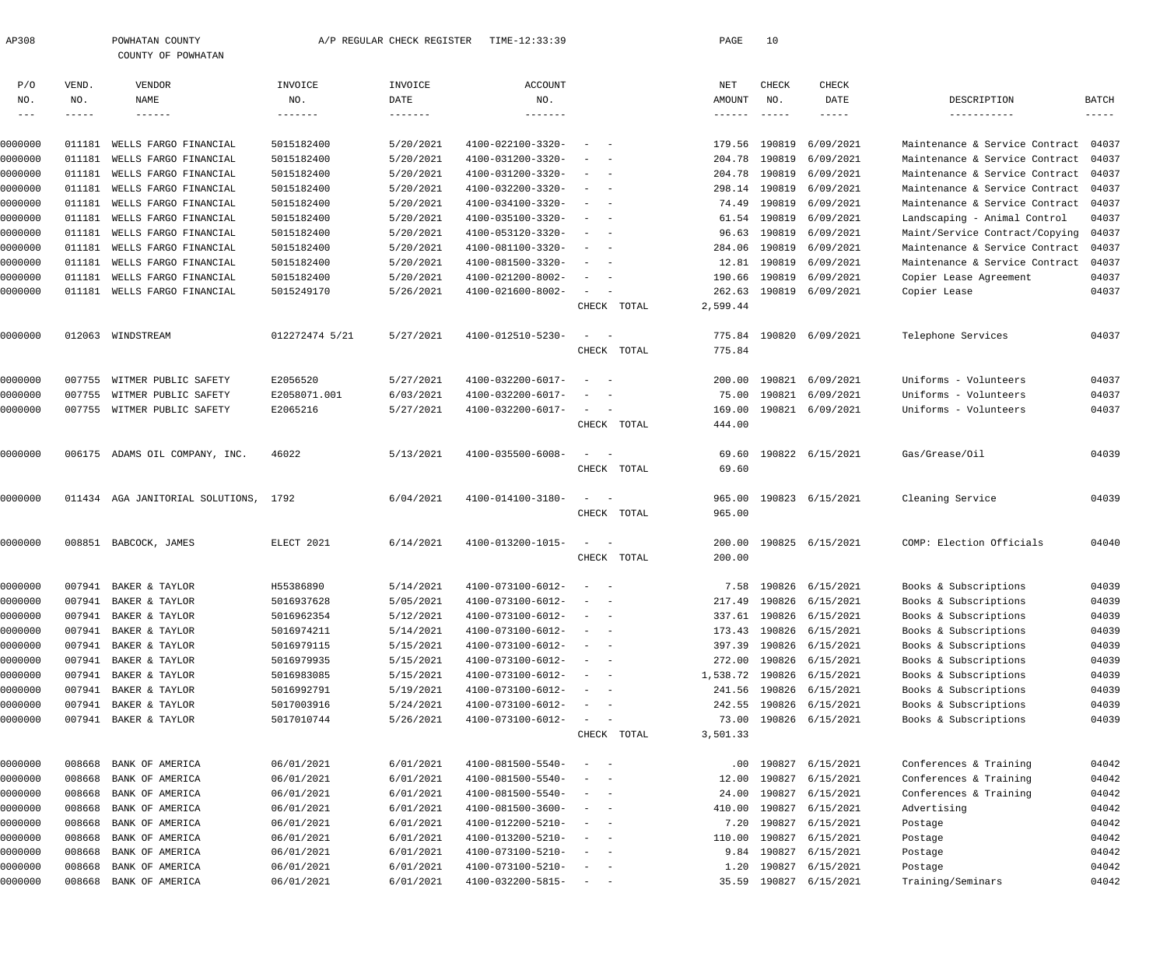| AP308             |             | POWHATAN COUNTY<br>COUNTY OF POWHATAN |                | A/P REGULAR CHECK REGISTER | TIME-12:33:39              |                                        |             | PAGE     | 10                          |                        |                                |              |
|-------------------|-------------|---------------------------------------|----------------|----------------------------|----------------------------|----------------------------------------|-------------|----------|-----------------------------|------------------------|--------------------------------|--------------|
| P/O               | VEND.       | VENDOR                                | INVOICE        | INVOICE                    | ACCOUNT                    |                                        |             | NET      | CHECK                       | CHECK                  |                                |              |
| NO.               | NO.         | <b>NAME</b>                           | NO.            | DATE                       | NO.                        |                                        |             | AMOUNT   | NO.                         | DATE                   | DESCRIPTION                    | <b>BATCH</b> |
| $\qquad \qquad -$ | $- - - - -$ | $- - - - - - -$                       | -------        | $- - - - - - - -$          | $\cdots\cdots\cdots\cdots$ |                                        |             | ------   | $\qquad \qquad - - - - - -$ | $- - - - - -$          | -----------                    | $- - - - -$  |
| 0000000           | 011181      | WELLS FARGO FINANCIAL                 | 5015182400     | 5/20/2021                  | 4100-022100-3320-          | $\sim$                                 |             | 179.56   | 190819                      | 6/09/2021              | Maintenance & Service Contract | 04037        |
| 0000000           | 011181      | WELLS FARGO FINANCIAL                 | 5015182400     | 5/20/2021                  | 4100-031200-3320-          |                                        |             | 204.78   | 190819                      | 6/09/2021              | Maintenance & Service Contract | 04037        |
| 0000000           | 011181      | WELLS FARGO FINANCIAL                 | 5015182400     | 5/20/2021                  | 4100-031200-3320-          | $\overline{\phantom{a}}$<br>$\sim$     |             | 204.78   | 190819                      | 6/09/2021              | Maintenance & Service Contract | 04037        |
| 0000000           | 011181      | WELLS FARGO FINANCIAL                 | 5015182400     | 5/20/2021                  | 4100-032200-3320-          | $\overline{\phantom{a}}$               |             | 298.14   | 190819                      | 6/09/2021              | Maintenance & Service Contract | 04037        |
| 0000000           | 011181      | WELLS FARGO FINANCIAL                 | 5015182400     | 5/20/2021                  | 4100-034100-3320-          |                                        |             | 74.49    | 190819                      | 6/09/2021              | Maintenance & Service Contract | 04037        |
| 0000000           | 011181      | WELLS FARGO FINANCIAL                 | 5015182400     | 5/20/2021                  | 4100-035100-3320-          | $\overline{\phantom{0}}$<br>$\sim$     |             | 61.54    | 190819                      | 6/09/2021              | Landscaping - Animal Control   | 04037        |
| 0000000           | 011181      | WELLS FARGO FINANCIAL                 | 5015182400     | 5/20/2021                  | 4100-053120-3320-          | $\overline{\phantom{a}}$               |             | 96.63    | 190819                      | 6/09/2021              | Maint/Service Contract/Copying | 04037        |
| 0000000           | 011181      | WELLS FARGO FINANCIAL                 | 5015182400     | 5/20/2021                  | 4100-081100-3320-          | $\overline{\phantom{a}}$               |             | 284.06   | 190819                      | 6/09/2021              | Maintenance & Service Contract | 04037        |
| 0000000           | 011181      | WELLS FARGO FINANCIAL                 | 5015182400     | 5/20/2021                  | 4100-081500-3320-          |                                        |             | 12.81    | 190819                      | 6/09/2021              | Maintenance & Service Contract | 04037        |
| 0000000           | 011181      | WELLS FARGO FINANCIAL                 | 5015182400     | 5/20/2021                  | 4100-021200-8002-          |                                        |             | 190.66   | 190819                      | 6/09/2021              | Copier Lease Agreement         | 04037        |
| 0000000           | 011181      | WELLS FARGO FINANCIAL                 | 5015249170     | 5/26/2021                  | 4100-021600-8002-          |                                        |             | 262.63   |                             | 190819 6/09/2021       | Copier Lease                   | 04037        |
|                   |             |                                       |                |                            |                            |                                        | CHECK TOTAL | 2,599.44 |                             |                        |                                |              |
| 0000000           |             | 012063 WINDSTREAM                     | 012272474 5/21 | 5/27/2021                  | 4100-012510-5230-          | $\sim$ $-$<br>$\overline{\phantom{0}}$ |             | 775.84   |                             | 190820 6/09/2021       | Telephone Services             | 04037        |
|                   |             |                                       |                |                            |                            |                                        | CHECK TOTAL | 775.84   |                             |                        |                                |              |
| 0000000           | 007755      | WITMER PUBLIC SAFETY                  | E2056520       | 5/27/2021                  | 4100-032200-6017-          | $\sim$                                 |             | 200.00   | 190821                      | 6/09/2021              | Uniforms - Volunteers          | 04037        |
| 0000000           | 007755      | WITMER PUBLIC SAFETY                  | E2058071.001   | 6/03/2021                  | 4100-032200-6017-          |                                        |             | 75.00    | 190821                      | 6/09/2021              | Uniforms - Volunteers          | 04037        |
| 0000000           |             | 007755 WITMER PUBLIC SAFETY           | E2065216       | 5/27/2021                  | 4100-032200-6017-          | $\sim$ $-$                             |             | 169.00   |                             | 190821 6/09/2021       | Uniforms - Volunteers          | 04037        |
|                   |             |                                       |                |                            |                            |                                        | CHECK TOTAL | 444.00   |                             |                        |                                |              |
| 0000000           |             | 006175 ADAMS OIL COMPANY, INC.        | 46022          | 5/13/2021                  | 4100-035500-6008-          | $\sim$ $-$                             |             | 69.60    |                             | 190822 6/15/2021       | Gas/Grease/Oil                 | 04039        |
|                   |             |                                       |                |                            |                            |                                        | CHECK TOTAL | 69.60    |                             |                        |                                |              |
| 0000000           |             | 011434 AGA JANITORIAL SOLUTIONS, 1792 |                | 6/04/2021                  | 4100-014100-3180-          | $\sim$ $-$                             |             | 965.00   |                             | 190823 6/15/2021       | Cleaning Service               | 04039        |
|                   |             |                                       |                |                            |                            |                                        | CHECK TOTAL | 965.00   |                             |                        |                                |              |
| 0000000           |             | 008851 BABCOCK, JAMES                 | ELECT 2021     | 6/14/2021                  | 4100-013200-1015-          | $\sim$ $-$                             |             | 200.00   |                             | 190825 6/15/2021       | COMP: Election Officials       | 04040        |
|                   |             |                                       |                |                            |                            |                                        | CHECK TOTAL | 200.00   |                             |                        |                                |              |
| 0000000           | 007941      | BAKER & TAYLOR                        | H55386890      | 5/14/2021                  | 4100-073100-6012-          |                                        |             | 7.58     |                             | 190826 6/15/2021       | Books & Subscriptions          | 04039        |
| 0000000           | 007941      | BAKER & TAYLOR                        | 5016937628     | 5/05/2021                  | 4100-073100-6012-          |                                        |             | 217.49   | 190826                      | 6/15/2021              | Books & Subscriptions          | 04039        |
| 0000000           | 007941      | BAKER & TAYLOR                        | 5016962354     | 5/12/2021                  | 4100-073100-6012-          | $\overline{\phantom{a}}$<br>$\sim$     |             | 337.61   | 190826                      | 6/15/2021              | Books & Subscriptions          | 04039        |
| 0000000           | 007941      | BAKER & TAYLOR                        | 5016974211     | 5/14/2021                  | 4100-073100-6012-          | $\sim$<br>$\sim$                       |             | 173.43   | 190826                      | 6/15/2021              | Books & Subscriptions          | 04039        |
| 0000000           | 007941      | BAKER & TAYLOR                        | 5016979115     | 5/15/2021                  | 4100-073100-6012-          | $\sim$<br>$\sim$ $-$                   |             | 397.39   | 190826                      | 6/15/2021              | Books & Subscriptions          | 04039        |
| 0000000           | 007941      | BAKER & TAYLOR                        | 5016979935     | 5/15/2021                  | 4100-073100-6012-          | $\overline{\phantom{a}}$<br>$\sim$     |             | 272.00   | 190826                      | 6/15/2021              | Books & Subscriptions          | 04039        |
| 0000000           | 007941      | BAKER & TAYLOR                        | 5016983085     | 5/15/2021                  | 4100-073100-6012-          | $\sim$<br>$\sim$                       |             | 1,538.72 | 190826                      | 6/15/2021              | Books & Subscriptions          | 04039        |
| 0000000           | 007941      | BAKER & TAYLOR                        | 5016992791     | 5/19/2021                  | 4100-073100-6012-          | $\sim$<br>$\sim$ $-$                   |             | 241.56   | 190826                      | 6/15/2021              | Books & Subscriptions          | 04039        |
| 0000000           | 007941      | BAKER & TAYLOR                        | 5017003916     | 5/24/2021                  | 4100-073100-6012-          | $\sim$<br>$\sim$ $-$                   |             | 242.55   | 190826                      | 6/15/2021              | Books & Subscriptions          | 04039        |
| 0000000           | 007941      | BAKER & TAYLOR                        | 5017010744     | 5/26/2021                  | 4100-073100-6012-          | $\sim$<br>$\sim$                       |             | 73.00    |                             | 190826 6/15/2021       | Books & Subscriptions          | 04039        |
|                   |             |                                       |                |                            |                            |                                        | CHECK TOTAL | 3,501.33 |                             |                        |                                |              |
| 0000000           | 008668      | BANK OF AMERICA                       | 06/01/2021     | 6/01/2021                  | 4100-081500-5540-          | $\sim$                                 |             | $.00 \,$ | 190827                      | 6/15/2021              | Conferences & Training         | 04042        |
| 0000000           | 008668      | BANK OF AMERICA                       | 06/01/2021     | 6/01/2021                  | 4100-081500-5540-          | $\overline{\phantom{a}}$<br>$\sim$     |             | 12.00    | 190827                      | 6/15/2021              | Conferences & Training         | 04042        |
| 0000000           | 008668      | BANK OF AMERICA                       | 06/01/2021     | 6/01/2021                  | 4100-081500-5540-          | $\sim$<br>$\overline{\phantom{0}}$     |             | 24.00    | 190827                      | 6/15/2021              | Conferences & Training         | 04042        |
| 0000000           | 008668      | BANK OF AMERICA                       | 06/01/2021     | 6/01/2021                  | 4100-081500-3600-          | $\sim$<br>$\sim$ $-$                   |             | 410.00   | 190827                      | 6/15/2021              | Advertising                    | 04042        |
| 0000000           | 008668      | BANK OF AMERICA                       | 06/01/2021     | 6/01/2021                  | 4100-012200-5210-          | $\sim$<br>$\sim$                       |             | 7.20     | 190827                      | 6/15/2021              | Postage                        | 04042        |
| 0000000           | 008668      | BANK OF AMERICA                       | 06/01/2021     | 6/01/2021                  | 4100-013200-5210-          | $\sim$ .<br>$\overline{\phantom{0}}$   |             | 110.00   | 190827                      | 6/15/2021              | Postage                        | 04042        |
| 0000000           | 008668      | BANK OF AMERICA                       | 06/01/2021     | 6/01/2021                  | 4100-073100-5210-          | $\sim$<br>$\sim$ $-$                   |             | 9.84     | 190827                      | 6/15/2021              | Postage                        | 04042        |
| 0000000           | 008668      | BANK OF AMERICA                       | 06/01/2021     | 6/01/2021                  | 4100-073100-5210-          | $\sim$<br>$\sim$ $-$                   |             | 1.20     | 190827                      | 6/15/2021              | Postage                        | 04042        |
| 0000000           | 008668      | BANK OF AMERICA                       | 06/01/2021     | 6/01/2021                  | 4100-032200-5815-          | $\sim$ $ -$                            |             |          |                             | 35.59 190827 6/15/2021 | Training/Seminars              | 04042        |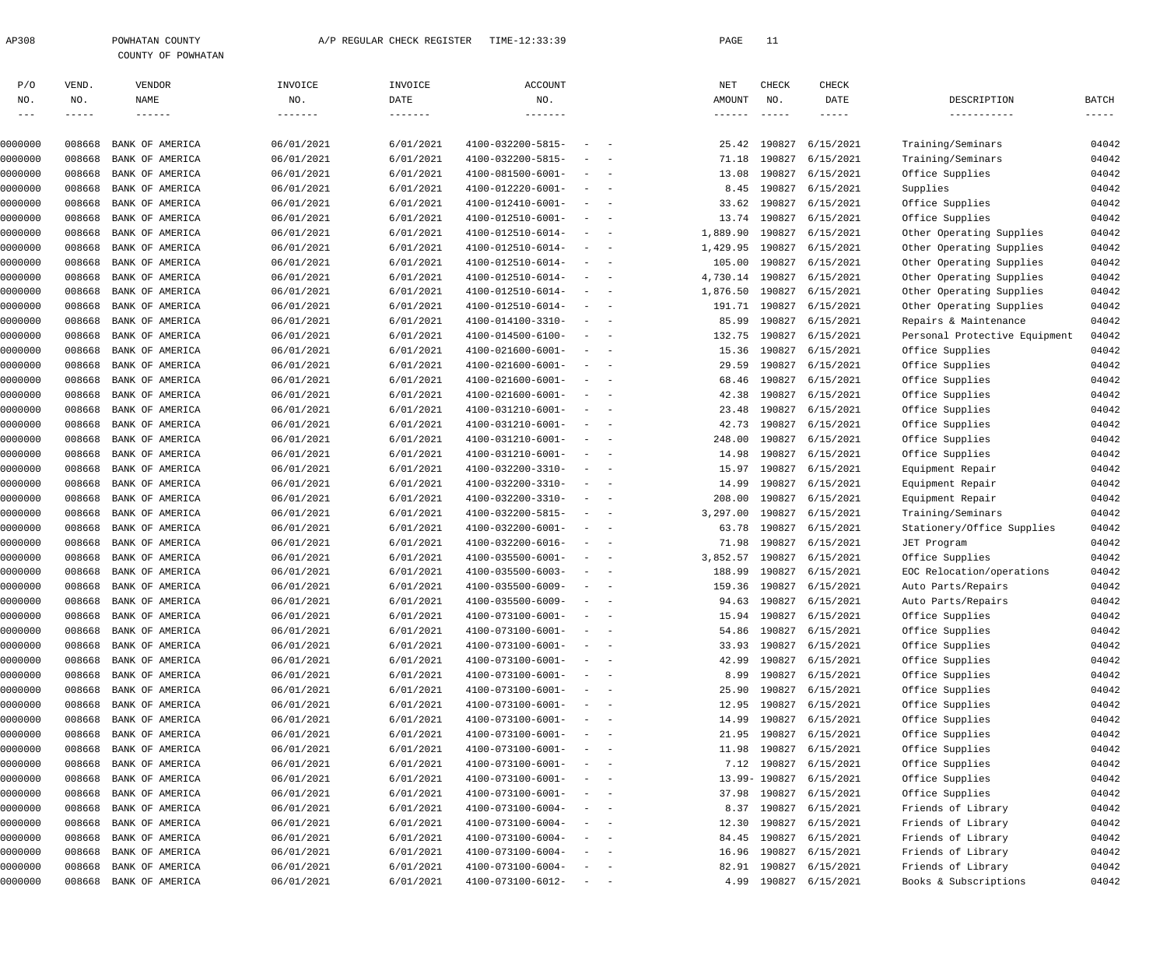| 308 | POWHATAN COUNTY |  |                    |  |  |  |  |  |
|-----|-----------------|--|--------------------|--|--|--|--|--|
|     |                 |  | COUNTY OF POWHATAN |  |  |  |  |  |

| P/O                | VEND.         | VENDOR                             | INVOICE                  | INVOICE           | <b>ACCOUNT</b>                         |                          |                           | NET               | CHECK                     | CHECK                  |                               |                         |
|--------------------|---------------|------------------------------------|--------------------------|-------------------|----------------------------------------|--------------------------|---------------------------|-------------------|---------------------------|------------------------|-------------------------------|-------------------------|
| NO.                | NO.           | NAME                               | NO.                      | DATE              | $_{\rm NO}$ .                          |                          |                           | AMOUNT            | NO.                       | DATE                   | DESCRIPTION                   | BATCH                   |
| $--\,$ $-$         | $- - - - - -$ | $\qquad \qquad - - - - - -$        | -------                  | $- - - - - - - -$ | $- - - - - - - -$                      |                          |                           | $- - - - - - -$   | $\qquad \qquad - - - - -$ | ------                 | -----------                   | $\qquad \qquad - - - -$ |
|                    |               |                                    |                          |                   |                                        |                          |                           |                   |                           |                        |                               |                         |
| 0000000            | 008668        | BANK OF AMERICA                    | 06/01/2021               | 6/01/2021         | 4100-032200-5815-                      |                          | $\sim$ $-$                | 25.42             | 190827                    | 6/15/2021              | Training/Seminars             | 04042                   |
| 0000000            | 008668        | BANK OF AMERICA                    | 06/01/2021               | 6/01/2021         | 4100-032200-5815-                      | $\overline{\phantom{a}}$ | $\sim$ $-$                | 71.18             | 190827                    | 6/15/2021              | Training/Seminars             | 04042                   |
| 0000000            | 008668        | BANK OF AMERICA                    | 06/01/2021               | 6/01/2021         | 4100-081500-6001-                      | $\sim$                   | $\sim$ $-$                | 13.08             | 190827                    | 6/15/2021              | Office Supplies               | 04042                   |
| 0000000            | 008668        | BANK OF AMERICA                    | 06/01/2021               | 6/01/2021         | 4100-012220-6001-                      | $\sim$                   | $\sim$ $-$                | 8.45              | 190827                    | 6/15/2021              | Supplies                      | 04042                   |
| 0000000            | 008668        | BANK OF AMERICA                    | 06/01/2021               | 6/01/2021         | 4100-012410-6001-                      | $\sim$                   | $\sim$ $-$                | 33.62             | 190827                    | 6/15/2021              | Office Supplies               | 04042                   |
| 0000000            | 008668        | BANK OF AMERICA                    | 06/01/2021               | 6/01/2021         | 4100-012510-6001-                      | $\sim$                   | $\sim$ $-$                | 13.74             | 190827                    | 6/15/2021              | Office Supplies               | 04042                   |
| 0000000            | 008668        | BANK OF AMERICA                    | 06/01/2021               | 6/01/2021         | 4100-012510-6014-                      | $\sim$                   | $\sim$ $-$                | 1,889.90          | 190827                    | 6/15/2021              | Other Operating Supplies      | 04042                   |
| 0000000            | 008668        | BANK OF AMERICA                    | 06/01/2021               | 6/01/2021         | 4100-012510-6014-                      | $\sim$                   | $\sim$                    | 1,429.95          | 190827                    | 6/15/2021              | Other Operating Supplies      | 04042                   |
| 0000000            | 008668        | BANK OF AMERICA                    | 06/01/2021               | 6/01/2021         | 4100-012510-6014-                      | $\overline{\phantom{a}}$ | $\sim$ $-$                | 105.00            | 190827                    | 6/15/2021              | Other Operating Supplies      | 04042                   |
| 0000000            | 008668        | BANK OF AMERICA                    | 06/01/2021               | 6/01/2021         | 4100-012510-6014-                      | $\sim$                   | $\sim$                    | 4,730.14          | 190827                    | 6/15/2021              | Other Operating Supplies      | 04042                   |
| 0000000            | 008668        | BANK OF AMERICA                    | 06/01/2021               | 6/01/2021         | 4100-012510-6014-                      | $\sim$                   | $\sim$ $-$                | 1,876.50          | 190827                    | 6/15/2021              | Other Operating Supplies      | 04042                   |
| 0000000            | 008668        | BANK OF AMERICA                    | 06/01/2021               | 6/01/2021         | 4100-012510-6014-                      | $\sim$                   | $\sim$ $-$                | 191.71            | 190827                    | 6/15/2021              | Other Operating Supplies      | 04042                   |
| 0000000            | 008668        | BANK OF AMERICA                    | 06/01/2021               | 6/01/2021         | 4100-014100-3310-                      | $\sim$                   | $\sim$ $-$                | 85.99             | 190827                    | 6/15/2021              | Repairs & Maintenance         | 04042                   |
| 0000000            | 008668        | BANK OF AMERICA                    | 06/01/2021               | 6/01/2021         | 4100-014500-6100-                      | $\sim$                   | $\sim$ $-$                | 132.75            | 190827                    | 6/15/2021              | Personal Protective Equipment | 04042                   |
| 0000000            | 008668        | BANK OF AMERICA                    | 06/01/2021               | 6/01/2021         | 4100-021600-6001-                      | $\sim$                   | $\sim$ $-$                | 15.36             | 190827                    | 6/15/2021              | Office Supplies               | 04042                   |
| 0000000            | 008668        | BANK OF AMERICA                    | 06/01/2021               | 6/01/2021         | 4100-021600-6001-                      | $\sim$                   | $\sim$ $-$                | 29.59             | 190827                    | 6/15/2021              | Office Supplies               | 04042                   |
| 0000000            | 008668        | BANK OF AMERICA                    | 06/01/2021               | 6/01/2021         | 4100-021600-6001-                      | $\sim$                   | $\sim$ $-$                | 68.46             | 190827                    | 6/15/2021              | Office Supplies               | 04042                   |
| 0000000            | 008668        | BANK OF AMERICA                    | 06/01/2021               | 6/01/2021         | 4100-021600-6001-                      | $\sim$                   | $\sim$ $-$                | 42.38             | 190827                    | 6/15/2021              | Office Supplies               | 04042                   |
| 0000000            | 008668        | BANK OF AMERICA                    | 06/01/2021               | 6/01/2021         | 4100-031210-6001-                      | $\sim$                   | $\sim$                    | 23.48             | 190827                    | 6/15/2021              | Office Supplies               | 04042                   |
| 0000000            | 008668        | BANK OF AMERICA                    | 06/01/2021               | 6/01/2021         | 4100-031210-6001-                      | $\sim$                   | $\sim$ $-$                | 42.73             | 190827                    | 6/15/2021              | Office Supplies               | 04042                   |
| 0000000            | 008668        | BANK OF AMERICA                    | 06/01/2021               | 6/01/2021         | 4100-031210-6001-                      | $\equiv$                 | $\sim$                    | 248.00            | 190827                    | 6/15/2021              | Office Supplies               | 04042                   |
| 0000000            | 008668        | BANK OF AMERICA                    | 06/01/2021               | 6/01/2021         | 4100-031210-6001-                      | $\sim$                   | $\sim$ $-$                | 14.98             | 190827                    | 6/15/2021              | Office Supplies               | 04042                   |
| 0000000            | 008668        | BANK OF AMERICA                    | 06/01/2021               | 6/01/2021         | 4100-032200-3310-                      | $\sim$                   | $\sim$ $-$                | 15.97             | 190827                    | 6/15/2021              | Equipment Repair              | 04042                   |
| 0000000            | 008668        | BANK OF AMERICA                    | 06/01/2021               | 6/01/2021         | 4100-032200-3310-                      | $\sim$                   | $\sim$ $-$                | 14.99             | 190827                    | 6/15/2021              | Equipment Repair              | 04042                   |
| 0000000            | 008668        | BANK OF AMERICA                    | 06/01/2021               | 6/01/2021         | 4100-032200-3310-                      | $\sim$                   | $\sim$ $-$                | 208.00            | 190827                    | 6/15/2021              | Equipment Repair              | 04042                   |
|                    | 008668        | BANK OF AMERICA                    |                          | 6/01/2021         | 4100-032200-5815-                      | $\sim$                   | $\sim$ $-$                | 3,297.00          | 190827                    | 6/15/2021              |                               | 04042                   |
| 0000000<br>0000000 | 008668        | BANK OF AMERICA                    | 06/01/2021<br>06/01/2021 | 6/01/2021         | 4100-032200-6001-                      | $\sim$                   | $\sim$ $-$                | 63.78             | 190827                    | 6/15/2021              | Training/Seminars             | 04042                   |
| 0000000            | 008668        |                                    |                          | 6/01/2021         |                                        |                          |                           |                   | 190827                    |                        | Stationery/Office Supplies    | 04042                   |
| 0000000            | 008668        | BANK OF AMERICA<br>BANK OF AMERICA | 06/01/2021               | 6/01/2021         | 4100-032200-6016-<br>4100-035500-6001- | $\sim$<br>$\sim$         | $\sim$ $-$<br>$\sim$ $-$  | 71.98<br>3,852.57 | 190827                    | 6/15/2021<br>6/15/2021 | JET Program                   | 04042                   |
|                    | 008668        |                                    | 06/01/2021               |                   |                                        |                          |                           |                   | 190827                    |                        | Office Supplies               |                         |
| 0000000            |               | BANK OF AMERICA                    | 06/01/2021               | 6/01/2021         | 4100-035500-6003-                      | $\sim$                   | $\sim$ $-$                | 188.99            |                           | 6/15/2021              | EOC Relocation/operations     | 04042                   |
| 0000000            | 008668        | BANK OF AMERICA                    | 06/01/2021               | 6/01/2021         | 4100-035500-6009-                      | $\sim$                   | $\sim$ $-$                | 159.36            | 190827                    | 6/15/2021              | Auto Parts/Repairs            | 04042                   |
| 0000000            | 008668        | BANK OF AMERICA                    | 06/01/2021               | 6/01/2021         | 4100-035500-6009-                      | $\overline{\phantom{a}}$ |                           | 94.63             | 190827                    | 6/15/2021              | Auto Parts/Repairs            | 04042                   |
| 0000000            | 008668        | BANK OF AMERICA                    | 06/01/2021               | 6/01/2021         | 4100-073100-6001-                      | $\sim$                   |                           |                   |                           | 15.94 190827 6/15/2021 | Office Supplies               | 04042                   |
| 0000000            | 008668        | BANK OF AMERICA                    | 06/01/2021               | 6/01/2021         | 4100-073100-6001-                      |                          |                           |                   |                           | 54.86 190827 6/15/2021 | Office Supplies               | 04042                   |
| 0000000            | 008668        | BANK OF AMERICA                    | 06/01/2021               | 6/01/2021         | 4100-073100-6001-                      |                          | $\sim$ $ \sim$ $ -$       | 33.93             | 190827                    | 6/15/2021              | Office Supplies               | 04042                   |
| 0000000            | 008668        | BANK OF AMERICA                    | 06/01/2021               | 6/01/2021         | 4100-073100-6001-                      |                          | $\sim$ $ -$               | 42.99             | 190827                    | 6/15/2021              | Office Supplies               | 04042                   |
| 0000000            | 008668        | BANK OF AMERICA                    | 06/01/2021               | 6/01/2021         | 4100-073100-6001-                      |                          | $\alpha = 1, \ldots, n-1$ | 8.99              | 190827                    | 6/15/2021              | Office Supplies               | 04042                   |
| 0000000            | 008668        | BANK OF AMERICA                    | 06/01/2021               | 6/01/2021         | 4100-073100-6001-                      |                          | $\sim$ $ -$               | 25.90             | 190827                    | 6/15/2021              | Office Supplies               | 04042                   |
| 0000000            | 008668        | BANK OF AMERICA                    | 06/01/2021               | 6/01/2021         | 4100-073100-6001-                      |                          | $\sim$ $ -$               | 12.95             | 190827                    | 6/15/2021              | Office Supplies               | 04042                   |
| 0000000            | 008668        | BANK OF AMERICA                    | 06/01/2021               | 6/01/2021         | 4100-073100-6001-                      |                          | $\sim$ $ -$               | 14.99             | 190827                    | 6/15/2021              | Office Supplies               | 04042                   |
| 0000000            | 008668        | BANK OF AMERICA                    | 06/01/2021               | 6/01/2021         | 4100-073100-6001-                      |                          | $\sim$ $ -$               | 21.95             | 190827                    | 6/15/2021              | Office Supplies               | 04042                   |
| 0000000            | 008668        | BANK OF AMERICA                    | 06/01/2021               | 6/01/2021         | 4100-073100-6001-                      |                          | $\sim$ $ -$               | 11.98             | 190827                    | 6/15/2021              | Office Supplies               | 04042                   |
| 0000000            | 008668        | BANK OF AMERICA                    | 06/01/2021               | 6/01/2021         | 4100-073100-6001-                      |                          | $\sim$ $ -$               | 7.12              | 190827                    | 6/15/2021              | Office Supplies               | 04042                   |
| 0000000            | 008668        | BANK OF AMERICA                    | 06/01/2021               | 6/01/2021         | 4100-073100-6001-                      |                          | $\sim$ $ -$               |                   | 13.99- 190827             | 6/15/2021              | Office Supplies               | 04042                   |
| 0000000            | 008668        | BANK OF AMERICA                    | 06/01/2021               | 6/01/2021         | 4100-073100-6001-                      |                          | $\sim$ $ -$               | 37.98             | 190827                    | 6/15/2021              | Office Supplies               | 04042                   |
| 0000000            | 008668        | BANK OF AMERICA                    | 06/01/2021               | 6/01/2021         | 4100-073100-6004-                      |                          | $\sim$ $ -$               | 8.37              | 190827                    | 6/15/2021              | Friends of Library            | 04042                   |
| 0000000            | 008668        | BANK OF AMERICA                    | 06/01/2021               | 6/01/2021         | 4100-073100-6004-                      |                          | $\sim$ $ -$               | 12.30             | 190827                    | 6/15/2021              | Friends of Library            | 04042                   |
| 0000000            | 008668        | BANK OF AMERICA                    | 06/01/2021               | 6/01/2021         | 4100-073100-6004-                      |                          | $\sim$ $ -$               | 84.45             | 190827                    | 6/15/2021              | Friends of Library            | 04042                   |
| 0000000            | 008668        | BANK OF AMERICA                    | 06/01/2021               | 6/01/2021         | 4100-073100-6004-                      |                          | $\sim$ $ -$               | 16.96             | 190827                    | 6/15/2021              | Friends of Library            | 04042                   |
| 0000000            | 008668        | BANK OF AMERICA                    | 06/01/2021               | 6/01/2021         | 4100-073100-6004-                      |                          | $\sim$ $ -$               | 82.91             |                           | 190827 6/15/2021       | Friends of Library            | 04042                   |
| 0000000            | 008668        | BANK OF AMERICA                    | 06/01/2021               | 6/01/2021         | $4100 - 073100 - 6012 - - -$           |                          |                           |                   |                           | 4.99 190827 6/15/2021  | Books & Subscriptions         | 04042                   |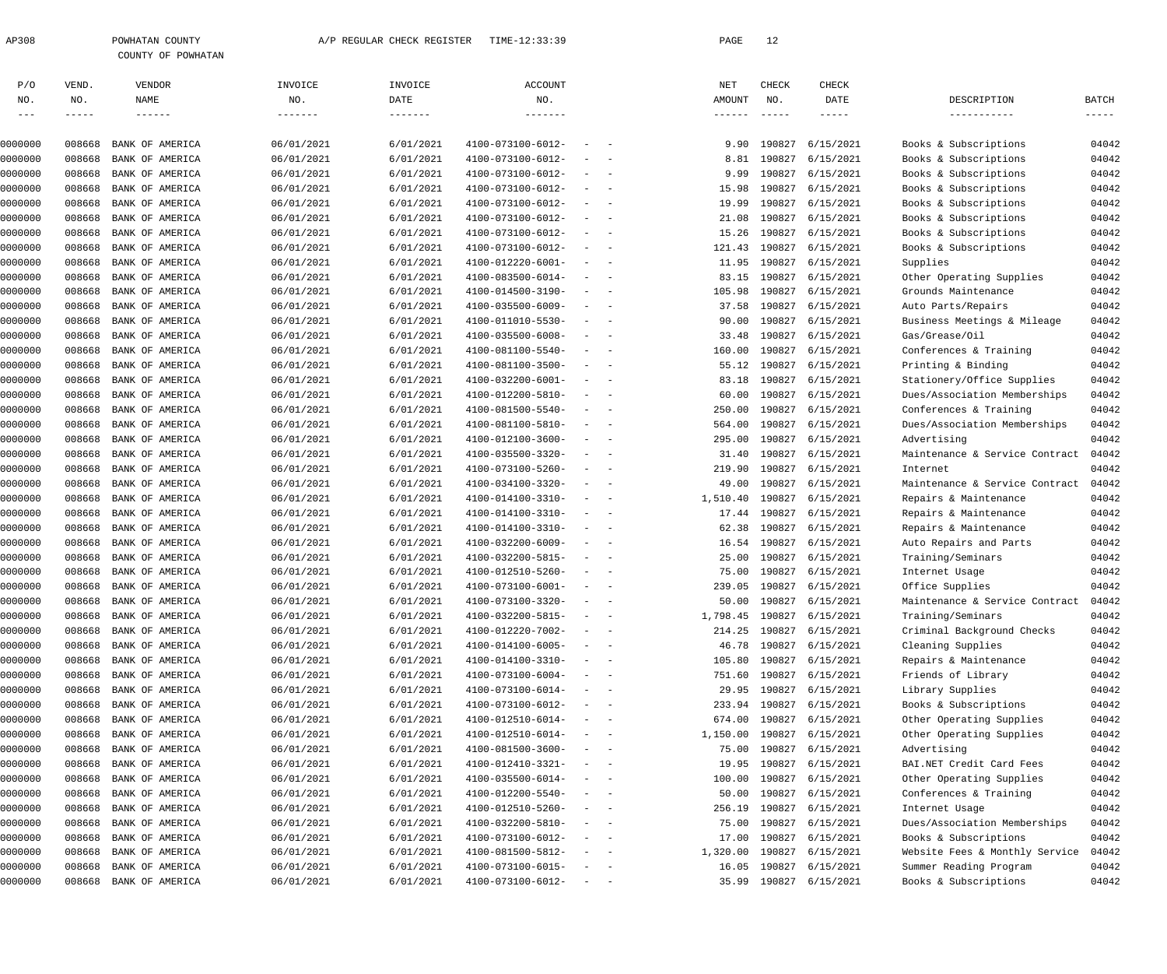| 308 | POWHATAN COUNTY |                    |
|-----|-----------------|--------------------|
|     |                 | COUNTY OF POWHATAN |

| P/O     | VEND.  | VENDOR          | INVOICE    | INVOICE         | <b>ACCOUNT</b>    |                                                                                           |                                                                                                              | NET             | CHECK        | CHECK                   |                                |             |
|---------|--------|-----------------|------------|-----------------|-------------------|-------------------------------------------------------------------------------------------|--------------------------------------------------------------------------------------------------------------|-----------------|--------------|-------------------------|--------------------------------|-------------|
| NO.     | NO.    | NAME            | NO.        | DATE            | NO.               |                                                                                           |                                                                                                              | AMOUNT          | NO.          | DATE                    | DESCRIPTION                    | BATCH       |
| $  -$   | -----  | $- - - - - - -$ |            | $- - - - - - -$ |                   |                                                                                           |                                                                                                              | $- - - - - - -$ | $- - - - -$  | $- - - - -$             | -----------                    | $- - - - -$ |
| 0000000 | 008668 | BANK OF AMERICA | 06/01/2021 | 6/01/2021       | 4100-073100-6012- |                                                                                           | $\qquad \qquad -$                                                                                            | 9.90            | 190827       | 6/15/2021               | Books & Subscriptions          | 04042       |
| 0000000 | 008668 | BANK OF AMERICA | 06/01/2021 | 6/01/2021       | 4100-073100-6012- | $\sim$                                                                                    | $\sim$                                                                                                       | 8.81            | 190827       | 6/15/2021               | Books & Subscriptions          | 04042       |
| 0000000 | 008668 | BANK OF AMERICA | 06/01/2021 | 6/01/2021       | 4100-073100-6012- | $-$                                                                                       | $\sim$                                                                                                       | 9.99            | 190827       | 6/15/2021               | Books & Subscriptions          | 04042       |
| 0000000 | 008668 | BANK OF AMERICA | 06/01/2021 | 6/01/2021       | 4100-073100-6012- |                                                                                           | $\frac{1}{2} \left( \frac{1}{2} \right) \left( \frac{1}{2} \right) = \frac{1}{2} \left( \frac{1}{2} \right)$ | 15.98           | 190827       | 6/15/2021               | Books & Subscriptions          | 04042       |
| 0000000 | 008668 | BANK OF AMERICA | 06/01/2021 | 6/01/2021       | 4100-073100-6012- | $\sim$                                                                                    | $\sim$ $-$                                                                                                   | 19.99           | 190827       | 6/15/2021               | Books & Subscriptions          | 04042       |
| 0000000 | 008668 | BANK OF AMERICA | 06/01/2021 | 6/01/2021       | 4100-073100-6012- | $\sim$                                                                                    | $\sim$                                                                                                       | 21.08           | 190827       | 6/15/2021               | Books & Subscriptions          | 04042       |
| 0000000 | 008668 | BANK OF AMERICA | 06/01/2021 | 6/01/2021       | 4100-073100-6012- |                                                                                           | $\frac{1}{2} \left( \frac{1}{2} \right) \left( \frac{1}{2} \right) = \frac{1}{2} \left( \frac{1}{2} \right)$ | 15.26           | 190827       | 6/15/2021               | Books & Subscriptions          | 04042       |
| 0000000 | 008668 | BANK OF AMERICA | 06/01/2021 | 6/01/2021       | 4100-073100-6012- | $\sim$                                                                                    | $\sim$                                                                                                       | 121.43          | 190827       | 6/15/2021               | Books & Subscriptions          | 04042       |
| 0000000 | 008668 | BANK OF AMERICA | 06/01/2021 | 6/01/2021       | 4100-012220-6001- | $\sim$                                                                                    | $\overline{\phantom{a}}$                                                                                     | 11.95           | 190827       | 6/15/2021               | Supplies                       | 04042       |
| 0000000 | 008668 | BANK OF AMERICA | 06/01/2021 | 6/01/2021       | 4100-083500-6014- | $\sim$                                                                                    | $\overline{\phantom{a}}$                                                                                     | 83.15           | 190827       | 6/15/2021               | Other Operating Supplies       | 04042       |
| 0000000 | 008668 | BANK OF AMERICA | 06/01/2021 | 6/01/2021       | 4100-014500-3190- | $\sim$                                                                                    | $\sim$                                                                                                       | 105.98          | 190827       | 6/15/2021               | Grounds Maintenance            | 04042       |
| 0000000 | 008668 | BANK OF AMERICA | 06/01/2021 | 6/01/2021       | 4100-035500-6009- |                                                                                           | $\frac{1}{2} \left( \frac{1}{2} \right) \left( \frac{1}{2} \right) = \frac{1}{2} \left( \frac{1}{2} \right)$ | 37.58           | 190827       | 6/15/2021               | Auto Parts/Repairs             | 04042       |
| 0000000 | 008668 | BANK OF AMERICA | 06/01/2021 | 6/01/2021       | 4100-011010-5530- |                                                                                           | $\frac{1}{2} \left( \frac{1}{2} \right) \left( \frac{1}{2} \right) = \frac{1}{2} \left( \frac{1}{2} \right)$ | 90.00           | 190827       | 6/15/2021               | Business Meetings & Mileage    | 04042       |
| 0000000 | 008668 | BANK OF AMERICA | 06/01/2021 | 6/01/2021       | 4100-035500-6008- | $\sim$                                                                                    | $\sim$                                                                                                       | 33.48           | 190827       | 6/15/2021               | Gas/Grease/Oil                 | 04042       |
| 0000000 | 008668 | BANK OF AMERICA | 06/01/2021 | 6/01/2021       | 4100-081100-5540- | $\sim$                                                                                    | $\overline{\phantom{a}}$                                                                                     | 160.00          | 190827       | 6/15/2021               | Conferences & Training         | 04042       |
| 0000000 | 008668 | BANK OF AMERICA | 06/01/2021 | 6/01/2021       | 4100-081100-3500- | $\sim$                                                                                    | $\sim$ $-$                                                                                                   | 55.12           | 190827       | 6/15/2021               | Printing & Binding             | 04042       |
| 0000000 | 008668 | BANK OF AMERICA | 06/01/2021 | 6/01/2021       | 4100-032200-6001- | $\sim$                                                                                    | $\overline{\phantom{a}}$                                                                                     | 83.18           | 190827       | 6/15/2021               | Stationery/Office Supplies     | 04042       |
| 0000000 | 008668 | BANK OF AMERICA | 06/01/2021 | 6/01/2021       | 4100-012200-5810- |                                                                                           | $\frac{1}{2} \left( \frac{1}{2} \right) \left( \frac{1}{2} \right) = \frac{1}{2} \left( \frac{1}{2} \right)$ | 60.00           | 190827       | 6/15/2021               | Dues/Association Memberships   | 04042       |
| 0000000 | 008668 | BANK OF AMERICA | 06/01/2021 | 6/01/2021       | 4100-081500-5540- | $\sim$                                                                                    | $\sim$ $-$                                                                                                   | 250.00          | 190827       | 6/15/2021               | Conferences & Training         | 04042       |
| 0000000 | 008668 | BANK OF AMERICA | 06/01/2021 | 6/01/2021       | 4100-081100-5810- | $\sim$                                                                                    | $\sim$                                                                                                       | 564.00          | 190827       | 6/15/2021               | Dues/Association Memberships   | 04042       |
| 0000000 | 008668 | BANK OF AMERICA | 06/01/2021 | 6/01/2021       | 4100-012100-3600- |                                                                                           | $\frac{1}{2} \left( \frac{1}{2} \right) \left( \frac{1}{2} \right) = \frac{1}{2} \left( \frac{1}{2} \right)$ | 295.00          | 190827       | 6/15/2021               | Advertising                    | 04042       |
| 0000000 | 008668 | BANK OF AMERICA | 06/01/2021 | 6/01/2021       | 4100-035500-3320- | $\sim$                                                                                    | $\sim$ $-$                                                                                                   | 31.40           | 190827       | 6/15/2021               | Maintenance & Service Contract | 04042       |
| 0000000 | 008668 | BANK OF AMERICA | 06/01/2021 | 6/01/2021       | 4100-073100-5260- | $\sim$                                                                                    | $\sim$                                                                                                       | 219.90          | 190827       | 6/15/2021               | Internet                       | 04042       |
| 0000000 | 008668 | BANK OF AMERICA | 06/01/2021 | 6/01/2021       | 4100-034100-3320- |                                                                                           | $\frac{1}{2} \left( \frac{1}{2} \right) \left( \frac{1}{2} \right) = \frac{1}{2} \left( \frac{1}{2} \right)$ | 49.00           | 190827       | 6/15/2021               | Maintenance & Service Contract | 04042       |
| 0000000 | 008668 | BANK OF AMERICA | 06/01/2021 | 6/01/2021       | 4100-014100-3310- | $\sim$                                                                                    | $\overline{\phantom{a}}$                                                                                     | 1,510.40        | 190827       | 6/15/2021               | Repairs & Maintenance          | 04042       |
| 0000000 | 008668 | BANK OF AMERICA | 06/01/2021 | 6/01/2021       | 4100-014100-3310- | $\sim$                                                                                    | $\sim$ $-$                                                                                                   |                 | 17.44 190827 | 6/15/2021               | Repairs & Maintenance          | 04042       |
| 0000000 | 008668 | BANK OF AMERICA | 06/01/2021 | 6/01/2021       | 4100-014100-3310- |                                                                                           | $\frac{1}{2} \left( \frac{1}{2} \right) \left( \frac{1}{2} \right) = \frac{1}{2} \left( \frac{1}{2} \right)$ | 62.38           | 190827       | 6/15/2021               | Repairs & Maintenance          | 04042       |
| 0000000 | 008668 | BANK OF AMERICA | 06/01/2021 | 6/01/2021       | 4100-032200-6009- | $\sim$                                                                                    | $\sim$                                                                                                       |                 | 16.54 190827 | 6/15/2021               | Auto Repairs and Parts         | 04042       |
| 0000000 | 008668 | BANK OF AMERICA | 06/01/2021 | 6/01/2021       | 4100-032200-5815- | $\sim$                                                                                    | $\overline{\phantom{a}}$                                                                                     |                 | 25.00 190827 | 6/15/2021               | Training/Seminars              | 04042       |
| 0000000 | 008668 | BANK OF AMERICA | 06/01/2021 | 6/01/2021       | 4100-012510-5260- |                                                                                           | $\frac{1}{2} \left( \frac{1}{2} \right) \left( \frac{1}{2} \right) = \frac{1}{2} \left( \frac{1}{2} \right)$ | 75.00           | 190827       | 6/15/2021               | Internet Usage                 | 04042       |
| 0000000 | 008668 | BANK OF AMERICA | 06/01/2021 | 6/01/2021       | 4100-073100-6001- | $\sim$                                                                                    | $\overline{\phantom{a}}$                                                                                     | 239.05          | 190827       | 6/15/2021               | Office Supplies                | 04042       |
| 0000000 | 008668 | BANK OF AMERICA | 06/01/2021 | 6/01/2021       | 4100-073100-3320- | $-$                                                                                       | $\sim$                                                                                                       | 50.00           | 190827       | 6/15/2021               | Maintenance & Service Contract | 04042       |
| 0000000 | 008668 | BANK OF AMERICA | 06/01/2021 | 6/01/2021       | 4100-032200-5815- | $\sim$                                                                                    |                                                                                                              | 1,798.45        |              | 190827 6/15/2021        | Training/Seminars              | 04042       |
| 0000000 | 008668 | BANK OF AMERICA | 06/01/2021 | 6/01/2021       | 4100-012220-7002- |                                                                                           |                                                                                                              |                 |              | 214.25 190827 6/15/2021 | Criminal Background Checks     | 04042       |
| 0000000 | 008668 | BANK OF AMERICA | 06/01/2021 | 6/01/2021       | 4100-014100-6005- |                                                                                           | $\alpha = 1, \ldots, n-1$                                                                                    |                 |              | 46.78 190827 6/15/2021  | Cleaning Supplies              | 04042       |
| 0000000 | 008668 | BANK OF AMERICA | 06/01/2021 | 6/01/2021       | 4100-014100-3310- |                                                                                           | $\qquad \qquad -$                                                                                            | 105.80          | 190827       | 6/15/2021               | Repairs & Maintenance          | 04042       |
| 0000000 | 008668 | BANK OF AMERICA | 06/01/2021 | 6/01/2021       | 4100-073100-6004- |                                                                                           | $\qquad \qquad -$                                                                                            | 751.60          |              | 190827 6/15/2021        | Friends of Library             | 04042       |
| 0000000 | 008668 | BANK OF AMERICA | 06/01/2021 | 6/01/2021       | 4100-073100-6014- |                                                                                           | $\frac{1}{2}$ and $\frac{1}{2}$ and $\frac{1}{2}$                                                            |                 |              | 29.95 190827 6/15/2021  | Library Supplies               | 04042       |
| 0000000 | 008668 | BANK OF AMERICA | 06/01/2021 | 6/01/2021       | 4100-073100-6012- |                                                                                           | $\sim$ $ -$                                                                                                  | 233.94 190827   |              | 6/15/2021               | Books & Subscriptions          | 04042       |
| 0000000 | 008668 | BANK OF AMERICA | 06/01/2021 | 6/01/2021       | 4100-012510-6014- |                                                                                           | $\sim$ $ -$                                                                                                  | 674.00          |              | 190827 6/15/2021        | Other Operating Supplies       | 04042       |
| 0000000 | 008668 | BANK OF AMERICA | 06/01/2021 | 6/01/2021       | 4100-012510-6014- |                                                                                           | $\frac{1}{2}$ and $\frac{1}{2}$ and $\frac{1}{2}$                                                            | 1,150.00        | 190827       | 6/15/2021               | Other Operating Supplies       | 04042       |
| 0000000 | 008668 | BANK OF AMERICA | 06/01/2021 | 6/01/2021       | 4100-081500-3600- |                                                                                           | $\sim$ $ -$                                                                                                  | 75.00           | 190827       | 6/15/2021               | Advertising                    | 04042       |
| 0000000 | 008668 | BANK OF AMERICA | 06/01/2021 | 6/01/2021       | 4100-012410-3321- |                                                                                           | $\sim$ $ -$                                                                                                  | 19.95           |              | 190827 6/15/2021        | BAI.NET Credit Card Fees       | 04042       |
| 0000000 | 008668 | BANK OF AMERICA | 06/01/2021 | 6/01/2021       | 4100-035500-6014- |                                                                                           | $\sim$ 100 $\sim$ 100 $\sim$                                                                                 | 100.00          | 190827       | 6/15/2021               | Other Operating Supplies       | 04042       |
| 0000000 | 008668 | BANK OF AMERICA | 06/01/2021 | 6/01/2021       | 4100-012200-5540- |                                                                                           | $\qquad \qquad -$                                                                                            | 50.00           | 190827       | 6/15/2021               | Conferences & Training         | 04042       |
| 0000000 | 008668 | BANK OF AMERICA | 06/01/2021 | 6/01/2021       | 4100-012510-5260- |                                                                                           | $\qquad \qquad -$                                                                                            | 256.19          |              | 190827 6/15/2021        | Internet Usage                 | 04042       |
| 0000000 | 008668 | BANK OF AMERICA | 06/01/2021 | 6/01/2021       | 4100-032200-5810- |                                                                                           | $\sim$ 100 $\sim$ 100 $\sim$                                                                                 | 75.00           | 190827       | 6/15/2021               | Dues/Association Memberships   | 04042       |
| 0000000 | 008668 | BANK OF AMERICA | 06/01/2021 | 6/01/2021       | 4100-073100-6012- |                                                                                           | $\sim$ $ -$                                                                                                  | 17.00           | 190827       | 6/15/2021               | Books & Subscriptions          | 04042       |
| 0000000 | 008668 | BANK OF AMERICA | 06/01/2021 | 6/01/2021       | 4100-081500-5812- |                                                                                           | $\qquad \qquad -$                                                                                            | 1,320.00        |              | 190827 6/15/2021        | Website Fees & Monthly Service | 04042       |
| 0000000 | 008668 | BANK OF AMERICA | 06/01/2021 | 6/01/2021       | 4100-073100-6015- |                                                                                           | $\sim$ $ -$                                                                                                  |                 |              | 16.05 190827 6/15/2021  | Summer Reading Program         | 04042       |
| 0000000 | 008668 | BANK OF AMERICA | 06/01/2021 | 6/01/2021       | 4100-073100-6012- | $\alpha \rightarrow \alpha \beta \gamma \gamma \gamma \gamma \gamma \gamma \gamma \gamma$ |                                                                                                              |                 |              | 35.99 190827 6/15/2021  | Books & Subscriptions          | 04042       |
|         |        |                 |            |                 |                   |                                                                                           |                                                                                                              |                 |              |                         |                                |             |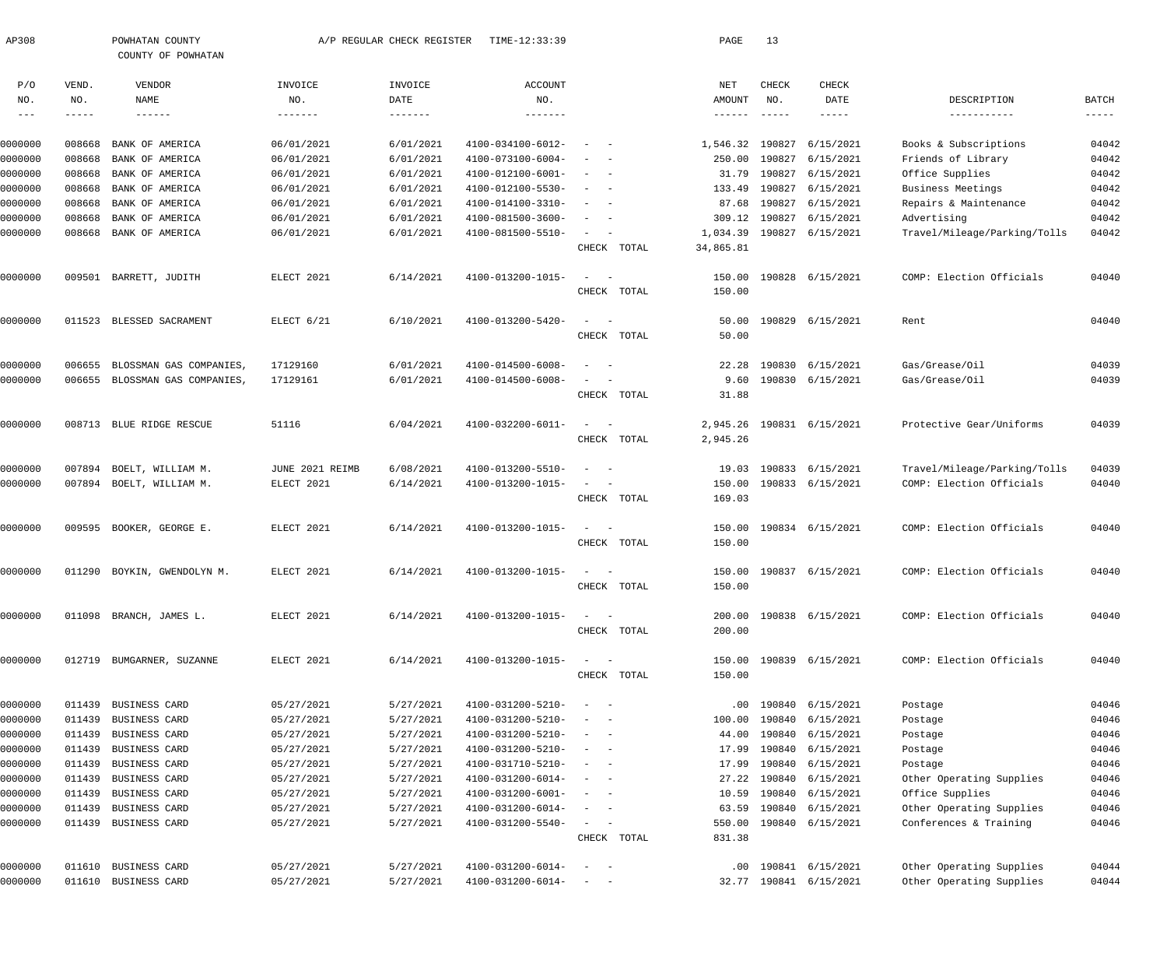| AP308                                    |                               | POWHATAN COUNTY<br>COUNTY OF POWHATAN         |                           | A/P REGULAR CHECK REGISTER           | TIME-12:33:39                          |                                                                                                              |             | PAGE                  | 13                            |                         |                                  |                             |
|------------------------------------------|-------------------------------|-----------------------------------------------|---------------------------|--------------------------------------|----------------------------------------|--------------------------------------------------------------------------------------------------------------|-------------|-----------------------|-------------------------------|-------------------------|----------------------------------|-----------------------------|
| P/O<br>NO.<br>$\qquad \qquad - \qquad -$ | VEND.<br>NO.<br>$- - - - - -$ | VENDOR<br>NAME<br>$\qquad \qquad - - - - - -$ | INVOICE<br>NO.<br>------- | INVOICE<br>DATE<br>$- - - - - - - -$ | <b>ACCOUNT</b><br>NO.<br>-------       |                                                                                                              |             | NET<br>AMOUNT         | CHECK<br>NO.<br>$- - - - - -$ | CHECK<br>DATE<br>-----  | DESCRIPTION<br>-----------       | <b>BATCH</b><br>$- - - - -$ |
| 0000000                                  | 008668                        | BANK OF AMERICA                               | 06/01/2021                | 6/01/2021                            | 4100-034100-6012-                      | $\sim$                                                                                                       |             | 1,546.32              | 190827                        | 6/15/2021               | Books & Subscriptions            | 04042                       |
| 0000000                                  | 008668                        | <b>BANK OF AMERICA</b>                        | 06/01/2021                | 6/01/2021                            | 4100-073100-6004-                      |                                                                                                              |             | 250.00                | 190827                        | 6/15/2021               | Friends of Library               | 04042                       |
| 0000000                                  | 008668                        | BANK OF AMERICA                               | 06/01/2021                | 6/01/2021                            | 4100-012100-6001-                      | $\overline{\phantom{a}}$                                                                                     |             | 31.79                 | 190827                        | 6/15/2021               | Office Supplies                  | 04042                       |
| 0000000                                  | 008668                        | BANK OF AMERICA                               | 06/01/2021                | 6/01/2021                            | 4100-012100-5530-                      |                                                                                                              |             | 133.49                | 190827                        | 6/15/2021               | Business Meetings                | 04042                       |
| 0000000                                  | 008668                        | BANK OF AMERICA                               | 06/01/2021                | 6/01/2021                            | 4100-014100-3310-                      |                                                                                                              |             | 87.68                 | 190827                        | 6/15/2021               | Repairs & Maintenance            | 04042                       |
| 0000000                                  | 008668                        | BANK OF AMERICA                               | 06/01/2021                | 6/01/2021                            | 4100-081500-3600-                      |                                                                                                              |             | 309.12                | 190827                        | 6/15/2021               | Advertising                      | 04042                       |
| 0000000                                  | 008668                        | BANK OF AMERICA                               | 06/01/2021                | 6/01/2021                            | 4100-081500-5510-                      | $\sim$                                                                                                       | CHECK TOTAL | 1,034.39<br>34,865.81 | 190827                        | 6/15/2021               | Travel/Mileage/Parking/Tolls     | 04042                       |
| 0000000                                  | 009501                        | BARRETT, JUDITH                               | ELECT 2021                | 6/14/2021                            | 4100-013200-1015-                      | $\sim$<br>$\overline{\phantom{0}}$                                                                           |             | 150.00                |                               | 190828 6/15/2021        | COMP: Election Officials         | 04040                       |
|                                          |                               |                                               |                           |                                      |                                        |                                                                                                              | CHECK TOTAL | 150.00                |                               |                         |                                  |                             |
| 0000000                                  | 011523                        | BLESSED SACRAMENT                             | ELECT 6/21                | 6/10/2021                            | 4100-013200-5420-                      | $\sim$<br>- -                                                                                                |             | 50.00                 |                               | 190829 6/15/2021        | Rent                             | 04040                       |
|                                          |                               |                                               |                           |                                      |                                        |                                                                                                              | CHECK TOTAL | 50.00                 |                               |                         |                                  |                             |
| 0000000                                  | 006655                        | BLOSSMAN GAS COMPANIES,                       | 17129160                  | 6/01/2021                            | 4100-014500-6008-                      | $\sim$                                                                                                       |             | 22.28                 | 190830                        | 6/15/2021               | Gas/Grease/Oil<br>Gas/Grease/Oil | 04039                       |
| 0000000                                  | 006655                        | BLOSSMAN GAS COMPANIES,                       | 17129161                  | 6/01/2021                            | 4100-014500-6008-                      | $\overline{\phantom{a}}$                                                                                     | CHECK TOTAL | 9.60<br>31.88         |                               | 190830 6/15/2021        |                                  | 04039                       |
| 0000000                                  |                               | 008713 BLUE RIDGE RESCUE                      | 51116                     | 6/04/2021                            | 4100-032200-6011-                      | $\sim$<br>$\sim$ $-$                                                                                         |             | 2,945.26              |                               | 190831 6/15/2021        | Protective Gear/Uniforms         | 04039                       |
|                                          |                               |                                               |                           |                                      |                                        |                                                                                                              | CHECK TOTAL | 2,945.26              |                               |                         |                                  |                             |
| 0000000                                  | 007894                        | BOELT, WILLIAM M.                             | JUNE 2021 REIMB           | 6/08/2021                            | 4100-013200-5510-                      | $\sim$                                                                                                       |             |                       |                               | 19.03 190833 6/15/2021  | Travel/Mileage/Parking/Tolls     | 04039                       |
| 0000000                                  | 007894                        | BOELT, WILLIAM M.                             | ELECT 2021                | 6/14/2021                            | 4100-013200-1015-                      | $\sim$<br>$\overline{\phantom{0}}$                                                                           |             | 150.00                |                               | 190833 6/15/2021        | COMP: Election Officials         | 04040                       |
|                                          |                               |                                               |                           |                                      |                                        |                                                                                                              | CHECK TOTAL | 169.03                |                               |                         |                                  |                             |
| 0000000                                  | 009595                        | BOOKER, GEORGE E.                             | ELECT 2021                | 6/14/2021                            | 4100-013200-1015-                      | $\sim$<br>$\sim$ $-$                                                                                         |             | 150.00                |                               | 190834 6/15/2021        | COMP: Election Officials         | 04040                       |
|                                          |                               |                                               |                           |                                      |                                        |                                                                                                              | CHECK TOTAL | 150.00                |                               |                         |                                  |                             |
| 0000000                                  | 011290                        | BOYKIN, GWENDOLYN M.                          | ELECT 2021                | 6/14/2021                            | 4100-013200-1015-                      | $\overline{\phantom{a}}$                                                                                     |             |                       |                               | 150.00 190837 6/15/2021 | COMP: Election Officials         | 04040                       |
|                                          |                               |                                               |                           |                                      |                                        | CHECK                                                                                                        | TOTAL       | 150.00                |                               |                         |                                  |                             |
| 0000000                                  |                               | 011098 BRANCH, JAMES L.                       | ELECT 2021                | 6/14/2021                            | 4100-013200-1015-                      | $\frac{1}{2}$ and $\frac{1}{2}$ and $\frac{1}{2}$                                                            |             |                       |                               | 200.00 190838 6/15/2021 | COMP: Election Officials         | 04040                       |
|                                          |                               |                                               |                           |                                      |                                        |                                                                                                              | CHECK TOTAL | 200.00                |                               |                         |                                  |                             |
| 0000000                                  |                               | 012719 BUMGARNER, SUZANNE                     | ELECT 2021                | 6/14/2021                            | 4100-013200-1015-                      | $\frac{1}{2} \left( \frac{1}{2} \right) \left( \frac{1}{2} \right) = \frac{1}{2} \left( \frac{1}{2} \right)$ |             |                       |                               | 150.00 190839 6/15/2021 | COMP: Election Officials         | 04040                       |
|                                          |                               |                                               |                           |                                      |                                        |                                                                                                              | CHECK TOTAL | 150.00                |                               |                         |                                  |                             |
| 0000000                                  | 011439                        | BUSINESS CARD                                 | 05/27/2021                | 5/27/2021                            | 4100-031200-5210-                      | $\sim$<br>$\sim$ $-$                                                                                         |             | .00                   |                               | 190840 6/15/2021        | Postage                          | 04046                       |
| 0000000                                  | 011439                        | BUSINESS CARD                                 | 05/27/2021                | 5/27/2021                            | 4100-031200-5210-                      | $\sim$                                                                                                       |             | 100.00                | 190840                        | 6/15/2021               | Postage                          | 04046                       |
| 0000000                                  | 011439                        | BUSINESS CARD                                 | 05/27/2021<br>05/27/2021  | 5/27/2021<br>5/27/2021               | 4100-031200-5210-                      | $\overline{\phantom{m}}$<br>$\sim$ $-$<br>$\sim$<br>$\sim$ $-$                                               |             | 44.00                 | 190840                        | 6/15/2021               | Postage                          | 04046<br>04046              |
| 0000000<br>0000000                       | 011439<br>011439              | BUSINESS CARD<br>BUSINESS CARD                | 05/27/2021                | 5/27/2021                            | 4100-031200-5210-<br>4100-031710-5210- | $\sim$                                                                                                       |             | 17.99<br>17.99        | 190840<br>190840              | 6/15/2021<br>6/15/2021  | Postage<br>Postage               | 04046                       |
| 0000000                                  | 011439                        | BUSINESS CARD                                 | 05/27/2021                | 5/27/2021                            | 4100-031200-6014-                      | $\overline{\phantom{m}}$<br>$\sim$ $-$                                                                       |             |                       | 27.22 190840                  | 6/15/2021               | Other Operating Supplies         | 04046                       |
| 0000000                                  | 011439                        | BUSINESS CARD                                 | 05/27/2021                | 5/27/2021                            | 4100-031200-6001-                      | $\sim$<br>$\sim$ $-$                                                                                         |             | 10.59                 |                               | 190840 6/15/2021        | Office Supplies                  | 04046                       |
| 0000000                                  | 011439                        | BUSINESS CARD                                 | 05/27/2021                | 5/27/2021                            | 4100-031200-6014-                      | $\sim$<br>$\sim$ $-$                                                                                         |             | 63.59                 |                               | 190840 6/15/2021        | Other Operating Supplies         | 04046                       |
| 0000000                                  |                               | 011439 BUSINESS CARD                          | 05/27/2021                | 5/27/2021                            | 4100-031200-5540-                      | $\sim$ $  -$                                                                                                 |             | 550.00                |                               | 190840 6/15/2021        | Conferences & Training           | 04046                       |
|                                          |                               |                                               |                           |                                      |                                        |                                                                                                              | CHECK TOTAL | 831.38                |                               |                         |                                  |                             |
| 0000000                                  |                               | 011610 BUSINESS CARD                          | 05/27/2021                | 5/27/2021                            | 4100-031200-6014-                      | $\sim$<br>$\sim$ $-$                                                                                         |             | $.00 \,$              |                               | 190841 6/15/2021        | Other Operating Supplies         | 04044                       |
| 0000000                                  |                               | 011610 BUSINESS CARD                          | 05/27/2021                | 5/27/2021                            | 4100-031200-6014-                      | $\alpha = 1, \ldots, \alpha$                                                                                 |             |                       |                               | 32.77 190841 6/15/2021  | Other Operating Supplies         | 04044                       |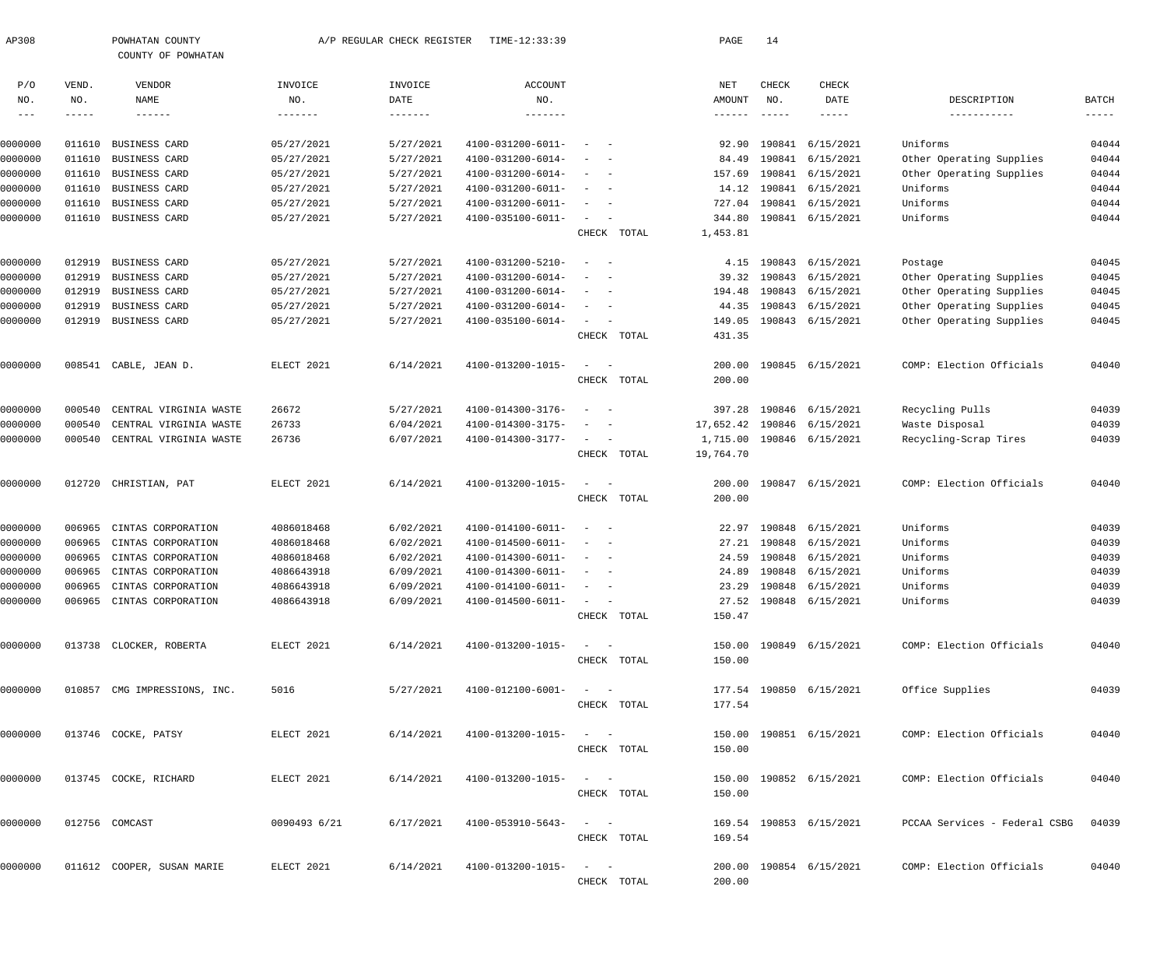| AP308                      |                    | POWHATAN COUNTY<br>COUNTY OF POWHATAN |                | A/P REGULAR CHECK REGISTER | TIME-12:33:39                |                                                         |             | PAGE                                 | 14                   |                           |                                     |                             |
|----------------------------|--------------------|---------------------------------------|----------------|----------------------------|------------------------------|---------------------------------------------------------|-------------|--------------------------------------|----------------------|---------------------------|-------------------------------------|-----------------------------|
| P/O                        | VEND.              | VENDOR                                | INVOICE        | INVOICE                    | <b>ACCOUNT</b>               |                                                         |             | NET                                  | CHECK                | CHECK                     |                                     |                             |
| NO.<br>$\qquad \qquad - -$ | NO.<br>$--- - - -$ | NAME<br>$- - - - - - -$               | NO.<br>------- | DATE<br>-------            | NO.<br>$- - - - - - - -$     |                                                         |             | AMOUNT<br>$\cdots\cdots\cdots\cdots$ | NO.<br>$- - - - - -$ | DATE<br>$- - - - - -$     | DESCRIPTION<br>-----------          | <b>BATCH</b><br>$- - - - -$ |
|                            |                    |                                       |                |                            |                              |                                                         |             |                                      |                      |                           |                                     |                             |
| 0000000                    | 011610             | BUSINESS CARD                         | 05/27/2021     | 5/27/2021                  | 4100-031200-6011-            |                                                         |             | 92.90                                |                      | 190841 6/15/2021          | Uniforms                            | 04044                       |
| 0000000                    | 011610             | <b>BUSINESS CARD</b>                  | 05/27/2021     | 5/27/2021                  | 4100-031200-6014-            |                                                         |             | 84.49                                |                      | 190841 6/15/2021          | Other Operating Supplies            | 04044                       |
| 0000000                    | 011610             | BUSINESS CARD                         | 05/27/2021     | 5/27/2021                  | 4100-031200-6014-            | $\sim$<br>$\sim$                                        |             | 157.69                               |                      | 190841 6/15/2021          | Other Operating Supplies            | 04044                       |
| 0000000                    | 011610             | BUSINESS CARD                         | 05/27/2021     | 5/27/2021                  | 4100-031200-6011-            | $\sim$                                                  |             |                                      |                      | 14.12 190841 6/15/2021    | Uniforms                            | 04044                       |
| 0000000                    | 011610             | BUSINESS CARD                         | 05/27/2021     | 5/27/2021                  | 4100-031200-6011-            | $\sim$<br>$\sim$                                        |             | 727.04                               |                      | 190841 6/15/2021          | Uniforms                            | 04044                       |
| 0000000                    | 011610             | BUSINESS CARD                         | 05/27/2021     | 5/27/2021                  | 4100-035100-6011-            | $\sim$                                                  |             | 344.80                               |                      | 190841 6/15/2021          | Uniforms                            | 04044                       |
|                            |                    |                                       |                |                            |                              |                                                         | CHECK TOTAL | 1,453.81                             |                      |                           |                                     |                             |
| 0000000                    | 012919             | BUSINESS CARD                         | 05/27/2021     | 5/27/2021                  | 4100-031200-5210-            | $\sim$ $-$                                              |             | 4.15                                 |                      | 190843 6/15/2021          | Postage                             | 04045                       |
| 0000000                    | 012919             | BUSINESS CARD                         | 05/27/2021     | 5/27/2021                  | 4100-031200-6014-            |                                                         |             |                                      |                      | 39.32 190843 6/15/2021    | Other Operating Supplies            | 04045                       |
| 0000000                    | 012919             | BUSINESS CARD                         | 05/27/2021     | 5/27/2021                  | 4100-031200-6014-            |                                                         |             | 194.48                               |                      | 190843 6/15/2021          | Other Operating Supplies            | 04045                       |
| 0000000                    | 012919             | BUSINESS CARD                         | 05/27/2021     | 5/27/2021                  | 4100-031200-6014-            | $\overline{\phantom{a}}$                                |             | 44.35                                |                      | 190843 6/15/2021          | Other Operating Supplies            | 04045                       |
| 0000000                    |                    | 012919 BUSINESS CARD                  | 05/27/2021     | 5/27/2021                  | 4100-035100-6014-            | $\sim$                                                  |             | 149.05                               |                      | 190843 6/15/2021          | Other Operating Supplies            | 04045                       |
|                            |                    |                                       |                |                            |                              |                                                         | CHECK TOTAL | 431.35                               |                      |                           |                                     |                             |
| 0000000                    |                    | 008541 CABLE, JEAN D.                 | ELECT 2021     | 6/14/2021                  | 4100-013200-1015-            | $\sim$<br>$\sim$ $-$                                    |             | 200.00                               |                      | 190845 6/15/2021          | COMP: Election Officials            | 04040                       |
|                            |                    |                                       |                |                            |                              |                                                         | CHECK TOTAL | 200.00                               |                      |                           |                                     |                             |
| 0000000                    | 000540             | CENTRAL VIRGINIA WASTE                | 26672          | 5/27/2021                  | 4100-014300-3176-            | $\overline{\phantom{a}}$                                |             | 397.28                               |                      | 190846 6/15/2021          | Recycling Pulls                     | 04039                       |
| 0000000                    | 000540             | CENTRAL VIRGINIA WASTE                | 26733          | 6/04/2021                  | 4100-014300-3175-            |                                                         |             | 17,652.42 190846 6/15/2021           |                      |                           | Waste Disposal                      | 04039                       |
| 0000000                    | 000540             | CENTRAL VIRGINIA WASTE                | 26736          | 6/07/2021                  | 4100-014300-3177-            | $\sim$<br>$\sim$ $-$                                    |             |                                      |                      | 1,715.00 190846 6/15/2021 | Recycling-Scrap Tires               | 04039                       |
|                            |                    |                                       |                |                            |                              |                                                         | CHECK TOTAL | 19,764.70                            |                      |                           |                                     |                             |
| 0000000                    |                    | 012720 CHRISTIAN, PAT                 | ELECT 2021     | 6/14/2021                  | 4100-013200-1015-            | $\sim$<br>$\sim$ $-$                                    |             | 200.00                               |                      | 190847 6/15/2021          | COMP: Election Officials            | 04040                       |
|                            |                    |                                       |                |                            |                              |                                                         | CHECK TOTAL | 200.00                               |                      |                           |                                     |                             |
| 0000000                    | 006965             | CINTAS CORPORATION                    | 4086018468     | 6/02/2021                  | 4100-014100-6011-            | $\sim$<br>$\sim$                                        |             | 22.97                                |                      | 190848 6/15/2021          | Uniforms                            | 04039                       |
| 0000000                    | 006965             | CINTAS CORPORATION                    | 4086018468     | 6/02/2021                  | 4100-014500-6011-            | $\overline{\phantom{a}}$<br>$\sim$                      |             | 27.21                                |                      | 190848 6/15/2021          | Uniforms                            | 04039                       |
| 0000000                    | 006965             | CINTAS CORPORATION                    | 4086018468     | 6/02/2021                  | 4100-014300-6011-            |                                                         |             | 24.59                                |                      | 190848 6/15/2021          | Uniforms                            | 04039                       |
| 0000000                    |                    | 006965 CINTAS CORPORATION             | 4086643918     | 6/09/2021                  | 4100-014300-6011-            | $\sim$ $-$                                              |             |                                      |                      | 24.89 190848 6/15/2021    | Uniforms                            | 04039                       |
| 0000000                    |                    | 006965 CINTAS CORPORATION             | 4086643918     | 6/09/2021                  | $4100 - 014100 - 6011 - - -$ |                                                         |             |                                      |                      | 23.29 190848 6/15/2021    | Uniforms                            | 04039                       |
| 0000000                    |                    | 006965 CINTAS CORPORATION             | 4086643918     | 6/09/2021                  | $4100 - 014500 - 6011 - - -$ |                                                         |             |                                      |                      | 27.52 190848 6/15/2021    | Uniforms                            | 04039                       |
|                            |                    |                                       |                |                            |                              |                                                         | CHECK TOTAL | 150.47                               |                      |                           |                                     |                             |
| 0000000                    |                    | 013738 CLOCKER, ROBERTA               | ELECT 2021     | 6/14/2021                  | $4100 - 013200 - 1015 - - -$ |                                                         |             |                                      |                      | 150.00 190849 6/15/2021   | COMP: Election Officials            | 04040                       |
|                            |                    |                                       |                |                            |                              |                                                         | CHECK TOTAL | 150.00                               |                      |                           |                                     |                             |
| 0000000                    |                    | 010857 CMG IMPRESSIONS, INC.          | 5016           | 5/27/2021                  | $4100 - 012100 - 6001 - - -$ |                                                         |             |                                      |                      | 177.54 190850 6/15/2021   | Office Supplies                     | 04039                       |
|                            |                    |                                       |                |                            |                              |                                                         | CHECK TOTAL | 177.54                               |                      |                           |                                     |                             |
| 0000000                    |                    | 013746 COCKE, PATSY                   | ELECT 2021     | 6/14/2021                  | $4100 - 013200 - 1015 - - -$ |                                                         |             |                                      |                      | 150.00 190851 6/15/2021   | COMP: Election Officials            | 04040                       |
|                            |                    |                                       |                |                            |                              |                                                         | CHECK TOTAL | 150.00                               |                      |                           |                                     |                             |
| 0000000                    |                    | 013745 COCKE, RICHARD                 | ELECT 2021     | 6/14/2021                  | $4100 - 013200 - 1015 - - -$ |                                                         |             |                                      |                      | 150.00 190852 6/15/2021   | COMP: Election Officials            | 04040                       |
|                            |                    |                                       |                |                            |                              |                                                         | CHECK TOTAL | 150.00                               |                      |                           |                                     |                             |
| 0000000                    |                    | 012756 COMCAST                        | 0090493 6/21   | 6/17/2021                  | 4100-053910-5643-            | $\alpha_{\rm{max}}=1.000$ and $\alpha_{\rm{max}}=0.000$ |             |                                      |                      | 169.54 190853 6/15/2021   | PCCAA Services - Federal CSBG 04039 |                             |
|                            |                    |                                       |                |                            |                              |                                                         | CHECK TOTAL | 169.54                               |                      |                           |                                     |                             |
| 0000000                    |                    | 011612 COOPER, SUSAN MARIE            | ELECT 2021     | 6/14/2021                  | 4100-013200-1015-            | $\alpha_{\rm{max}}=1.00$ and $\alpha_{\rm{max}}=0.00$   |             |                                      |                      | 200.00 190854 6/15/2021   | COMP: Election Officials            | 04040                       |
|                            |                    |                                       |                |                            |                              |                                                         | CHECK TOTAL | 200.00                               |                      |                           |                                     |                             |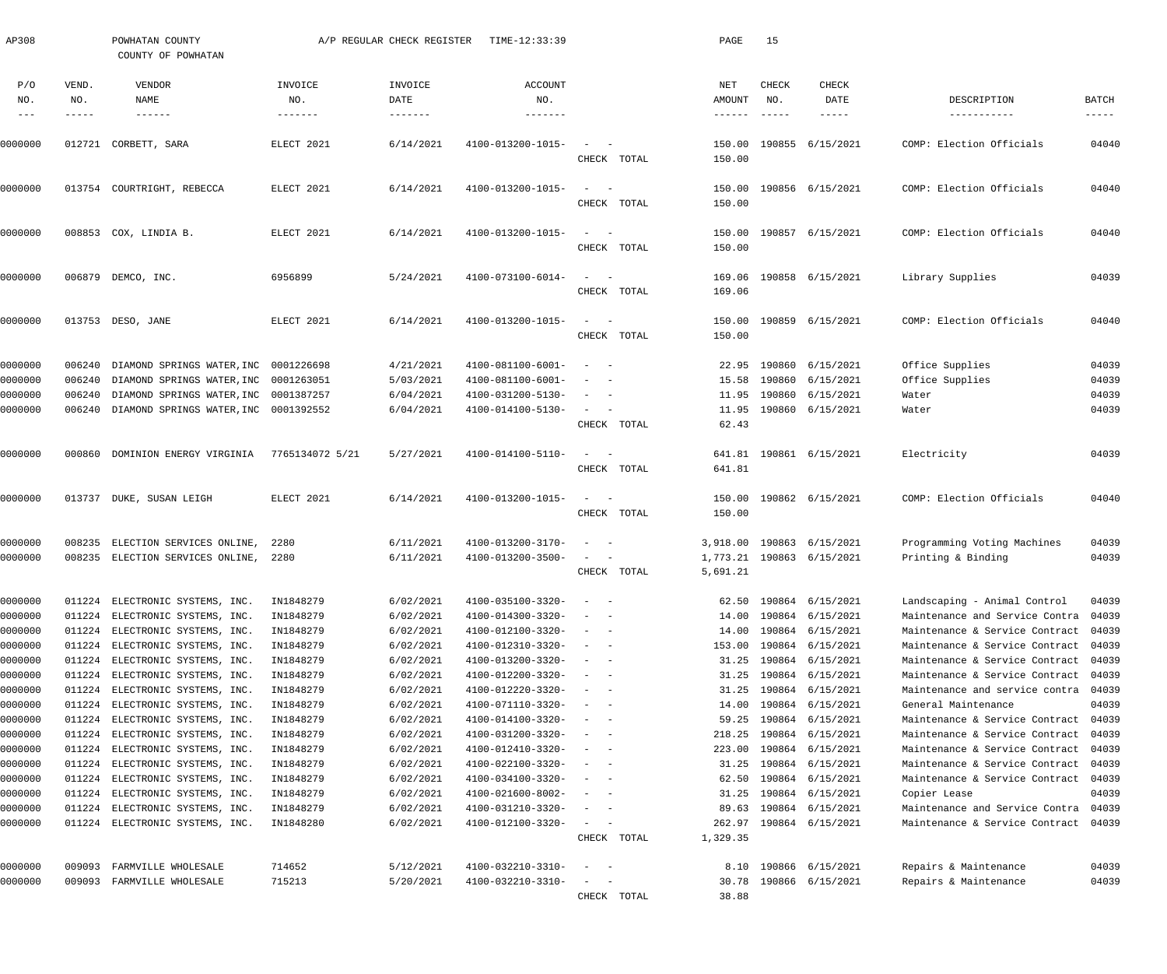| AP308               |                       | POWHATAN COUNTY<br>COUNTY OF POWHATAN                       |                                   | A/P REGULAR CHECK REGISTER | TIME-12:33:39                            |                                                                                                              |             | PAGE                             | 15                            |                                |                                                                  |                        |
|---------------------|-----------------------|-------------------------------------------------------------|-----------------------------------|----------------------------|------------------------------------------|--------------------------------------------------------------------------------------------------------------|-------------|----------------------------------|-------------------------------|--------------------------------|------------------------------------------------------------------|------------------------|
| P/O<br>NO.<br>$---$ | VEND.<br>NO.<br>----- | VENDOR<br>NAME<br>$- - - - - - -$                           | INVOICE<br>NO.<br>$- - - - - - -$ | INVOICE<br>DATE<br>------- | <b>ACCOUNT</b><br>NO.<br>$- - - - - - -$ |                                                                                                              |             | NET<br>AMOUNT<br>$- - - - - - -$ | CHECK<br>NO.<br>$\frac{1}{2}$ | CHECK<br>DATE<br>$- - - - - -$ | DESCRIPTION<br>-----------                                       | BATCH<br>$- - - - - -$ |
| 0000000             |                       | 012721 CORBETT, SARA                                        | ELECT 2021                        | 6/14/2021                  | 4100-013200-1015-                        | $\frac{1}{2} \left( \frac{1}{2} \right) \left( \frac{1}{2} \right) = \frac{1}{2} \left( \frac{1}{2} \right)$ |             | 150.00                           |                               | 190855 6/15/2021               | COMP: Election Officials                                         | 04040                  |
|                     |                       | 013754 COURTRIGHT, REBECCA                                  |                                   |                            |                                          | $\frac{1}{2} \left( \frac{1}{2} \right) \left( \frac{1}{2} \right) = \frac{1}{2} \left( \frac{1}{2} \right)$ | CHECK TOTAL | 150.00                           |                               |                                | COMP: Election Officials                                         |                        |
| 0000000             |                       |                                                             | ELECT 2021                        | 6/14/2021                  | 4100-013200-1015-                        |                                                                                                              | CHECK TOTAL | 150.00<br>150.00                 |                               | 190856 6/15/2021               |                                                                  | 04040                  |
| 0000000             |                       | 008853 COX, LINDIA B.                                       | ELECT 2021                        | 6/14/2021                  | 4100-013200-1015-                        | $\frac{1}{2} \left( \frac{1}{2} \right) \left( \frac{1}{2} \right) = \frac{1}{2} \left( \frac{1}{2} \right)$ | CHECK TOTAL | 150.00<br>150.00                 |                               | 190857 6/15/2021               | COMP: Election Officials                                         | 04040                  |
| 0000000             |                       | 006879 DEMCO, INC.                                          | 6956899                           | 5/24/2021                  | 4100-073100-6014-                        | $\frac{1}{2} \left( \frac{1}{2} \right) \left( \frac{1}{2} \right) = \frac{1}{2} \left( \frac{1}{2} \right)$ | CHECK TOTAL | 169.06<br>169.06                 |                               | 190858 6/15/2021               | Library Supplies                                                 | 04039                  |
| 0000000             |                       | 013753 DESO, JANE                                           | ELECT 2021                        | 6/14/2021                  | 4100-013200-1015-                        | $\frac{1}{2} \left( \frac{1}{2} \right) \left( \frac{1}{2} \right) = \frac{1}{2} \left( \frac{1}{2} \right)$ | CHECK TOTAL | 150.00<br>150.00                 |                               | 190859 6/15/2021               | COMP: Election Officials                                         | 04040                  |
| 0000000             | 006240                | DIAMOND SPRINGS WATER, INC                                  | 0001226698                        | 4/21/2021                  | 4100-081100-6001-                        | $\sim$<br>$\sim$ $-$                                                                                         |             | 22.95                            |                               | 190860 6/15/2021               | Office Supplies                                                  | 04039                  |
| 0000000             | 006240                | DIAMOND SPRINGS WATER, INC 0001263051                       |                                   | 5/03/2021                  | 4100-081100-6001-                        | $\sim$                                                                                                       |             | 15.58                            | 190860                        | 6/15/2021                      | Office Supplies                                                  | 04039                  |
| 0000000             | 006240                | DIAMOND SPRINGS WATER, INC 0001387257                       |                                   | 6/04/2021                  | 4100-031200-5130-                        | $\sim$<br>$\sim$ $-$                                                                                         |             | 11.95                            | 190860                        | 6/15/2021                      | Water                                                            | 04039                  |
| 0000000             | 006240                | DIAMOND SPRINGS WATER, INC 0001392552                       |                                   | 6/04/2021                  | 4100-014100-5130-                        |                                                                                                              | CHECK TOTAL | 11.95<br>62.43                   |                               | 190860 6/15/2021               | Water                                                            | 04039                  |
| 0000000             |                       | 000860 DOMINION ENERGY VIRGINIA                             | 7765134072 5/21                   | 5/27/2021                  | 4100-014100-5110-                        | $\frac{1}{2} \left( \frac{1}{2} \right) \left( \frac{1}{2} \right) = \frac{1}{2} \left( \frac{1}{2} \right)$ | CHECK TOTAL | 641.81                           |                               | 641.81 190861 6/15/2021        | Electricity                                                      | 04039                  |
| 0000000             |                       | 013737 DUKE, SUSAN LEIGH                                    | ELECT 2021                        | 6/14/2021                  | 4100-013200-1015-                        | $\frac{1}{2}$ and $\frac{1}{2}$ and $\frac{1}{2}$                                                            | CHECK TOTAL | 150.00<br>150.00                 |                               | 190862 6/15/2021               | COMP: Election Officials                                         | 04040                  |
| 0000000             |                       | 008235 ELECTION SERVICES ONLINE,                            | 2280                              | 6/11/2021                  | 4100-013200-3170-                        | $\overline{\phantom{a}}$<br>$\sim$ $-$                                                                       |             |                                  |                               | 3,918.00 190863 6/15/2021      | Programming Voting Machines                                      | 04039                  |
| 0000000             |                       | 008235 ELECTION SERVICES ONLINE,                            | 2280                              | 6/11/2021                  | 4100-013200-3500-                        | $\sim$<br>$\sim$                                                                                             | CHECK TOTAL | 5,691.21                         |                               | 1,773.21 190863 6/15/2021      | Printing & Binding                                               | 04039                  |
| 0000000             |                       | 011224 ELECTRONIC SYSTEMS, INC.                             | IN1848279                         | 6/02/2021                  | 4100-035100-3320-                        | $\overline{\phantom{a}}$<br>$\sim$                                                                           |             | 62.50                            |                               | 190864 6/15/2021               | Landscaping - Animal Control                                     | 04039                  |
| 0000000             | 011224                | ELECTRONIC SYSTEMS, INC.                                    | IN1848279                         | 6/02/2021                  | 4100-014300-3320-                        |                                                                                                              |             | 14.00                            | 190864                        | 6/15/2021                      | Maintenance and Service Contra                                   | 04039                  |
| 0000000             | 011224                | ELECTRONIC SYSTEMS, INC.                                    | IN1848279                         | 6/02/2021                  | 4100-012100-3320-                        | $\overline{\phantom{a}}$<br>$\sim$                                                                           |             | 14.00                            | 190864                        | 6/15/2021                      | Maintenance & Service Contract                                   | 04039                  |
| 0000000<br>0000000  | 011224<br>011224      | ELECTRONIC SYSTEMS, INC.<br>ELECTRONIC SYSTEMS, INC.        | IN1848279<br>IN1848279            | 6/02/2021<br>6/02/2021     | 4100-012310-3320-<br>4100-013200-3320-   | $\sim$<br>$\sim$<br>$\sim$<br>$\sim$                                                                         |             | 153.00<br>31.25                  | 190864<br>190864              | 6/15/2021<br>6/15/2021         | Maintenance & Service Contract<br>Maintenance & Service Contract | 04039<br>04039         |
| 0000000             | 011224                | ELECTRONIC SYSTEMS, INC.                                    | IN1848279                         | 6/02/2021                  | 4100-012200-3320-                        | $\overline{\phantom{a}}$<br>$\sim$                                                                           |             | 31.25                            | 190864                        | 6/15/2021                      | Maintenance & Service Contract                                   | 04039                  |
| 0000000             | 011224                | ELECTRONIC SYSTEMS, INC.                                    | IN1848279                         | 6/02/2021                  | 4100-012220-3320-                        | $\overline{\phantom{a}}$<br>$\sim$                                                                           |             | 31.25                            | 190864                        | 6/15/2021                      | Maintenance and service contra                                   | 04039                  |
| 0000000             | 011224                | ELECTRONIC SYSTEMS, INC.                                    | IN1848279                         | 6/02/2021                  | 4100-071110-3320-                        | $\sim$<br>$\sim$                                                                                             |             | 14.00                            | 190864                        | 6/15/2021                      | General Maintenance                                              | 04039                  |
| 0000000             | 011224                | ELECTRONIC SYSTEMS, INC.                                    | IN1848279                         | 6/02/2021                  | 4100-014100-3320-                        | $\overline{\phantom{a}}$<br>$\sim$                                                                           |             | 59.25                            | 190864                        | 6/15/2021                      | Maintenance & Service Contract                                   | 04039                  |
| 0000000             | 011224                | ELECTRONIC SYSTEMS, INC.                                    | IN1848279                         | 6/02/2021                  | 4100-031200-3320-                        | $\overline{\phantom{a}}$<br>$\sim$                                                                           |             | 218.25                           | 190864                        | 6/15/2021                      | Maintenance & Service Contract                                   | 04039                  |
| 0000000             | 011224                | ELECTRONIC SYSTEMS, INC.                                    | IN1848279                         | 6/02/2021                  | 4100-012410-3320-                        | $\sim$<br>$\sim$                                                                                             |             | 223.00                           | 190864                        | 6/15/2021                      | Maintenance & Service Contract                                   | 04039                  |
| 0000000             | 011224                | ELECTRONIC SYSTEMS, INC.                                    | IN1848279                         | 6/02/2021                  | 4100-022100-3320-                        | $\overline{\phantom{a}}$<br>$\sim$                                                                           |             | 31.25                            | 190864                        | 6/15/2021                      | Maintenance & Service Contract                                   | 04039                  |
| 0000000             | 011224                | ELECTRONIC SYSTEMS, INC.                                    | IN1848279                         | 6/02/2021                  | 4100-034100-3320-                        | $\overline{\phantom{a}}$<br>$\sim$                                                                           |             | 62.50                            | 190864                        | 6/15/2021                      | Maintenance & Service Contract                                   | 04039                  |
| 0000000             | 011224                | ELECTRONIC SYSTEMS, INC.                                    | IN1848279                         | 6/02/2021                  | 4100-021600-8002-                        | $\sim$<br>$\sim$                                                                                             |             | 31.25                            | 190864                        | 6/15/2021                      | Copier Lease                                                     | 04039                  |
| 0000000<br>0000000  | 011224                | ELECTRONIC SYSTEMS, INC.<br>011224 ELECTRONIC SYSTEMS, INC. | IN1848279<br>IN1848280            | 6/02/2021<br>6/02/2021     | 4100-031210-3320-<br>4100-012100-3320-   | $\overline{\phantom{a}}$<br>- -<br>$\sim$ .                                                                  |             | 89.63<br>262.97                  | 190864                        | 6/15/2021<br>190864 6/15/2021  | Maintenance and Service Contra<br>Maintenance & Service Contract | 04039<br>04039         |
|                     |                       |                                                             |                                   |                            |                                          |                                                                                                              | CHECK TOTAL | 1,329.35                         |                               |                                |                                                                  |                        |
| 0000000             | 009093                | FARMVILLE WHOLESALE                                         | 714652                            | 5/12/2021                  | 4100-032210-3310-                        | $\overline{\phantom{a}}$<br>$\sim$ $-$                                                                       |             | 8.10                             |                               | 190866 6/15/2021               | Repairs & Maintenance                                            | 04039                  |
| 0000000             | 009093                | FARMVILLE WHOLESALE                                         | 715213                            | 5/20/2021                  | 4100-032210-3310-                        |                                                                                                              |             | 30.78                            |                               | 190866 6/15/2021               | Repairs & Maintenance                                            | 04039                  |
|                     |                       |                                                             |                                   |                            |                                          |                                                                                                              | CHECK TOTAL | 38.88                            |                               |                                |                                                                  |                        |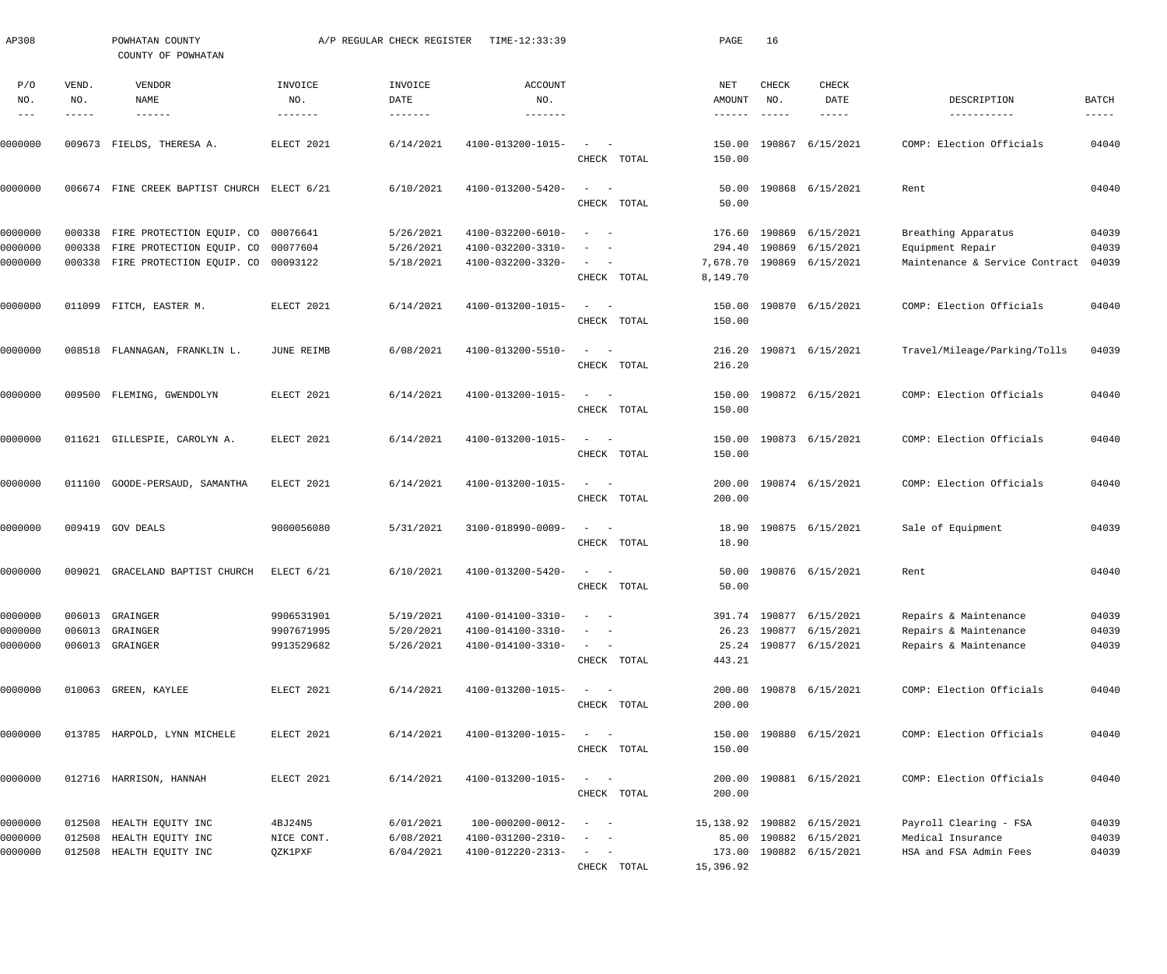| AP308      |              | POWHATAN COUNTY<br>COUNTY OF POWHATAN         |                           | A/P REGULAR CHECK REGISTER | TIME-12:33:39                    |                                                                          | PAGE             | 16           |                             |                                |       |
|------------|--------------|-----------------------------------------------|---------------------------|----------------------------|----------------------------------|--------------------------------------------------------------------------|------------------|--------------|-----------------------------|--------------------------------|-------|
| P/O<br>NO. | VEND.<br>NO. | VENDOR<br>NAME<br>$\qquad \qquad - - - - - -$ | INVOICE<br>NO.<br>------- | INVOICE<br>DATE            | <b>ACCOUNT</b><br>NO.<br>------- |                                                                          | NET<br>AMOUNT    | CHECK<br>NO. | CHECK<br>DATE               | DESCRIPTION<br>-----------     | BATCH |
| 0000000    |              | 009673 FIELDS, THERESA A.                     | ELECT 2021                | 6/14/2021                  | 4100-013200-1015-                | $\overline{\phantom{a}}$<br>$\sim$ $-$<br>CHECK TOTAL                    | 150.00<br>150.00 |              | 190867 6/15/2021            | COMP: Election Officials       | 04040 |
| 0000000    |              | 006674 FINE CREEK BAPTIST CHURCH ELECT 6/21   |                           | 6/10/2021                  | 4100-013200-5420-                | $\sim$<br>$\sim$ $-$<br>CHECK TOTAL                                      | 50.00<br>50.00   |              | 190868 6/15/2021            | Rent                           | 04040 |
| 0000000    |              | 000338 FIRE PROTECTION EQUIP. CO 00076641     |                           | 5/26/2021                  | 4100-032200-6010-                | $\overline{\phantom{m}}$<br>$\sim$                                       | 176.60           | 190869       | 6/15/2021                   | Breathing Apparatus            | 04039 |
| 0000000    |              | 000338 FIRE PROTECTION EQUIP. CO 00077604     |                           | 5/26/2021                  | 4100-032200-3310-                | $\overline{\phantom{a}}$<br>$\sim$                                       | 294.40           | 190869       | 6/15/2021                   | Equipment Repair               | 04039 |
| 0000000    |              | 000338 FIRE PROTECTION EQUIP. CO 00093122     |                           | 5/18/2021                  | 4100-032200-3320-                | $\begin{array}{cccccccccc} - & & & & & & & - \end{array}$<br>CHECK TOTAL | 8,149.70         |              | 7,678.70 190869 6/15/2021   | Maintenance & Service Contract | 04039 |
| 0000000    |              | 011099 FITCH, EASTER M.                       | ELECT 2021                | 6/14/2021                  | 4100-013200-1015-                | $\sim$<br>$\sim$ $-$<br>CHECK TOTAL                                      | 150.00<br>150.00 |              | 190870 6/15/2021            | COMP: Election Officials       | 04040 |
| 0000000    |              | 008518 FLANNAGAN, FRANKLIN L.                 | JUNE REIMB                | 6/08/2021                  | 4100-013200-5510-                | $\sim$<br>$\sim$ $-$<br>CHECK TOTAL                                      | 216.20<br>216.20 |              | 190871 6/15/2021            | Travel/Mileage/Parking/Tolls   | 04039 |
| 0000000    |              | 009500 FLEMING, GWENDOLYN                     | ELECT 2021                | 6/14/2021                  | 4100-013200-1015-                | $\sim$<br>$\sim$ $-$<br>CHECK TOTAL                                      | 150.00<br>150.00 |              | 190872 6/15/2021            | COMP: Election Officials       | 04040 |
| 0000000    |              | 011621 GILLESPIE, CAROLYN A.                  | ELECT 2021                | 6/14/2021                  | 4100-013200-1015-                | $\sim$<br>$\sim$ $-$<br>CHECK TOTAL                                      | 150.00<br>150.00 |              | 190873 6/15/2021            | COMP: Election Officials       | 04040 |
| 0000000    |              | 011100 GOODE-PERSAUD, SAMANTHA                | ELECT 2021                | 6/14/2021                  | 4100-013200-1015-                | $\sim$<br>$\sim$ $-$<br>CHECK TOTAL                                      | 200.00<br>200.00 |              | 190874 6/15/2021            | COMP: Election Officials       | 04040 |
| 0000000    |              | 009419 GOV DEALS                              | 9000056080                | 5/31/2021                  | 3100-018990-0009-                | $\sim$<br>$\sim$ $-$<br>CHECK TOTAL                                      | 18.90            |              | 18.90 190875 6/15/2021      | Sale of Equipment              | 04039 |
| 0000000    |              | 009021 GRACELAND BAPTIST CHURCH               | ELECT 6/21                | 6/10/2021                  | 4100-013200-5420-                | CHECK TOTAL                                                              | 50.00            |              | 50.00 190876 6/15/2021      | Rent                           | 04040 |
| 0000000    |              | 006013 GRAINGER                               | 9906531901                | 5/19/2021                  | 4100-014100-3310-                | $\sim$<br>$\sim$ $-$                                                     |                  |              | 391.74 190877 6/15/2021     | Repairs & Maintenance          | 04039 |
| 0000000    |              | 006013 GRAINGER                               | 9907671995                | 5/20/2021                  | 4100-014100-3310-                | $\sim$<br>$\sim$ $-$                                                     |                  |              | 26.23 190877 6/15/2021      | Repairs & Maintenance          | 04039 |
| 0000000    |              | 006013 GRAINGER                               | 9913529682                | 5/26/2021                  | 4100-014100-3310-                | $\sim$ $  -$<br>CHECK TOTAL                                              | 443.21           |              | 25.24 190877 6/15/2021      | Repairs & Maintenance          | 04039 |
| 0000000    |              | 010063 GREEN, KAYLEE                          | ELECT 2021                | 6/14/2021                  | 4100-013200-1015-                | $\frac{1}{2}$ and $\frac{1}{2}$ and $\frac{1}{2}$<br>CHECK TOTAL         | 200.00           |              | 200.00 190878 6/15/2021     | COMP: Election Officials       | 04040 |
| 0000000    |              | 013785 HARPOLD, LYNN MICHELE                  | ELECT 2021                | 6/14/2021                  | 4100-013200-1015-                | $\sim$ $  -$<br>CHECK TOTAL                                              | 150.00           |              | 150.00 190880 6/15/2021     | COMP: Election Officials       | 04040 |
| 0000000    |              | 012716 HARRISON, HANNAH                       | ELECT 2021                | 6/14/2021                  | 4100-013200-1015-                | $\sim$ $  -$<br>CHECK TOTAL                                              | 200.00           |              | 200.00 190881 6/15/2021     | COMP: Election Officials       | 04040 |
| 0000000    | 012508       | HEALTH EQUITY INC                             | 4BJ24N5                   | 6/01/2021                  | 100-000200-0012-                 | $\sim$<br>$\sim$ $-$                                                     |                  |              | 15, 138.92 190882 6/15/2021 | Payroll Clearing - FSA         | 04039 |
| 0000000    | 012508       | HEALTH EQUITY INC                             | NICE CONT.                | 6/08/2021                  | 4100-031200-2310-                | $\overline{\phantom{a}}$<br>$\sim$ $-$                                   | 85.00            |              | 190882 6/15/2021            | Medical Insurance              | 04039 |
| 0000000    | 012508       | HEALTH EQUITY INC                             | QZK1PXF                   | 6/04/2021                  | 4100-012220-2313-                | $\sim$ $  -$                                                             | 173.00           |              | 190882 6/15/2021            | HSA and FSA Admin Fees         | 04039 |
|            |              |                                               |                           |                            |                                  | CHECK TOTAL                                                              | 15,396.92        |              |                             |                                |       |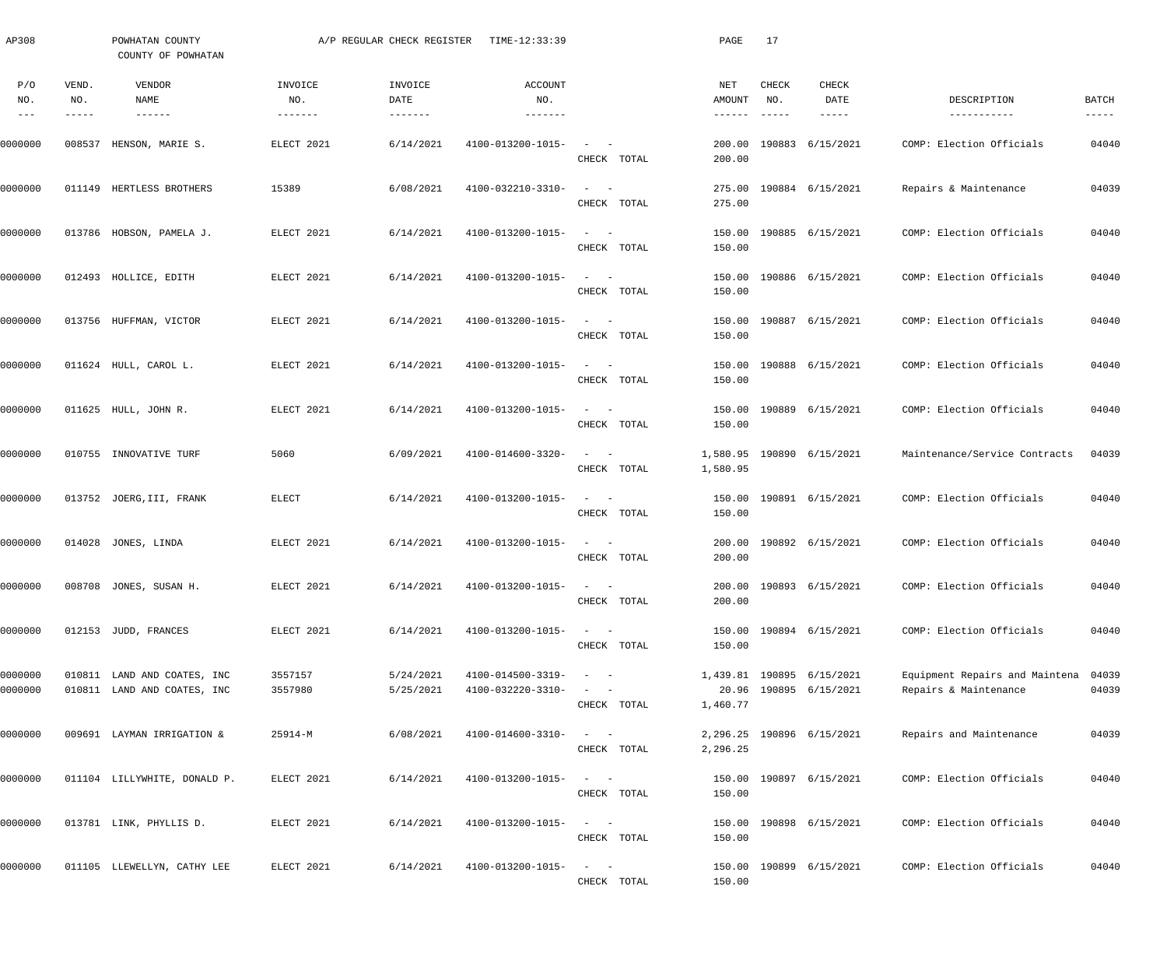| AP308                           |              | POWHATAN COUNTY<br>COUNTY OF POWHATAN                      |                                   | A/P REGULAR CHECK REGISTER | TIME-12:33:39                          |                                                                 | PAGE             | 17           |                                                     |                                                         |                      |
|---------------------------------|--------------|------------------------------------------------------------|-----------------------------------|----------------------------|----------------------------------------|-----------------------------------------------------------------|------------------|--------------|-----------------------------------------------------|---------------------------------------------------------|----------------------|
| P/O<br>NO.<br>$\qquad \qquad -$ | VEND.<br>NO. | VENDOR<br>NAME<br>$\cdots\cdots\cdots\cdots$               | INVOICE<br>NO.<br>$- - - - - - -$ | INVOICE<br>DATE            | ACCOUNT<br>NO.<br>-------              |                                                                 | NET<br>AMOUNT    | CHECK<br>NO. | CHECK<br>DATE<br>$--- - - -$                        | DESCRIPTION<br>-----------                              | BATCH<br>$- - - - -$ |
| 0000000                         | 008537       | HENSON, MARIE S.                                           | ELECT 2021                        | 6/14/2021                  | 4100-013200-1015-                      | $\sim$ $  -$<br>CHECK TOTAL                                     | 200.00<br>200.00 |              | 190883 6/15/2021                                    | COMP: Election Officials                                | 04040                |
| 0000000                         |              | 011149 HERTLESS BROTHERS                                   | 15389                             | 6/08/2021                  | 4100-032210-3310-                      | $\sim$ $  -$<br>CHECK TOTAL                                     | 275.00<br>275.00 |              | 190884 6/15/2021                                    | Repairs & Maintenance                                   | 04039                |
| 0000000                         |              | 013786 HOBSON, PAMELA J.                                   | ELECT 2021                        | 6/14/2021                  | 4100-013200-1015-                      | $\sim$ $  -$<br>CHECK TOTAL                                     | 150.00<br>150.00 |              | 190885 6/15/2021                                    | COMP: Election Officials                                | 04040                |
| 0000000                         |              | 012493 HOLLICE, EDITH                                      | ELECT 2021                        | 6/14/2021                  | 4100-013200-1015-                      | $\sim$ $  -$<br>CHECK TOTAL                                     | 150.00<br>150.00 |              | 190886 6/15/2021                                    | COMP: Election Officials                                | 04040                |
| 0000000                         |              | 013756 HUFFMAN, VICTOR                                     | ELECT 2021                        | 6/14/2021                  | 4100-013200-1015-                      | $\sim$ $  -$<br>CHECK TOTAL                                     | 150.00<br>150.00 |              | 190887 6/15/2021                                    | COMP: Election Officials                                | 04040                |
| 0000000                         |              | 011624 HULL, CAROL L.                                      | ELECT 2021                        | 6/14/2021                  | 4100-013200-1015-                      | $\sim$ $  -$<br>CHECK TOTAL                                     | 150.00<br>150.00 |              | 190888 6/15/2021                                    | COMP: Election Officials                                | 04040                |
| 0000000                         |              | 011625 HULL, JOHN R.                                       | ELECT 2021                        | 6/14/2021                  | 4100-013200-1015-                      | $\sim$ $  -$<br>CHECK TOTAL                                     | 150.00<br>150.00 |              | 190889 6/15/2021                                    | COMP: Election Officials                                | 04040                |
| 0000000                         |              | 010755 INNOVATIVE TURF                                     | 5060                              | 6/09/2021                  | 4100-014600-3320-                      | $\sim$ $ -$<br>CHECK TOTAL                                      | 1,580.95         |              | 1,580.95 190890 6/15/2021                           | Maintenance/Service Contracts                           | 04039                |
| 0000000                         |              | 013752 JOERG, III, FRANK                                   | ELECT                             | 6/14/2021                  | 4100-013200-1015-                      | $\sim$ $  -$<br>CHECK TOTAL                                     | 150.00           |              | 150.00 190891 6/15/2021                             | COMP: Election Officials                                | 04040                |
| 0000000                         |              | 014028 JONES, LINDA                                        | ELECT 2021                        | 6/14/2021                  | 4100-013200-1015-                      | $\sim$ $  -$<br>CHECK TOTAL                                     | 200.00           |              | 200.00 190892 6/15/2021                             | COMP: Election Officials                                | 04040                |
| 0000000                         |              | 008708 JONES, SUSAN H.                                     | ELECT 2021                        | 6/14/2021                  | $4100 - 013200 - 1015 - - -$           | CHECK TOTAL                                                     | 200.00           |              | 200.00 190893 6/15/2021                             | COMP: Election Officials                                | 04040                |
| 0000000                         |              | 012153 JUDD, FRANCES                                       | ELECT 2021                        | 6/14/2021                  | 4100-013200-1015-                      | $\mathcal{L} = \{1, \ldots, n\}$<br>CHECK TOTAL                 | 150.00           |              | 150.00 190894 6/15/2021                             | COMP: Election Officials                                | 04040                |
| 0000000<br>0000000              |              | 010811 LAND AND COATES, INC<br>010811 LAND AND COATES, INC | 3557157<br>3557980                | 5/24/2021<br>5/25/2021     | 4100-014500-3319-<br>4100-032220-3310- | $\mathcal{L} = \{1, \ldots, n\}$<br>$\sim$ $  -$<br>CHECK TOTAL | 1,460.77         |              | 1,439.81 190895 6/15/2021<br>20.96 190895 6/15/2021 | Equipment Repairs and Maintena<br>Repairs & Maintenance | 04039<br>04039       |
| 0000000                         |              | 009691 LAYMAN IRRIGATION &                                 | $25914 - M$                       | 6/08/2021                  | 4100-014600-3310-                      | $\sim$ $  -$<br>CHECK TOTAL                                     | 2,296.25         |              | 2,296.25 190896 6/15/2021                           | Repairs and Maintenance                                 | 04039                |
| 0000000                         |              | 011104 LILLYWHITE, DONALD P.                               | ELECT 2021                        | 6/14/2021                  | 4100-013200-1015-                      | $\sim$ $  -$<br>CHECK TOTAL                                     | 150.00           |              | 150.00 190897 6/15/2021                             | COMP: Election Officials                                | 04040                |
| 0000000                         |              | 013781 LINK, PHYLLIS D.                                    | ELECT 2021                        | 6/14/2021                  | 4100-013200-1015-                      | $\sim$ $  -$<br>CHECK TOTAL                                     | 150.00           |              | 150.00 190898 6/15/2021                             | COMP: Election Officials                                | 04040                |
| 0000000                         |              | 011105 LLEWELLYN, CATHY LEE                                | ELECT 2021                        | 6/14/2021                  | 4100-013200-1015-                      | $\sim$ $  -$<br>CHECK TOTAL                                     | 150.00           |              | 150.00 190899 6/15/2021                             | COMP: Election Officials                                | 04040                |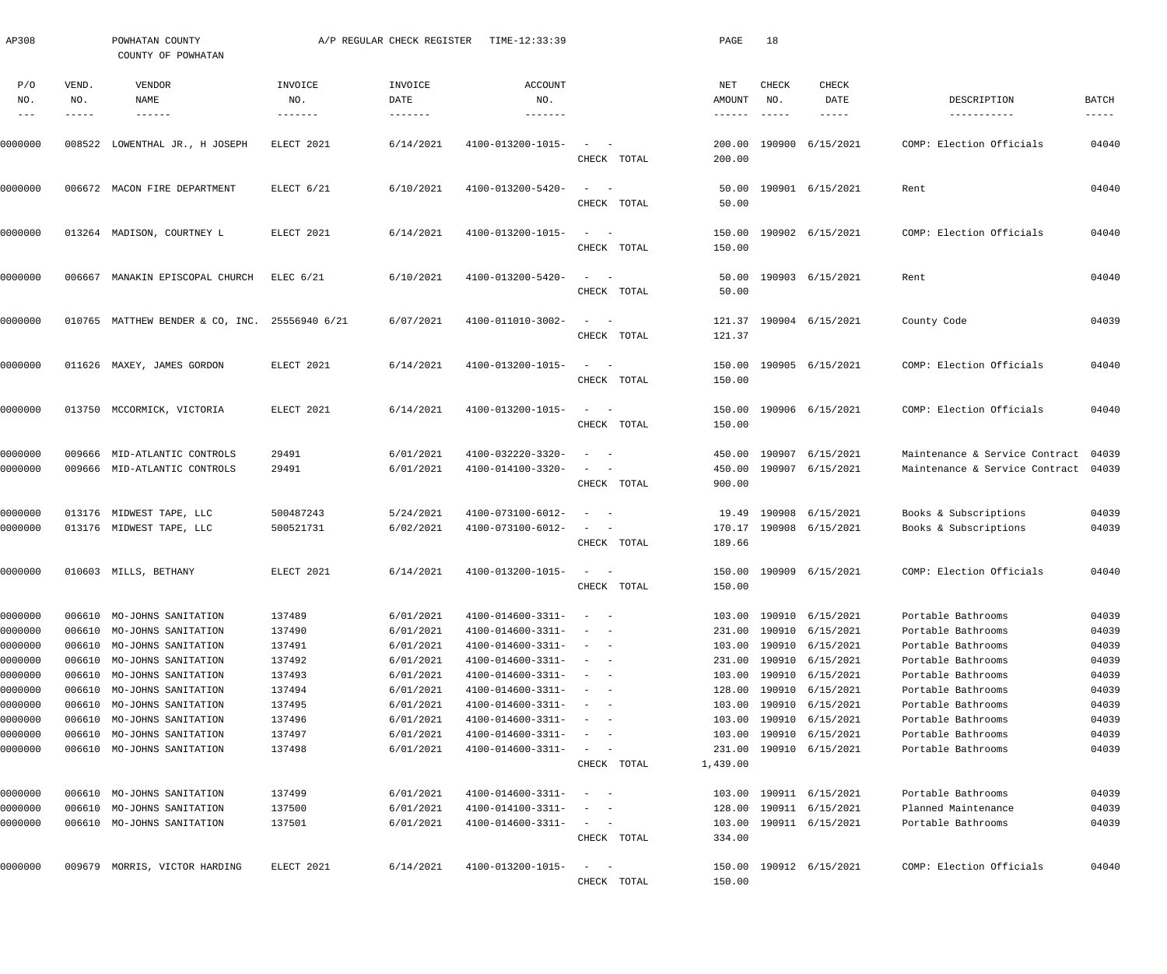| AP308                         |                            | POWHATAN COUNTY<br>COUNTY OF POWHATAN                                    |                            | A/P REGULAR CHECK REGISTER           | TIME-12:33:39                                               |                                                                       | PAGE                           | 18                            |                                                          |                                                                        |                             |
|-------------------------------|----------------------------|--------------------------------------------------------------------------|----------------------------|--------------------------------------|-------------------------------------------------------------|-----------------------------------------------------------------------|--------------------------------|-------------------------------|----------------------------------------------------------|------------------------------------------------------------------------|-----------------------------|
| P/O<br>NO.                    | VEND.<br>NO.<br>-----      | VENDOR<br>NAME<br>$- - - - - - -$                                        | INVOICE<br>NO.<br>-------  | INVOICE<br>DATE<br>$- - - - - - - -$ | ACCOUNT<br>NO.                                              |                                                                       | NET<br><b>AMOUNT</b><br>------ | CHECK<br>NO.<br>$- - - - - -$ | CHECK<br>DATE<br>-----                                   | DESCRIPTION<br>-----------                                             | <b>BATCH</b><br>$- - - - -$ |
| 0000000                       | 008522                     | LOWENTHAL JR., H JOSEPH                                                  | ELECT 2021                 | 6/14/2021                            | 4100-013200-1015-                                           | CHECK TOTAL                                                           | 200.00<br>200.00               |                               | 190900 6/15/2021                                         | COMP: Election Officials                                               | 04040                       |
| 0000000                       |                            | 006672 MACON FIRE DEPARTMENT                                             | ELECT 6/21                 | 6/10/2021                            | 4100-013200-5420-                                           | CHECK TOTAL                                                           | 50.00<br>50.00                 |                               | 190901 6/15/2021                                         | Rent                                                                   | 04040                       |
| 0000000                       |                            | 013264 MADISON, COURTNEY L                                               | ELECT 2021                 | 6/14/2021                            | 4100-013200-1015-                                           | $\sim$<br>CHECK TOTAL                                                 | 150.00<br>150.00               |                               | 190902 6/15/2021                                         | COMP: Election Officials                                               | 04040                       |
| 0000000                       |                            | 006667 MANAKIN EPISCOPAL CHURCH                                          | $ELEC$ 6/21                | 6/10/2021                            | 4100-013200-5420-                                           | CHECK TOTAL                                                           | 50.00<br>50.00                 |                               | 190903 6/15/2021                                         | Rent                                                                   | 04040                       |
| 0000000                       |                            | 010765 MATTHEW BENDER & CO, INC. 25556940 6/21                           |                            | 6/07/2021                            | 4100-011010-3002-                                           | $\sim$<br>CHECK TOTAL                                                 | 121.37                         |                               | 121.37 190904 6/15/2021                                  | County Code                                                            | 04039                       |
| 0000000                       |                            | 011626 MAXEY, JAMES GORDON                                               | ELECT 2021                 | 6/14/2021                            | 4100-013200-1015-                                           | $\sim$<br>$\sim$ $-$<br>CHECK TOTAL                                   | 150.00<br>150.00               |                               | 190905 6/15/2021                                         | COMP: Election Officials                                               | 04040                       |
| 0000000                       |                            | 013750 MCCORMICK, VICTORIA                                               | ELECT 2021                 | 6/14/2021                            | 4100-013200-1015-                                           | $\sim$<br>$\sim$ $-$<br>CHECK TOTAL                                   | 150.00<br>150.00               |                               | 190906 6/15/2021                                         | COMP: Election Officials                                               | 04040                       |
| 0000000<br>0000000            |                            | 009666 MID-ATLANTIC CONTROLS<br>009666 MID-ATLANTIC CONTROLS             | 29491<br>29491             | 6/01/2021<br>6/01/2021               | 4100-032220-3320-<br>4100-014100-3320-                      | $\sim$ $-$                                                            | 450.00<br>450.00               |                               | 190907 6/15/2021<br>190907 6/15/2021                     | Maintenance & Service Contract<br>Maintenance & Service Contract 04039 | 04039                       |
| 0000000<br>0000000            |                            | 013176 MIDWEST TAPE, LLC<br>013176 MIDWEST TAPE, LLC                     | 500487243<br>500521731     | 5/24/2021<br>6/02/2021               | 4100-073100-6012-<br>4100-073100-6012-                      | CHECK TOTAL                                                           | 900.00<br>19.49<br>170.17      |                               | 190908 6/15/2021<br>190908 6/15/2021                     | Books & Subscriptions<br>Books & Subscriptions                         | 04039<br>04039              |
|                               |                            |                                                                          |                            |                                      |                                                             | CHECK TOTAL                                                           | 189.66                         |                               |                                                          |                                                                        |                             |
| 0000000                       |                            | 010603 MILLS, BETHANY                                                    | ELECT 2021                 | 6/14/2021                            | 4100-013200-1015-                                           | $\sim$<br>CHECK TOTAL                                                 | 150.00                         |                               | 150.00 190909 6/15/2021                                  | COMP: Election Officials                                               | 04040                       |
| 0000000<br>0000000            | 006610<br>006610           | MO-JOHNS SANITATION<br>MO-JOHNS SANITATION                               | 137489<br>137490           | 6/01/2021<br>6/01/2021               | 4100-014600-3311-<br>4100-014600-3311-                      | $\hspace{0.1mm}-\hspace{0.1mm}$<br>$\overline{\phantom{a}}$<br>$\sim$ | 103.00<br>231.00               |                               | 190910 6/15/2021<br>190910 6/15/2021                     | Portable Bathrooms<br>Portable Bathrooms                               | 04039<br>04039              |
| 0000000<br>0000000<br>0000000 | 006610<br>006610<br>006610 | MO-JOHNS SANITATION<br>MO-JOHNS SANITATION<br>MO-JOHNS SANITATION        | 137491<br>137492<br>137493 | 6/01/2021<br>6/01/2021<br>6/01/2021  | 4100-014600-3311-<br>4100-014600-3311-<br>4100-014600-3311- | $\sim$<br>$\sim$<br>$\sim$<br>$\sim$<br>$\sim$                        | 103.00<br>231.00<br>103.00     |                               | 190910 6/15/2021<br>190910 6/15/2021<br>190910 6/15/2021 | Portable Bathrooms<br>Portable Bathrooms<br>Portable Bathrooms         | 04039<br>04039<br>04039     |
| 0000000<br>0000000<br>0000000 | 006610<br>006610           | MO-JOHNS SANITATION<br>MO-JOHNS SANITATION<br>006610 MO-JOHNS SANITATION | 137494<br>137495<br>137496 | 6/01/2021<br>6/01/2021<br>6/01/2021  | 4100-014600-3311-<br>4100-014600-3311-<br>4100-014600-3311- | $\sim$<br>$\sim$<br>$\sim$                                            | 128.00<br>103.00<br>103.00     |                               | 190910 6/15/2021<br>190910 6/15/2021<br>190910 6/15/2021 | Portable Bathrooms<br>Portable Bathrooms<br>Portable Bathrooms         | 04039<br>04039<br>04039     |
| 0000000<br>0000000            | 006610                     | MO-JOHNS SANITATION<br>006610 MO-JOHNS SANITATION                        | 137497<br>137498           | 6/01/2021<br>6/01/2021               | 4100-014600-3311-<br>4100-014600-3311-                      | $\sim$<br>$\sim$<br>CHECK TOTAL                                       | 103.00<br>231.00<br>1,439.00   |                               | 190910 6/15/2021<br>190910 6/15/2021                     | Portable Bathrooms<br>Portable Bathrooms                               | 04039<br>04039              |
| 0000000                       | 006610                     | MO-JOHNS SANITATION                                                      | 137499                     | 6/01/2021                            | 4100-014600-3311-                                           | $\sim$                                                                | 103.00                         |                               | 190911 6/15/2021                                         | Portable Bathrooms                                                     | 04039                       |
| 0000000<br>0000000            | 006610                     | MO-JOHNS SANITATION<br>006610 MO-JOHNS SANITATION                        | 137500<br>137501           | 6/01/2021<br>6/01/2021               | 4100-014100-3311-<br>4100-014600-3311-                      | $\sim$<br>$\sim$ $-$<br>$\alpha = 1, \ldots, \alpha$<br>CHECK TOTAL   | 128.00<br>103.00<br>334.00     |                               | 190911 6/15/2021<br>190911 6/15/2021                     | Planned Maintenance<br>Portable Bathrooms                              | 04039<br>04039              |
| 0000000                       | 009679                     | MORRIS, VICTOR HARDING                                                   | ELECT 2021                 | 6/14/2021                            | 4100-013200-1015-                                           | $\sim$<br>$\sim$ $-$<br>CHECK TOTAL                                   | 150.00<br>150.00               |                               | 190912 6/15/2021                                         | COMP: Election Officials                                               | 04040                       |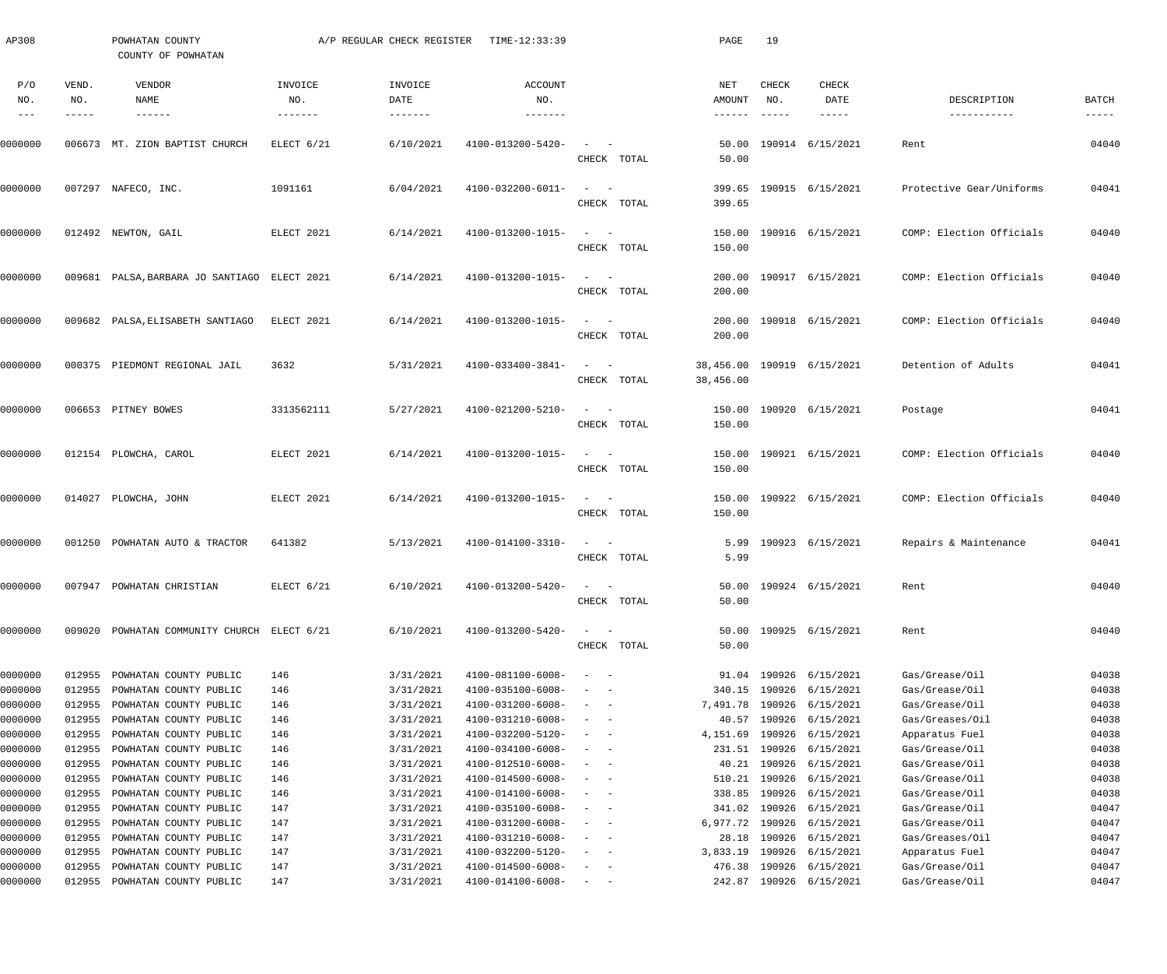| AP308                    |               | POWHATAN COUNTY<br>COUNTY OF POWHATAN             |                               | A/P REGULAR CHECK REGISTER       | TIME-12:33:39                |                                                                                                              |             | PAGE             | 19                        |                                         |                          |                               |
|--------------------------|---------------|---------------------------------------------------|-------------------------------|----------------------------------|------------------------------|--------------------------------------------------------------------------------------------------------------|-------------|------------------|---------------------------|-----------------------------------------|--------------------------|-------------------------------|
| P/O<br>NO.               | VEND.<br>NO.  | VENDOR<br>NAME                                    | INVOICE<br>NO.                | INVOICE<br>DATE                  | ACCOUNT<br>NO.               |                                                                                                              |             | NET<br>AMOUNT    | CHECK<br>NO.              | CHECK<br>DATE                           | DESCRIPTION              | BATCH                         |
| $\frac{1}{2}$<br>0000000 | $- - - - - -$ | $- - - - - - -$<br>006673 MT. ZION BAPTIST CHURCH | $- - - - - - -$<br>ELECT 6/21 | $- - - - - - - - -$<br>6/10/2021 | 4100-013200-5420-            | $\sim$<br>$\sim$ $-$                                                                                         | CHECK TOTAL | -------<br>50.00 | $\qquad \qquad - - - - -$ | $- - - - - -$<br>50.00 190914 6/15/2021 | -----------<br>Rent      | $\cdots\cdots\cdots$<br>04040 |
| 0000000                  |               | 007297 NAFECO, INC.                               | 1091161                       | 6/04/2021                        | 4100-032200-6011-            | $\frac{1}{2} \left( \frac{1}{2} \right) \left( \frac{1}{2} \right) = \frac{1}{2} \left( \frac{1}{2} \right)$ | CHECK TOTAL | 399.65           |                           | 399.65 190915 6/15/2021                 | Protective Gear/Uniforms | 04041                         |
| 0000000                  |               | 012492 NEWTON, GAIL                               | ELECT 2021                    | 6/14/2021                        | 4100-013200-1015-            | $\sim$ $  -$                                                                                                 | CHECK TOTAL | 150.00           |                           | 150.00 190916 6/15/2021                 | COMP: Election Officials | 04040                         |
| 0000000                  |               | 009681 PALSA, BARBARA JO SANTIAGO ELECT 2021      |                               | 6/14/2021                        | 4100-013200-1015-            | $\sim$ $  -$                                                                                                 | CHECK TOTAL | 200.00           |                           | 200.00 190917 6/15/2021                 | COMP: Election Officials | 04040                         |
| 0000000                  |               | 009682 PALSA, ELISABETH SANTIAGO                  | ELECT 2021                    | 6/14/2021                        | 4100-013200-1015-            | $\sim$ $  -$                                                                                                 | CHECK TOTAL | 200.00           |                           | 200.00 190918 6/15/2021                 | COMP: Election Officials | 04040                         |
| 0000000                  |               | 000375 PIEDMONT REGIONAL JAIL                     | 3632                          | 5/31/2021                        | 4100-033400-3841-            | $\sim$ $ -$                                                                                                  | CHECK TOTAL | 38,456.00        |                           | 38,456.00 190919 6/15/2021              | Detention of Adults      | 04041                         |
| 0000000                  |               | 006653 PITNEY BOWES                               | 3313562111                    | 5/27/2021                        | 4100-021200-5210-            | $\sim$ $ -$                                                                                                  | CHECK TOTAL | 150.00           |                           | 150.00 190920 6/15/2021                 | Postage                  | 04041                         |
| 0000000                  |               | 012154 PLOWCHA, CAROL                             | ELECT 2021                    | 6/14/2021                        | 4100-013200-1015-            | $\sim$ $ -$                                                                                                  | CHECK TOTAL | 150.00           |                           | 150.00 190921 6/15/2021                 | COMP: Election Officials | 04040                         |
| 0000000                  |               | 014027 PLOWCHA, JOHN                              | ELECT 2021                    | 6/14/2021                        | 4100-013200-1015-            | $\sim$ $  -$                                                                                                 | CHECK TOTAL | 150.00           |                           | 150.00 190922 6/15/2021                 | COMP: Election Officials | 04040                         |
| 0000000                  |               | 001250 POWHATAN AUTO & TRACTOR                    | 641382                        | 5/13/2021                        | 4100-014100-3310-            | $\sim$ $  -$                                                                                                 | CHECK TOTAL | 5.99             |                           | 5.99 190923 6/15/2021                   | Repairs & Maintenance    | 04041                         |
| 0000000                  |               | 007947 POWHATAN CHRISTIAN                         | ELECT 6/21                    | 6/10/2021                        | $4100 - 013200 - 5420 - - -$ |                                                                                                              | CHECK TOTAL | 50.00            |                           | 50.00 190924 6/15/2021                  | Rent                     | 04040                         |
| 0000000                  | 009020        | POWHATAN COMMUNITY CHURCH ELECT 6/21              |                               | 6/10/2021                        | 4100-013200-5420-            | $\sim$<br>$\overline{\phantom{a}}$                                                                           | CHECK TOTAL | 50.00<br>50.00   |                           | 190925 6/15/2021                        | Rent                     | 04040                         |
| 0000000                  | 012955        | POWHATAN COUNTY PUBLIC                            | 146                           | 3/31/2021                        | 4100-081100-6008-            | $\sim$ $-$                                                                                                   |             |                  |                           | 91.04 190926 6/15/2021                  | Gas/Grease/Oil           | 04038                         |
| 0000000                  | 012955        | POWHATAN COUNTY PUBLIC                            | 146                           | 3/31/2021                        | 4100-035100-6008-            |                                                                                                              |             | 340.15           | 190926                    | 6/15/2021                               | Gas/Grease/Oil           | 04038                         |
| 0000000                  | 012955        | POWHATAN COUNTY PUBLIC                            | 146                           | 3/31/2021                        | 4100-031200-6008-            | $\overline{\phantom{a}}$                                                                                     |             | 7,491.78         |                           | 190926 6/15/2021                        | Gas/Grease/Oil           | 04038                         |
| 0000000                  | 012955        | POWHATAN COUNTY PUBLIC                            | 146                           | 3/31/2021                        | 4100-031210-6008-            | $\overline{\phantom{a}}$                                                                                     |             | 40.57            | 190926                    | 6/15/2021                               | Gas/Greases/Oil          | 04038                         |
| 0000000                  | 012955        | POWHATAN COUNTY PUBLIC                            | 146                           | 3/31/2021                        | 4100-032200-5120-            | $\overline{\phantom{a}}$                                                                                     |             | 4,151.69         |                           | 190926 6/15/2021                        | Apparatus Fuel           | 04038                         |
| 0000000                  | 012955        | POWHATAN COUNTY PUBLIC                            | 146                           | 3/31/2021                        | 4100-034100-6008-            | $\overline{\phantom{a}}$                                                                                     |             |                  |                           | 231.51 190926 6/15/2021                 | Gas/Grease/Oil           | 04038                         |
| 0000000                  | 012955        | POWHATAN COUNTY PUBLIC                            | 146                           | 3/31/2021                        | 4100-012510-6008-            | $\overline{\phantom{a}}$                                                                                     |             | 40.21            | 190926                    | 6/15/2021                               | Gas/Grease/Oil           | 04038                         |
| 0000000                  | 012955        | POWHATAN COUNTY PUBLIC                            | 146                           | 3/31/2021                        | 4100-014500-6008-            | $\overline{\phantom{a}}$                                                                                     |             | 510.21           |                           | 190926 6/15/2021                        | Gas/Grease/Oil           | 04038                         |
| 0000000                  | 012955        | POWHATAN COUNTY PUBLIC                            | 146                           | 3/31/2021                        | 4100-014100-6008-            | $\overline{\phantom{a}}$                                                                                     |             | 338.85           |                           | 190926 6/15/2021                        | Gas/Grease/Oil           | 04038                         |
| 0000000                  | 012955        | POWHATAN COUNTY PUBLIC                            | 147                           | 3/31/2021                        | 4100-035100-6008-            | $\overline{\phantom{a}}$                                                                                     |             | 341.02           |                           | 190926 6/15/2021                        | Gas/Grease/Oil           | 04047                         |
| 0000000                  | 012955        | POWHATAN COUNTY PUBLIC                            | 147                           | 3/31/2021                        | 4100-031200-6008-            | $\overline{\phantom{a}}$                                                                                     |             | 6,977.72         | 190926                    | 6/15/2021                               | Gas/Grease/Oil           | 04047                         |
| 0000000                  | 012955        | POWHATAN COUNTY PUBLIC                            | 147                           | 3/31/2021                        | 4100-031210-6008-            | $\overline{\phantom{a}}$                                                                                     |             | 28.18            |                           | 190926 6/15/2021                        | Gas/Greases/Oil          | 04047                         |
| 0000000                  | 012955        | POWHATAN COUNTY PUBLIC                            | 147                           | 3/31/2021                        | 4100-032200-5120-            | $-$<br>$\overline{\phantom{a}}$                                                                              |             | 3,833.19         |                           | 190926 6/15/2021                        | Apparatus Fuel           | 04047                         |
| 0000000                  | 012955        | POWHATAN COUNTY PUBLIC                            | 147                           | 3/31/2021                        | 4100-014500-6008-            | $\overline{\phantom{a}}$<br>$\overline{\phantom{a}}$                                                         |             | 476.38           |                           | 190926 6/15/2021                        | Gas/Grease/Oil           | 04047                         |
| 0000000                  | 012955        | POWHATAN COUNTY PUBLIC                            | 147                           | 3/31/2021                        | 4100-014100-6008-            | $\sim$ 100 $\sim$ 100 $\sim$                                                                                 |             |                  |                           | 242.87 190926 6/15/2021                 | Gas/Grease/Oil           | 04047                         |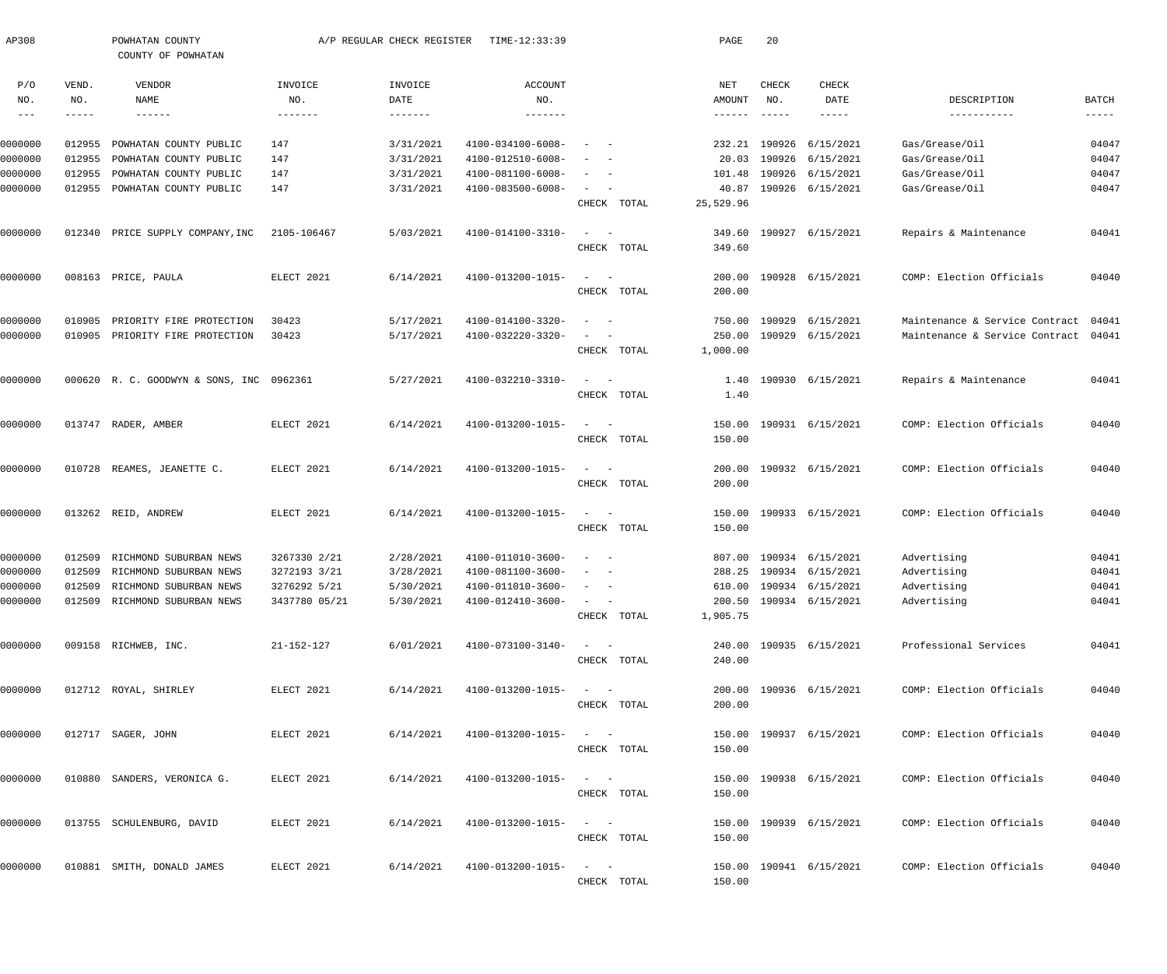| AP308              |                  | POWHATAN COUNTY<br>COUNTY OF POWHATAN            |                   | A/P REGULAR CHECK REGISTER | TIME-12:33:39                          |                                                      | PAGE            | 20                        |                         |                                  |                |
|--------------------|------------------|--------------------------------------------------|-------------------|----------------------------|----------------------------------------|------------------------------------------------------|-----------------|---------------------------|-------------------------|----------------------------------|----------------|
| P/O<br>NO.         | VEND.<br>NO.     | VENDOR<br>NAME                                   | INVOICE<br>NO.    | INVOICE<br>DATE            | <b>ACCOUNT</b><br>NO.                  |                                                      | NET<br>AMOUNT   | CHECK<br>NO.              | CHECK<br>DATE           | DESCRIPTION                      | <b>BATCH</b>   |
| $--\,$ $-$         | -----            |                                                  | $- - - - - - - -$ | $- - - - - - -$            | $- - - - - - - -$                      |                                                      | $- - - - - - -$ | $\qquad \qquad - - - - -$ | $- - - - - -$           | -----------                      | $- - - - -$    |
|                    |                  |                                                  |                   |                            |                                        |                                                      |                 |                           |                         |                                  |                |
| 0000000            | 012955           | POWHATAN COUNTY PUBLIC                           | 147               | 3/31/2021                  | 4100-034100-6008-<br>4100-012510-6008- |                                                      | 232.21          | 190926                    | 6/15/2021               | Gas/Grease/Oil<br>Gas/Grease/Oil | 04047          |
| 0000000<br>0000000 | 012955<br>012955 | POWHATAN COUNTY PUBLIC<br>POWHATAN COUNTY PUBLIC | 147<br>147        | 3/31/2021<br>3/31/2021     | 4100-081100-6008-                      | $\overline{\phantom{m}}$<br>$\sim$                   | 20.03<br>101.48 | 190926<br>190926          | 6/15/2021<br>6/15/2021  | Gas/Grease/Oil                   | 04047<br>04047 |
| 0000000            | 012955           | POWHATAN COUNTY PUBLIC                           | 147               | 3/31/2021                  | 4100-083500-6008-                      | $\sim$<br>$\sim$                                     | 40.87           |                           | 190926 6/15/2021        | Gas/Grease/Oil                   | 04047          |
|                    |                  |                                                  |                   |                            |                                        | CHECK TOTAL                                          | 25,529.96       |                           |                         |                                  |                |
| 0000000            | 012340           | PRICE SUPPLY COMPANY, INC                        | 2105-106467       | 5/03/2021                  | 4100-014100-3310-                      | $\sim$<br>$\sim$ $-$                                 | 349.60          |                           | 190927 6/15/2021        | Repairs & Maintenance            | 04041          |
|                    |                  |                                                  |                   |                            |                                        | CHECK TOTAL                                          | 349.60          |                           |                         |                                  |                |
| 0000000            |                  | 008163 PRICE, PAULA                              | ELECT 2021        | 6/14/2021                  | 4100-013200-1015-                      | $\sim$<br>$\sim$ $-$                                 | 200.00          |                           | 190928 6/15/2021        | COMP: Election Officials         | 04040          |
|                    |                  |                                                  |                   |                            |                                        | CHECK TOTAL                                          | 200.00          |                           |                         |                                  |                |
| 0000000            | 010905           | PRIORITY FIRE PROTECTION                         | 30423             | 5/17/2021                  | 4100-014100-3320-                      | $\sim$ $-$                                           | 750.00          | 190929                    | 6/15/2021               | Maintenance & Service Contract   | 04041          |
| 0000000            | 010905           | PRIORITY FIRE PROTECTION                         | 30423             | 5/17/2021                  | 4100-032220-3320-                      | $\overline{\phantom{a}}$<br>$\overline{\phantom{a}}$ | 250.00          | 190929                    | 6/15/2021               | Maintenance & Service Contract   | 04041          |
|                    |                  |                                                  |                   |                            |                                        | CHECK TOTAL                                          | 1,000.00        |                           |                         |                                  |                |
| 0000000            |                  | 000620 R. C. GOODWYN & SONS, INC 0962361         |                   | 5/27/2021                  | 4100-032210-3310-                      | $\sim$<br>$\sim$ $-$                                 | 1.40            |                           | 190930 6/15/2021        | Repairs & Maintenance            | 04041          |
|                    |                  |                                                  |                   |                            |                                        | CHECK TOTAL                                          | 1.40            |                           |                         |                                  |                |
| 0000000            |                  | 013747 RADER, AMBER                              | ELECT 2021        | 6/14/2021                  | 4100-013200-1015-                      | $\sim$<br>$\sim$ $-$                                 | 150.00          |                           | 190931 6/15/2021        | COMP: Election Officials         | 04040          |
|                    |                  |                                                  |                   |                            |                                        | CHECK TOTAL                                          | 150.00          |                           |                         |                                  |                |
| 0000000            | 010728           | REAMES, JEANETTE C.                              | ELECT 2021        | 6/14/2021                  | 4100-013200-1015-                      | $\sim$<br>$\sim$ $-$                                 | 200.00          |                           | 190932 6/15/2021        | COMP: Election Officials         | 04040          |
|                    |                  |                                                  |                   |                            |                                        | CHECK TOTAL                                          | 200.00          |                           |                         |                                  |                |
| 0000000            |                  | 013262 REID, ANDREW                              | ELECT 2021        | 6/14/2021                  | 4100-013200-1015-                      | $\sim$<br>$\sim$ $-$                                 | 150.00          |                           | 190933 6/15/2021        | COMP: Election Officials         | 04040          |
|                    |                  |                                                  |                   |                            |                                        | CHECK TOTAL                                          | 150.00          |                           |                         |                                  |                |
| 0000000            | 012509           | RICHMOND SUBURBAN NEWS                           | 3267330 2/21      | 2/28/2021                  | 4100-011010-3600-                      | $\overline{\phantom{a}}$                             | 807.00          |                           | 190934 6/15/2021        | Advertising                      | 04041          |
| 0000000            | 012509           | RICHMOND SUBURBAN NEWS                           | 3272193 3/21      | 3/28/2021                  | 4100-081100-3600-                      | $\sim$<br>$\sim$                                     |                 |                           | 288.25 190934 6/15/2021 | Advertising                      | 04041          |
| 0000000            |                  | 012509 RICHMOND SUBURBAN NEWS                    | 3276292 5/21      | 5/30/2021                  | 4100-011010-3600-                      |                                                      |                 |                           | 610.00 190934 6/15/2021 | Advertising                      | 04041          |
| 0000000            |                  | 012509 RICHMOND SUBURBAN NEWS                    | 3437780 05/21     | 5/30/2021                  | 4100-012410-3600-                      | $\alpha = 1, \ldots, n-1$                            |                 |                           | 200.50 190934 6/15/2021 | Advertising                      | 04041          |
|                    |                  |                                                  |                   |                            |                                        | CHECK TOTAL                                          | 1,905.75        |                           |                         |                                  |                |
| 0000000            |                  | 009158 RICHWEB, INC.                             | 21-152-127        | 6/01/2021                  | 4100-073100-3140-                      | $\alpha = 1, \ldots, n-1$                            |                 |                           | 240.00 190935 6/15/2021 | Professional Services            | 04041          |
|                    |                  |                                                  |                   |                            |                                        | CHECK TOTAL                                          | 240.00          |                           |                         |                                  |                |
| 0000000            |                  | 012712 ROYAL, SHIRLEY                            | ELECT 2021        | 6/14/2021                  | 4100-013200-1015-                      | $\alpha = 1, \ldots, n-1$                            |                 |                           | 200.00 190936 6/15/2021 | COMP: Election Officials         | 04040          |
|                    |                  |                                                  |                   |                            |                                        | CHECK TOTAL                                          | 200.00          |                           |                         |                                  |                |
| 0000000            |                  | 012717 SAGER, JOHN                               | ELECT 2021        | 6/14/2021                  | 4100-013200-1015-                      | $\alpha = 1, \ldots, \alpha$ .                       |                 |                           | 150.00 190937 6/15/2021 | COMP: Election Officials         | 04040          |
|                    |                  |                                                  |                   |                            |                                        | CHECK TOTAL                                          | 150.00          |                           |                         |                                  |                |
| 0000000            |                  | 010880 SANDERS, VERONICA G.                      | ELECT 2021        | 6/14/2021                  | 4100-013200-1015-                      | $\alpha = 1, \ldots, \alpha$ .                       |                 |                           | 150.00 190938 6/15/2021 | COMP: Election Officials         | 04040          |
|                    |                  |                                                  |                   |                            |                                        | CHECK TOTAL                                          | 150.00          |                           |                         |                                  |                |
| 0000000            |                  | 013755 SCHULENBURG, DAVID                        | ELECT 2021        | 6/14/2021                  | 4100-013200-1015-                      | $\alpha = 1, \ldots, \alpha$ .                       |                 |                           | 150.00 190939 6/15/2021 | COMP: Election Officials         | 04040          |
|                    |                  |                                                  |                   |                            |                                        | CHECK TOTAL                                          | 150.00          |                           |                         |                                  |                |
| 0000000            |                  | 010881 SMITH, DONALD JAMES                       | ELECT 2021        | 6/14/2021                  | 4100-013200-1015-                      | $\alpha = 1, \ldots, \alpha$                         |                 |                           | 150.00 190941 6/15/2021 | COMP: Election Officials         | 04040          |
|                    |                  |                                                  |                   |                            |                                        | CHECK TOTAL                                          | 150.00          |                           |                         |                                  |                |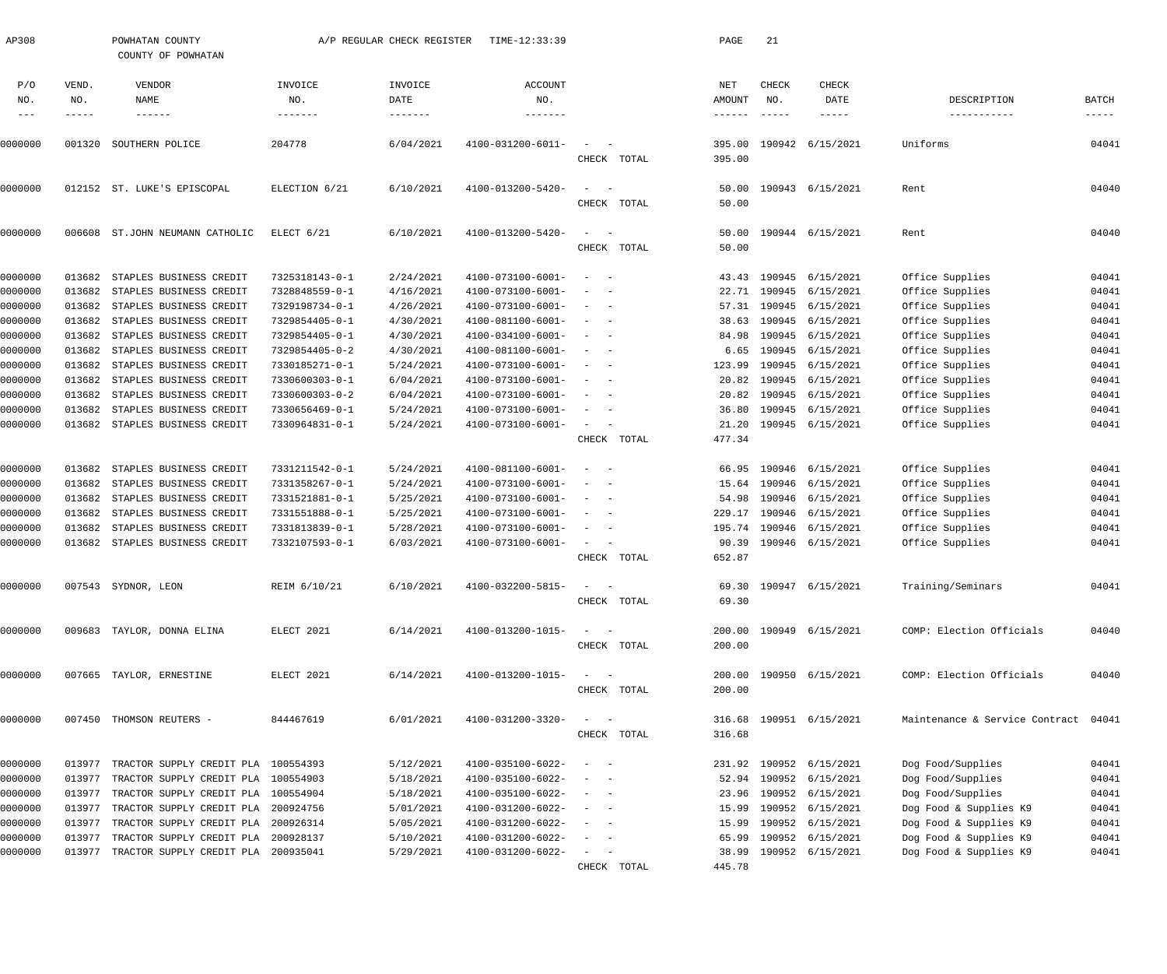| AP308      |              | POWHATAN COUNTY<br>COUNTY OF POWHATAN      |                           | A/P REGULAR CHECK REGISTER     | TIME-12:33:39                    |                                                                                                              | PAGE                       | 21           |                           |                                      |                      |
|------------|--------------|--------------------------------------------|---------------------------|--------------------------------|----------------------------------|--------------------------------------------------------------------------------------------------------------|----------------------------|--------------|---------------------------|--------------------------------------|----------------------|
| P/O<br>NO. | VEND.<br>NO. | VENDOR<br>NAME                             | INVOICE<br>NO.<br>------- | INVOICE<br>DATE                | <b>ACCOUNT</b><br>NO.<br>------- |                                                                                                              | NET<br>AMOUNT              | CHECK<br>NO. | CHECK<br>DATE             | DESCRIPTION<br>-----------           | <b>BATCH</b>         |
| 0000000    | 001320       | $- - - - - - -$<br>SOUTHERN POLICE         | 204778                    | $- - - - - - - -$<br>6/04/2021 | 4100-031200-6011-                | $\sim$<br>CHECK TOTAL                                                                                        | ------<br>395.00<br>395.00 |              | -----<br>190942 6/15/2021 | Uniforms                             | $- - - - -$<br>04041 |
| 0000000    |              | 012152 ST. LUKE'S EPISCOPAL                | ELECTION 6/21             | 6/10/2021                      | 4100-013200-5420-                | $\sim$<br>CHECK TOTAL                                                                                        | 50.00<br>50.00             |              | 190943 6/15/2021          | Rent                                 | 04040                |
| 0000000    |              | 006608 ST.JOHN NEUMANN CATHOLIC            | ELECT 6/21                | 6/10/2021                      | 4100-013200-5420-                | $\sim$<br>CHECK TOTAL                                                                                        | 50.00<br>50.00             |              | 190944 6/15/2021          | Rent                                 | 04040                |
| 0000000    | 013682       | STAPLES BUSINESS CREDIT                    | 7325318143-0-1            | 2/24/2021                      | $4100 - 073100 - 6001 -$         | $\overline{\phantom{a}}$<br>$\overline{\phantom{a}}$                                                         | 43.43                      | 190945       | 6/15/2021                 | Office Supplies                      | 04041                |
| 0000000    | 013682       | STAPLES BUSINESS CREDIT                    | 7328848559-0-1            | 4/16/2021                      | 4100-073100-6001-                | $\sim$                                                                                                       | 22.71                      | 190945       | 6/15/2021                 | Office Supplies                      | 04041                |
| 0000000    | 013682       | STAPLES BUSINESS CREDIT                    | 7329198734-0-1            | 4/26/2021                      | $4100 - 073100 - 6001 -$         | $\sim$                                                                                                       | 57.31                      |              | 190945 6/15/2021          | Office Supplies                      | 04041                |
| 0000000    | 013682       | STAPLES BUSINESS CREDIT                    | 7329854405-0-1            | 4/30/2021                      | 4100-081100-6001-                | $\sim$                                                                                                       | 38.63                      | 190945       | 6/15/2021                 | Office Supplies                      | 04041                |
| 0000000    | 013682       | STAPLES BUSINESS CREDIT                    | 7329854405-0-1            | 4/30/2021                      | 4100-034100-6001-                | $\sim$                                                                                                       | 84.98                      | 190945       | 6/15/2021                 | Office Supplies                      | 04041                |
| 0000000    | 013682       | STAPLES BUSINESS CREDIT                    | 7329854405-0-2            | 4/30/2021                      | 4100-081100-6001-                | $\sim$                                                                                                       | 6.65                       | 190945       | 6/15/2021                 | Office Supplies                      | 04041                |
| 0000000    | 013682       | STAPLES BUSINESS CREDIT                    | 7330185271-0-1            | 5/24/2021                      | $4100 - 073100 - 6001 -$         | $\sim$<br>$\overline{\phantom{a}}$                                                                           | 123.99                     | 190945       | 6/15/2021                 | Office Supplies                      | 04041                |
| 0000000    | 013682       | STAPLES BUSINESS CREDIT                    | 7330600303-0-1            | 6/04/2021                      | $4100 - 073100 - 6001 -$         | $\sim$                                                                                                       | 20.82                      | 190945       | 6/15/2021                 | Office Supplies                      | 04041                |
| 0000000    | 013682       | STAPLES BUSINESS CREDIT                    | 7330600303-0-2            | 6/04/2021                      | $4100 - 073100 - 6001 -$         | $\sim$                                                                                                       | 20.82                      | 190945       | 6/15/2021                 | Office Supplies                      | 04041                |
| 0000000    | 013682       | STAPLES BUSINESS CREDIT                    | 7330656469-0-1            | 5/24/2021                      | $4100 - 073100 - 6001 -$         | $\sim$                                                                                                       | 36.80                      | 190945       | 6/15/2021                 | Office Supplies                      | 04041                |
| 0000000    | 013682       | STAPLES BUSINESS CREDIT                    | 7330964831-0-1            | 5/24/2021                      | $4100 - 073100 - 6001 -$         | $\sim$                                                                                                       | 21.20                      |              | 190945 6/15/2021          | Office Supplies                      | 04041                |
|            |              |                                            |                           |                                |                                  | CHECK TOTAL                                                                                                  | 477.34                     |              |                           |                                      |                      |
| 0000000    | 013682       | STAPLES BUSINESS CREDIT                    | 7331211542-0-1            | 5/24/2021                      | 4100-081100-6001-                | $\overline{\phantom{a}}$<br>$\sim$                                                                           | 66.95                      |              | 190946 6/15/2021          | Office Supplies                      | 04041                |
| 0000000    | 013682       | STAPLES BUSINESS CREDIT                    | 7331358267-0-1            | 5/24/2021                      | $4100 - 073100 - 6001 -$         | $\overline{\phantom{a}}$<br>$\overline{\phantom{a}}$                                                         | 15.64                      |              | 190946 6/15/2021          | Office Supplies                      | 04041                |
| 0000000    | 013682       | STAPLES BUSINESS CREDIT                    | 7331521881-0-1            | 5/25/2021                      | $4100 - 073100 - 6001 -$         | $\sim$                                                                                                       | 54.98                      |              | 190946 6/15/2021          | Office Supplies                      | 04041                |
| 0000000    | 013682       | STAPLES BUSINESS CREDIT                    | 7331551888-0-1            | 5/25/2021                      | $4100 - 073100 - 6001 -$         | $\sim$<br>$\overline{\phantom{a}}$                                                                           | 229.17                     |              | 190946 6/15/2021          | Office Supplies                      | 04041                |
| 0000000    | 013682       | STAPLES BUSINESS CREDIT                    | 7331813839-0-1            | 5/28/2021                      | $4100 - 073100 - 6001 -$         | $\sim$<br>$\overline{\phantom{a}}$                                                                           | 195.74                     |              | 190946 6/15/2021          | Office Supplies                      | 04041                |
| 0000000    | 013682       | STAPLES BUSINESS CREDIT                    | 7332107593-0-1            | 6/03/2021                      | 4100-073100-6001-                | $\sim$<br>CHECK TOTAL                                                                                        | 90.39<br>652.87            |              | 190946 6/15/2021          | Office Supplies                      | 04041                |
|            |              |                                            |                           |                                |                                  |                                                                                                              |                            |              |                           |                                      |                      |
| 0000000    |              | 007543 SYDNOR, LEON                        | REIM 6/10/21              | 6/10/2021                      | 4100-032200-5815-                | $\sim$<br>${\tt CHECK-TOTAL}$                                                                                | 69.30                      |              | 69.30 190947 6/15/2021    | Training/Seminars                    | 04041                |
| 0000000    |              | 009683 TAYLOR, DONNA ELINA                 | ELECT 2021                | 6/14/2021                      | 4100-013200-1015-                | $\sim$ $  -$                                                                                                 |                            |              | 200.00 190949 6/15/2021   | COMP: Election Officials             | 04040                |
|            |              |                                            |                           |                                |                                  | CHECK TOTAL                                                                                                  | 200.00                     |              |                           |                                      |                      |
| 0000000    |              | 007665 TAYLOR, ERNESTINE                   | ELECT 2021                | 6/14/2021                      | 4100-013200-1015-                | $\frac{1}{2}$ and $\frac{1}{2}$ and $\frac{1}{2}$                                                            |                            |              | 200.00 190950 6/15/2021   | COMP: Election Officials             | 04040                |
|            |              |                                            |                           |                                |                                  | CHECK TOTAL                                                                                                  | 200.00                     |              |                           |                                      |                      |
| 0000000    |              | 007450 THOMSON REUTERS -                   | 844467619                 | 6/01/2021                      | 4100-031200-3320-                | $\sim$ 100 $\sim$ 100 $\sim$<br>CHECK TOTAL                                                                  | 316.68                     |              | 316.68 190951 6/15/2021   | Maintenance & Service Contract 04041 |                      |
| 0000000    |              | 013977 TRACTOR SUPPLY CREDIT PLA 100554393 |                           | 5/12/2021                      | 4100-035100-6022-                | $\sim$<br>$\sim$ $-$                                                                                         |                            |              | 231.92 190952 6/15/2021   | Dog Food/Supplies                    | 04041                |
| 0000000    | 013977       | TRACTOR SUPPLY CREDIT PLA 100554903        |                           | 5/18/2021                      | 4100-035100-6022-                |                                                                                                              | 52.94                      |              | 190952 6/15/2021          | Dog Food/Supplies                    | 04041                |
| 0000000    | 013977       | TRACTOR SUPPLY CREDIT PLA 100554904        |                           | 5/18/2021                      | 4100-035100-6022-                | $\qquad \qquad -$                                                                                            | 23.96                      |              | 190952 6/15/2021          | Dog Food/Supplies                    | 04041                |
| 0000000    | 013977       | TRACTOR SUPPLY CREDIT PLA 200924756        |                           | 5/01/2021                      | 4100-031200-6022-                | $\overline{\phantom{a}}$<br>$\sim$ $-$                                                                       | 15.99                      |              | 190952 6/15/2021          | Dog Food & Supplies K9               | 04041                |
| 0000000    | 013977       | TRACTOR SUPPLY CREDIT PLA 200926314        |                           | 5/05/2021                      | 4100-031200-6022-                | $\sim$ $-$                                                                                                   | 15.99                      |              | 190952 6/15/2021          | Dog Food & Supplies K9               | 04041                |
| 0000000    | 013977       | TRACTOR SUPPLY CREDIT PLA 200928137        |                           | 5/10/2021                      | 4100-031200-6022-                | $\frac{1}{2} \left( \frac{1}{2} \right) \left( \frac{1}{2} \right) = \frac{1}{2} \left( \frac{1}{2} \right)$ | 65.99                      |              | 190952 6/15/2021          | Dog Food & Supplies K9               | 04041                |
| 0000000    | 013977       | TRACTOR SUPPLY CREDIT PLA 200935041        |                           | 5/29/2021                      | 4100-031200-6022-                | $\frac{1}{2}$ and $\frac{1}{2}$ and $\frac{1}{2}$                                                            |                            |              | 38.99 190952 6/15/2021    | Dog Food & Supplies K9               | 04041                |
|            |              |                                            |                           |                                |                                  | CHECK TOTAL                                                                                                  | 445.78                     |              |                           |                                      |                      |
|            |              |                                            |                           |                                |                                  |                                                                                                              |                            |              |                           |                                      |                      |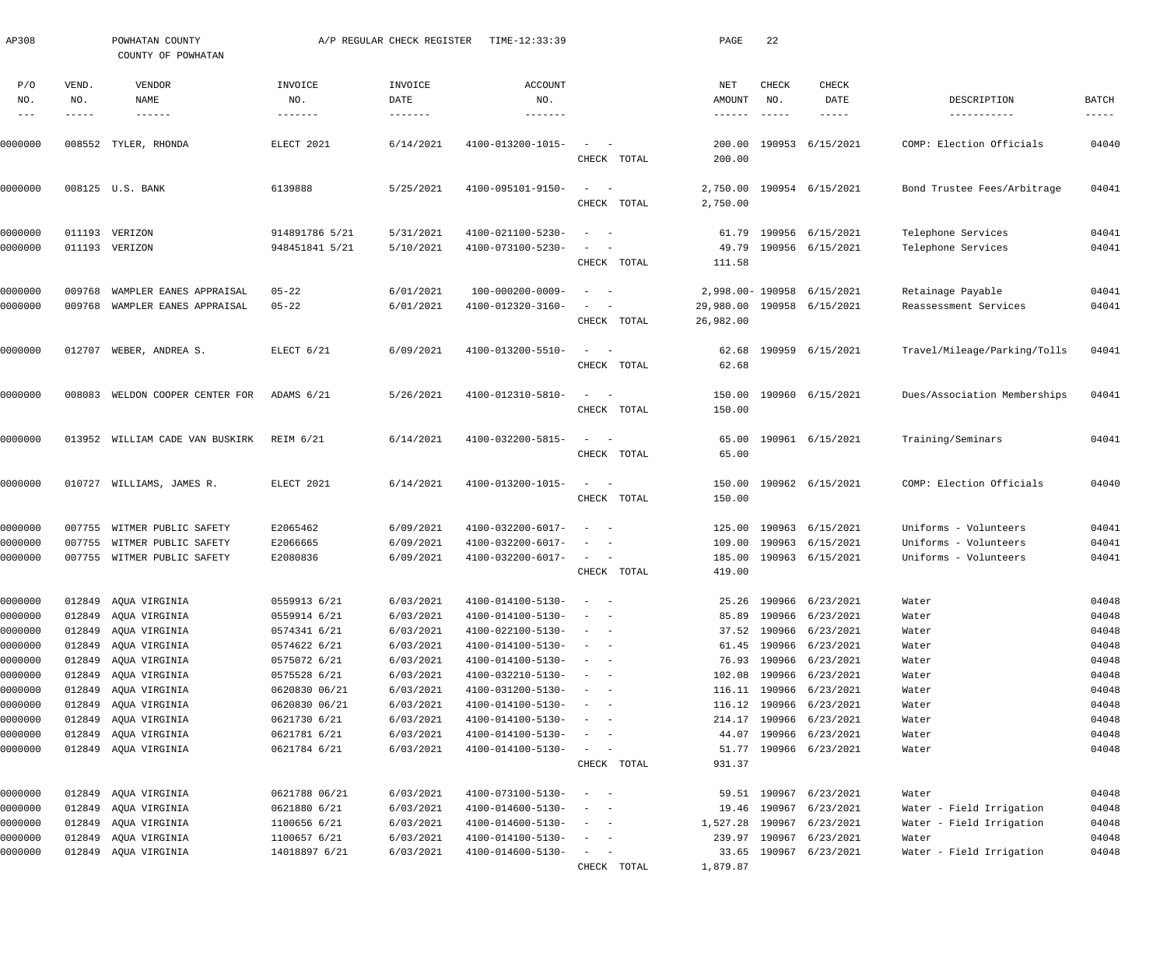| AP308                             |                       | POWHATAN COUNTY<br>COUNTY OF POWHATAN    |                           | A/P REGULAR CHECK REGISTER             | TIME-12:33:39                    |                                                                                                                           |             | PAGE                             | 22                            |                                       |                              |                      |
|-----------------------------------|-----------------------|------------------------------------------|---------------------------|----------------------------------------|----------------------------------|---------------------------------------------------------------------------------------------------------------------------|-------------|----------------------------------|-------------------------------|---------------------------------------|------------------------------|----------------------|
| P/O<br>NO.<br>$\qquad \qquad - -$ | VEND.<br>NO.<br>----- | VENDOR<br><b>NAME</b><br>$- - - - - - -$ | INVOICE<br>NO.<br>------- | INVOICE<br>DATE<br>$- - - - - - - - -$ | <b>ACCOUNT</b><br>NO.<br>------- |                                                                                                                           |             | NET<br>AMOUNT<br>$- - - - - - -$ | CHECK<br>NO.<br>$- - - - - -$ | <b>CHECK</b><br>DATE<br>$- - - - - -$ | DESCRIPTION<br>-----------   | BATCH<br>$--- - - -$ |
| 0000000                           | 008552                | TYLER, RHONDA                            | ELECT 2021                | 6/14/2021                              | 4100-013200-1015-                |                                                                                                                           |             | 200.00                           |                               | 190953 6/15/2021                      | COMP: Election Officials     | 04040                |
|                                   |                       |                                          |                           |                                        |                                  |                                                                                                                           | CHECK TOTAL | 200.00                           |                               |                                       |                              |                      |
| 0000000                           |                       | 008125 U.S. BANK                         | 6139888                   | 5/25/2021                              | 4100-095101-9150-                | $\sim$                                                                                                                    | CHECK TOTAL | 2,750.00<br>2,750.00             |                               | 190954 6/15/2021                      | Bond Trustee Fees/Arbitrage  | 04041                |
| 0000000                           | 011193                | VERIZON                                  | 914891786 5/21            | 5/31/2021                              | 4100-021100-5230-                |                                                                                                                           |             | 61.79                            |                               | 190956 6/15/2021                      | Telephone Services           | 04041                |
| 0000000                           |                       | 011193 VERIZON                           | 948451841 5/21            | 5/10/2021                              | 4100-073100-5230-                |                                                                                                                           | CHECK TOTAL | 49.79<br>111.58                  |                               | 190956 6/15/2021                      | Telephone Services           | 04041                |
| 0000000                           | 009768                | WAMPLER EANES APPRAISAL                  | $05 - 22$                 | 6/01/2021                              | 100-000200-0009-                 |                                                                                                                           |             | 2,998.00- 190958                 |                               | 6/15/2021                             | Retainage Payable            | 04041                |
| 0000000                           | 009768                | WAMPLER EANES APPRAISAL                  | $05 - 22$                 | 6/01/2021                              | 4100-012320-3160-                |                                                                                                                           | CHECK TOTAL | 26,982.00                        |                               | 29,980.00 190958 6/15/2021            | Reassessment Services        | 04041                |
| 0000000                           | 012707                | WEBER, ANDREA S.                         | ELECT 6/21                | 6/09/2021                              | 4100-013200-5510-                | $\sim$                                                                                                                    | CHECK TOTAL | 62.68<br>62.68                   |                               | 190959 6/15/2021                      | Travel/Mileage/Parking/Tolls | 04041                |
|                                   |                       |                                          |                           |                                        |                                  |                                                                                                                           |             |                                  |                               |                                       |                              |                      |
| 0000000                           | 008083                | WELDON COOPER CENTER FOR                 | ADAMS 6/21                | 5/26/2021                              | 4100-012310-5810-                | $\sim$                                                                                                                    | CHECK TOTAL | 150.00<br>150.00                 |                               | 190960 6/15/2021                      | Dues/Association Memberships | 04041                |
| 0000000                           | 013952                | WILLIAM CADE VAN BUSKIRK                 | <b>REIM 6/21</b>          | 6/14/2021                              | 4100-032200-5815-                | $\sim$                                                                                                                    | CHECK TOTAL | 65.00<br>65.00                   |                               | 190961 6/15/2021                      | Training/Seminars            | 04041                |
| 0000000                           | 010727                | WILLIAMS, JAMES R.                       | ELECT 2021                | 6/14/2021                              | 4100-013200-1015-                | $\sim$<br>$\overline{\phantom{a}}$                                                                                        | CHECK TOTAL | 150.00<br>150.00                 |                               | 190962 6/15/2021                      | COMP: Election Officials     | 04040                |
| 0000000                           | 007755                | WITMER PUBLIC SAFETY                     | E2065462                  | 6/09/2021                              | 4100-032200-6017-                | $\overline{\phantom{a}}$                                                                                                  |             | 125.00                           |                               | 190963 6/15/2021                      | Uniforms - Volunteers        | 04041                |
| 0000000                           | 007755                | WITMER PUBLIC SAFETY                     | E2066665                  | 6/09/2021                              | 4100-032200-6017-                |                                                                                                                           |             | 109.00                           |                               | 190963 6/15/2021                      | Uniforms - Volunteers        | 04041                |
| 0000000                           | 007755                | WITMER PUBLIC SAFETY                     | E2080836                  | 6/09/2021                              | 4100-032200-6017-                |                                                                                                                           | CHECK TOTAL | 185.00<br>419.00                 |                               | 190963 6/15/2021                      | Uniforms - Volunteers        | 04041                |
| 0000000                           | 012849                | AQUA VIRGINIA                            | 0559913 6/21              | 6/03/2021                              | 4100-014100-5130-                | $\sim$                                                                                                                    |             |                                  |                               | 25.26 190966 6/23/2021                | Water                        | 04048                |
| 0000000                           | 012849                | AQUA VIRGINIA                            | 0559914 6/21              | 6/03/2021                              | 4100-014100-5130-                |                                                                                                                           |             | 85.89                            |                               | 190966 6/23/2021                      | Water                        | 04048                |
| 0000000                           | 012849                | AQUA VIRGINIA                            | 0574341 6/21              | 6/03/2021                              | 4100-022100-5130-                | $\overline{\phantom{a}}$<br>$\sim$                                                                                        |             | 37.52                            |                               | 190966 6/23/2021                      | Water                        | 04048                |
| 0000000                           | 012849                | AQUA VIRGINIA                            | 0574622 6/21              | 6/03/2021                              | 4100-014100-5130-                | $\sim$                                                                                                                    |             | 61.45                            |                               | 190966 6/23/2021                      | Water                        | 04048                |
| 0000000                           | 012849                | AQUA VIRGINIA                            | 0575072 6/21              | 6/03/2021                              | 4100-014100-5130-                | $\sim$                                                                                                                    |             |                                  |                               | 76.93 190966 6/23/2021                | Water                        | 04048                |
| 0000000                           | 012849                | AQUA VIRGINIA                            | 0575528 6/21              | 6/03/2021                              | 4100-032210-5130-                | $\sim$                                                                                                                    |             | 102.08                           |                               | 190966 6/23/2021                      | Water                        | 04048                |
| 0000000                           | 012849                | AQUA VIRGINIA                            | 0620830 06/21             | 6/03/2021                              | 4100-031200-5130-                | $\sim$                                                                                                                    |             |                                  |                               | 116.11 190966 6/23/2021               | Water                        | 04048                |
| 0000000                           | 012849                | AQUA VIRGINIA                            | 0620830 06/21             | 6/03/2021                              | 4100-014100-5130-                | $\sim$                                                                                                                    |             |                                  |                               | 116.12 190966 6/23/2021               | Water                        | 04048                |
| 0000000                           | 012849                | AQUA VIRGINIA                            | 0621730 6/21              | 6/03/2021                              | 4100-014100-5130-                | $\overline{\phantom{a}}$<br>$\sim$                                                                                        |             | 214.17                           |                               | 190966 6/23/2021                      | Water                        | 04048                |
| 0000000                           | 012849                | AQUA VIRGINIA                            | 0621781 6/21              | 6/03/2021                              | 4100-014100-5130-                | $\overline{\phantom{a}}$<br>$\sim$ $-$                                                                                    |             | 44.07                            |                               | 190966 6/23/2021                      | Water                        | 04048                |
| 0000000                           |                       | 012849 AQUA VIRGINIA                     | 0621784 6/21              | 6/03/2021                              | 4100-014100-5130-                | $\frac{1}{2} \left( \frac{1}{2} \right) \left( \frac{1}{2} \right) \left( \frac{1}{2} \right) \left( \frac{1}{2} \right)$ | CHECK TOTAL | 51.77<br>931.37                  |                               | 190966 6/23/2021                      | Water                        | 04048                |
| 0000000                           | 012849                | AQUA VIRGINIA                            | 0621788 06/21             | 6/03/2021                              | 4100-073100-5130-                | $\sim$ $-$                                                                                                                |             |                                  |                               | 59.51 190967 6/23/2021                | Water                        | 04048                |
| 0000000                           | 012849                | AQUA VIRGINIA                            | 0621880 6/21              | 6/03/2021                              | 4100-014600-5130-                | $\sim$                                                                                                                    |             |                                  | 19.46 190967                  | 6/23/2021                             | Water - Field Irrigation     | 04048                |
| 0000000                           | 012849                | AQUA VIRGINIA                            | 1100656 6/21              | 6/03/2021                              | 4100-014600-5130-                | $\overline{\phantom{a}}$<br>$\sim$ $-$                                                                                    |             | 1,527.28                         | 190967                        | 6/23/2021                             | Water - Field Irrigation     | 04048                |
| 0000000                           | 012849                | AQUA VIRGINIA                            | 1100657 6/21              | 6/03/2021                              | 4100-014100-5130-                | $\overline{\phantom{a}}$<br>$\sim$ $-$                                                                                    |             |                                  |                               | 239.97 190967 6/23/2021               | Water                        | 04048                |
| 0000000                           |                       | 012849 AQUA VIRGINIA                     | 14018897 6/21             | 6/03/2021                              | 4100-014600-5130-                | $\sim$ $ -$                                                                                                               |             |                                  |                               | 33.65 190967 6/23/2021                | Water - Field Irrigation     | 04048                |
|                                   |                       |                                          |                           |                                        |                                  |                                                                                                                           | CHECK TOTAL | 1,879.87                         |                               |                                       |                              |                      |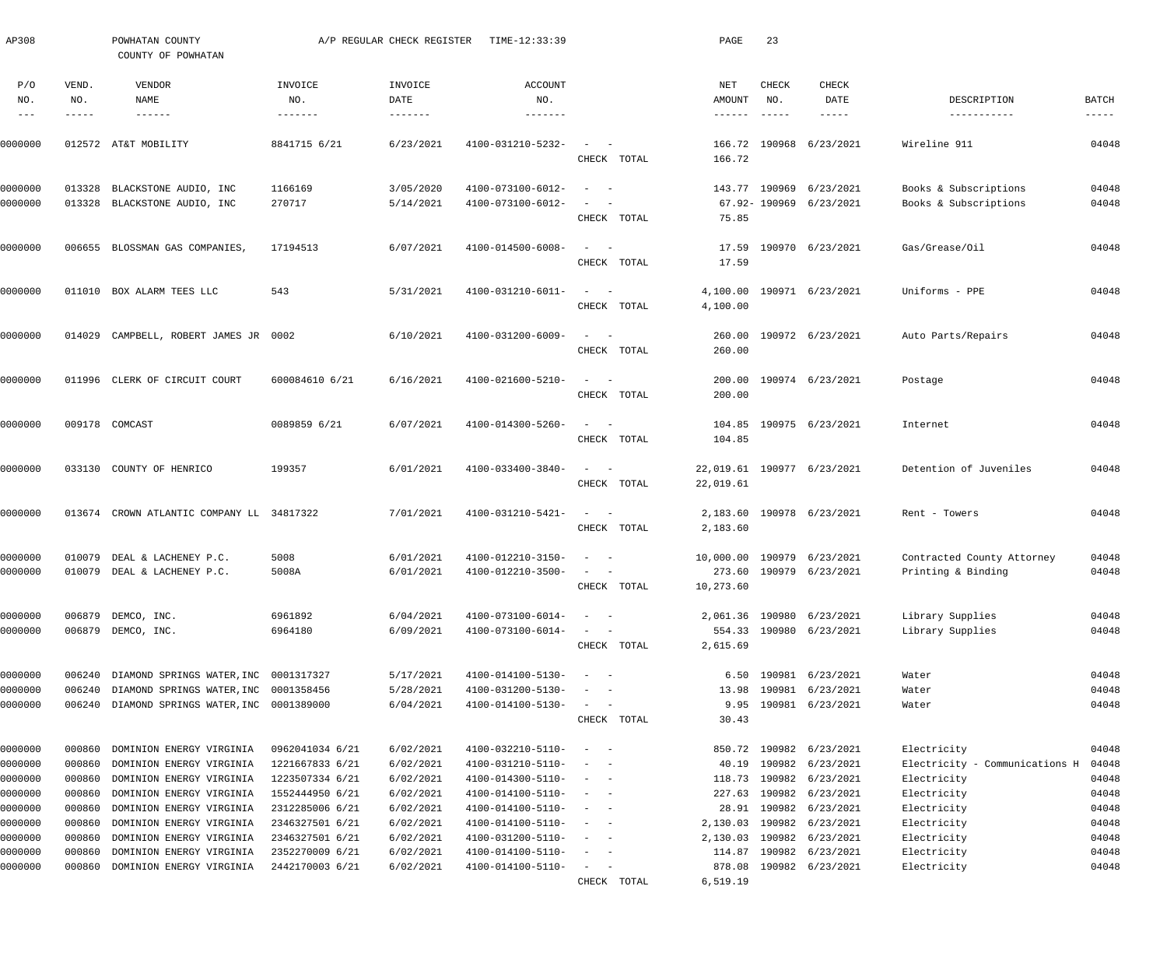| AP308                             |                       | POWHATAN COUNTY<br>COUNTY OF POWHATAN                                                 |                                     | A/P REGULAR CHECK REGISTER | TIME-12:33:39                              |                                                                                                                                          | PAGE                   | 23                            |                                                      |                                               |                               |
|-----------------------------------|-----------------------|---------------------------------------------------------------------------------------|-------------------------------------|----------------------------|--------------------------------------------|------------------------------------------------------------------------------------------------------------------------------------------|------------------------|-------------------------------|------------------------------------------------------|-----------------------------------------------|-------------------------------|
| P/O<br>NO.<br>$\qquad \qquad - -$ | VEND.<br>NO.<br>----- | VENDOR<br>NAME                                                                        | INVOICE<br>NO.<br>$- - - - - - - -$ | INVOICE<br>DATE<br>------- | <b>ACCOUNT</b><br>NO.<br>$- - - - - - - -$ |                                                                                                                                          | NET<br>AMOUNT          | CHECK<br>NO.<br>$- - - - - -$ | CHECK<br>DATE<br>$- - - - - -$                       | DESCRIPTION<br>-----------                    | <b>BATCH</b><br>$- - - - - -$ |
| 0000000                           |                       | 012572 AT&T MOBILITY                                                                  | 8841715 6/21                        | 6/23/2021                  | 4100-031210-5232-                          | $\overline{\phantom{a}}$<br>CHECK TOTAL                                                                                                  | 166.72<br>166.72       |                               | 190968 6/23/2021                                     | Wireline 911                                  | 04048                         |
| 0000000                           | 013328                | BLACKSTONE AUDIO, INC                                                                 | 1166169                             | 3/05/2020                  | 4100-073100-6012-                          | $\overline{\phantom{a}}$<br>$\sim$ $-$                                                                                                   |                        |                               | 143.77 190969 6/23/2021                              | Books & Subscriptions                         | 04048                         |
| 0000000                           |                       | 013328 BLACKSTONE AUDIO, INC                                                          | 270717                              | 5/14/2021                  | 4100-073100-6012-                          | CHECK TOTAL                                                                                                                              | 75.85                  |                               | 67.92-190969 6/23/2021                               | Books & Subscriptions                         | 04048                         |
| 0000000                           |                       | 006655 BLOSSMAN GAS COMPANIES                                                         | 17194513                            | 6/07/2021                  | 4100-014500-6008-                          | $\sim$<br>$\sim$ $-$<br>CHECK TOTAL                                                                                                      | 17.59<br>17.59         |                               | 190970 6/23/2021                                     | Gas/Grease/Oil                                | 04048                         |
| 0000000                           |                       | 011010 BOX ALARM TEES LLC                                                             | 543                                 | 5/31/2021                  | 4100-031210-6011-                          | CHECK TOTAL                                                                                                                              | 4,100.00<br>4,100.00   |                               | 190971 6/23/2021                                     | Uniforms - PPE                                | 04048                         |
| 0000000                           |                       | 014029 CAMPBELL, ROBERT JAMES JR 0002                                                 |                                     | 6/10/2021                  | 4100-031200-6009-                          | CHECK TOTAL                                                                                                                              | 260.00<br>260.00       |                               | 190972 6/23/2021                                     | Auto Parts/Repairs                            | 04048                         |
| 0000000                           |                       | 011996 CLERK OF CIRCUIT COURT                                                         | 600084610 6/21                      | 6/16/2021                  | 4100-021600-5210-                          | CHECK TOTAL                                                                                                                              | 200.00<br>200.00       |                               | 190974 6/23/2021                                     | Postage                                       | 04048                         |
| 0000000                           |                       | 009178 COMCAST                                                                        | 0089859 6/21                        | 6/07/2021                  | 4100-014300-5260-                          | CHECK TOTAL                                                                                                                              | 104.85                 |                               | 104.85 190975 6/23/2021                              | Internet                                      | 04048                         |
| 0000000                           |                       | 033130 COUNTY OF HENRICO                                                              | 199357                              | 6/01/2021                  | 4100-033400-3840-                          | CHECK TOTAL                                                                                                                              | 22,019.61              |                               | 22,019.61 190977 6/23/2021                           | Detention of Juveniles                        | 04048                         |
| 0000000                           |                       | 013674 CROWN ATLANTIC COMPANY LL 34817322                                             |                                     | 7/01/2021                  | 4100-031210-5421-                          | CHECK TOTAL                                                                                                                              | 2,183.60<br>2,183.60   |                               | 190978 6/23/2021                                     | Rent - Towers                                 | 04048                         |
| 0000000                           | 010079                | DEAL & LACHENEY P.C.                                                                  | 5008                                | 6/01/2021                  | 4100-012210-3150-                          | $\overline{\phantom{a}}$<br>$\sim$ $-$                                                                                                   |                        |                               | 10,000.00 190979 6/23/2021                           | Contracted County Attorney                    | 04048                         |
| 0000000                           |                       | 010079 DEAL & LACHENEY P.C.                                                           | 5008A                               | 6/01/2021                  | 4100-012210-3500-                          | $\frac{1}{2} \left( \frac{1}{2} \right) \left( \frac{1}{2} \right) \left( \frac{1}{2} \right) \left( \frac{1}{2} \right)$<br>CHECK TOTAL | 10,273.60              |                               | 273.60 190979 6/23/2021                              | Printing & Binding                            | 04048                         |
| 0000000<br>0000000                |                       | 006879 DEMCO, INC.<br>006879 DEMCO, INC.                                              | 6961892<br>6964180                  | 6/04/2021<br>6/09/2021     | 4100-073100-6014-<br>4100-073100-6014-     | $\sim$ 100 $\sim$ 100 $\sim$<br>CHECK TOTAL                                                                                              | 2,615.69               |                               | 2,061.36 190980 6/23/2021<br>554.33 190980 6/23/2021 | Library Supplies<br>Library Supplies          | 04048<br>04048                |
| 0000000                           |                       | 006240 DIAMOND SPRINGS WATER, INC 0001317327                                          |                                     | 5/17/2021                  | 4100-014100-5130-                          | $\sim$ 100 $\sim$ 100 $\sim$                                                                                                             |                        |                               | 6.50 190981 6/23/2021                                | Water                                         | 04048                         |
| 0000000<br>0000000                | 006240                | DIAMOND SPRINGS WATER, INC 0001358456<br>006240 DIAMOND SPRINGS WATER, INC 0001389000 |                                     | 5/28/2021<br>6/04/2021     | 4100-031200-5130-<br>4100-014100-5130-     | $\sim$ $-$<br>CHECK TOTAL                                                                                                                | 13.98<br>9.95<br>30.43 | 190981                        | 6/23/2021<br>190981 6/23/2021                        | Water<br>Water                                | 04048<br>04048                |
| 0000000                           | 000860                | DOMINION ENERGY VIRGINIA                                                              | 0962041034 6/21                     | 6/02/2021                  | 4100-032210-5110-                          | $\frac{1}{2} \left( \frac{1}{2} \right) \left( \frac{1}{2} \right) \left( \frac{1}{2} \right) \left( \frac{1}{2} \right)$                |                        |                               | 850.72 190982 6/23/2021                              | Electricity                                   | 04048                         |
| 0000000<br>0000000                | 000860<br>000860      | DOMINION ENERGY VIRGINIA<br>DOMINION ENERGY VIRGINIA                                  | 1221667833 6/21<br>1223507334 6/21  | 6/02/2021<br>6/02/2021     | 4100-031210-5110-<br>4100-014300-5110-     | $\sim$ 100 $\sim$ 100 $\sim$                                                                                                             | 40.19<br>118.73        |                               | 190982 6/23/2021<br>190982 6/23/2021                 | Electricity - Communications H<br>Electricity | 04048<br>04048                |
| 0000000                           | 000860                | DOMINION ENERGY VIRGINIA                                                              | 1552444950 6/21                     | 6/02/2021                  | 4100-014100-5110-                          | $\frac{1}{2} \left( \frac{1}{2} \right) \left( \frac{1}{2} \right) \left( \frac{1}{2} \right) \left( \frac{1}{2} \right)$                | 227.63                 |                               | 190982 6/23/2021                                     | Electricity                                   | 04048                         |
| 0000000                           | 000860                | DOMINION ENERGY VIRGINIA                                                              | 2312285006 6/21                     | 6/02/2021                  | 4100-014100-5110-                          | $\frac{1}{2} \left( \frac{1}{2} \right) \left( \frac{1}{2} \right) \left( \frac{1}{2} \right) \left( \frac{1}{2} \right)$                | 28.91                  |                               | 190982 6/23/2021                                     | Electricity                                   | 04048                         |
| 0000000                           | 000860                | DOMINION ENERGY VIRGINIA                                                              | 2346327501 6/21                     | 6/02/2021                  | 4100-014100-5110-                          | $\sim$ 100 $\sim$ 100 $\sim$                                                                                                             | 2,130.03               |                               | 190982 6/23/2021                                     | Electricity                                   | 04048                         |
| 0000000                           | 000860                | DOMINION ENERGY VIRGINIA                                                              | 2346327501 6/21                     | 6/02/2021                  | 4100-031200-5110-                          | $\sim$ 100 $\sim$ 100 $\sim$                                                                                                             | 2,130.03               |                               | 190982 6/23/2021                                     | Electricity                                   | 04048                         |
| 0000000                           | 000860                | DOMINION ENERGY VIRGINIA                                                              | 2352270009 6/21                     | 6/02/2021                  | 4100-014100-5110-                          | $\sim$ $ -$                                                                                                                              | 114.87                 |                               | 190982 6/23/2021                                     | Electricity                                   | 04048                         |
| 0000000                           | 000860                | DOMINION ENERGY VIRGINIA                                                              | 2442170003 6/21                     | 6/02/2021                  | 4100-014100-5110-                          | $\sim$ $  -$                                                                                                                             | 878.08                 |                               | 190982 6/23/2021                                     | Electricity                                   | 04048                         |
|                                   |                       |                                                                                       |                                     |                            |                                            | CHECK TOTAL                                                                                                                              | 6,519.19               |                               |                                                      |                                               |                               |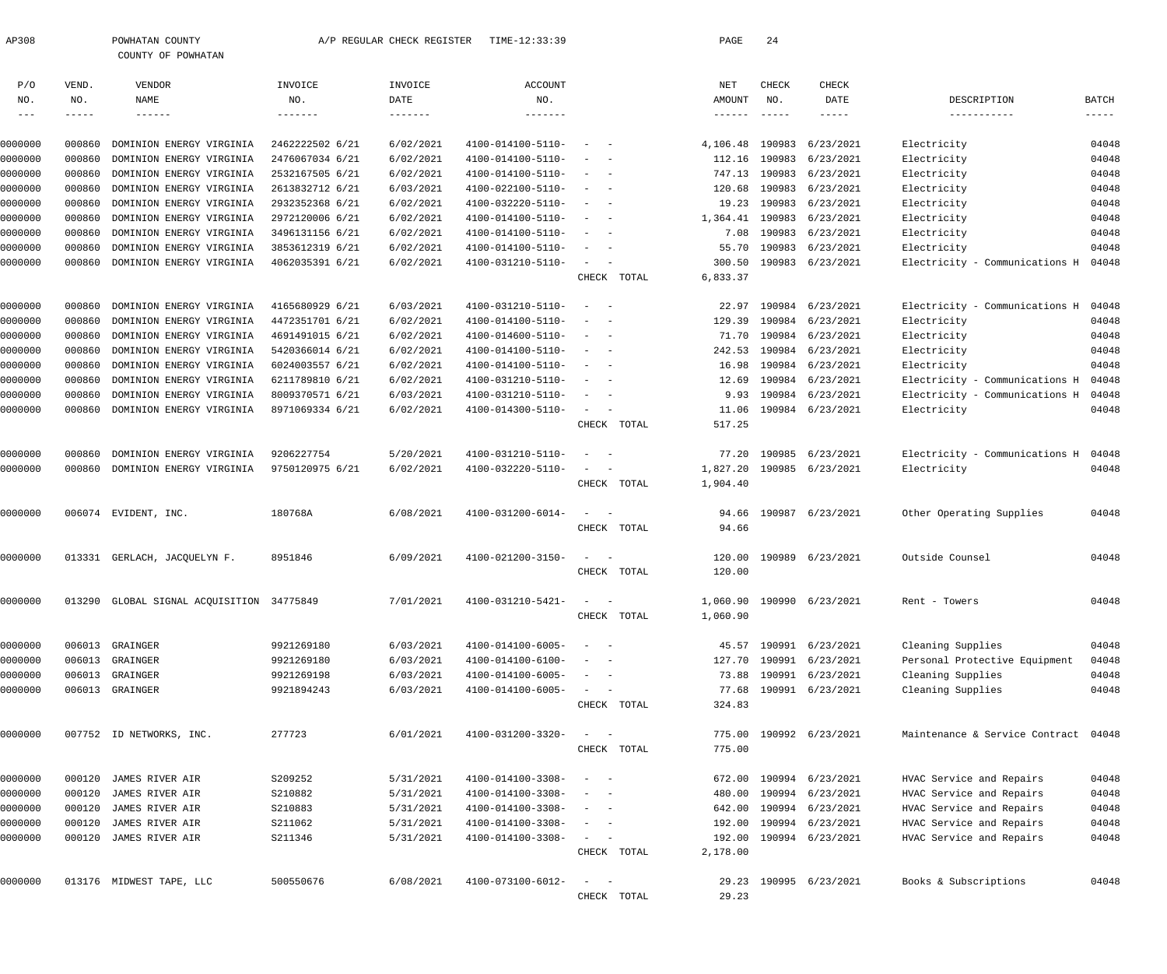| AP308              |             | POWHATAN COUNTY<br>COUNTY OF POWHATAN     |                 | A/P REGULAR CHECK REGISTER | TIME-12:33:39                          |                                    |                                 | PAGE            | 24          |                           |                                |          |
|--------------------|-------------|-------------------------------------------|-----------------|----------------------------|----------------------------------------|------------------------------------|---------------------------------|-----------------|-------------|---------------------------|--------------------------------|----------|
|                    |             |                                           |                 |                            |                                        |                                    |                                 |                 |             |                           |                                |          |
| P/O                | VEND.       | VENDOR                                    | INVOICE         | INVOICE                    | <b>ACCOUNT</b>                         |                                    |                                 | NET             | CHECK       | CHECK                     |                                |          |
| NO.                | NO.         | <b>NAME</b>                               | NO.             | DATE                       | NO.                                    |                                    |                                 | AMOUNT          | NO.         | DATE                      | DESCRIPTION                    | BATCH    |
| $---$              | $--- - - -$ | $- - - - - - -$                           | -------         | $- - - - - - -$            | $- - - - - - -$                        |                                    |                                 | $- - - - - - -$ | $- - - - -$ | -----                     | -----------                    | $------$ |
| 0000000            | 000860      | DOMINION ENERGY VIRGINIA                  | 2462222502 6/21 | 6/02/2021                  | 4100-014100-5110-                      |                                    |                                 | 4,106.48        | 190983      | 6/23/2021                 | Electricity                    | 04048    |
| 0000000            | 000860      | DOMINION ENERGY VIRGINIA                  | 2476067034 6/21 | 6/02/2021                  | 4100-014100-5110-                      |                                    |                                 | 112.16          | 190983      | 6/23/2021                 | Electricity                    | 04048    |
| 0000000            | 000860      | DOMINION ENERGY VIRGINIA                  | 2532167505 6/21 | 6/02/2021                  | 4100-014100-5110-                      | $\sim$                             |                                 | 747.13          |             | 190983 6/23/2021          | Electricity                    | 04048    |
| 0000000            | 000860      | DOMINION ENERGY VIRGINIA                  | 2613832712 6/21 | 6/03/2021                  | 4100-022100-5110-                      | $\sim$                             |                                 | 120.68          |             | 190983 6/23/2021          | Electricity                    | 04048    |
| 0000000            | 000860      | DOMINION ENERGY VIRGINIA                  | 2932352368 6/21 | 6/02/2021                  | 4100-032220-5110-                      | $\sim$                             |                                 | 19.23           |             | 190983 6/23/2021          | Electricity                    | 04048    |
| 0000000            | 000860      | DOMINION ENERGY VIRGINIA                  | 2972120006 6/21 | 6/02/2021                  | 4100-014100-5110-                      | $\sim$                             |                                 | 1,364.41        |             | 190983 6/23/2021          | Electricity                    | 04048    |
| 0000000            | 000860      | DOMINION ENERGY VIRGINIA                  | 3496131156 6/21 | 6/02/2021                  | 4100-014100-5110-                      | $\sim$                             |                                 | 7.08            |             | 190983 6/23/2021          | Electricity                    | 04048    |
| 0000000            | 000860      | DOMINION ENERGY VIRGINIA                  | 3853612319 6/21 | 6/02/2021                  | 4100-014100-5110-                      | $\sim$                             |                                 | 55.70           |             | 190983 6/23/2021          | Electricity                    | 04048    |
| 0000000            | 000860      | DOMINION ENERGY VIRGINIA                  | 4062035391 6/21 | 6/02/2021                  | 4100-031210-5110-                      | $\sim$                             |                                 | 300.50          |             | 190983 6/23/2021          | Electricity - Communications H | 04048    |
|                    |             |                                           |                 |                            |                                        |                                    | CHECK TOTAL                     | 6,833.37        |             |                           |                                |          |
| 0000000            | 000860      | DOMINION ENERGY VIRGINIA                  | 4165680929 6/21 | 6/03/2021                  | 4100-031210-5110-                      | $\overline{\phantom{a}}$<br>$\sim$ |                                 | 22.97           | 190984      | 6/23/2021                 | Electricity - Communications H | 04048    |
| 0000000            | 000860      | DOMINION ENERGY VIRGINIA                  | 4472351701 6/21 | 6/02/2021                  | 4100-014100-5110-                      |                                    |                                 | 129.39          | 190984      | 6/23/2021                 | Electricity                    | 04048    |
| 0000000            | 000860      | DOMINION ENERGY VIRGINIA                  | 4691491015 6/21 | 6/02/2021                  | 4100-014600-5110-                      | $\sim$<br>$\sim$                   |                                 | 71.70           |             | 190984 6/23/2021          | Electricity                    | 04048    |
| 0000000            | 000860      | DOMINION ENERGY VIRGINIA                  | 5420366014 6/21 | 6/02/2021                  | 4100-014100-5110-                      | $\sim$                             |                                 | 242.53          |             | 190984 6/23/2021          | Electricity                    | 04048    |
| 0000000            | 000860      | DOMINION ENERGY VIRGINIA                  | 6024003557 6/21 | 6/02/2021                  | 4100-014100-5110-                      | $\sim$                             |                                 | 16.98           |             | 190984 6/23/2021          | Electricity                    | 04048    |
| 0000000            | 000860      | DOMINION ENERGY VIRGINIA                  | 6211789810 6/21 | 6/02/2021                  | 4100-031210-5110-                      | $\sim$                             |                                 | 12.69           |             | 190984 6/23/2021          | Electricity - Communications H | 04048    |
| 0000000            | 000860      | DOMINION ENERGY VIRGINIA                  | 8009370571 6/21 | 6/03/2021                  | 4100-031210-5110-                      | $\sim$                             |                                 | 9.93            |             | 190984 6/23/2021          | Electricity - Communications H | 04048    |
| 0000000            | 000860      | DOMINION ENERGY VIRGINIA                  | 8971069334 6/21 | 6/02/2021                  | 4100-014300-5110-                      | $\sim$                             | $\hspace{0.1mm}-\hspace{0.1mm}$ | 11.06           |             | 190984 6/23/2021          | Electricity                    | 04048    |
|                    |             |                                           |                 |                            |                                        |                                    | CHECK TOTAL                     | 517.25          |             |                           |                                |          |
| 0000000            | 000860      | DOMINION ENERGY VIRGINIA                  | 9206227754      | 5/20/2021                  | 4100-031210-5110-                      |                                    |                                 | 77.20           |             | 190985 6/23/2021          | Electricity - Communications H | 04048    |
| 0000000            | 000860      | DOMINION ENERGY VIRGINIA                  | 9750120975 6/21 | 6/02/2021                  | 4100-032220-5110-                      | $\sim$                             |                                 | 1,827.20        |             | 190985 6/23/2021          | Electricity                    | 04048    |
|                    |             |                                           |                 |                            |                                        |                                    | CHECK TOTAL                     | 1,904.40        |             |                           |                                |          |
| 0000000            |             | 006074 EVIDENT, INC.                      | 180768A         | 6/08/2021                  | 4100-031200-6014-                      | $\sim$                             |                                 | 94.66           |             | 190987 6/23/2021          | Other Operating Supplies       | 04048    |
|                    |             |                                           |                 |                            |                                        |                                    | CHECK TOTAL                     | 94.66           |             |                           |                                |          |
|                    |             |                                           |                 |                            |                                        |                                    |                                 |                 |             |                           |                                |          |
| 0000000            |             | 013331 GERLACH, JACQUELYN F.              | 8951846         | 6/09/2021                  | 4100-021200-3150-                      | $\sim$                             | CHECK TOTAL                     | 120.00          |             | 190989 6/23/2021          | Outside Counsel                | 04048    |
|                    |             |                                           |                 |                            |                                        |                                    |                                 | 120.00          |             |                           |                                |          |
| 0000000            |             | 013290 GLOBAL SIGNAL ACQUISITION 34775849 |                 | 7/01/2021                  | 4100-031210-5421-                      | $\sim$                             |                                 |                 |             | 1,060.90 190990 6/23/2021 | Rent - Towers                  | 04048    |
|                    |             |                                           |                 |                            |                                        |                                    | CHECK TOTAL                     | 1,060.90        |             |                           |                                |          |
|                    |             | 006013 GRAINGER                           | 9921269180      |                            |                                        |                                    |                                 |                 |             | 190991 6/23/2021          | Cleaning Supplies              | 04048    |
| 0000000<br>0000000 | 006013      | GRAINGER                                  | 9921269180      | 6/03/2021<br>6/03/2021     | 4100-014100-6005-<br>4100-014100-6100- | $\equiv$<br>$\sim$                 |                                 | 45.57<br>127.70 | 190991      | 6/23/2021                 | Personal Protective Equipment  | 04048    |
| 0000000            | 006013      | GRAINGER                                  | 9921269198      | 6/03/2021                  | 4100-014100-6005-                      | $\sim$<br>$\sim$                   |                                 | 73.88           |             | 190991 6/23/2021          | Cleaning Supplies              | 04048    |
| 0000000            |             | 006013 GRAINGER                           | 9921894243      | 6/03/2021                  | 4100-014100-6005-                      | $\sim$                             | $\sim$                          | 77.68           |             | 190991 6/23/2021          | Cleaning Supplies              | 04048    |
|                    |             |                                           |                 |                            |                                        |                                    | CHECK TOTAL                     | 324.83          |             |                           |                                |          |
|                    |             |                                           |                 |                            |                                        |                                    |                                 |                 |             |                           |                                |          |
| 0000000            |             | 007752 ID NETWORKS, INC.                  | 277723          | 6/01/2021                  | 4100-031200-3320-                      |                                    |                                 | 775.00          |             | 190992 6/23/2021          | Maintenance & Service Contract | 04048    |
|                    |             |                                           |                 |                            |                                        |                                    | CHECK TOTAL                     | 775.00          |             |                           |                                |          |
| 0000000            | 000120      | JAMES RIVER AIR                           | S209252         | 5/31/2021                  | 4100-014100-3308-                      | $\overline{\phantom{0}}$           |                                 | 672.00          |             | 190994 6/23/2021          | HVAC Service and Repairs       | 04048    |
| 0000000            | 000120      | JAMES RIVER AIR                           | S210882         | 5/31/2021                  | 4100-014100-3308-                      | $\overline{\phantom{0}}$           |                                 | 480.00          |             | 190994 6/23/2021          | HVAC Service and Repairs       | 04048    |
| 0000000            | 000120      | JAMES RIVER AIR                           | S210883         | 5/31/2021                  | 4100-014100-3308-                      | $\sim$<br>$\sim$                   |                                 | 642.00          |             | 190994 6/23/2021          | HVAC Service and Repairs       | 04048    |
| 0000000            | 000120      | JAMES RIVER AIR                           | S211062         | 5/31/2021                  | 4100-014100-3308-                      | $\equiv$<br>$\sim$                 |                                 | 192.00          |             | 190994 6/23/2021          | HVAC Service and Repairs       | 04048    |
| 0000000            | 000120      | JAMES RIVER AIR                           | S211346         | 5/31/2021                  | 4100-014100-3308-                      |                                    | $\overline{\phantom{a}}$        | 192.00          |             | 190994 6/23/2021          | HVAC Service and Repairs       | 04048    |
|                    |             |                                           |                 |                            |                                        |                                    | CHECK TOTAL                     | 2,178.00        |             |                           |                                |          |
| 0000000            |             | 013176 MIDWEST TAPE, LLC                  | 500550676       | 6/08/2021                  | 4100-073100-6012-                      | $\sim$                             |                                 | 29.23           |             | 190995 6/23/2021          | Books & Subscriptions          | 04048    |
|                    |             |                                           |                 |                            |                                        |                                    | CHECK TOTAL                     | 29.23           |             |                           |                                |          |
|                    |             |                                           |                 |                            |                                        |                                    |                                 |                 |             |                           |                                |          |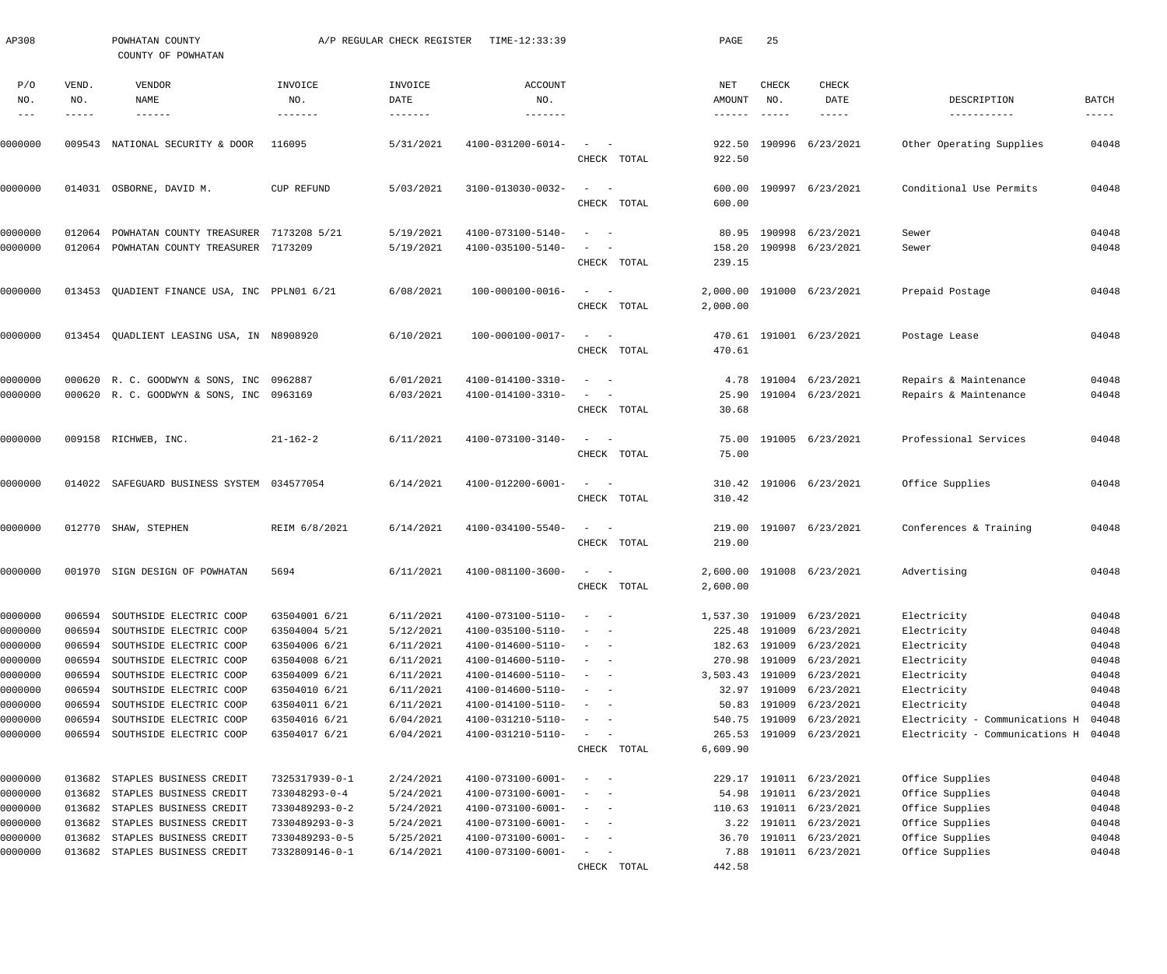| AP308              |                  | POWHATAN COUNTY<br>COUNTY OF POWHATAN              |                                | A/P REGULAR CHECK REGISTER | TIME-12:33:39                          |                                              |             | PAGE                             | 25                                   |                                             |                                |                             |
|--------------------|------------------|----------------------------------------------------|--------------------------------|----------------------------|----------------------------------------|----------------------------------------------|-------------|----------------------------------|--------------------------------------|---------------------------------------------|--------------------------------|-----------------------------|
| P/O<br>NO.         | VEND.<br>NO.     | VENDOR<br>NAME<br>------                           | INVOICE<br>NO.<br>-------      | INVOICE<br>DATE<br>------- | <b>ACCOUNT</b><br>NO.<br>-------       |                                              |             | NET<br>AMOUNT<br>$- - - - - - -$ | <b>CHECK</b><br>NO.<br>$- - - - - -$ | CHECK<br>DATE<br>-----                      | DESCRIPTION<br>-----------     | <b>BATCH</b><br>$- - - - -$ |
| 0000000            |                  | 009543 NATIONAL SECURITY & DOOR                    | 116095                         | 5/31/2021                  | 4100-031200-6014-                      |                                              | CHECK TOTAL | 922.50<br>922.50                 |                                      | 190996 6/23/2021                            | Other Operating Supplies       | 04048                       |
| 0000000            |                  | 014031 OSBORNE, DAVID M.                           | CUP REFUND                     | 5/03/2021                  | 3100-013030-0032-                      | $\sim$<br>$\sim$ $-$                         | CHECK TOTAL | 600.00<br>600.00                 |                                      | 190997 6/23/2021                            | Conditional Use Permits        | 04048                       |
| 0000000            | 012064           | POWHATAN COUNTY TREASURER 7173208 5/21             |                                | 5/19/2021                  | 4100-073100-5140-                      | $\sim$ $-$                                   |             | 80.95                            |                                      | 190998 6/23/2021                            | Sewer                          | 04048                       |
| 0000000            |                  | 012064 POWHATAN COUNTY TREASURER 7173209           |                                | 5/19/2021                  | 4100-035100-5140-                      |                                              | CHECK TOTAL | 158.20<br>239.15                 |                                      | 190998 6/23/2021                            | Sewer                          | 04048                       |
| 0000000            |                  | 013453 QUADIENT FINANCE USA, INC PPLN01 6/21       |                                | 6/08/2021                  | 100-000100-0016-                       | $\sim$ $-$                                   | CHECK TOTAL | 2,000.00                         |                                      | 2,000.00 191000 6/23/2021                   | Prepaid Postage                | 04048                       |
| 0000000            |                  | 013454 QUADLIENT LEASING USA, IN N8908920          |                                | 6/10/2021                  | 100-000100-0017-                       | $\sim$ $-$                                   | CHECK TOTAL | 470.61                           |                                      | 470.61 191001 6/23/2021                     | Postage Lease                  | 04048                       |
| 0000000            |                  | 000620 R. C. GOODWYN & SONS, INC 0962887           |                                | 6/01/2021                  | 4100-014100-3310-                      |                                              |             | 4.78                             |                                      | 191004 6/23/2021                            | Repairs & Maintenance          | 04048                       |
| 0000000            |                  | 000620 R. C. GOODWYN & SONS, INC 0963169           |                                | 6/03/2021                  | 4100-014100-3310-                      |                                              | CHECK TOTAL | 25.90<br>30.68                   |                                      | 191004 6/23/2021                            | Repairs & Maintenance          | 04048                       |
| 0000000            |                  | 009158 RICHWEB, INC.                               | $21 - 162 - 2$                 | 6/11/2021                  | 4100-073100-3140-                      |                                              | CHECK TOTAL | 75.00<br>75.00                   |                                      | 191005 6/23/2021                            | Professional Services          | 04048                       |
| 0000000            |                  | 014022 SAFEGUARD BUSINESS SYSTEM 034577054         |                                | 6/14/2021                  | 4100-012200-6001-                      | $\sim$<br>$\sim$ $-$                         | CHECK TOTAL | 310.42                           |                                      | 310.42 191006 6/23/2021                     | Office Supplies                | 04048                       |
|                    |                  |                                                    |                                |                            |                                        |                                              |             |                                  |                                      |                                             |                                |                             |
| 0000000            |                  | 012770 SHAW, STEPHEN                               | REIM 6/8/2021                  | 6/14/2021                  | 4100-034100-5540-                      | $\sim$ $-$                                   | CHECK TOTAL | 219.00<br>219.00                 |                                      | 191007 6/23/2021                            | Conferences & Training         | 04048                       |
| 0000000            |                  | 001970 SIGN DESIGN OF POWHATAN                     | 5694                           | 6/11/2021                  | 4100-081100-3600-                      |                                              | CHECK TOTAL | 2,600.00                         |                                      | 2,600.00 191008 6/23/2021                   | Advertising                    | 04048                       |
| 0000000            | 006594           | SOUTHSIDE ELECTRIC COOP                            | 63504001 6/21                  | 6/11/2021                  | 4100-073100-5110-                      | $\sim$<br>$\sim$ $-$                         |             | 1,537.30                         |                                      | 191009 6/23/2021                            | Electricity                    | 04048                       |
| 0000000<br>0000000 | 006594<br>006594 | SOUTHSIDE ELECTRIC COOP<br>SOUTHSIDE ELECTRIC COOP | 63504004 5/21<br>63504006 6/21 | 5/12/2021<br>6/11/2021     | 4100-035100-5110-<br>4100-014600-5110- | $\sim$<br>$\sim$ $-$<br>$\sim$<br>$\sim$ $-$ |             | 225.48                           |                                      | 191009 6/23/2021<br>182.63 191009 6/23/2021 | Electricity<br>Electricity     | 04048<br>04048              |
| 0000000            | 006594           | SOUTHSIDE ELECTRIC COOP                            | 63504008 6/21                  | 6/11/2021                  | 4100-014600-5110-                      | $\sim$<br>$\sim$ $-$                         |             | 270.98                           |                                      | 191009 6/23/2021                            | Electricity                    | 04048                       |
| 0000000            | 006594           | SOUTHSIDE ELECTRIC COOP                            | 63504009 6/21                  | 6/11/2021                  | 4100-014600-5110-                      | $\sim$<br>$\sim$                             |             | 3,503.43                         | 191009                               | 6/23/2021                                   | Electricity                    | 04048                       |
| 0000000            | 006594           | SOUTHSIDE ELECTRIC COOP                            | 63504010 6/21                  | 6/11/2021                  | 4100-014600-5110-                      | $\sim$<br>$\sim$                             |             |                                  |                                      | 32.97 191009 6/23/2021                      | Electricity                    | 04048                       |
| 0000000            | 006594           | SOUTHSIDE ELECTRIC COOP                            | 63504011 6/21                  | 6/11/2021                  | 4100-014100-5110-                      | $\sim$<br>$\sim$ $-$                         |             | 50.83                            |                                      | 191009 6/23/2021                            | Electricity                    | 04048                       |
| 0000000            | 006594           | SOUTHSIDE ELECTRIC COOP                            | 63504016 6/21                  | 6/04/2021                  | 4100-031210-5110-                      | $\sim$<br>$\sim$ $-$                         |             | 540.75                           |                                      | 191009 6/23/2021                            | Electricity - Communications H | 04048                       |
| 0000000            | 006594           | SOUTHSIDE ELECTRIC COOP                            | 63504017 6/21                  | 6/04/2021                  | 4100-031210-5110-                      | $\sim$<br>$\sim$                             | CHECK TOTAL | 6,609.90                         |                                      | 265.53 191009 6/23/2021                     | Electricity - Communications H | 04048                       |
| 0000000            | 013682           | STAPLES BUSINESS CREDIT                            | 7325317939-0-1                 | 2/24/2021                  | 4100-073100-6001-                      | $\overline{\phantom{a}}$<br>$\sim$ $-$       |             |                                  |                                      | 229.17 191011 6/23/2021                     | Office Supplies                | 04048                       |
| 0000000            | 013682           | STAPLES BUSINESS CREDIT                            | 733048293-0-4                  | 5/24/2021                  | 4100-073100-6001-                      | $\sim$<br>$\sim$                             |             | 54.98                            |                                      | 191011 6/23/2021                            | Office Supplies                | 04048                       |
| 0000000            | 013682           | STAPLES BUSINESS CREDIT                            | 7330489293-0-2                 | 5/24/2021                  | 4100-073100-6001-                      | $\sim$<br>$\sim$ $-$                         |             | 110.63                           |                                      | 191011 6/23/2021                            | Office Supplies                | 04048                       |
| 0000000            | 013682           | STAPLES BUSINESS CREDIT                            | 7330489293-0-3                 | 5/24/2021                  | 4100-073100-6001-                      | $\sim$<br>$\sim$                             |             | 3.22                             |                                      | 191011 6/23/2021                            | Office Supplies                | 04048                       |
| 0000000            | 013682           | STAPLES BUSINESS CREDIT                            | 7330489293-0-5                 | 5/25/2021                  | 4100-073100-6001-                      | $\sim$<br>$\sim$ $-$                         |             | 36.70                            |                                      | 191011 6/23/2021                            | Office Supplies                | 04048                       |
| 0000000            | 013682           | STAPLES BUSINESS CREDIT                            | 7332809146-0-1                 | 6/14/2021                  | 4100-073100-6001-                      | $\overline{\phantom{a}}$<br>$\sim$           |             | 7.88                             |                                      | 191011 6/23/2021                            | Office Supplies                | 04048                       |
|                    |                  |                                                    |                                |                            |                                        |                                              | CHECK TOTAL | 442.58                           |                                      |                                             |                                |                             |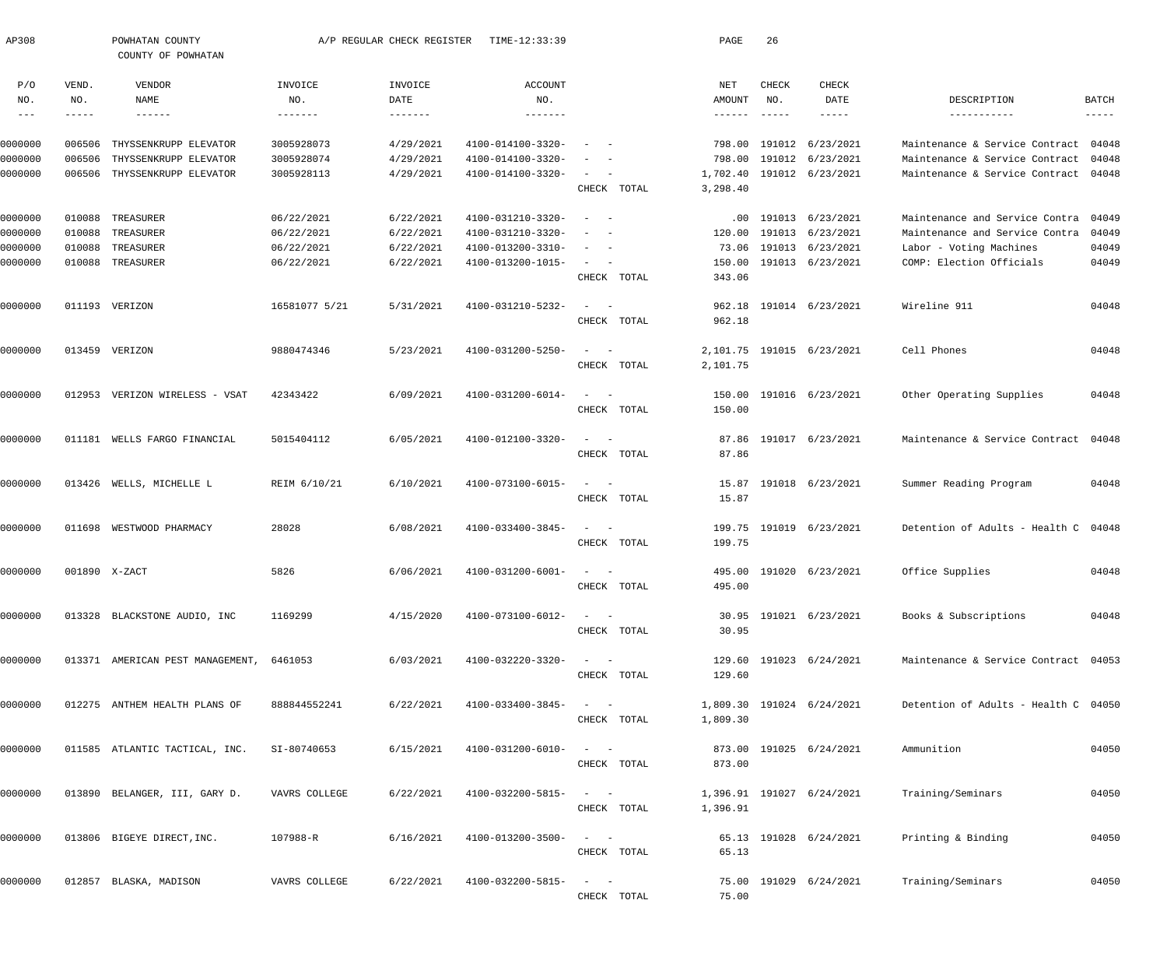| AP308         |              | POWHATAN COUNTY<br>COUNTY OF POWHATAN |                | A/P REGULAR CHECK REGISTER | TIME-12:33:39         |                                                                                                              | PAGE            | 26                  |                           |                                      |                            |
|---------------|--------------|---------------------------------------|----------------|----------------------------|-----------------------|--------------------------------------------------------------------------------------------------------------|-----------------|---------------------|---------------------------|--------------------------------------|----------------------------|
| P/O<br>NO.    | VEND.<br>NO. | VENDOR<br>NAME                        | INVOICE<br>NO. | INVOICE<br>DATE            | <b>ACCOUNT</b><br>NO. |                                                                                                              | NET<br>AMOUNT   | <b>CHECK</b><br>NO. | CHECK<br>DATE             | DESCRIPTION                          | <b>BATCH</b>               |
| $\frac{1}{2}$ | -----        | $- - - - - - -$                       |                | $- - - - - - -$            |                       |                                                                                                              | $- - - - - - -$ | $- - - - - -$       | $- - - - -$               | -----------                          | $\cdots\cdots\cdots\cdots$ |
| 0000000       | 006506       | THYSSENKRUPP ELEVATOR                 | 3005928073     | 4/29/2021                  | 4100-014100-3320-     | $\overline{\phantom{a}}$                                                                                     |                 |                     | 798.00 191012 6/23/2021   | Maintenance & Service Contract 04048 |                            |
| 0000000       | 006506       | THYSSENKRUPP ELEVATOR                 | 3005928074     | 4/29/2021                  | 4100-014100-3320-     | $\overline{\phantom{a}}$                                                                                     |                 |                     | 798.00 191012 6/23/2021   | Maintenance & Service Contract       | 04048                      |
| 0000000       | 006506       | THYSSENKRUPP ELEVATOR                 | 3005928113     | 4/29/2021                  | 4100-014100-3320-     | $\sim$                                                                                                       | 1,702.40        |                     | 191012 6/23/2021          | Maintenance & Service Contract 04048 |                            |
|               |              |                                       |                |                            |                       | CHECK TOTAL                                                                                                  | 3,298.40        |                     |                           |                                      |                            |
| 0000000       | 010088       | TREASURER                             | 06/22/2021     | 6/22/2021                  | 4100-031210-3320-     | $\sim$<br>$\sim$                                                                                             |                 |                     | .00 191013 6/23/2021      | Maintenance and Service Contra       | 04049                      |
| 0000000       | 010088       | TREASURER                             | 06/22/2021     | 6/22/2021                  | 4100-031210-3320-     |                                                                                                              | 120.00          |                     | 191013 6/23/2021          | Maintenance and Service Contra       | 04049                      |
| 0000000       | 010088       | TREASURER                             | 06/22/2021     | 6/22/2021                  | 4100-013200-3310-     | $\sim$<br>$\overline{\phantom{0}}$                                                                           |                 |                     | 73.06 191013 6/23/2021    | Labor - Voting Machines              | 04049                      |
| 0000000       | 010088       | TREASURER                             | 06/22/2021     | 6/22/2021                  | 4100-013200-1015-     | $\sim$                                                                                                       | 150.00          |                     | 191013 6/23/2021          | COMP: Election Officials             | 04049                      |
|               |              |                                       |                |                            |                       | CHECK TOTAL                                                                                                  | 343.06          |                     |                           |                                      |                            |
| 0000000       |              | 011193 VERIZON                        | 16581077 5/21  | 5/31/2021                  | 4100-031210-5232-     | $\sim$<br>$\sim$ $-$                                                                                         |                 |                     | 962.18 191014 6/23/2021   | Wireline 911                         | 04048                      |
|               |              |                                       |                |                            |                       | CHECK TOTAL                                                                                                  | 962.18          |                     |                           |                                      |                            |
| 0000000       |              | 013459 VERIZON                        | 9880474346     | 5/23/2021                  | 4100-031200-5250-     | $\sim$<br>$\sim$ $-$                                                                                         |                 |                     | 2,101.75 191015 6/23/2021 | Cell Phones                          | 04048                      |
|               |              |                                       |                |                            |                       | CHECK TOTAL                                                                                                  | 2,101.75        |                     |                           |                                      |                            |
| 0000000       | 012953       | VERIZON WIRELESS - VSAT               | 42343422       | 6/09/2021                  | 4100-031200-6014-     | $\frac{1}{2} \left( \frac{1}{2} \right) \left( \frac{1}{2} \right) = \frac{1}{2} \left( \frac{1}{2} \right)$ |                 |                     | 150.00 191016 6/23/2021   | Other Operating Supplies             | 04048                      |
|               |              |                                       |                |                            |                       | CHECK TOTAL                                                                                                  | 150.00          |                     |                           |                                      |                            |
| 0000000       |              | 011181 WELLS FARGO FINANCIAL          | 5015404112     | 6/05/2021                  | 4100-012100-3320-     | $\sim$<br>$\sim$ $-$                                                                                         |                 |                     | 87.86 191017 6/23/2021    | Maintenance & Service Contract 04048 |                            |
|               |              |                                       |                |                            |                       | CHECK TOTAL                                                                                                  | 87.86           |                     |                           |                                      |                            |
| 0000000       | 013426       | WELLS, MICHELLE L                     | REIM 6/10/21   | 6/10/2021                  | 4100-073100-6015-     | $\equiv$ .<br>$\sim$ $-$                                                                                     | 15.87           |                     | 191018 6/23/2021          | Summer Reading Program               | 04048                      |
|               |              |                                       |                |                            |                       | CHECK TOTAL                                                                                                  | 15.87           |                     |                           |                                      |                            |
| 0000000       | 011698       | WESTWOOD PHARMACY                     | 28028          | 6/08/2021                  | 4100-033400-3845-     | $\equiv$ .<br>$\sim$ $-$                                                                                     |                 |                     | 199.75 191019 6/23/2021   | Detention of Adults - Health C 04048 |                            |
|               |              |                                       |                |                            |                       | CHECK TOTAL                                                                                                  | 199.75          |                     |                           |                                      |                            |
| 0000000       |              | 001890 X-ZACT                         | 5826           | 6/06/2021                  | 4100-031200-6001-     | $\sim$                                                                                                       |                 |                     | 495.00 191020 6/23/2021   | Office Supplies                      | 04048                      |
|               |              |                                       |                |                            |                       | CHECK TOTAL                                                                                                  | 495.00          |                     |                           |                                      |                            |
| 0000000       |              | 013328 BLACKSTONE AUDIO, INC          | 1169299        | 4/15/2020                  | 4100-073100-6012-     | $\frac{1}{2}$ and $\frac{1}{2}$ and $\frac{1}{2}$                                                            |                 |                     | 30.95 191021 6/23/2021    | Books & Subscriptions                | 04048                      |
|               |              |                                       |                |                            |                       | CHECK TOTAL                                                                                                  | 30.95           |                     |                           |                                      |                            |
| 0000000       |              | 013371 AMERICAN PEST MANAGEMENT,      | 6461053        | 6/03/2021                  | 4100-032220-3320-     | $\frac{1}{2} \left( \frac{1}{2} \right) \left( \frac{1}{2} \right) = \frac{1}{2} \left( \frac{1}{2} \right)$ |                 |                     | 129.60 191023 6/24/2021   | Maintenance & Service Contract 04053 |                            |
|               |              |                                       |                |                            |                       | CHECK TOTAL                                                                                                  | 129.60          |                     |                           |                                      |                            |
| 0000000       |              | 012275 ANTHEM HEALTH PLANS OF         | 888844552241   | 6/22/2021                  | 4100-033400-3845-     | $\frac{1}{2} \left( \frac{1}{2} \right) \left( \frac{1}{2} \right) = \frac{1}{2} \left( \frac{1}{2} \right)$ |                 |                     | 1,809.30 191024 6/24/2021 | Detention of Adults - Health C 04050 |                            |
|               |              |                                       |                |                            |                       | CHECK TOTAL                                                                                                  | 1,809.30        |                     |                           |                                      |                            |
|               |              |                                       |                |                            |                       | $\frac{1}{2}$ and $\frac{1}{2}$ and $\frac{1}{2}$                                                            |                 |                     |                           |                                      |                            |
| 0000000       |              | 011585 ATLANTIC TACTICAL, INC.        | SI-80740653    | 6/15/2021                  | 4100-031200-6010-     | CHECK TOTAL                                                                                                  | 873.00          |                     | 873.00 191025 6/24/2021   | Ammunition                           | 04050                      |
|               |              |                                       |                |                            |                       |                                                                                                              |                 |                     |                           |                                      |                            |
| 0000000       |              | 013890 BELANGER, III, GARY D.         | VAVRS COLLEGE  | 6/22/2021                  | 4100-032200-5815-     | $\omega_{\rm{max}}=1$<br>CHECK TOTAL                                                                         | 1,396.91        |                     | 1,396.91 191027 6/24/2021 | Training/Seminars                    | 04050                      |
|               |              |                                       |                |                            |                       |                                                                                                              |                 |                     |                           |                                      |                            |
| 0000000       |              | 013806 BIGEYE DIRECT, INC.            | 107988-R       | 6/16/2021                  | 4100-013200-3500-     |                                                                                                              |                 |                     | 65.13 191028 6/24/2021    | Printing & Binding                   | 04050                      |
|               |              |                                       |                |                            |                       | CHECK TOTAL                                                                                                  | 65.13           |                     |                           |                                      |                            |
| 0000000       |              | 012857 BLASKA, MADISON                | VAVRS COLLEGE  | 6/22/2021                  | 4100-032200-5815-     | $\sim$                                                                                                       |                 |                     | 75.00 191029 6/24/2021    | Training/Seminars                    | 04050                      |
|               |              |                                       |                |                            |                       | CHECK TOTAL                                                                                                  | 75.00           |                     |                           |                                      |                            |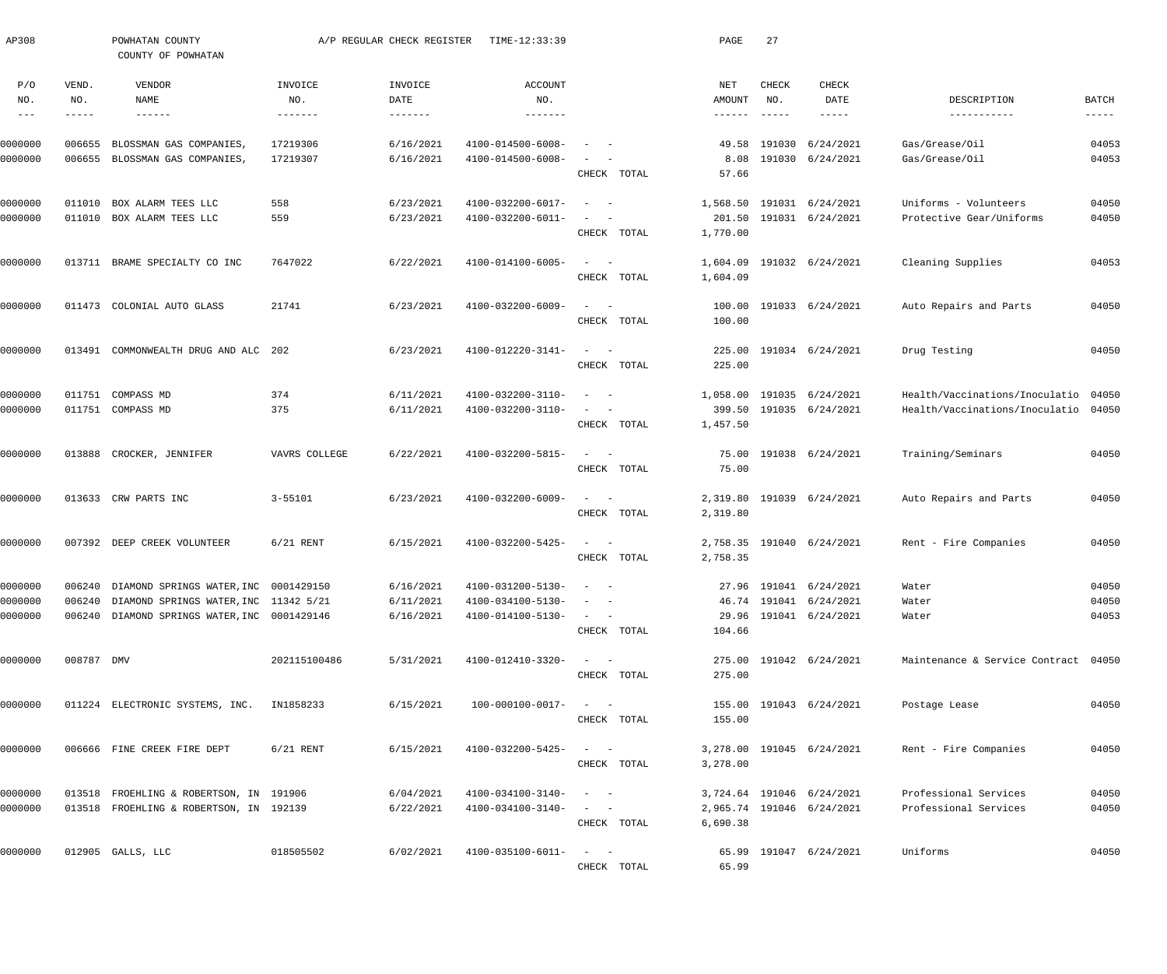| AP308              |                  | POWHATAN COUNTY<br>COUNTY OF POWHATAN              |                      | A/P REGULAR CHECK REGISTER | TIME-12:33:39                          |                                                                                     |             | PAGE           | 27                        |                               |                                      |                |
|--------------------|------------------|----------------------------------------------------|----------------------|----------------------------|----------------------------------------|-------------------------------------------------------------------------------------|-------------|----------------|---------------------------|-------------------------------|--------------------------------------|----------------|
| P/O<br>NO.         | VEND.<br>NO.     | VENDOR<br>NAME                                     | INVOICE<br>NO.       | INVOICE<br>DATE            | <b>ACCOUNT</b><br>NO.                  |                                                                                     |             | NET<br>AMOUNT  | CHECK<br>NO.              | CHECK<br>DATE                 | DESCRIPTION                          | <b>BATCH</b>   |
| $- -$              | -----            | $\qquad \qquad - - - - - -$                        | -------              | $- - - - - - - -$          | $-- - - - - -$                         |                                                                                     |             | ------         | $\qquad \qquad - - - - -$ | $------$                      | -----------                          | $- - - - -$    |
| 0000000<br>0000000 | 006655<br>006655 | BLOSSMAN GAS COMPANIES,<br>BLOSSMAN GAS COMPANIES, | 17219306<br>17219307 | 6/16/2021<br>6/16/2021     | 4100-014500-6008-<br>4100-014500-6008- | $\sim$                                                                              |             | 49.58<br>8.08  | 191030                    | 6/24/2021<br>191030 6/24/2021 | Gas/Grease/Oil<br>Gas/Grease/Oil     | 04053<br>04053 |
|                    |                  |                                                    |                      |                            |                                        | CHECK TOTAL                                                                         |             | 57.66          |                           |                               |                                      |                |
| 0000000            | 011010           | BOX ALARM TEES LLC                                 | 558                  | 6/23/2021                  | 4100-032200-6017-                      | $\sim$ $-$<br>$\overline{\phantom{a}}$                                              |             | 1,568.50       |                           | 191031 6/24/2021              | Uniforms - Volunteers                | 04050          |
| 0000000            | 011010           | BOX ALARM TEES LLC                                 | 559                  | 6/23/2021                  | $4100 - 032200 - 6011 -$               | $\overline{\phantom{a}}$<br>$\overline{\phantom{a}}$                                |             |                |                           | 201.50 191031 6/24/2021       | Protective Gear/Uniforms             | 04050          |
|                    |                  |                                                    |                      |                            |                                        | CHECK TOTAL                                                                         |             | 1,770.00       |                           |                               |                                      |                |
| 0000000            | 013711           | BRAME SPECIALTY CO INC                             | 7647022              | 6/22/2021                  | 4100-014100-6005-                      | $\sim$<br>$\sim$ $-$                                                                |             | 1,604.09       |                           | 191032 6/24/2021              | Cleaning Supplies                    | 04053          |
|                    |                  |                                                    |                      |                            |                                        | CHECK TOTAL                                                                         |             | 1,604.09       |                           |                               |                                      |                |
| 0000000            | 011473           | COLONIAL AUTO GLASS                                | 21741                | 6/23/2021                  | 4100-032200-6009-                      | $\sim$<br>$\sim$ $-$                                                                |             | 100.00         |                           | 191033 6/24/2021              | Auto Repairs and Parts               | 04050          |
|                    |                  |                                                    |                      |                            |                                        | CHECK TOTAL                                                                         |             | 100.00         |                           |                               |                                      |                |
| 0000000            |                  | 013491 COMMONWEALTH DRUG AND ALC 202               |                      | 6/23/2021                  | 4100-012220-3141-                      | $\sim$<br>$\sim$ $-$                                                                |             | 225.00         |                           | 191034 6/24/2021              | Drug Testing                         | 04050          |
|                    |                  |                                                    |                      |                            |                                        |                                                                                     | CHECK TOTAL | 225.00         |                           |                               |                                      |                |
|                    |                  |                                                    |                      |                            |                                        |                                                                                     |             |                |                           |                               |                                      |                |
| 0000000            | 011751           | COMPASS MD                                         | 374                  | 6/11/2021                  | 4100-032200-3110-                      | $\sim$                                                                              |             | 1,058.00       | 191035                    | 6/24/2021                     | Health/Vaccinations/Inoculatio       | 04050          |
| 0000000            |                  | 011751 COMPASS MD                                  | 375                  | 6/11/2021                  | 4100-032200-3110-                      | $\sim$<br>$\overline{\phantom{a}}$<br>CHECK TOTAL                                   |             | 1,457.50       |                           | 399.50 191035 6/24/2021       | Health/Vaccinations/Inoculatio       | 04050          |
|                    |                  |                                                    |                      |                            |                                        |                                                                                     |             |                |                           |                               |                                      |                |
| 0000000            | 013888           | CROCKER, JENNIFER                                  | VAVRS COLLEGE        | 6/22/2021                  | 4100-032200-5815-                      | $\sim$<br>$\sim$ $-$                                                                | CHECK TOTAL | 75.00<br>75.00 |                           | 191038 6/24/2021              | Training/Seminars                    | 04050          |
|                    |                  |                                                    |                      |                            |                                        |                                                                                     |             |                |                           |                               |                                      |                |
| 0000000            |                  | 013633 CRW PARTS INC                               | $3 - 55101$          | 6/23/2021                  | 4100-032200-6009-                      | $\sim$<br>$\sim$ $-$                                                                |             | 2,319.80       |                           | 191039 6/24/2021              | Auto Repairs and Parts               | 04050          |
|                    |                  |                                                    |                      |                            |                                        |                                                                                     | CHECK TOTAL | 2,319.80       |                           |                               |                                      |                |
| 0000000            | 007392           | DEEP CREEK VOLUNTEER                               | $6/21$ RENT          | 6/15/2021                  | 4100-032200-5425-                      | $\sim$<br>$\sim$ $-$                                                                |             | 2,758.35       |                           | 191040 6/24/2021              | Rent - Fire Companies                | 04050          |
|                    |                  |                                                    |                      |                            |                                        |                                                                                     | CHECK TOTAL | 2,758.35       |                           |                               |                                      |                |
| 0000000            |                  | 006240 DIAMOND SPRINGS WATER, INC 0001429150       |                      | 6/16/2021                  | 4100-031200-5130-                      |                                                                                     |             |                |                           | 27.96 191041 6/24/2021        | Water                                | 04050          |
| 0000000            |                  | 006240 DIAMOND SPRINGS WATER, INC 11342 5/21       |                      | 6/11/2021                  | 4100-034100-5130-                      |                                                                                     |             |                |                           | 46.74 191041 6/24/2021        | Water                                | 04050          |
| 0000000            |                  | 006240 DIAMOND SPRINGS WATER, INC 0001429146       |                      | 6/16/2021                  | 4100-014100-5130-                      | $\alpha = 1, \ldots, n-1$                                                           |             |                |                           | 29.96 191041 6/24/2021        | Water                                | 04053          |
|                    |                  |                                                    |                      |                            |                                        |                                                                                     | CHECK TOTAL | 104.66         |                           |                               |                                      |                |
| 0000000            | 008787 DMV       |                                                    | 202115100486         | 5/31/2021                  | 4100-012410-3320-                      | $\alpha \rightarrow \alpha \rightarrow \beta \rightarrow \gamma \rightarrow \gamma$ |             |                |                           | 275.00 191042 6/24/2021       | Maintenance & Service Contract 04050 |                |
|                    |                  |                                                    |                      |                            |                                        |                                                                                     | CHECK TOTAL | 275.00         |                           |                               |                                      |                |
| 0000000            |                  | 011224 ELECTRONIC SYSTEMS, INC. IN1858233          |                      | 6/15/2021                  | 100-000100-0017-                       |                                                                                     |             |                |                           | 155.00 191043 6/24/2021       | Postage Lease                        | 04050          |
|                    |                  |                                                    |                      |                            |                                        |                                                                                     | CHECK TOTAL | 155.00         |                           |                               |                                      |                |
| 0000000            |                  | 006666 FINE CREEK FIRE DEPT                        | $6/21$ RENT          | 6/15/2021                  | 4100-032200-5425-                      |                                                                                     |             |                |                           | 3,278.00 191045 6/24/2021     | Rent - Fire Companies                | 04050          |
|                    |                  |                                                    |                      |                            |                                        |                                                                                     | CHECK TOTAL | 3,278.00       |                           |                               |                                      |                |
| 0000000            |                  | 013518 FROEHLING & ROBERTSON, IN 191906            |                      | 6/04/2021                  | 4100-034100-3140-                      | $\alpha_{\rm{max}}=1.000$ and $\alpha_{\rm{max}}=0.000$                             |             |                |                           | 3,724.64 191046 6/24/2021     | Professional Services                | 04050          |
| 0000000            |                  | 013518 FROEHLING & ROBERTSON, IN 192139            |                      | 6/22/2021                  | 4100-034100-3140-                      | $\alpha = 1, \ldots, n-1$                                                           |             |                |                           | 2,965.74 191046 6/24/2021     | Professional Services                | 04050          |
|                    |                  |                                                    |                      |                            |                                        |                                                                                     | CHECK TOTAL | 6,690.38       |                           |                               |                                      |                |
| 0000000            |                  | 012905 GALLS, LLC                                  | 018505502            | 6/02/2021                  | 4100-035100-6011-                      |                                                                                     |             |                |                           | 65.99 191047 6/24/2021        | Uniforms                             | 04050          |
|                    |                  |                                                    |                      |                            |                                        |                                                                                     | CHECK TOTAL | 65.99          |                           |                               |                                      |                |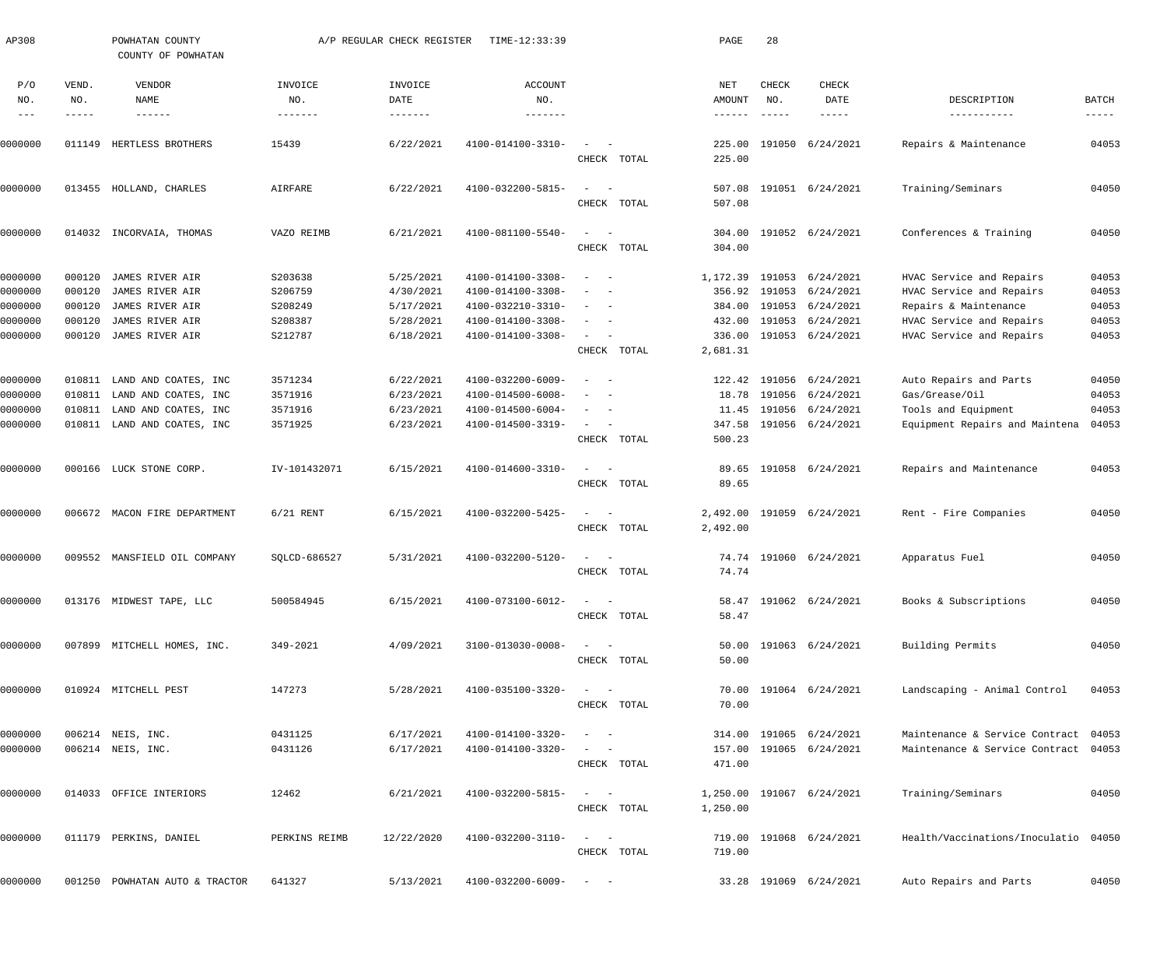| AP308      |              | POWHATAN COUNTY<br>COUNTY OF POWHATAN |                | A/P REGULAR CHECK REGISTER | TIME-12:33:39                |                                                             | PAGE             | 28                  |                           |                                      |              |
|------------|--------------|---------------------------------------|----------------|----------------------------|------------------------------|-------------------------------------------------------------|------------------|---------------------|---------------------------|--------------------------------------|--------------|
| P/O<br>NO. | VEND.<br>NO. | VENDOR<br><b>NAME</b>                 | INVOICE<br>NO. | INVOICE<br>DATE            | ACCOUNT<br>NO.               |                                                             | NET<br>AMOUNT    | <b>CHECK</b><br>NO. | <b>CHECK</b><br>DATE      | DESCRIPTION                          | <b>BATCH</b> |
| $---$      | -----        | ------                                | -------        | $- - - - - - - -$          | -------                      |                                                             | $- - - - - -$    | $- - - - - -$       | $- - - - -$               | -----------                          | $------$     |
| 0000000    | 011149       | HERTLESS BROTHERS                     | 15439          | 6/22/2021                  | 4100-014100-3310-            | $\sim$<br>$\sim$ $-$                                        | 225.00           | 191050              | 6/24/2021                 | Repairs & Maintenance                | 04053        |
|            |              |                                       |                |                            |                              | CHECK TOTAL                                                 | 225.00           |                     |                           |                                      |              |
| 0000000    | 013455       | HOLLAND, CHARLES                      | AIRFARE        | 6/22/2021                  | $4100 - 032200 - 5815 -$     | $\equiv$<br>$\sim$<br>CHECK TOTAL                           | 507.08<br>507.08 |                     | 191051 6/24/2021          | Training/Seminars                    | 04050        |
| 0000000    | 014032       | INCORVAIA, THOMAS                     | VAZO REIMB     | 6/21/2021                  | 4100-081100-5540-            | $\sim$<br>$\sim$                                            | 304.00           |                     | 191052 6/24/2021          | Conferences & Training               | 04050        |
|            |              |                                       |                |                            |                              | CHECK TOTAL                                                 | 304.00           |                     |                           |                                      |              |
| 0000000    | 000120       | JAMES RIVER AIR                       | S203638        | 5/25/2021                  | 4100-014100-3308-            | $\sim$ $-$                                                  | 1,172.39         | 191053              | 6/24/2021                 | HVAC Service and Repairs             | 04053        |
| 0000000    | 000120       | JAMES RIVER AIR                       | S206759        | 4/30/2021                  | 4100-014100-3308-            | $\sim$ $-$                                                  | 356.92           |                     | 191053 6/24/2021          | HVAC Service and Repairs             | 04053        |
| 0000000    | 000120       | JAMES RIVER AIR                       | S208249        | 5/17/2021                  | 4100-032210-3310-            | $\sim$ $-$                                                  | 384.00           |                     | 191053 6/24/2021          | Repairs & Maintenance                | 04053        |
| 0000000    | 000120       | JAMES RIVER AIR                       | S208387        | 5/28/2021                  | 4100-014100-3308-            | $\sim$<br>$\sim$ $-$                                        | 432.00           |                     | 191053 6/24/2021          | HVAC Service and Repairs             | 04053        |
| 0000000    | 000120       | JAMES RIVER AIR                       | S212787        | 6/18/2021                  | 4100-014100-3308-            | $\sim$<br>$\sim$                                            | 336.00           |                     | 191053 6/24/2021          | HVAC Service and Repairs             | 04053        |
|            |              |                                       |                |                            |                              | CHECK TOTAL                                                 | 2,681.31         |                     |                           |                                      |              |
| 0000000    | 010811       | LAND AND COATES, INC                  | 3571234        | 6/22/2021                  | 4100-032200-6009-            | $\sim$ $-$                                                  | 122.42           | 191056              | 6/24/2021                 | Auto Repairs and Parts               | 04050        |
| 0000000    | 010811       | LAND AND COATES, INC                  | 3571916        | 6/23/2021                  | 4100-014500-6008-            | $\sim$                                                      | 18.78            | 191056              | 6/24/2021                 | Gas/Grease/Oil                       | 04053        |
| 0000000    | 010811       | LAND AND COATES, INC                  | 3571916        | 6/23/2021                  | 4100-014500-6004-            | $\sim$ $-$                                                  | 11.45            | 191056              | 6/24/2021                 | Tools and Equipment                  | 04053        |
| 0000000    |              | 010811 LAND AND COATES, INC           | 3571925        | 6/23/2021                  | 4100-014500-3319-            | $\sim$<br>$\sim$ $-$                                        | 347.58           |                     | 191056 6/24/2021          | Equipment Repairs and Maintena       | 04053        |
|            |              |                                       |                |                            |                              | CHECK TOTAL                                                 | 500.23           |                     |                           |                                      |              |
| 0000000    |              | 000166 LUCK STONE CORP.               | IV-101432071   | 6/15/2021                  | 4100-014600-3310-            | $\sim$<br>$\sim$ $-$                                        | 89.65            |                     | 191058 6/24/2021          | Repairs and Maintenance              | 04053        |
|            |              |                                       |                |                            |                              | CHECK TOTAL                                                 | 89.65            |                     |                           |                                      |              |
| 0000000    |              | 006672 MACON FIRE DEPARTMENT          | $6/21$ RENT    | 6/15/2021                  | 4100-032200-5425-            | $\sim$<br>$\sim$ $-$                                        | 2,492.00         | 191059              | 6/24/2021                 | Rent - Fire Companies                | 04050        |
|            |              |                                       |                |                            |                              | CHECK TOTAL                                                 | 2,492.00         |                     |                           |                                      |              |
| 0000000    |              | 009552 MANSFIELD OIL COMPANY          | SQLCD-686527   | 5/31/2021                  | 4100-032200-5120-            |                                                             | 74.74            | 191060              | 6/24/2021                 | Apparatus Fuel                       | 04050        |
|            |              |                                       |                |                            |                              | CHECK TOTAL                                                 | 74.74            |                     |                           |                                      |              |
| 0000000    |              | 013176 MIDWEST TAPE, LLC              | 500584945      | 6/15/2021                  | 4100-073100-6012-            | $\alpha_{\rm{max}}=1.000$ and $\alpha_{\rm{max}}=0.000$     |                  |                     | 58.47 191062 6/24/2021    | Books & Subscriptions                | 04050        |
|            |              |                                       |                |                            |                              | CHECK TOTAL                                                 | 58.47            |                     |                           |                                      |              |
| 0000000    |              | 007899 MITCHELL HOMES, INC.           | 349-2021       | 4/09/2021                  | 3100-013030-0008-            | $\alpha = 1$ , $\alpha = 1$                                 |                  |                     | 50.00 191063 6/24/2021    | Building Permits                     | 04050        |
|            |              |                                       |                |                            |                              | CHECK TOTAL                                                 | 50.00            |                     |                           |                                      |              |
| 0000000    |              | 010924 MITCHELL PEST                  | 147273         | 5/28/2021                  | 4100-035100-3320-            | $\alpha = 1$ , $\alpha = 1$                                 |                  |                     | 70.00 191064 6/24/2021    | Landscaping - Animal Control         | 04053        |
|            |              |                                       |                |                            |                              | CHECK TOTAL                                                 | 70.00            |                     |                           |                                      |              |
| 0000000    |              | 006214 NEIS, INC.                     | 0431125        | 6/17/2021                  | 4100-014100-3320-            | $\mathcal{L} = \{1, \ldots, n\}$                            |                  |                     | 314.00 191065 6/24/2021   | Maintenance & Service Contract 04053 |              |
| 0000000    |              | 006214 NEIS, INC.                     | 0431126        | 6/17/2021                  | 4100-014100-3320-            | $\mathcal{L}_{\text{max}}$ , and $\mathcal{L}_{\text{max}}$ |                  |                     | 157.00 191065 6/24/2021   | Maintenance & Service Contract 04053 |              |
|            |              |                                       |                |                            |                              | CHECK TOTAL                                                 | 471.00           |                     |                           |                                      |              |
| 0000000    |              | 014033 OFFICE INTERIORS               | 12462          | 6/21/2021                  | 4100-032200-5815-            | $\alpha = 1, \ldots, n-1$                                   |                  |                     | 1,250.00 191067 6/24/2021 | Training/Seminars                    | 04050        |
|            |              |                                       |                |                            |                              | CHECK TOTAL                                                 | 1,250.00         |                     |                           |                                      |              |
| 0000000    |              | 011179 PERKINS, DANIEL                | PERKINS REIMB  | 12/22/2020                 | 4100-032200-3110-            | $\alpha = 1, \ldots, \alpha$                                |                  |                     | 719.00 191068 6/24/2021   | Health/Vaccinations/Inoculatio 04050 |              |
|            |              |                                       |                |                            |                              | CHECK TOTAL                                                 | 719.00           |                     |                           |                                      |              |
| 0000000    |              | 001250 POWHATAN AUTO & TRACTOR        | 641327         | 5/13/2021                  | $4100 - 032200 - 6009 - - -$ |                                                             |                  |                     | 33.28 191069 6/24/2021    | Auto Repairs and Parts               | 04050        |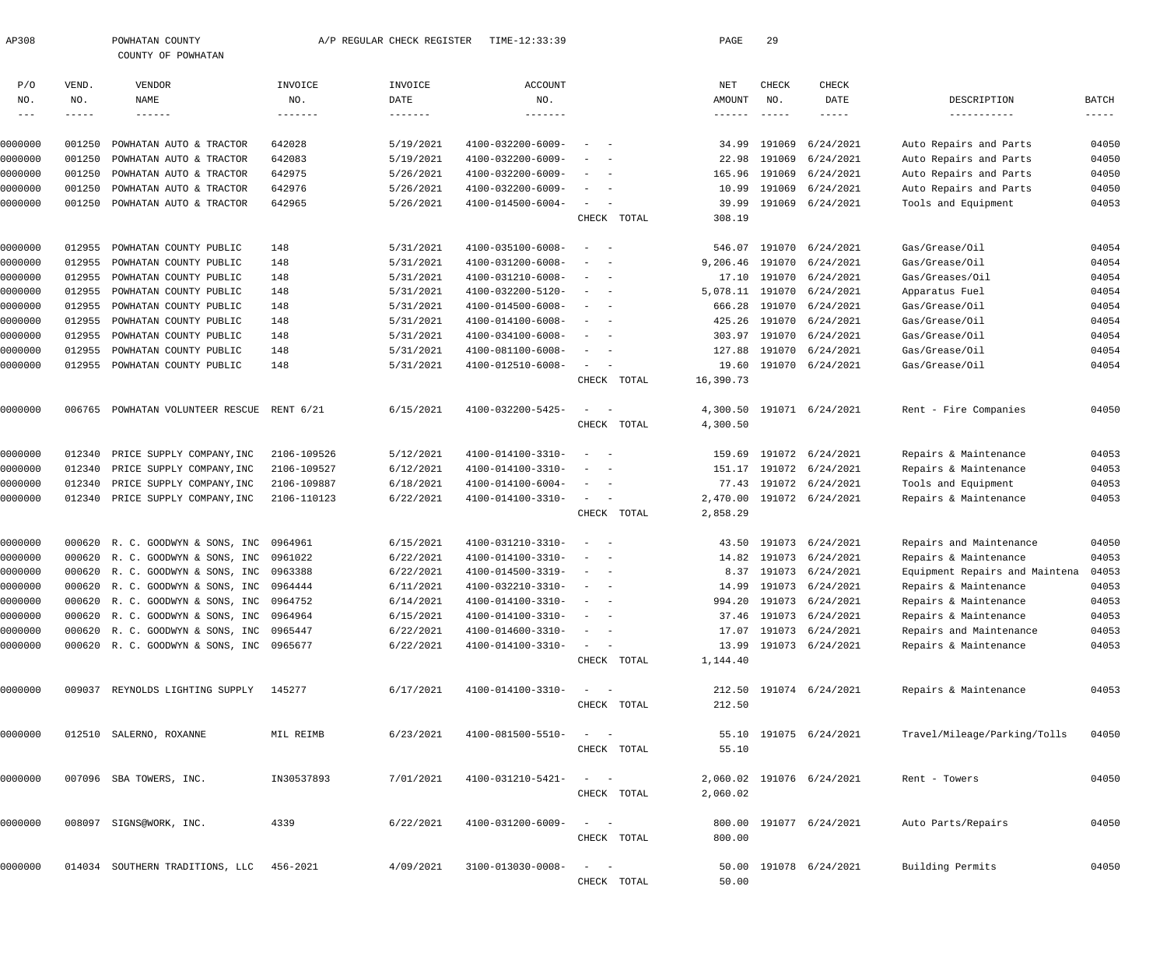|                |                    | COUNTY OF POWHATAN                       |                |                         |                   |                                                      |             |                                      |                      |                           |                                |                      |
|----------------|--------------------|------------------------------------------|----------------|-------------------------|-------------------|------------------------------------------------------|-------------|--------------------------------------|----------------------|---------------------------|--------------------------------|----------------------|
| P/O            | VEND.              | VENDOR                                   | INVOICE        | INVOICE                 | <b>ACCOUNT</b>    |                                                      |             | NET                                  | CHECK                | CHECK                     |                                |                      |
| NO.<br>$- - -$ | NO.<br>$- - - - -$ | NAME<br>$- - - - - - -$                  | NO.<br>------- | DATE<br>$- - - - - - -$ | NO.<br>-------    |                                                      |             | AMOUNT<br>$\cdots\cdots\cdots\cdots$ | NO.<br>$- - - - - -$ | DATE                      | DESCRIPTION<br>-----------     | BATCH<br>$- - - - -$ |
| 0000000        | 001250             | POWHATAN AUTO & TRACTOR                  | 642028         | 5/19/2021               | 4100-032200-6009- |                                                      |             | 34.99                                | 191069               | 6/24/2021                 | Auto Repairs and Parts         | 04050                |
| 0000000        | 001250             | POWHATAN AUTO & TRACTOR                  | 642083         | 5/19/2021               | 4100-032200-6009- | $\overline{\phantom{a}}$                             |             | 22.98                                | 191069               | 6/24/2021                 | Auto Repairs and Parts         | 04050                |
| 0000000        | 001250             | POWHATAN AUTO & TRACTOR                  | 642975         | 5/26/2021               | 4100-032200-6009- |                                                      |             | 165.96                               | 191069               | 6/24/2021                 | Auto Repairs and Parts         | 04050                |
| 0000000        | 001250             | POWHATAN AUTO & TRACTOR                  | 642976         | 5/26/2021               | 4100-032200-6009- | $\sim$<br>$\overline{\phantom{a}}$                   |             | 10.99                                | 191069               | 6/24/2021                 | Auto Repairs and Parts         | 04050                |
| 0000000        | 001250             | POWHATAN AUTO & TRACTOR                  | 642965         | 5/26/2021               | 4100-014500-6004- | $\sim$<br>$\sim$                                     | CHECK TOTAL | 39.99<br>308.19                      |                      | 191069 6/24/2021          | Tools and Equipment            | 04053                |
| 0000000        | 012955             | POWHATAN COUNTY PUBLIC                   | 148            | 5/31/2021               | 4100-035100-6008- |                                                      |             | 546.07                               | 191070               | 6/24/2021                 | Gas/Grease/Oil                 | 04054                |
| 0000000        | 012955             | POWHATAN COUNTY PUBLIC                   | 148            | 5/31/2021               | 4100-031200-6008- | $\overline{\phantom{a}}$                             |             | 9,206.46                             | 191070               | 6/24/2021                 | Gas/Grease/Oil                 | 04054                |
| 0000000        | 012955             | POWHATAN COUNTY PUBLIC                   | 148            | 5/31/2021               | 4100-031210-6008- |                                                      |             | 17.10                                |                      | 191070 6/24/2021          | Gas/Greases/Oil                | 04054                |
| 0000000        | 012955             | POWHATAN COUNTY PUBLIC                   | 148            | 5/31/2021               | 4100-032200-5120- | $\overline{\phantom{a}}$<br>$\overline{\phantom{0}}$ |             | 5,078.11                             | 191070               | 6/24/2021                 | Apparatus Fuel                 | 04054                |
| 0000000        | 012955             | POWHATAN COUNTY PUBLIC                   | 148            | 5/31/2021               | 4100-014500-6008- | $\sim$                                               |             | 666.28                               | 191070               | 6/24/2021                 | Gas/Grease/Oil                 | 04054                |
| 0000000        | 012955             | POWHATAN COUNTY PUBLIC                   | 148            | 5/31/2021               | 4100-014100-6008- |                                                      |             | 425.26                               | 191070               | 6/24/2021                 | Gas/Grease/Oil                 | 04054                |
| 0000000        | 012955             | POWHATAN COUNTY PUBLIC                   | 148            | 5/31/2021               | 4100-034100-6008- | $\overline{\phantom{0}}$                             |             | 303.97                               | 191070               | 6/24/2021                 | Gas/Grease/Oil                 | 04054                |
| 0000000        | 012955             | POWHATAN COUNTY PUBLIC                   | 148            | 5/31/2021               | 4100-081100-6008- |                                                      |             | 127.88                               | 191070               | 6/24/2021                 | Gas/Grease/Oil                 | 04054                |
| 0000000        | 012955             | POWHATAN COUNTY PUBLIC                   | 148            | 5/31/2021               | 4100-012510-6008- | $\sim$<br>$\hspace{0.1mm}-\hspace{0.1mm}$            |             | 19.60                                |                      | 191070 6/24/2021          | Gas/Grease/Oil                 | 04054                |
|                |                    |                                          |                |                         |                   | CHECK                                                | TOTAL       | 16,390.73                            |                      |                           |                                |                      |
| 0000000        | 006765             | POWHATAN VOLUNTEER RESCUE                | RENT 6/21      | 6/15/2021               | 4100-032200-5425- | $\overline{\phantom{a}}$<br>$\sim$ $-$               |             |                                      |                      | 4,300.50 191071 6/24/2021 | Rent - Fire Companies          | 04050                |
|                |                    |                                          |                |                         |                   |                                                      | CHECK TOTAL | 4,300.50                             |                      |                           |                                |                      |
| 0000000        | 012340             | PRICE SUPPLY COMPANY, INC                | 2106-109526    | 5/12/2021               | 4100-014100-3310- |                                                      |             | 159.69                               |                      | 191072 6/24/2021          | Repairs & Maintenance          | 04053                |
| 0000000        | 012340             | PRICE SUPPLY COMPANY, INC                | 2106-109527    | 6/12/2021               | 4100-014100-3310- | $\overline{\phantom{a}}$                             |             | 151.17                               |                      | 191072 6/24/2021          | Repairs & Maintenance          | 04053                |
| 0000000        | 012340             | PRICE SUPPLY COMPANY, INC                | 2106-109887    | 6/18/2021               | 4100-014100-6004- |                                                      |             | 77.43                                |                      | 191072 6/24/2021          | Tools and Equipment            | 04053                |
| 0000000        | 012340             | PRICE SUPPLY COMPANY, INC                | 2106-110123    | 6/22/2021               | 4100-014100-3310- | $\sim$<br>$\sim$ $-$                                 |             | 2,470.00                             |                      | 191072 6/24/2021          | Repairs & Maintenance          | 04053                |
|                |                    |                                          |                |                         |                   |                                                      | CHECK TOTAL | 2,858.29                             |                      |                           |                                |                      |
| 0000000        | 000620             | R. C. GOODWYN & SONS, INC                | 0964961        | 6/15/2021               | 4100-031210-3310- | $\overline{\phantom{a}}$<br>$\overline{\phantom{0}}$ |             | 43.50                                |                      | 191073 6/24/2021          | Repairs and Maintenance        | 04050                |
| 0000000        | 000620             | R. C. GOODWYN & SONS, INC                | 0961022        | 6/22/2021               | 4100-014100-3310- |                                                      |             | 14.82                                |                      | 191073 6/24/2021          | Repairs & Maintenance          | 04053                |
| 0000000        |                    | 000620 R. C. GOODWYN & SONS, INC         | 0963388        | 6/22/2021               | 4100-014500-3319- | $\overline{\phantom{a}}$                             |             | 8.37                                 |                      | 191073 6/24/2021          | Equipment Repairs and Maintena | 04053                |
| 0000000        |                    | 000620 R. C. GOODWYN & SONS, INC         | 0964444        | 6/11/2021               | 4100-032210-3310- | $\sim$                                               |             | 14.99                                |                      | 191073 6/24/2021          | Repairs & Maintenance          | 04053                |
| 0000000        |                    | 000620 R. C. GOODWYN & SONS, INC         | 0964752        | 6/14/2021               | 4100-014100-3310- |                                                      |             |                                      |                      | 994.20 191073 6/24/2021   | Repairs & Maintenance          | 04053                |
| 0000000        |                    | 000620 R. C. GOODWYN & SONS, INC 0964964 |                | 6/15/2021               | 4100-014100-3310- |                                                      |             |                                      |                      | 37.46 191073 6/24/2021    | Repairs & Maintenance          | 04053                |
| 0000000        |                    | 000620 R. C. GOODWYN & SONS, INC 0965447 |                | 6/22/2021               | 4100-014600-3310- | $\alpha = 1, \ldots, \alpha$                         |             |                                      |                      | 17.07 191073 6/24/2021    | Repairs and Maintenance        | 04053                |
| 0000000        |                    | 000620 R. C. GOODWYN & SONS, INC 0965677 |                | 6/22/2021               | 4100-014100-3310- | $\alpha = 1, \ldots, \alpha$                         |             |                                      |                      | 13.99 191073 6/24/2021    | Repairs & Maintenance          | 04053                |
|                |                    |                                          |                |                         |                   |                                                      | CHECK TOTAL | 1,144.40                             |                      |                           |                                |                      |
| 0000000        |                    | 009037 REYNOLDS LIGHTING SUPPLY 145277   |                | 6/17/2021               | 4100-014100-3310- | $\alpha = 1, \ldots, \alpha$                         |             |                                      |                      | 212.50 191074 6/24/2021   | Repairs & Maintenance          | 04053                |
|                |                    |                                          |                |                         |                   |                                                      | CHECK TOTAL | 212.50                               |                      |                           |                                |                      |
| 0000000        |                    | 012510 SALERNO, ROXANNE                  | MIL REIMB      | 6/23/2021               | 4100-081500-5510- | $\alpha = 1, \ldots, \alpha$                         | CHECK TOTAL | 55.10                                |                      | 55.10 191075 6/24/2021    | Travel/Mileage/Parking/Tolls   | 04050                |
|                |                    |                                          |                |                         |                   |                                                      |             |                                      |                      |                           |                                |                      |
| 0000000        |                    | 007096 SBA TOWERS, INC.                  | IN30537893     | 7/01/2021               | 4100-031210-5421- | $\alpha = 1, \ldots, \alpha$                         | CHECK TOTAL | 2,060.02                             |                      | 2,060.02 191076 6/24/2021 | Rent - Towers                  | 04050                |
| 0000000        |                    | 008097 SIGNS@WORK, INC.                  | 4339           | 6/22/2021               | 4100-031200-6009- | $\alpha = 1, \ldots, \alpha$                         | CHECK TOTAL | 800.00                               |                      | 800.00 191077 6/24/2021   | Auto Parts/Repairs             | 04050                |
| 0000000        |                    | 014034 SOUTHERN TRADITIONS, LLC          | 456-2021       | 4/09/2021               | 3100-013030-0008- | $\frac{1}{2}$ and $\frac{1}{2}$ and $\frac{1}{2}$    |             |                                      |                      | 50.00 191078 6/24/2021    | Building Permits               | 04050                |
|                |                    |                                          |                |                         |                   |                                                      | CHECK TOTAL | 50.00                                |                      |                           |                                |                      |

AP308 POWHATAN COUNTY A/P REGULAR CHECK REGISTER TIME-12:33:39 PAGE 29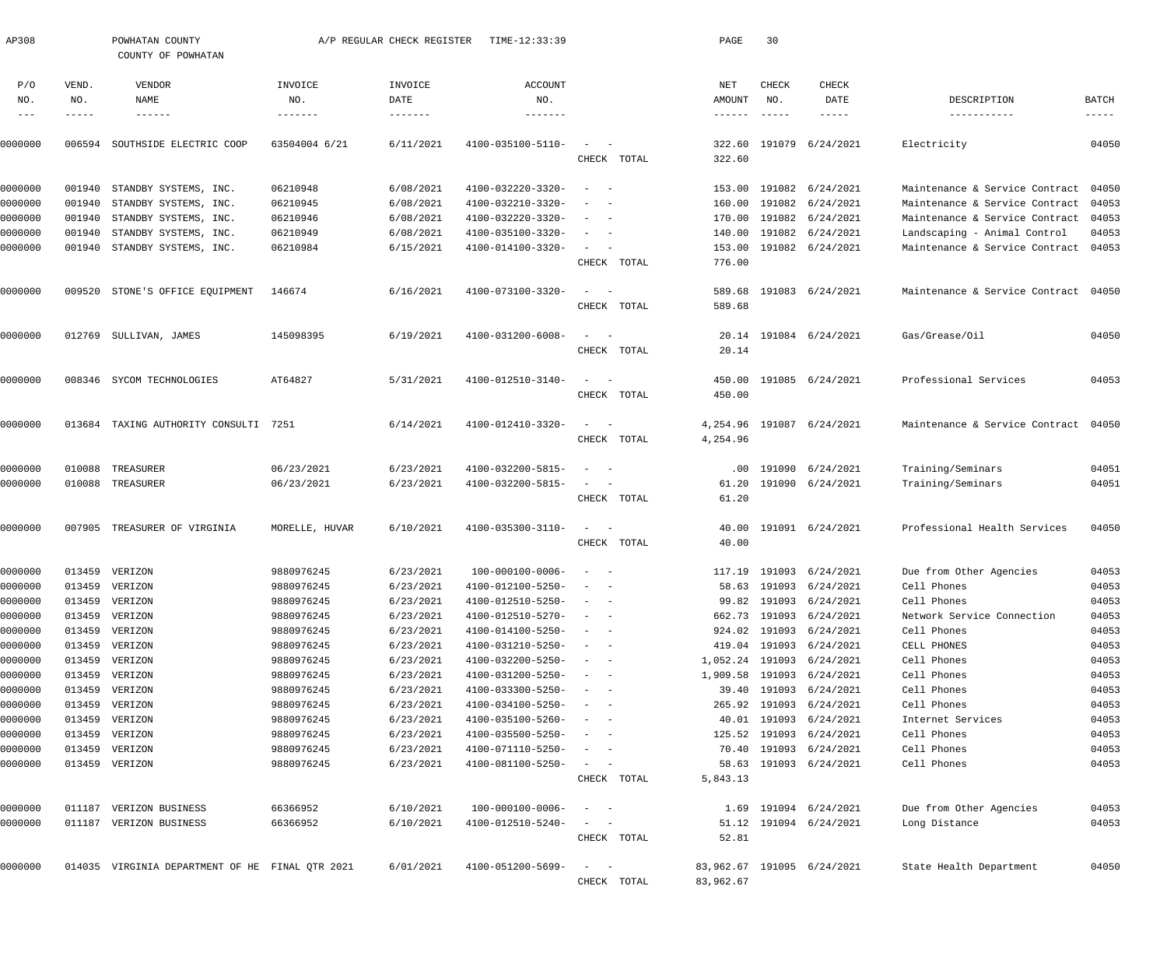| AP308             |                 | POWHATAN COUNTY<br>COUNTY OF POWHATAN           |                          | A/P REGULAR CHECK REGISTER | TIME-12:33:39                 |                                                                                                              |             | PAGE                      | 30                                             |                            |                                |                      |
|-------------------|-----------------|-------------------------------------------------|--------------------------|----------------------------|-------------------------------|--------------------------------------------------------------------------------------------------------------|-------------|---------------------------|------------------------------------------------|----------------------------|--------------------------------|----------------------|
| P/O<br>NO.        | VEND.<br>NO.    | VENDOR<br>NAME                                  | INVOICE<br>NO.           | INVOICE<br>DATE            | ACCOUNT<br>NO.                |                                                                                                              |             | NET<br>AMOUNT             | CHECK<br>NO.                                   | <b>CHECK</b><br>DATE       | DESCRIPTION                    | BATCH                |
| $-- -$<br>0000000 | -----<br>006594 | $- - - - - - -$<br>SOUTHSIDE ELECTRIC COOP      | -------<br>63504004 6/21 | -------<br>6/11/2021       | --------<br>4100-035100-5110- | $\sim$                                                                                                       |             | $- - - - - - -$<br>322.60 | $\cdots \cdots \cdots \cdots \cdots$<br>191079 | -----<br>6/24/2021         | -----------<br>Electricity     | $- - - - -$<br>04050 |
|                   |                 |                                                 |                          |                            |                               |                                                                                                              | CHECK TOTAL | 322.60                    |                                                |                            |                                |                      |
| 0000000           | 001940          | STANDBY SYSTEMS, INC.                           | 06210948                 | 6/08/2021                  | 4100-032220-3320-             | $\overline{\phantom{0}}$                                                                                     |             | 153.00                    | 191082                                         | 6/24/2021                  | Maintenance & Service Contract | 04050                |
| 0000000           | 001940          | STANDBY SYSTEMS, INC.                           | 06210945                 | 6/08/2021                  | 4100-032210-3320-             |                                                                                                              |             | 160.00                    | 191082                                         | 6/24/2021                  | Maintenance & Service Contract | 04053                |
| 0000000           | 001940          | STANDBY SYSTEMS, INC.                           | 06210946                 | 6/08/2021                  | 4100-032220-3320-             | $\overline{\phantom{a}}$<br>$\overline{\phantom{a}}$                                                         |             | 170.00                    | 191082                                         | 6/24/2021                  | Maintenance & Service Contract | 04053                |
| 0000000           | 001940          | STANDBY SYSTEMS, INC.                           | 06210949                 | 6/08/2021                  | 4100-035100-3320-             | $\overline{\phantom{a}}$<br>$\overline{\phantom{a}}$                                                         |             | 140.00                    | 191082                                         | 6/24/2021                  | Landscaping - Animal Control   | 04053                |
| 0000000           | 001940          | STANDBY SYSTEMS, INC.                           | 06210984                 | 6/15/2021                  | 4100-014100-3320-             | $\sim$<br>$\sim$ $-$                                                                                         | CHECK TOTAL | 153.00<br>776.00          |                                                | 191082 6/24/2021           | Maintenance & Service Contract | 04053                |
| 0000000           | 009520          | STONE'S OFFICE EQUIPMENT                        | 146674                   | 6/16/2021                  | 4100-073100-3320-             | $\sim$<br>$\sim$ $-$                                                                                         |             | 589.68                    |                                                | 191083 6/24/2021           | Maintenance & Service Contract | 04050                |
|                   |                 |                                                 |                          |                            |                               |                                                                                                              | CHECK TOTAL | 589.68                    |                                                |                            |                                |                      |
| 0000000           | 012769          | SULLIVAN, JAMES                                 | 145098395                | 6/19/2021                  | 4100-031200-6008-             | $\sim$<br>$\sim$ $-$                                                                                         |             | 20.14                     |                                                | 191084 6/24/2021           | Gas/Grease/Oil                 | 04050                |
|                   |                 |                                                 |                          |                            |                               |                                                                                                              | CHECK TOTAL | 20.14                     |                                                |                            |                                |                      |
| 0000000           |                 | 008346 SYCOM TECHNOLOGIES                       | AT64827                  | 5/31/2021                  | 4100-012510-3140-             | $\sim$<br>$\sim$ $-$                                                                                         |             | 450.00                    |                                                | 191085 6/24/2021           | Professional Services          | 04053                |
|                   |                 |                                                 |                          |                            |                               |                                                                                                              | CHECK TOTAL | 450.00                    |                                                |                            |                                |                      |
| 0000000           | 013684          | TAXING AUTHORITY CONSULTI 7251                  |                          | 6/14/2021                  | 4100-012410-3320-             | $\sim$<br>$\sim$                                                                                             |             | 4,254.96                  |                                                | 191087 6/24/2021           | Maintenance & Service Contract | 04050                |
|                   |                 |                                                 |                          |                            |                               |                                                                                                              | CHECK TOTAL | 4,254.96                  |                                                |                            |                                |                      |
| 0000000           | 010088          | TREASURER                                       | 06/23/2021               | 6/23/2021                  | 4100-032200-5815-             |                                                                                                              |             | $.00 \,$                  | 191090                                         | 6/24/2021                  | Training/Seminars              | 04051                |
| 0000000           | 010088          | TREASURER                                       | 06/23/2021               | 6/23/2021                  | 4100-032200-5815-             | $\overline{\phantom{0}}$<br>$\sim$ $-$                                                                       | CHECK TOTAL | 61.20<br>61.20            |                                                | 191090 6/24/2021           | Training/Seminars              | 04051                |
|                   |                 |                                                 |                          |                            |                               |                                                                                                              |             |                           |                                                |                            |                                |                      |
| 0000000           | 007905          | TREASURER OF VIRGINIA                           | MORELLE, HUVAR           | 6/10/2021                  | 4100-035300-3110-             | $\overline{\phantom{0}}$<br>$\sim$ $-$                                                                       | CHECK TOTAL | 40.00<br>40.00            |                                                | 191091 6/24/2021           | Professional Health Services   | 04050                |
| 0000000           |                 | 013459 VERIZON                                  | 9880976245               | 6/23/2021                  | $100 - 000100 - 0006 -$       |                                                                                                              |             |                           |                                                | 117.19 191093 6/24/2021    | Due from Other Agencies        | 04053                |
| 0000000           |                 | 013459 VERIZON                                  | 9880976245               | 6/23/2021                  | 4100-012100-5250-             |                                                                                                              |             |                           |                                                | 58.63 191093 6/24/2021     | Cell Phones                    | 04053                |
| 0000000           |                 | 013459 VERIZON                                  | 9880976245               | 6/23/2021                  | 4100-012510-5250-             | $\frac{1}{2} \left( \frac{1}{2} \right) \left( \frac{1}{2} \right) = \frac{1}{2} \left( \frac{1}{2} \right)$ |             |                           |                                                | 99.82 191093 6/24/2021     | Cell Phones                    | 04053                |
| 0000000           | 013459          | VERIZON                                         | 9880976245               | 6/23/2021                  | 4100-012510-5270-             |                                                                                                              |             |                           | 662.73 191093                                  | 6/24/2021                  | Network Service Connection     | 04053                |
| 0000000           |                 | 013459 VERIZON                                  | 9880976245               | 6/23/2021                  | 4100-014100-5250-             |                                                                                                              |             |                           | 924.02 191093                                  | 6/24/2021                  | Cell Phones                    | 04053                |
| 0000000           | 013459          | VERIZON                                         | 9880976245               | 6/23/2021                  | 4100-031210-5250-             |                                                                                                              |             |                           | 419.04 191093                                  | 6/24/2021                  | CELL PHONES                    | 04053                |
| 0000000           | 013459          | VERIZON                                         | 9880976245               | 6/23/2021                  | 4100-032200-5250-             |                                                                                                              |             | 1,052.24 191093           |                                                | 6/24/2021                  | Cell Phones                    | 04053                |
| 0000000           |                 | 013459 VERIZON                                  | 9880976245               | 6/23/2021                  | 4100-031200-5250-             |                                                                                                              |             | 1,909.58                  | 191093                                         | 6/24/2021                  | Cell Phones                    | 04053                |
| 0000000           |                 | 013459 VERIZON                                  | 9880976245               | 6/23/2021                  | $4100 - 033300 - 5250 -$      |                                                                                                              |             | 39.40                     | 191093                                         | 6/24/2021                  | Cell Phones                    | 04053                |
| 0000000           | 013459          | VERIZON                                         | 9880976245               | 6/23/2021                  | 4100-034100-5250-             |                                                                                                              |             | 265.92                    | 191093                                         | 6/24/2021                  | Cell Phones                    | 04053                |
| 0000000           |                 | 013459 VERIZON                                  | 9880976245               | 6/23/2021                  | 4100-035100-5260-             |                                                                                                              |             |                           | 40.01 191093                                   | 6/24/2021                  | Internet Services              | 04053                |
| 0000000           |                 | 013459 VERIZON                                  | 9880976245               | 6/23/2021                  | $4100 - 035500 - 5250 -$      |                                                                                                              |             |                           | 125.52 191093                                  | 6/24/2021                  | Cell Phones                    | 04053                |
| 0000000           |                 | 013459 VERIZON                                  | 9880976245               | 6/23/2021                  | 4100-071110-5250-             | $-$                                                                                                          |             | 70.40                     | 191093                                         | 6/24/2021                  | Cell Phones                    | 04053                |
| 0000000           |                 | 013459 VERIZON                                  | 9880976245               | 6/23/2021                  | 4100-081100-5250-             | $\sim$<br>$\sim$ $-$                                                                                         | CHECK TOTAL | 5,843.13                  |                                                | 58.63 191093 6/24/2021     | Cell Phones                    | 04053                |
|                   |                 |                                                 |                          |                            |                               |                                                                                                              |             |                           |                                                |                            |                                |                      |
| 0000000           |                 | 011187 VERIZON BUSINESS                         | 66366952                 | 6/10/2021                  | 100-000100-0006-              | $\frac{1}{2}$ and $\frac{1}{2}$ and $\frac{1}{2}$                                                            |             |                           |                                                | 1.69 191094 6/24/2021      | Due from Other Agencies        | 04053                |
| 0000000           | 011187          | VERIZON BUSINESS                                | 66366952                 | 6/10/2021                  | 4100-012510-5240-             | $\frac{1}{2}$ and $\frac{1}{2}$ and $\frac{1}{2}$                                                            | CHECK TOTAL | 52.81                     |                                                | 51.12 191094 6/24/2021     | Long Distance                  | 04053                |
|                   |                 |                                                 |                          |                            |                               |                                                                                                              |             |                           |                                                |                            |                                |                      |
| 0000000           |                 | 014035 VIRGINIA DEPARTMENT OF HE FINAL QTR 2021 |                          | 6/01/2021                  | 4100-051200-5699-             | $\sim$<br>$\sim$ $-$                                                                                         | CHECK TOTAL | 83,962.67                 |                                                | 83,962.67 191095 6/24/2021 | State Health Department        | 04050                |
|                   |                 |                                                 |                          |                            |                               |                                                                                                              |             |                           |                                                |                            |                                |                      |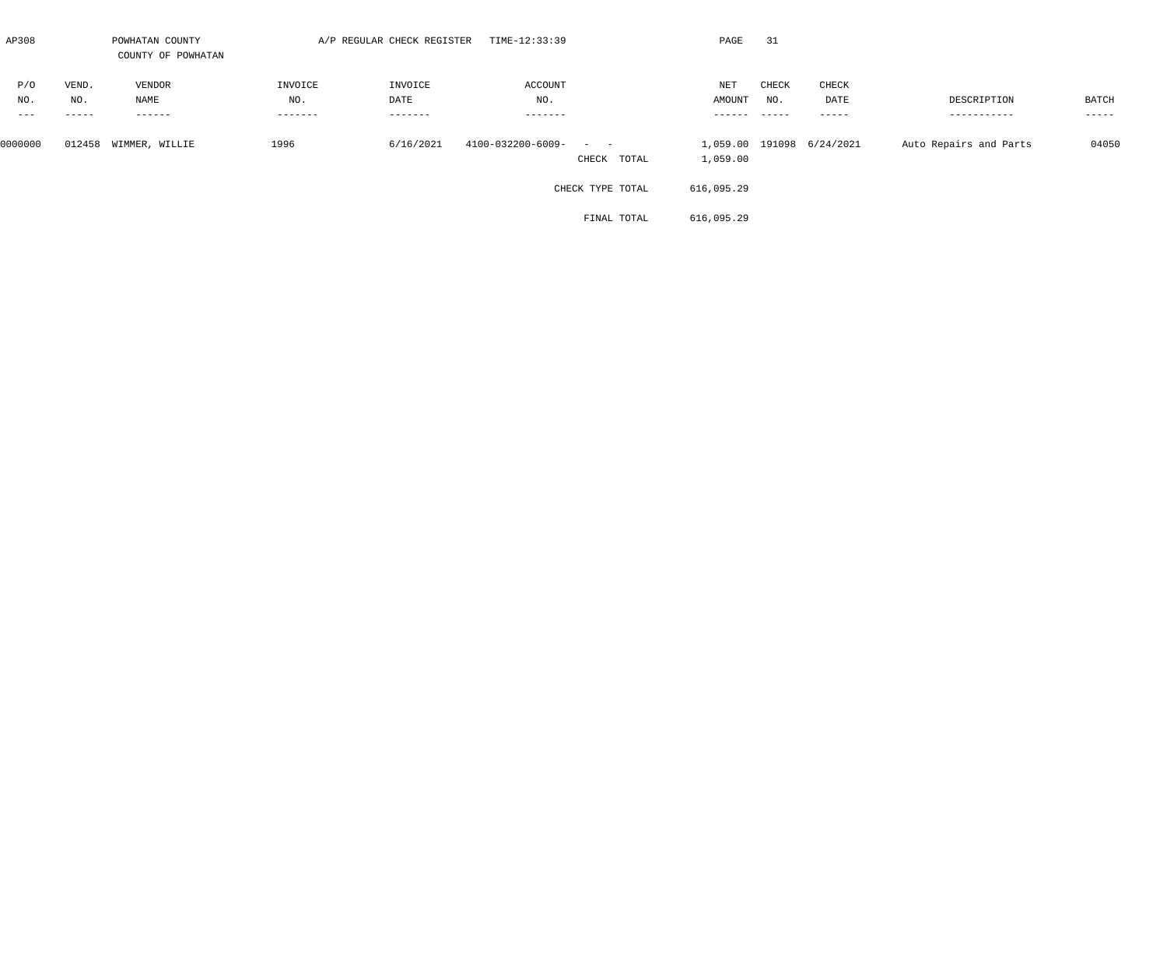| AP308   |          | POWHATAN COUNTY<br>COUNTY OF POWHATAN |                   | A/P REGULAR CHECK REGISTER | TIME-12:33:39                                                                    | PAGE                 | 31    |                           |                        |               |
|---------|----------|---------------------------------------|-------------------|----------------------------|----------------------------------------------------------------------------------|----------------------|-------|---------------------------|------------------------|---------------|
| P/O     | VEND.    | VENDOR                                | INVOICE           | INVOICE                    | ACCOUNT                                                                          | $\operatorname{NET}$ | CHECK | CHECK                     |                        |               |
| NO.     | NO.      | NAME                                  | NO.               | DATE                       | NO.                                                                              | AMOUNT               | NO.   | DATE                      | DESCRIPTION            | BATCH         |
| $- - -$ | $------$ | $--------$                            | $- - - - - - - -$ | $- - - - - - -$            | $- - - - - - - -$                                                                | -------              | ————— | $------$                  | -----------            | $- - - - - -$ |
| 0000000 | 012458   | WIMMER, WILLIE                        | 1996              | 6/16/2021                  | 4100-032200-6009-<br>$\mathcal{L}_{\text{max}}$ , and $\mathcal{L}_{\text{max}}$ |                      |       | 1,059.00 191098 6/24/2021 | Auto Repairs and Parts | 04050         |
|         |          |                                       |                   |                            | CHECK TOTAL                                                                      | 1,059.00             |       |                           |                        |               |
|         |          |                                       |                   |                            | CHECK TYPE TOTAL                                                                 | 616,095.29           |       |                           |                        |               |
|         |          |                                       |                   |                            | FINAL TOTAL                                                                      | 616,095.29           |       |                           |                        |               |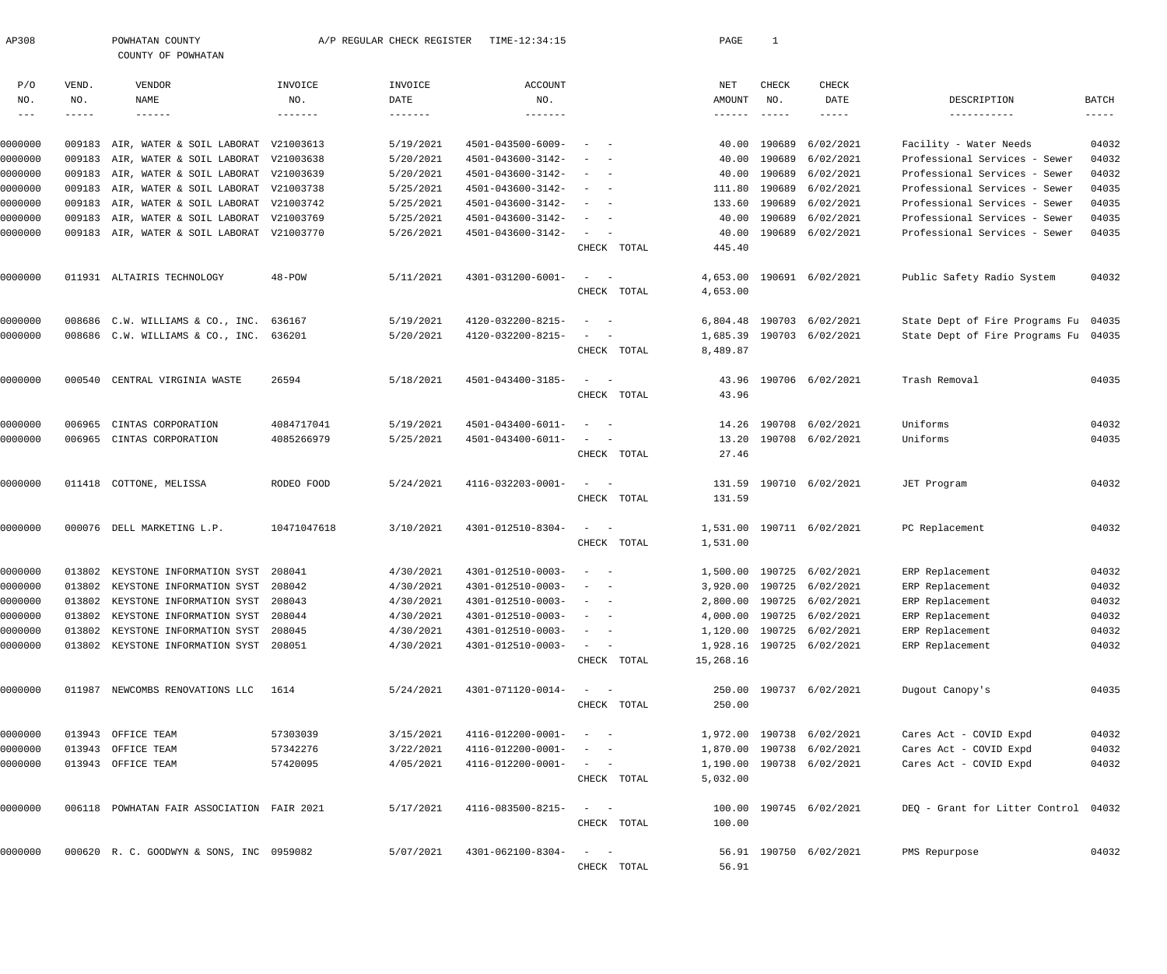| AP308                      |        | POWHATAN COUNTY<br>COUNTY OF POWHATAN      |             | A/P REGULAR CHECK REGISTER | TIME-12:34:15       |                                                             |             | PAGE      | 1                         |                           |                                      |             |
|----------------------------|--------|--------------------------------------------|-------------|----------------------------|---------------------|-------------------------------------------------------------|-------------|-----------|---------------------------|---------------------------|--------------------------------------|-------------|
| P/O                        | VEND.  | VENDOR                                     | INVOICE     | INVOICE                    | ACCOUNT             |                                                             |             | NET       | CHECK                     | CHECK                     |                                      |             |
| NO.                        | NO.    | NAME                                       | NO.         | DATE                       | NO.                 |                                                             |             | AMOUNT    | NO.                       | DATE                      | DESCRIPTION                          | BATCH       |
| $\qquad \qquad - \qquad -$ | -----  | $- - - - - - -$                            | -------     |                            | $- - - - - - - - -$ |                                                             |             | -------   | $\qquad \qquad - - - - -$ | -----                     | -----------                          | $--- - - -$ |
| 0000000                    |        | 009183 AIR, WATER & SOIL LABORAT           | V21003613   | 5/19/2021                  | 4501-043500-6009-   |                                                             |             | 40.00     | 190689                    | 6/02/2021                 | Facility - Water Needs               | 04032       |
| 0000000                    |        | 009183 AIR, WATER & SOIL LABORAT V21003638 |             | 5/20/2021                  | 4501-043600-3142-   |                                                             |             | 40.00     | 190689                    | 6/02/2021                 | Professional Services - Sewer        | 04032       |
| 0000000                    |        | 009183 AIR, WATER & SOIL LABORAT V21003639 |             | 5/20/2021                  | 4501-043600-3142-   | $\overline{\phantom{a}}$<br>$\sim$                          |             | 40.00     | 190689                    | 6/02/2021                 | Professional Services - Sewer        | 04032       |
| 0000000                    |        | 009183 AIR, WATER & SOIL LABORAT V21003738 |             | 5/25/2021                  | 4501-043600-3142-   | $\overline{\phantom{a}}$                                    |             | 111.80    | 190689                    | 6/02/2021                 | Professional Services - Sewer        | 04035       |
| 0000000                    |        | 009183 AIR, WATER & SOIL LABORAT V21003742 |             | 5/25/2021                  | 4501-043600-3142-   | $\overline{\phantom{a}}$                                    |             | 133.60    | 190689                    | 6/02/2021                 | Professional Services - Sewer        | 04035       |
| 0000000                    |        | 009183 AIR, WATER & SOIL LABORAT V21003769 |             | 5/25/2021                  | 4501-043600-3142-   | $\overline{\phantom{a}}$<br>$\sim$                          |             | 40.00     | 190689                    | 6/02/2021                 | Professional Services - Sewer        | 04035       |
| 0000000                    |        | 009183 AIR, WATER & SOIL LABORAT V21003770 |             | 5/26/2021                  | 4501-043600-3142-   | $\overline{\phantom{m}}$                                    |             | 40.00     |                           | 190689 6/02/2021          | Professional Services - Sewer        | 04035       |
|                            |        |                                            |             |                            |                     |                                                             | CHECK TOTAL | 445.40    |                           |                           |                                      |             |
| 0000000                    |        | 011931 ALTAIRIS TECHNOLOGY                 | $48 - POW$  | 5/11/2021                  | 4301-031200-6001-   | $\hspace{0.1mm}-\hspace{0.1mm}$<br>$-$                      |             | 4,653.00  |                           | 190691 6/02/2021          | Public Safety Radio System           | 04032       |
|                            |        |                                            |             |                            |                     |                                                             | CHECK TOTAL | 4,653.00  |                           |                           |                                      |             |
| 0000000                    |        | 008686 C.W. WILLIAMS & CO., INC.           | 636167      | 5/19/2021                  | 4120-032200-8215-   | $\sim$                                                      |             | 6,804.48  |                           | 190703 6/02/2021          | State Dept of Fire Programs Fu 04035 |             |
| 0000000                    |        | 008686 C.W. WILLIAMS & CO., INC. 636201    |             | 5/20/2021                  | 4120-032200-8215-   |                                                             |             | 1,685.39  |                           | 190703 6/02/2021          | State Dept of Fire Programs Fu 04035 |             |
|                            |        |                                            |             |                            |                     |                                                             | CHECK TOTAL | 8,489.87  |                           |                           |                                      |             |
| 0000000                    | 000540 | CENTRAL VIRGINIA WASTE                     | 26594       | 5/18/2021                  | 4501-043400-3185-   |                                                             |             | 43.96     |                           | 190706 6/02/2021          | Trash Removal                        | 04035       |
|                            |        |                                            |             |                            |                     |                                                             | CHECK TOTAL | 43.96     |                           |                           |                                      |             |
| 0000000                    | 006965 | CINTAS CORPORATION                         | 4084717041  | 5/19/2021                  | 4501-043400-6011-   | $\sim$                                                      |             | 14.26     | 190708                    | 6/02/2021                 | Uniforms                             | 04032       |
| 0000000                    |        | 006965 CINTAS CORPORATION                  | 4085266979  | 5/25/2021                  | 4501-043400-6011-   | $\overline{\phantom{a}}$                                    |             | 13.20     |                           | 190708 6/02/2021          | Uniforms                             | 04035       |
|                            |        |                                            |             |                            |                     |                                                             | CHECK TOTAL | 27.46     |                           |                           |                                      |             |
| 0000000                    |        | 011418 COTTONE, MELISSA                    | RODEO FOOD  | 5/24/2021                  | 4116-032203-0001-   | $\overline{\phantom{a}}$<br>$\hspace{0.1mm}-\hspace{0.1mm}$ |             | 131.59    |                           | 190710 6/02/2021          | JET Program                          | 04032       |
|                            |        |                                            |             |                            |                     |                                                             | CHECK TOTAL | 131.59    |                           |                           |                                      |             |
| 0000000                    |        | 000076 DELL MARKETING L.P.                 | 10471047618 | 3/10/2021                  | 4301-012510-8304-   |                                                             |             | 1,531.00  |                           | 190711 6/02/2021          | PC Replacement                       | 04032       |
|                            |        |                                            |             |                            |                     |                                                             | CHECK TOTAL | 1,531.00  |                           |                           |                                      |             |
| 0000000                    |        | 013802 KEYSTONE INFORMATION SYST 208041    |             | 4/30/2021                  | 4301-012510-0003-   | $\sim$ $-$                                                  |             |           |                           | 1,500.00 190725 6/02/2021 | ERP Replacement                      | 04032       |
| 0000000                    |        | 013802 KEYSTONE INFORMATION SYST 208042    |             | 4/30/2021                  | 4301-012510-0003-   |                                                             |             |           |                           | 3,920.00 190725 6/02/2021 | ERP Replacement                      | 04032       |
| 0000000                    | 013802 | KEYSTONE INFORMATION SYST 208043           |             | 4/30/2021                  | 4301-012510-0003-   |                                                             |             |           |                           | 2,800.00 190725 6/02/2021 | ERP Replacement                      | 04032       |
| 0000000                    | 013802 | KEYSTONE INFORMATION SYST 208044           |             | 4/30/2021                  | 4301-012510-0003-   | $\sim$                                                      |             |           |                           | 4,000.00 190725 6/02/2021 | ERP Replacement                      | 04032       |
| 0000000                    | 013802 | KEYSTONE INFORMATION SYST 208045           |             | 4/30/2021                  | 4301-012510-0003-   | $\sim$ 100 $\sim$ 100 $\sim$                                |             |           |                           | 1,120.00 190725 6/02/2021 | ERP Replacement                      | 04032       |
| 0000000                    |        | 013802 KEYSTONE INFORMATION SYST 208051    |             | 4/30/2021                  | 4301-012510-0003-   | $\sim$ 100 $\mu$                                            | CHECK TOTAL | 15,268.16 |                           | 1,928.16 190725 6/02/2021 | ERP Replacement                      | 04032       |
| 0000000                    |        | 011987 NEWCOMBS RENOVATIONS LLC            | 1614        | 5/24/2021                  | 4301-071120-0014-   | $\sim$ $  -$                                                |             |           |                           | 250.00 190737 6/02/2021   | Dugout Canopy's                      | 04035       |
|                            |        |                                            |             |                            |                     |                                                             | CHECK TOTAL | 250.00    |                           |                           |                                      |             |
| 0000000                    |        | 013943 OFFICE TEAM                         | 57303039    | 3/15/2021                  | 4116-012200-0001-   | $\sim$<br>$\sim$ $-$                                        |             |           |                           | 1,972.00 190738 6/02/2021 | Cares Act - COVID Expd               | 04032       |
| 0000000                    |        | 013943 OFFICE TEAM                         | 57342276    | 3/22/2021                  | 4116-012200-0001-   |                                                             |             |           |                           | 1,870.00 190738 6/02/2021 | Cares Act - COVID Expd               | 04032       |
| 0000000                    |        | 013943 OFFICE TEAM                         | 57420095    | 4/05/2021                  | 4116-012200-0001-   | $\sim$ $  -$                                                |             |           |                           | 1,190.00 190738 6/02/2021 | Cares Act - COVID Expd               | 04032       |
|                            |        |                                            |             |                            |                     |                                                             | CHECK TOTAL | 5,032.00  |                           |                           |                                      |             |
| 0000000                    |        | 006118 POWHATAN FAIR ASSOCIATION FAIR 2021 |             | 5/17/2021                  | 4116-083500-8215-   | $\sim$<br>$\sim$ $-$                                        |             |           |                           | 100.00 190745 6/02/2021   | DEQ - Grant for Litter Control 04032 |             |
|                            |        |                                            |             |                            |                     |                                                             | CHECK TOTAL | 100.00    |                           |                           |                                      |             |
| 0000000                    |        | 000620 R. C. GOODWYN & SONS, INC 0959082   |             | 5/07/2021                  | 4301-062100-8304-   | $\sim$<br>$\sim$ $-$                                        |             |           |                           | 56.91 190750 6/02/2021    | PMS Repurpose                        | 04032       |
|                            |        |                                            |             |                            |                     |                                                             | CHECK TOTAL | 56.91     |                           |                           |                                      |             |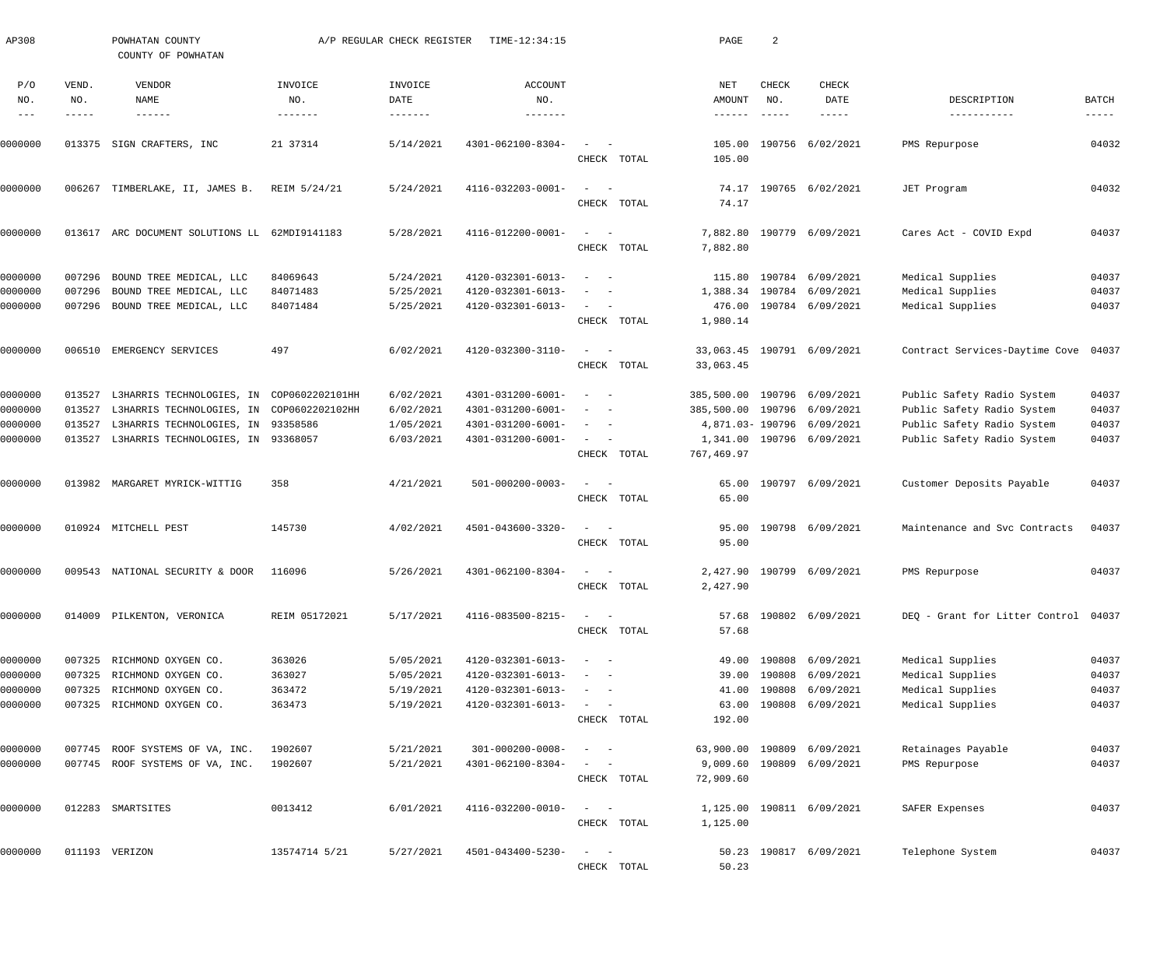| AP308         |               | POWHATAN COUNTY<br>COUNTY OF POWHATAN         |                 | A/P REGULAR CHECK REGISTER | TIME-12:34:15           |                                                                                                                             | PAGE                        | 2             |                            |                                      |                      |
|---------------|---------------|-----------------------------------------------|-----------------|----------------------------|-------------------------|-----------------------------------------------------------------------------------------------------------------------------|-----------------------------|---------------|----------------------------|--------------------------------------|----------------------|
| P/O<br>NO.    | VEND.<br>NO.  | VENDOR<br>NAME                                | INVOICE<br>NO.  | INVOICE<br>DATE            | <b>ACCOUNT</b><br>NO.   |                                                                                                                             | NET<br>AMOUNT               | CHECK<br>NO.  | <b>CHECK</b><br>DATE       | DESCRIPTION                          | BATCH                |
| $\frac{1}{2}$ | $- - - - - -$ | $- - - - - - -$                               | $- - - - - - -$ |                            |                         |                                                                                                                             | ------                      | $- - - - - -$ | $- - - - - -$              | -----------                          | $\cdots\cdots\cdots$ |
| 0000000       |               | 013375 SIGN CRAFTERS, INC                     | 21 37314        | 5/14/2021                  | 4301-062100-8304-       | $\sim$<br>CHECK TOTAL                                                                                                       | 105.00                      |               | 105.00 190756 6/02/2021    | PMS Repurpose                        | 04032                |
| 0000000       |               | 006267 TIMBERLAKE, II, JAMES B.               | REIM 5/24/21    | 5/24/2021                  | 4116-032203-0001-       | $\sim$ .<br>$\sim$ $-$<br>CHECK TOTAL                                                                                       | 74.17                       |               | 74.17 190765 6/02/2021     | JET Program                          | 04032                |
| 0000000       |               | 013617 ARC DOCUMENT SOLUTIONS LL 62MDI9141183 |                 | 5/28/2021                  | 4116-012200-0001-       | $\sim$<br>$\sim$<br>CHECK TOTAL                                                                                             | 7,882.80<br>7,882.80        |               | 190779 6/09/2021           | Cares Act - COVID Expd               | 04037                |
| 0000000       | 007296        | BOUND TREE MEDICAL, LLC                       | 84069643        | 5/24/2021                  | 4120-032301-6013-       | $\sim$ $-$                                                                                                                  | 115.80                      |               | 190784 6/09/2021           | Medical Supplies                     | 04037                |
| 0000000       | 007296        | BOUND TREE MEDICAL, LLC                       | 84071483        | 5/25/2021                  | 4120-032301-6013-       | $\overline{\phantom{a}}$                                                                                                    |                             |               | 1,388.34 190784 6/09/2021  | Medical Supplies                     | 04037                |
| 0000000       |               | 007296 BOUND TREE MEDICAL, LLC                | 84071484        | 5/25/2021                  | 4120-032301-6013-       | $\sim$ 100 $\mu$<br>$\overline{\phantom{0}}$                                                                                |                             |               | 476.00 190784 6/09/2021    | Medical Supplies                     | 04037                |
|               |               |                                               |                 |                            |                         | CHECK TOTAL                                                                                                                 | 1,980.14                    |               |                            |                                      |                      |
| 0000000       |               | 006510 EMERGENCY SERVICES                     | 497             | 6/02/2021                  | 4120-032300-3110-       | $\sim$ .<br>$\overline{\phantom{a}}$                                                                                        |                             |               | 33,063.45 190791 6/09/2021 | Contract Services-Daytime Cove 04037 |                      |
|               |               |                                               |                 |                            |                         | CHECK TOTAL                                                                                                                 | 33,063.45                   |               |                            |                                      |                      |
| 0000000       | 013527        | L3HARRIS TECHNOLOGIES, IN COP0602202101HH     |                 | 6/02/2021                  | 4301-031200-6001-       | $\sim$<br>$\sim$ $-$                                                                                                        | 385,500.00 190796 6/09/2021 |               |                            | Public Safety Radio System           | 04037                |
| 0000000       | 013527        | L3HARRIS TECHNOLOGIES, IN COP0602202102HH     |                 | 6/02/2021                  | 4301-031200-6001-       | $\sim$ $-$                                                                                                                  | 385,500.00 190796 6/09/2021 |               |                            | Public Safety Radio System           | 04037                |
| 0000000       | 013527        | L3HARRIS TECHNOLOGIES, IN 93358586            |                 | 1/05/2021                  | 4301-031200-6001-       | $\overline{\phantom{a}}$<br>$\sim$ $-$                                                                                      |                             |               | 4,871.03-190796 6/09/2021  | Public Safety Radio System           | 04037                |
| 0000000       | 013527        | L3HARRIS TECHNOLOGIES, IN 93368057            |                 | 6/03/2021                  | 4301-031200-6001-       | $\sim$ 100 $\mu$<br>$\overline{\phantom{a}}$<br>CHECK TOTAL                                                                 | 767,469.97                  |               | 1,341.00 190796 6/09/2021  | Public Safety Radio System           | 04037                |
| 0000000       |               | 013982 MARGARET MYRICK-WITTIG                 | 358             | 4/21/2021                  | $501 - 000200 - 0003 -$ | $\omega_{\rm{max}}$ and $\omega_{\rm{max}}$                                                                                 |                             |               | 65.00 190797 6/09/2021     | Customer Deposits Payable            | 04037                |
|               |               |                                               |                 |                            |                         | CHECK TOTAL                                                                                                                 | 65.00                       |               |                            |                                      |                      |
| 0000000       |               | 010924 MITCHELL PEST                          | 145730          | 4/02/2021                  | 4501-043600-3320-       | $\sim$<br>$\sim$                                                                                                            |                             |               | 95.00 190798 6/09/2021     | Maintenance and Svc Contracts        | 04037                |
|               |               |                                               |                 |                            |                         | CHECK TOTAL                                                                                                                 | 95.00                       |               |                            |                                      |                      |
| 0000000       |               | 009543 NATIONAL SECURITY & DOOR               | 116096          | 5/26/2021                  | 4301-062100-8304-       |                                                                                                                             |                             |               | 2,427.90 190799 6/09/2021  | PMS Repurpose                        | 04037                |
|               |               |                                               |                 |                            |                         | CHECK TOTAL                                                                                                                 | 2,427.90                    |               |                            |                                      |                      |
| 0000000       |               | 014009 PILKENTON, VERONICA                    | REIM 05172021   | 5/17/2021                  | 4116-083500-8215-       | $\frac{1}{2} \left( \frac{1}{2} \right) \left( \frac{1}{2} \right) = \frac{1}{2} \left( \frac{1}{2} \right)$<br>CHECK TOTAL | 57.68                       |               | 57.68 190802 6/09/2021     | DEQ - Grant for Litter Control 04037 |                      |
|               |               |                                               |                 |                            |                         |                                                                                                                             |                             |               |                            |                                      |                      |
| 0000000       |               | 007325 RICHMOND OXYGEN CO.                    | 363026          | 5/05/2021                  | 4120-032301-6013-       | $\sim$<br>$\sim$ $-$                                                                                                        |                             |               | 49.00 190808 6/09/2021     | Medical Supplies                     | 04037                |
| 0000000       | 007325        | RICHMOND OXYGEN CO.                           | 363027          | 5/05/2021                  | 4120-032301-6013-       |                                                                                                                             | 39.00                       | 190808        | 6/09/2021                  | Medical Supplies                     | 04037                |
| 0000000       | 007325        | RICHMOND OXYGEN CO.                           | 363472          | 5/19/2021                  | 4120-032301-6013-       | $\overline{\phantom{a}}$                                                                                                    | 41.00                       |               | 190808 6/09/2021           | Medical Supplies                     | 04037                |
| 0000000       |               | 007325 RICHMOND OXYGEN CO.                    | 363473          | 5/19/2021                  | 4120-032301-6013-       | $\sim$ 100 $\mu$<br>$\overline{\phantom{a}}$<br>CHECK TOTAL                                                                 | 63.00<br>192.00             |               | 190808 6/09/2021           | Medical Supplies                     | 04037                |
|               |               |                                               |                 |                            |                         |                                                                                                                             |                             |               |                            |                                      |                      |
| 0000000       |               | 007745 ROOF SYSTEMS OF VA, INC.               | 1902607         | 5/21/2021                  | 301-000200-0008-        | $\sim$<br>$\sim$ $-$                                                                                                        |                             |               | 63,900.00 190809 6/09/2021 | Retainages Payable                   | 04037                |
| 0000000       |               | 007745 ROOF SYSTEMS OF VA, INC.               | 1902607         | 5/21/2021                  | 4301-062100-8304-       | CHECK TOTAL                                                                                                                 | 9,009.60<br>72,909.60       |               | 190809 6/09/2021           | PMS Repurpose                        | 04037                |
| 0000000       |               | 012283 SMARTSITES                             | 0013412         | 6/01/2021                  | 4116-032200-0010-       | $\frac{1}{2}$ and $\frac{1}{2}$<br>$\sim$                                                                                   |                             |               | 1,125.00 190811 6/09/2021  | SAFER Expenses                       | 04037                |
|               |               |                                               |                 |                            |                         | CHECK TOTAL                                                                                                                 | 1,125.00                    |               |                            |                                      |                      |
| 0000000       |               | 011193 VERIZON                                | 13574714 5/21   | 5/27/2021                  | 4501-043400-5230-       | $\frac{1}{2} \left( \frac{1}{2} \right) \left( \frac{1}{2} \right) = \frac{1}{2} \left( \frac{1}{2} \right)$                |                             |               | 50.23 190817 6/09/2021     | Telephone System                     | 04037                |
|               |               |                                               |                 |                            |                         | CHECK TOTAL                                                                                                                 | 50.23                       |               |                            |                                      |                      |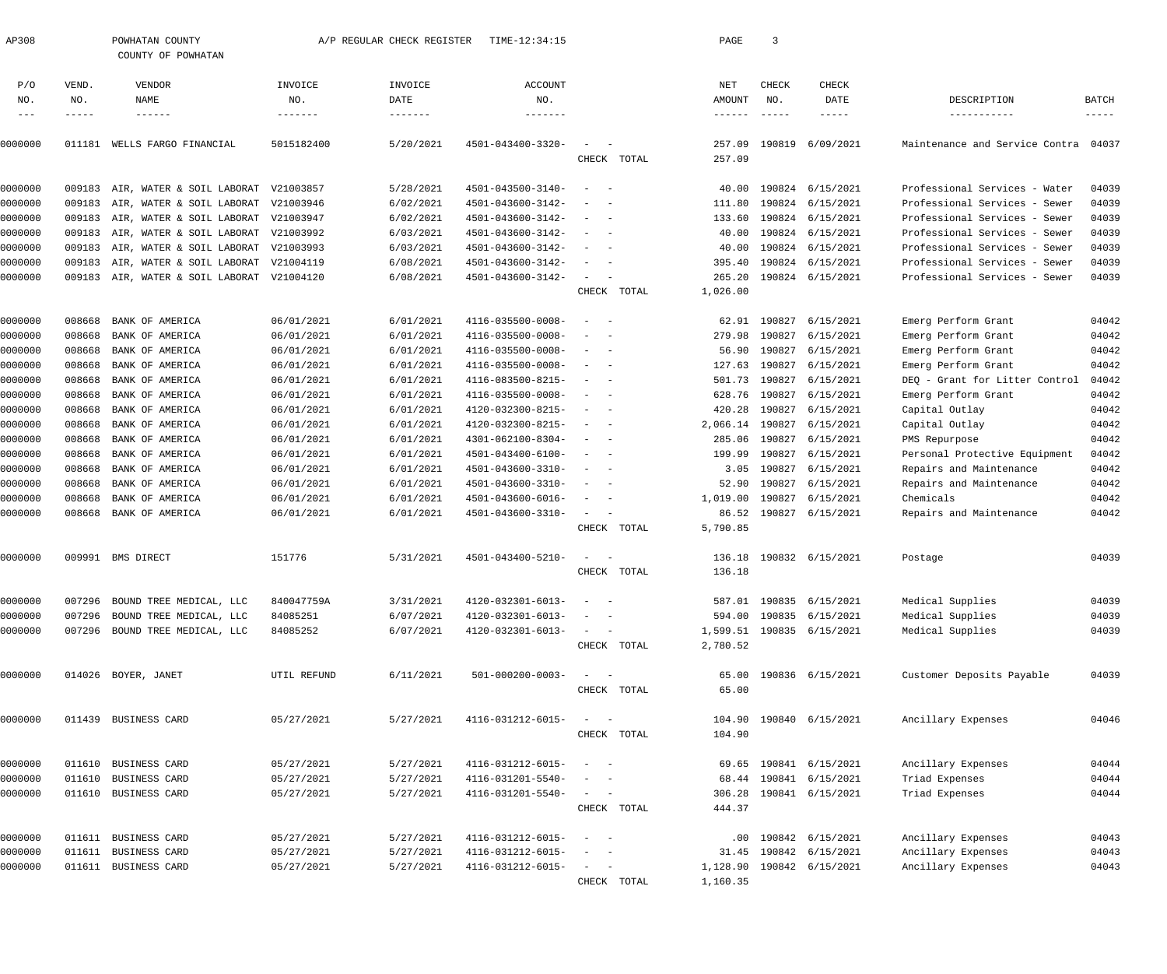| AP308          |              | POWHATAN COUNTY<br>COUNTY OF POWHATAN |                | A/P REGULAR CHECK REGISTER  | TIME-12:34:15           |                                        |             | PAGE             | 3                                |                         |                                |                             |
|----------------|--------------|---------------------------------------|----------------|-----------------------------|-------------------------|----------------------------------------|-------------|------------------|----------------------------------|-------------------------|--------------------------------|-----------------------------|
| P/O            | VEND.        | <b>VENDOR</b>                         | INVOICE        | INVOICE                     | <b>ACCOUNT</b>          |                                        |             | NET              | CHECK                            | CHECK                   |                                |                             |
| NO.<br>$- - -$ | NO.<br>----- | NAME<br>$- - - - - - -$               | NO.<br>------- | DATE<br>$- - - - - - - - -$ | NO.<br>-------          |                                        |             | AMOUNT<br>------ | NO.<br>$\qquad \qquad - - - - -$ | DATE<br>-----           | DESCRIPTION<br>-----------     | <b>BATCH</b><br>$- - - - -$ |
| 0000000        | 011181       | WELLS FARGO FINANCIAL                 | 5015182400     | 5/20/2021                   | 4501-043400-3320-       |                                        | CHECK TOTAL | 257.09<br>257.09 | 190819                           | 6/09/2021               | Maintenance and Service Contra | 04037                       |
| 0000000        | 009183       | AIR, WATER & SOIL LABORAT             | V21003857      | 5/28/2021                   | 4501-043500-3140-       | $\overline{\phantom{a}}$               |             | 40.00            | 190824                           | 6/15/2021               | Professional Services - Water  | 04039                       |
| 0000000        | 009183       | AIR, WATER & SOIL LABORAT V21003946   |                | 6/02/2021                   | 4501-043600-3142-       |                                        |             | 111.80           | 190824                           | 6/15/2021               | Professional Services - Sewer  | 04039                       |
| 0000000        | 009183       | AIR, WATER & SOIL LABORAT V21003947   |                | 6/02/2021                   | 4501-043600-3142-       |                                        |             | 133.60           | 190824                           | 6/15/2021               | Professional Services - Sewer  | 04039                       |
| 0000000        | 009183       | AIR, WATER & SOIL LABORAT             | V21003992      | 6/03/2021                   | 4501-043600-3142-       |                                        |             | 40.00            | 190824                           | 6/15/2021               | Professional Services - Sewer  | 04039                       |
| 0000000        | 009183       | AIR, WATER & SOIL LABORAT V21003993   |                | 6/03/2021                   | 4501-043600-3142-       |                                        |             | 40.00            | 190824                           | 6/15/2021               | Professional Services - Sewer  | 04039                       |
| 0000000        | 009183       | AIR, WATER & SOIL LABORAT V21004119   |                | 6/08/2021                   | 4501-043600-3142-       |                                        |             | 395.40           | 190824                           | 6/15/2021               | Professional Services - Sewer  | 04039                       |
| 0000000        | 009183       | AIR, WATER & SOIL LABORAT V21004120   |                | 6/08/2021                   | 4501-043600-3142-       | $\sim$                                 |             | 265.20           | 190824                           | 6/15/2021               | Professional Services - Sewer  | 04039                       |
|                |              |                                       |                |                             |                         |                                        | CHECK TOTAL | 1,026.00         |                                  |                         |                                |                             |
| 0000000        | 008668       | BANK OF AMERICA                       | 06/01/2021     | 6/01/2021                   | 4116-035500-0008-       |                                        |             | 62.91            | 190827                           | 6/15/2021               | Emerg Perform Grant            | 04042                       |
| 0000000        | 008668       | BANK OF AMERICA                       | 06/01/2021     | 6/01/2021                   | 4116-035500-0008-       |                                        |             | 279.98           | 190827                           | 6/15/2021               | Emerg Perform Grant            | 04042                       |
| 0000000        | 008668       | BANK OF AMERICA                       | 06/01/2021     | 6/01/2021                   | 4116-035500-0008-       |                                        |             | 56.90            | 190827                           | 6/15/2021               | Emerg Perform Grant            | 04042                       |
| 0000000        | 008668       | BANK OF AMERICA                       | 06/01/2021     | 6/01/2021                   | 4116-035500-0008-       |                                        |             | 127.63           | 190827                           | 6/15/2021               | Emerg Perform Grant            | 04042                       |
| 0000000        | 008668       | BANK OF AMERICA                       | 06/01/2021     | 6/01/2021                   | 4116-083500-8215-       |                                        |             |                  | 501.73 190827                    | 6/15/2021               | DEQ - Grant for Litter Control | 04042                       |
| 0000000        | 008668       | BANK OF AMERICA                       | 06/01/2021     | 6/01/2021                   | 4116-035500-0008-       |                                        |             | 628.76           | 190827                           | 6/15/2021               | Emerg Perform Grant            | 04042                       |
| 0000000        | 008668       | BANK OF AMERICA                       | 06/01/2021     | 6/01/2021                   | 4120-032300-8215-       |                                        |             | 420.28           | 190827                           | 6/15/2021               | Capital Outlay                 | 04042                       |
| 0000000        | 008668       | BANK OF AMERICA                       | 06/01/2021     | 6/01/2021                   | 4120-032300-8215-       |                                        |             | 2,066.14         | 190827                           | 6/15/2021               | Capital Outlay                 | 04042                       |
| 0000000        | 008668       | BANK OF AMERICA                       | 06/01/2021     | 6/01/2021                   | 4301-062100-8304-       |                                        |             | 285.06           | 190827                           | 6/15/2021               | PMS Repurpose                  | 04042                       |
| 0000000        | 008668       | BANK OF AMERICA                       | 06/01/2021     | 6/01/2021                   | 4501-043400-6100-       |                                        |             | 199.99           | 190827                           | 6/15/2021               | Personal Protective Equipment  | 04042                       |
| 0000000        | 008668       | BANK OF AMERICA                       | 06/01/2021     | 6/01/2021                   | 4501-043600-3310-       |                                        |             | 3.05             | 190827                           | 6/15/2021               | Repairs and Maintenance        | 04042                       |
| 0000000        | 008668       | BANK OF AMERICA                       | 06/01/2021     | 6/01/2021                   | 4501-043600-3310-       |                                        |             | 52.90            | 190827                           | 6/15/2021               | Repairs and Maintenance        | 04042                       |
| 0000000        | 008668       | BANK OF AMERICA                       | 06/01/2021     | 6/01/2021                   | 4501-043600-6016-       |                                        |             | 1,019.00         | 190827                           | 6/15/2021               | Chemicals                      | 04042                       |
| 0000000        | 008668       | BANK OF AMERICA                       | 06/01/2021     | 6/01/2021                   | 4501-043600-3310-       | $\sim$                                 |             | 86.52            | 190827                           | 6/15/2021               | Repairs and Maintenance        | 04042                       |
|                |              |                                       |                |                             |                         |                                        | CHECK TOTAL | 5,790.85         |                                  |                         |                                |                             |
| 0000000        |              | 009991 BMS DIRECT                     | 151776         | 5/31/2021                   | 4501-043400-5210-       |                                        |             |                  |                                  | 136.18 190832 6/15/2021 | Postage                        | 04039                       |
|                |              |                                       |                |                             |                         |                                        | CHECK TOTAL | 136.18           |                                  |                         |                                |                             |
| 0000000        | 007296       | BOUND TREE MEDICAL, LLC               | 840047759A     | 3/31/2021                   | 4120-032301-6013-       |                                        |             |                  |                                  | 587.01 190835 6/15/2021 | Medical Supplies               | 04039                       |
| 0000000        | 007296       | BOUND TREE MEDICAL, LLC               | 84085251       | 6/07/2021                   | 4120-032301-6013-       |                                        |             | 594.00           | 190835                           | 6/15/2021               | Medical Supplies               | 04039                       |
| 0000000        |              | 007296 BOUND TREE MEDICAL, LLC        | 84085252       | 6/07/2021                   | 4120-032301-6013-       | $\sim$ $  -$                           |             | 1,599.51         |                                  | 190835 6/15/2021        | Medical Supplies               | 04039                       |
|                |              |                                       |                |                             |                         |                                        | CHECK TOTAL | 2,780.52         |                                  |                         |                                |                             |
| 0000000        |              | 014026 BOYER, JANET                   | UTIL REFUND    | 6/11/2021                   | $501 - 000200 - 0003 -$ | $\sim 100$<br>$\sim$                   |             |                  |                                  | 65.00 190836 6/15/2021  | Customer Deposits Payable      | 04039                       |
|                |              |                                       |                |                             |                         |                                        | CHECK TOTAL | 65.00            |                                  |                         |                                |                             |
| 0000000        |              | 011439 BUSINESS CARD                  | 05/27/2021     | 5/27/2021                   | 4116-031212-6015-       | $\sim$ 100 $\sim$ 100 $\sim$           |             |                  |                                  | 104.90 190840 6/15/2021 | Ancillary Expenses             | 04046                       |
|                |              |                                       |                |                             |                         |                                        | CHECK TOTAL | 104.90           |                                  |                         |                                |                             |
| 0000000        | 011610       | <b>BUSINESS CARD</b>                  | 05/27/2021     | 5/27/2021                   | 4116-031212-6015-       | $\sim$<br>$\sim$ $-$                   |             |                  |                                  | 69.65 190841 6/15/2021  | Ancillary Expenses             | 04044                       |
| 0000000        | 011610       | BUSINESS CARD                         | 05/27/2021     | 5/27/2021                   | 4116-031201-5540-       |                                        |             | 68.44            |                                  | 190841 6/15/2021        | Triad Expenses                 | 04044                       |
| 0000000        |              | 011610 BUSINESS CARD                  | 05/27/2021     | 5/27/2021                   | 4116-031201-5540-       | $\sim$ 100 $\sim$ 100 $\sim$           |             | 306.28           |                                  | 190841 6/15/2021        | Triad Expenses                 | 04044                       |
|                |              |                                       |                |                             |                         |                                        | CHECK TOTAL | 444.37           |                                  |                         |                                |                             |
| 0000000        |              | 011611 BUSINESS CARD                  | 05/27/2021     | 5/27/2021                   | 4116-031212-6015-       | $\overline{\phantom{a}}$<br>$\sim$ $-$ |             |                  |                                  | .00 190842 6/15/2021    | Ancillary Expenses             | 04043                       |
| 0000000        |              | 011611 BUSINESS CARD                  | 05/27/2021     | 5/27/2021                   | 4116-031212-6015-       | $\sim$<br>$\sim$ $-$                   |             | 31.45            |                                  | 190842 6/15/2021        | Ancillary Expenses             | 04043                       |
| 0000000        |              | 011611 BUSINESS CARD                  | 05/27/2021     | 5/27/2021                   | 4116-031212-6015-       | $\sim$ $  -$                           |             | 1,128.90         |                                  | 190842 6/15/2021        | Ancillary Expenses             | 04043                       |
|                |              |                                       |                |                             |                         |                                        | CHECK TOTAL | 1,160.35         |                                  |                         |                                |                             |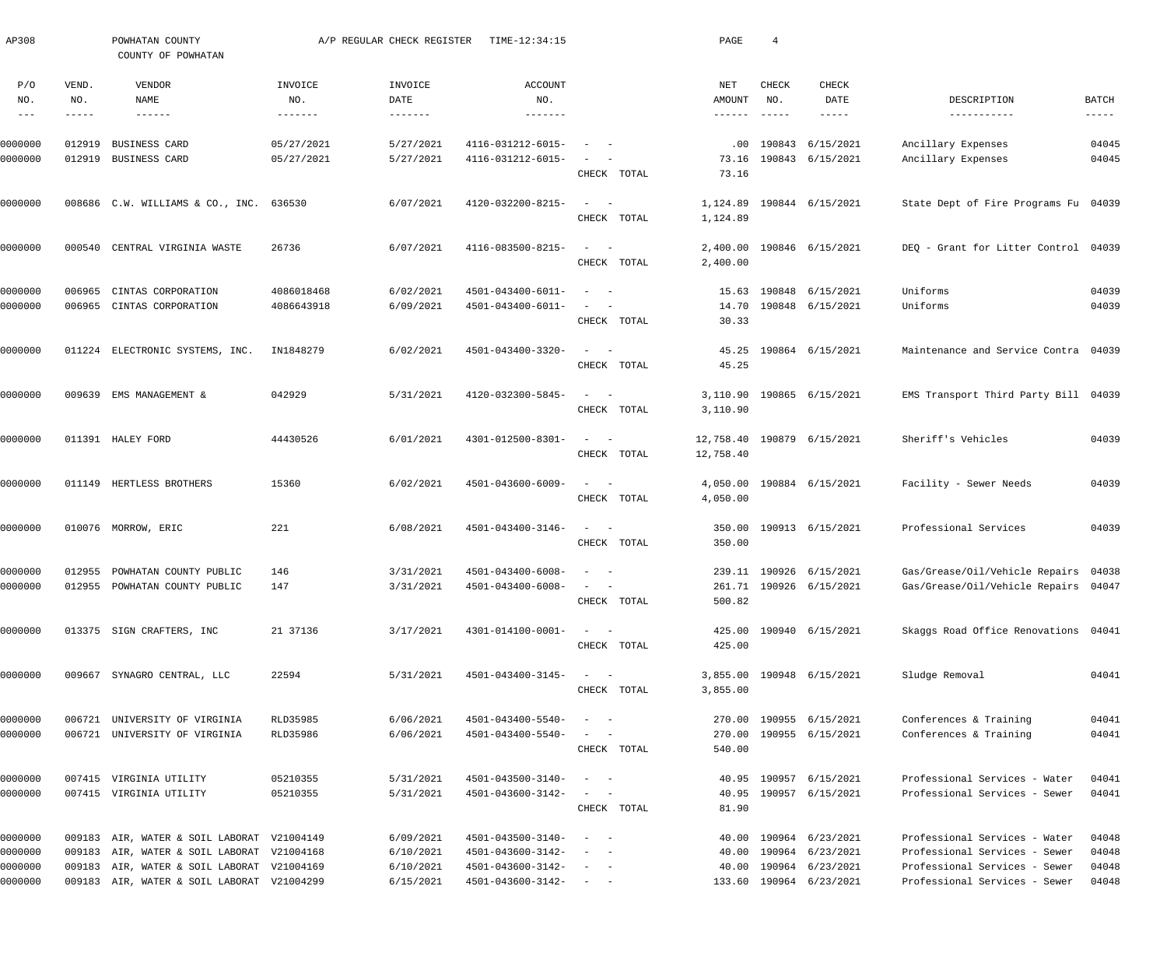| AP308                 |                       | POWHATAN COUNTY<br>COUNTY OF POWHATAN      |                                     | A/P REGULAR CHECK REGISTER | TIME-12:34:15                |                                                                          | PAGE                    | $\overline{4}$                              |                           |                                      |                               |
|-----------------------|-----------------------|--------------------------------------------|-------------------------------------|----------------------------|------------------------------|--------------------------------------------------------------------------|-------------------------|---------------------------------------------|---------------------------|--------------------------------------|-------------------------------|
| P/O<br>NO.<br>$- - -$ | VEND.<br>NO.<br>----- | VENDOR<br>NAME                             | INVOICE<br>NO.<br>$- - - - - - - -$ | INVOICE<br>DATE<br>------- | ACCOUNT<br>NO.<br>-------    |                                                                          | NET<br>AMOUNT<br>------ | CHECK<br>NO.<br>$\qquad \qquad - - - - - -$ | CHECK<br>DATE<br>$------$ | DESCRIPTION<br>-----------           | <b>BATCH</b><br>$- - - - - -$ |
| 0000000               | 012919                | BUSINESS CARD                              | 05/27/2021                          | 5/27/2021                  | 4116-031212-6015-            |                                                                          | .00                     | 190843                                      | 6/15/2021                 | Ancillary Expenses                   | 04045                         |
| 0000000               | 012919                | BUSINESS CARD                              | 05/27/2021                          | 5/27/2021                  | 4116-031212-6015-            | CHECK TOTAL                                                              | 73.16<br>73.16          |                                             | 190843 6/15/2021          | Ancillary Expenses                   | 04045                         |
| 0000000               |                       | 008686 C.W. WILLIAMS & CO., INC.           | 636530                              | 6/07/2021                  | 4120-032200-8215-            | $\begin{array}{cccccccccc} - & & & & & & & - \end{array}$<br>CHECK TOTAL | 1,124.89<br>1,124.89    |                                             | 190844 6/15/2021          | State Dept of Fire Programs Fu 04039 |                               |
| 0000000               | 000540                | CENTRAL VIRGINIA WASTE                     | 26736                               | 6/07/2021                  | 4116-083500-8215-            | $\sim$<br>$\sim$ $-$<br>CHECK TOTAL                                      | 2,400.00<br>2,400.00    |                                             | 190846 6/15/2021          | DEQ - Grant for Litter Control 04039 |                               |
| 0000000               | 006965                | CINTAS CORPORATION                         | 4086018468                          | 6/02/2021                  | 4501-043400-6011-            | $\sim$                                                                   | 15.63                   | 190848                                      | 6/15/2021                 | Uniforms                             | 04039                         |
| 0000000               | 006965                | CINTAS CORPORATION                         | 4086643918                          | 6/09/2021                  | 4501-043400-6011-            | CHECK TOTAL                                                              | 14.70<br>30.33          |                                             | 190848 6/15/2021          | Uniforms                             | 04039                         |
| 0000000               |                       | 011224 ELECTRONIC SYSTEMS, INC.            | IN1848279                           | 6/02/2021                  | 4501-043400-3320-            | $\begin{array}{cccccccccc} - & & & & & & & - \end{array}$<br>CHECK TOTAL | 45.25<br>45.25          |                                             | 190864 6/15/2021          | Maintenance and Service Contra 04039 |                               |
| 0000000               | 009639                | EMS MANAGEMENT &                           | 042929                              | 5/31/2021                  | 4120-032300-5845-            | $\begin{array}{cccccccccc} - & & & & & & & - \end{array}$<br>CHECK TOTAL | 3,110.90<br>3,110.90    |                                             | 190865 6/15/2021          | EMS Transport Third Party Bill 04039 |                               |
| 0000000               |                       | 011391 HALEY FORD                          | 44430526                            | 6/01/2021                  | 4301-012500-8301-            | $\begin{array}{cccccccccc} - & & & & & & & - \end{array}$<br>CHECK TOTAL | 12,758.40<br>12,758.40  |                                             | 190879 6/15/2021          | Sheriff's Vehicles                   | 04039                         |
| 0000000               |                       | 011149 HERTLESS BROTHERS                   | 15360                               | 6/02/2021                  | 4501-043600-6009-            | $\begin{array}{cccccccccc} - & & & & & & & - \end{array}$<br>CHECK TOTAL | 4,050.00<br>4,050.00    |                                             | 190884 6/15/2021          | Facility - Sewer Needs               | 04039                         |
| 0000000               |                       | 010076 MORROW, ERIC                        | 221                                 | 6/08/2021                  | 4501-043400-3146-            | $\begin{array}{cccccccccc} - & & & & & & & - \end{array}$<br>CHECK TOTAL | 350.00<br>350.00        |                                             | 190913 6/15/2021          | Professional Services                | 04039                         |
| 0000000               |                       | 012955 POWHATAN COUNTY PUBLIC              | 146                                 | 3/31/2021                  | 4501-043400-6008-            |                                                                          |                         |                                             | 239.11 190926 6/15/2021   | Gas/Grease/Oil/Vehicle Repairs 04038 |                               |
| 0000000               |                       | 012955 POWHATAN COUNTY PUBLIC              | 147                                 | 3/31/2021                  | $4501 - 043400 - 6008 - - -$ | CHECK TOTAL                                                              | 500.82                  |                                             | 261.71 190926 6/15/2021   | Gas/Grease/Oil/Vehicle Repairs 04047 |                               |
| 0000000               |                       | 013375 SIGN CRAFTERS, INC                  | 21 37136                            | 3/17/2021                  | 4301-014100-0001-            | $\frac{1}{2}$ and $\frac{1}{2}$ and $\frac{1}{2}$<br>CHECK TOTAL         | 425.00                  |                                             | 425.00 190940 6/15/2021   | Skaggs Road Office Renovations 04041 |                               |
| 0000000               |                       | 009667 SYNAGRO CENTRAL, LLC                | 22594                               | 5/31/2021                  | 4501-043400-3145-            | $\sim$ $  -$<br>CHECK TOTAL                                              | 3,855.00                |                                             | 3,855.00 190948 6/15/2021 | Sludge Removal                       | 04041                         |
| 0000000               | 006721                | UNIVERSITY OF VIRGINIA                     | RLD35985                            | 6/06/2021                  | 4501-043400-5540-            | $\qquad \qquad -$                                                        |                         |                                             | 270.00 190955 6/15/2021   | Conferences & Training               | 04041                         |
| 0000000               |                       | 006721 UNIVERSITY OF VIRGINIA              | RLD35986                            | 6/06/2021                  | 4501-043400-5540-            | CHECK TOTAL                                                              | 270.00<br>540.00        |                                             | 190955 6/15/2021          | Conferences & Training               | 04041                         |
| 0000000               |                       | 007415 VIRGINIA UTILITY                    | 05210355                            | 5/31/2021                  | 4501-043500-3140-            | $\sim$ $ -$                                                              |                         |                                             | 40.95 190957 6/15/2021    | Professional Services - Water        | 04041                         |
| 0000000               |                       | 007415 VIRGINIA UTILITY                    | 05210355                            | 5/31/2021                  | 4501-043600-3142-            | CHECK TOTAL                                                              | 81.90                   |                                             | 40.95 190957 6/15/2021    | Professional Services - Sewer        | 04041                         |
| 0000000               |                       | 009183 AIR, WATER & SOIL LABORAT V21004149 |                                     | 6/09/2021                  | 4501-043500-3140-            |                                                                          | 40.00                   |                                             | 190964 6/23/2021          | Professional Services - Water        | 04048                         |
| 0000000               |                       | 009183 AIR, WATER & SOIL LABORAT V21004168 |                                     | 6/10/2021                  | 4501-043600-3142-            |                                                                          | 40.00                   | 190964                                      | 6/23/2021                 | Professional Services - Sewer        | 04048                         |
| 0000000               |                       | 009183 AIR, WATER & SOIL LABORAT V21004169 |                                     | 6/10/2021                  | 4501-043600-3142-            |                                                                          | 40.00                   |                                             | 190964 6/23/2021          | Professional Services - Sewer        | 04048                         |
| 0000000               |                       | 009183 AIR, WATER & SOIL LABORAT V21004299 |                                     | 6/15/2021                  | 4501-043600-3142-            |                                                                          |                         |                                             | 133.60 190964 6/23/2021   | Professional Services - Sewer        | 04048                         |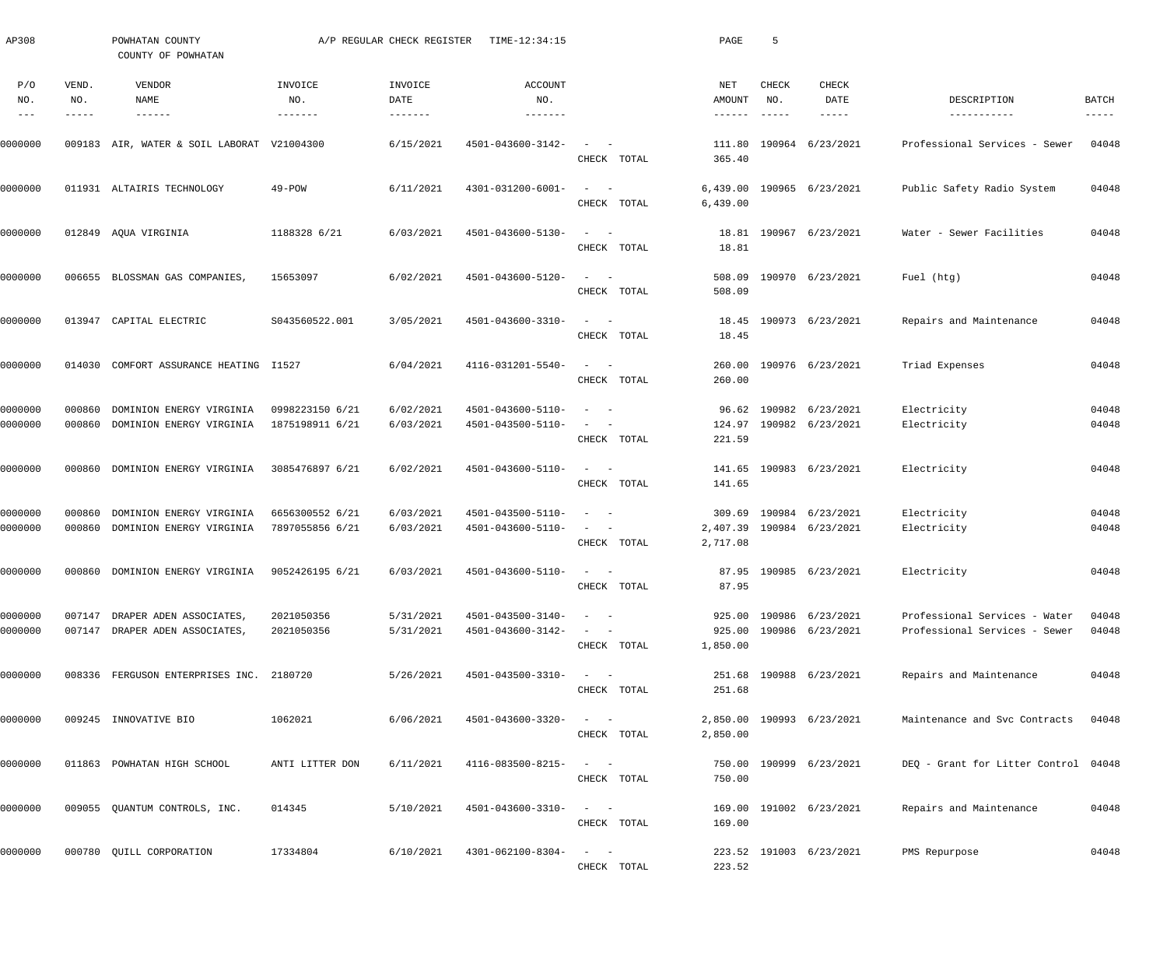| AP308                       |                               | POWHATAN COUNTY<br>COUNTY OF POWHATAN                     |                                    | A/P REGULAR CHECK REGISTER | TIME-12:34:15                          |                                                                                                                                          | PAGE                             | -5                            |                                             |                                                                |                        |
|-----------------------------|-------------------------------|-----------------------------------------------------------|------------------------------------|----------------------------|----------------------------------------|------------------------------------------------------------------------------------------------------------------------------------------|----------------------------------|-------------------------------|---------------------------------------------|----------------------------------------------------------------|------------------------|
| P/O<br>NO.<br>$\frac{1}{2}$ | VEND.<br>NO.<br>$- - - - - -$ | VENDOR<br>NAME<br>$- - - - - - -$                         | INVOICE<br>NO.<br>-------          | INVOICE<br>DATE            | <b>ACCOUNT</b><br>NO.<br>-------       |                                                                                                                                          | NET<br>AMOUNT<br>$- - - - - - -$ | CHECK<br>NO.<br>$- - - - - -$ | CHECK<br>DATE<br>$- - - - - -$              | DESCRIPTION<br>-----------                                     | BATCH<br>$- - - - - -$ |
| 0000000                     |                               | 009183 AIR, WATER & SOIL LABORAT V21004300                |                                    | 6/15/2021                  | 4501-043600-3142-                      | $\equiv$<br>$\sim$<br>CHECK TOTAL                                                                                                        | 111.80<br>365.40                 |                               | 190964 6/23/2021                            | Professional Services - Sewer                                  | 04048                  |
| 0000000                     |                               | 011931 ALTAIRIS TECHNOLOGY                                | $49 - POW$                         | 6/11/2021                  | 4301-031200-6001-                      | $\sim$<br>$\overline{\phantom{a}}$<br>CHECK TOTAL                                                                                        | 6,439.00<br>6,439.00             |                               | 190965 6/23/2021                            | Public Safety Radio System                                     | 04048                  |
| 0000000                     |                               | 012849 AQUA VIRGINIA                                      | 1188328 6/21                       | 6/03/2021                  | 4501-043600-5130-                      | $\equiv$<br>$\sim$<br>CHECK TOTAL                                                                                                        | 18.81                            |                               | 18.81 190967 6/23/2021                      | Water - Sewer Facilities                                       | 04048                  |
| 0000000                     |                               | 006655 BLOSSMAN GAS COMPANIES                             | 15653097                           | 6/02/2021                  | 4501-043600-5120-                      | $\sim$<br>$\sim$<br>CHECK TOTAL                                                                                                          | 508.09<br>508.09                 |                               | 190970 6/23/2021                            | Fuel (htg)                                                     | 04048                  |
| 0000000                     |                               | 013947 CAPITAL ELECTRIC                                   | S043560522.001                     | 3/05/2021                  | 4501-043600-3310-                      | $\sim$ .<br>$\sim$ $-$<br>CHECK TOTAL                                                                                                    | 18.45<br>18.45                   |                               | 190973 6/23/2021                            | Repairs and Maintenance                                        | 04048                  |
| 0000000                     | 014030                        | COMFORT ASSURANCE HEATING I1527                           |                                    | 6/04/2021                  | 4116-031201-5540-                      | $\sim$ .<br>$\sim$ $-$<br>CHECK TOTAL                                                                                                    | 260.00<br>260.00                 |                               | 190976 6/23/2021                            | Triad Expenses                                                 | 04048                  |
| 0000000<br>0000000          | 000860<br>000860              | DOMINION ENERGY VIRGINIA<br>DOMINION ENERGY VIRGINIA      | 0998223150 6/21<br>1875198911 6/21 | 6/02/2021<br>6/03/2021     | 4501-043600-5110-<br>4501-043500-5110- | $\sim$ $-$<br>$\overline{\phantom{a}}$<br>$\overline{\phantom{a}}$<br>CHECK TOTAL                                                        | 96.62<br>124.97<br>221.59        | 190982                        | 6/23/2021<br>190982 6/23/2021               | Electricity<br>Electricity                                     | 04048<br>04048         |
| 0000000                     | 000860                        | DOMINION ENERGY VIRGINIA                                  | 3085476897 6/21                    | 6/02/2021                  | 4501-043600-5110-                      | $\qquad \qquad -$<br>CHECK TOTAL                                                                                                         | 141.65<br>141.65                 |                               | 190983 6/23/2021                            | Electricity                                                    | 04048                  |
| 0000000<br>0000000          | 000860<br>000860              | DOMINION ENERGY VIRGINIA<br>DOMINION ENERGY VIRGINIA      | 6656300552 6/21<br>7897055856 6/21 | 6/03/2021<br>6/03/2021     | 4501-043500-5110-<br>4501-043600-5110- | $\sim$ $-$<br>$\overline{\phantom{m}}$<br>$\overline{\phantom{a}}$<br>$\overline{\phantom{a}}$<br>CHECK TOTAL                            | 309.69<br>2,407.39<br>2,717.08   |                               | 190984 6/23/2021<br>190984 6/23/2021        | Electricity<br>Electricity                                     | 04048<br>04048         |
| 0000000                     | 000860                        | DOMINION ENERGY VIRGINIA                                  | 9052426195 6/21                    | 6/03/2021                  | 4501-043600-5110-                      | CHECK TOTAL                                                                                                                              | 87.95                            |                               | 87.95 190985 6/23/2021                      | Electricity                                                    | 04048                  |
| 0000000<br>0000000          | 007147                        | DRAPER ADEN ASSOCIATES,<br>007147 DRAPER ADEN ASSOCIATES, | 2021050356<br>2021050356           | 5/31/2021<br>5/31/2021     | 4501-043500-3140-<br>4501-043600-3142- | $\sim$<br>CHECK TOTAL                                                                                                                    | 925.00<br>1,850.00               |                               | 925.00 190986 6/23/2021<br>190986 6/23/2021 | Professional Services - Water<br>Professional Services - Sewer | 04048<br>04048         |
| 0000000                     |                               | 008336 FERGUSON ENTERPRISES INC. 2180720                  |                                    | 5/26/2021                  | 4501-043500-3310-                      | $\omega_{\rm{max}}$ and $\omega_{\rm{max}}$<br>CHECK TOTAL                                                                               | 251.68                           |                               | 251.68 190988 6/23/2021                     | Repairs and Maintenance                                        | 04048                  |
| 0000000                     |                               | 009245 INNOVATIVE BIO                                     | 1062021                            | 6/06/2021                  | 4501-043600-3320-                      | $\frac{1}{2} \left( \frac{1}{2} \right) \left( \frac{1}{2} \right) \left( \frac{1}{2} \right) \left( \frac{1}{2} \right)$<br>CHECK TOTAL | 2,850.00                         |                               | 2,850.00 190993 6/23/2021                   | Maintenance and Svc Contracts                                  | 04048                  |
| 0000000                     |                               | 011863 POWHATAN HIGH SCHOOL                               | ANTI LITTER DON                    | 6/11/2021                  | 4116-083500-8215-                      | $\begin{array}{cccccccccc} - & & & & & & & - \end{array}$<br>CHECK TOTAL                                                                 | 750.00                           |                               | 750.00 190999 6/23/2021                     | DEQ - Grant for Litter Control 04048                           |                        |
| 0000000                     |                               | 009055 QUANTUM CONTROLS, INC.                             | 014345                             | 5/10/2021                  | 4501-043600-3310-                      | $\frac{1}{2} \left( \frac{1}{2} \right) \left( \frac{1}{2} \right) \left( \frac{1}{2} \right) \left( \frac{1}{2} \right)$<br>CHECK TOTAL | 169.00                           |                               | 169.00 191002 6/23/2021                     | Repairs and Maintenance                                        | 04048                  |
| 0000000                     |                               | 000780 QUILL CORPORATION                                  | 17334804                           | 6/10/2021                  | 4301-062100-8304-                      | $\frac{1}{2}$ and $\frac{1}{2}$ and $\frac{1}{2}$<br>CHECK TOTAL                                                                         | 223.52                           |                               | 223.52 191003 6/23/2021                     | PMS Repurpose                                                  | 04048                  |